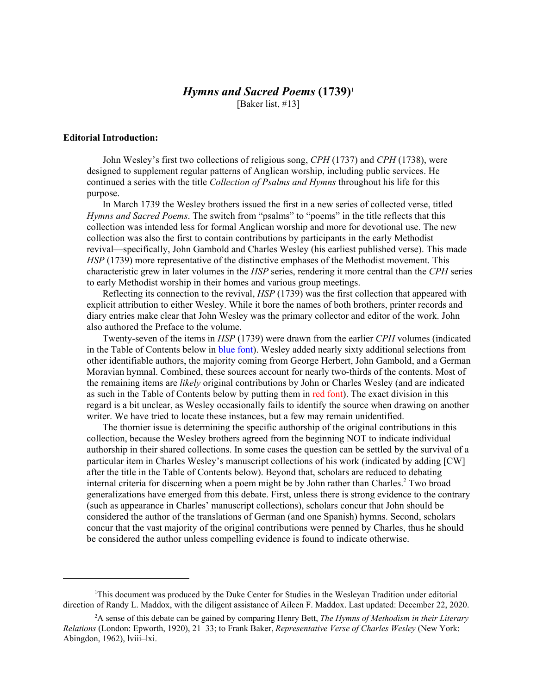## *Hymns and Sacred Poems* **(1739)**<sup>1</sup>

[Baker list, #13]

#### **Editorial Introduction:**

John Wesley's first two collections of religious song, *CPH* (1737) and *CPH* (1738), were designed to supplement regular patterns of Anglican worship, including public services. He continued a series with the title *Collection of Psalms and Hymns* throughout his life for this purpose.

In March 1739 the Wesley brothers issued the first in a new series of collected verse, titled *Hymns and Sacred Poems*. The switch from "psalms" to "poems" in the title reflects that this collection was intended less for formal Anglican worship and more for devotional use. The new collection was also the first to contain contributions by participants in the early Methodist revival—specifically, John Gambold and Charles Wesley (his earliest published verse). This made *HSP* (1739) more representative of the distinctive emphases of the Methodist movement. This characteristic grew in later volumes in the *HSP* series, rendering it more central than the *CPH* series to early Methodist worship in their homes and various group meetings.

Reflecting its connection to the revival, *HSP* (1739) was the first collection that appeared with explicit attribution to either Wesley. While it bore the names of both brothers, printer records and diary entries make clear that John Wesley was the primary collector and editor of the work. John also authored the Preface to the volume.

Twenty-seven of the items in *HSP* (1739) were drawn from the earlier *CPH* volumes (indicated in the Table of Contents below in blue font). Wesley added nearly sixty additional selections from other identifiable authors, the majority coming from George Herbert, John Gambold, and a German Moravian hymnal. Combined, these sources account for nearly two-thirds of the contents. Most of the remaining items are *likely* original contributions by John or Charles Wesley (and are indicated as such in the Table of Contents below by putting them in red font). The exact division in this regard is a bit unclear, as Wesley occasionally fails to identify the source when drawing on another writer. We have tried to locate these instances, but a few may remain unidentified.

The thornier issue is determining the specific authorship of the original contributions in this collection, because the Wesley brothers agreed from the beginning NOT to indicate individual authorship in their shared collections. In some cases the question can be settled by the survival of a particular item in Charles Wesley's manuscript collections of his work (indicated by adding [CW] after the title in the Table of Contents below). Beyond that, scholars are reduced to debating internal criteria for discerning when a poem might be by John rather than Charles.<sup>2</sup> Two broad generalizations have emerged from this debate. First, unless there is strong evidence to the contrary (such as appearance in Charles' manuscript collections), scholars concur that John should be considered the author of the translations of German (and one Spanish) hymns. Second, scholars concur that the vast majority of the original contributions were penned by Charles, thus he should be considered the author unless compelling evidence is found to indicate otherwise.

<sup>&</sup>lt;sup>1</sup>This document was produced by the Duke Center for Studies in the Wesleyan Tradition under editorial direction of Randy L. Maddox, with the diligent assistance of Aileen F. Maddox. Last updated: December 22, 2020.

<sup>2</sup> A sense of this debate can be gained by comparing Henry Bett, *The Hymns of Methodism in their Literary Relations* (London: Epworth, 1920), 21–33; to Frank Baker, *Representative Verse of Charles Wesley* (New York: Abingdon, 1962), lviii–lxi.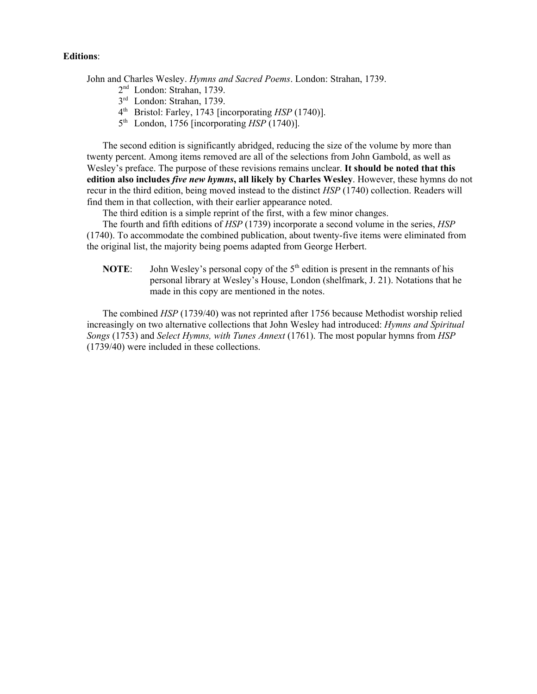#### **Editions**:

John and Charles Wesley. *Hymns and Sacred Poems*. London: Strahan, 1739.

- 2nd London: Strahan, 1739.
- 3rd London: Strahan, 1739.
- 4th Bristol: Farley, 1743 [incorporating *HSP* (1740)].
- 5th London, 1756 [incorporating *HSP* (1740)].

The second edition is significantly abridged, reducing the size of the volume by more than twenty percent. Among items removed are all of the selections from John Gambold, as well as Wesley's preface. The purpose of these revisions remains unclear. **It should be noted that this edition also includes** *five new hymns***, all likely by Charles Wesley**. However, these hymns do not recur in the third edition, being moved instead to the distinct *HSP* (1740) collection. Readers will find them in that collection, with their earlier appearance noted.

The third edition is a simple reprint of the first, with a few minor changes.

The fourth and fifth editions of *HSP* (1739) incorporate a second volume in the series, *HSP* (1740). To accommodate the combined publication, about twenty-five items were eliminated from the original list, the majority being poems adapted from George Herbert.

**NOTE:** John Wesley's personal copy of the  $5<sup>th</sup>$  edition is present in the remnants of his personal library at Wesley's House, London (shelfmark, J. 21). Notations that he made in this copy are mentioned in the notes.

The combined *HSP* (1739/40) was not reprinted after 1756 because Methodist worship relied increasingly on two alternative collections that John Wesley had introduced: *Hymns and Spiritual Songs* (1753) and *Select Hymns, with Tunes Annext* (1761). The most popular hymns from *HSP* (1739/40) were included in these collections.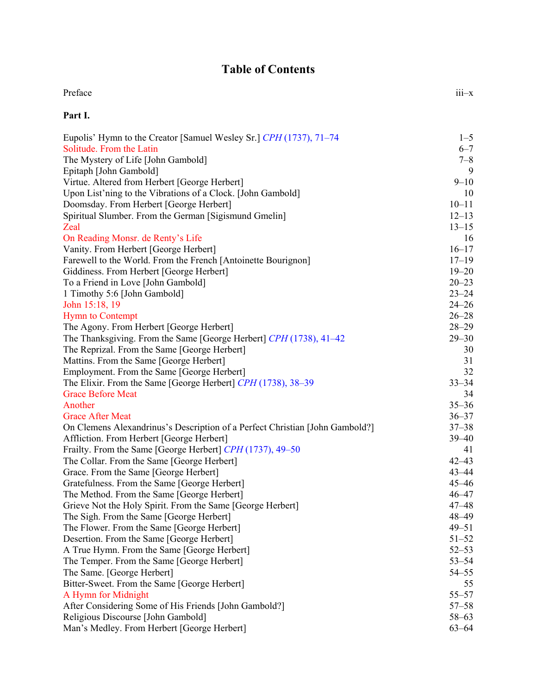## **Table of Contents**

| Preface | $iii-x$ |
|---------|---------|
| Part I. |         |

| Eupolis' Hymn to the Creator [Samuel Wesley Sr.] CPH (1737), 71–74           | $1 - 5$   |
|------------------------------------------------------------------------------|-----------|
| Solitude. From the Latin                                                     | $6 - 7$   |
| The Mystery of Life [John Gambold]                                           | $7 - 8$   |
| Epitaph [John Gambold]                                                       | 9         |
| Virtue. Altered from Herbert [George Herbert]                                | $9 - 10$  |
| Upon List'ning to the Vibrations of a Clock. [John Gambold]                  | 10        |
| Doomsday. From Herbert [George Herbert]                                      | $10 - 11$ |
| Spiritual Slumber. From the German [Sigismund Gmelin]                        | $12 - 13$ |
| Zeal                                                                         | $13 - 15$ |
| On Reading Monsr. de Renty's Life                                            | 16        |
| Vanity. From Herbert [George Herbert]                                        | $16 - 17$ |
| Farewell to the World. From the French [Antoinette Bourignon]                | $17 - 19$ |
| Giddiness. From Herbert [George Herbert]                                     | $19 - 20$ |
| To a Friend in Love [John Gambold]                                           | $20 - 23$ |
| 1 Timothy 5:6 [John Gambold]                                                 | $23 - 24$ |
| John 15:18, 19                                                               | $24 - 26$ |
| <b>Hymn</b> to Contempt                                                      | $26 - 28$ |
| The Agony. From Herbert [George Herbert]                                     | $28 - 29$ |
| The Thanksgiving. From the Same [George Herbert] CPH (1738), 41–42           | $29 - 30$ |
| The Reprizal. From the Same [George Herbert]                                 | 30        |
| Mattins. From the Same [George Herbert]                                      | 31        |
| Employment. From the Same [George Herbert]                                   | 32        |
| The Elixir. From the Same [George Herbert] CPH (1738), 38–39                 | $33 - 34$ |
| <b>Grace Before Meat</b>                                                     | 34        |
| Another                                                                      | $35 - 36$ |
| <b>Grace After Meat</b>                                                      | $36 - 37$ |
| On Clemens Alexandrinus's Description of a Perfect Christian [John Gambold?] | $37 - 38$ |
| Affliction. From Herbert [George Herbert]                                    | $39 - 40$ |
| Frailty. From the Same [George Herbert] CPH (1737), 49-50                    | 41        |
| The Collar. From the Same [George Herbert]                                   | $42 - 43$ |
| Grace. From the Same [George Herbert]                                        | $43 - 44$ |
| Gratefulness. From the Same [George Herbert]                                 | $45 - 46$ |
| The Method. From the Same [George Herbert]                                   | $46 - 47$ |
| Grieve Not the Holy Spirit. From the Same [George Herbert]                   | $47 - 48$ |
| The Sigh. From the Same [George Herbert]                                     | 48-49     |
| The Flower. From the Same [George Herbert]                                   | $49 - 51$ |
| Desertion. From the Same [George Herbert]                                    | $51 - 52$ |
| A True Hymn. From the Same [George Herbert]                                  | $52 - 53$ |
| The Temper. From the Same [George Herbert]                                   | $53 - 54$ |
| The Same. [George Herbert]                                                   | $54 - 55$ |
| Bitter-Sweet. From the Same [George Herbert]                                 | 55        |
| A Hymn for Midnight                                                          | $55 - 57$ |
| After Considering Some of His Friends [John Gambold?]                        | $57 - 58$ |
| Religious Discourse [John Gambold]                                           | $58 - 63$ |
| Man's Medley. From Herbert [George Herbert]                                  | $63 - 64$ |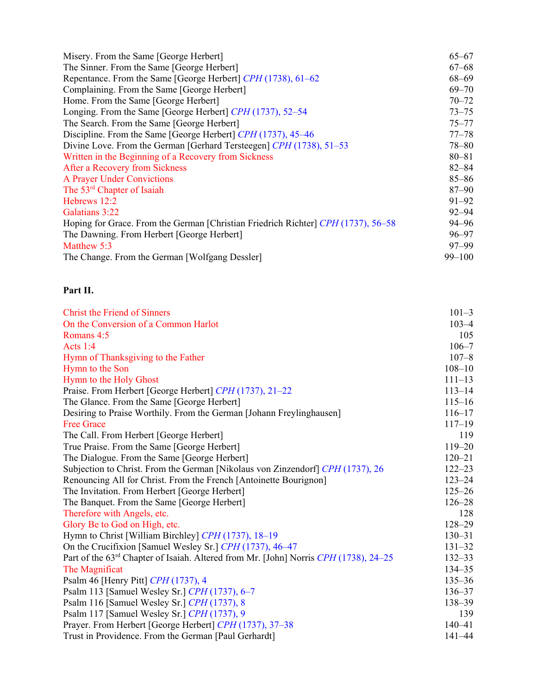| Misery. From the Same [George Herbert]                                            | $65 - 67$  |
|-----------------------------------------------------------------------------------|------------|
| The Sinner. From the Same [George Herbert]                                        | $67 - 68$  |
| Repentance. From the Same [George Herbert] CPH (1738), 61-62                      | $68 - 69$  |
| Complaining. From the Same [George Herbert]                                       | $69 - 70$  |
| Home. From the Same [George Herbert]                                              | $70 - 72$  |
| Longing. From the Same [George Herbert] CPH (1737), 52–54                         | $73 - 75$  |
| The Search. From the Same [George Herbert]                                        | $75 - 77$  |
| Discipline. From the Same [George Herbert] CPH (1737), 45–46                      | $77 - 78$  |
| Divine Love. From the German [Gerhard Tersteegen] CPH (1738), 51-53               | $78 - 80$  |
| Written in the Beginning of a Recovery from Sickness                              | $80 - 81$  |
| After a Recovery from Sickness                                                    | $82 - 84$  |
| <b>A Prayer Under Convictions</b>                                                 | $85 - 86$  |
| The 53 <sup>rd</sup> Chapter of Isaiah                                            | $87 - 90$  |
| Hebrews 12:2                                                                      | $91 - 92$  |
| Galatians 3:22                                                                    | $92 - 94$  |
| Hoping for Grace. From the German [Christian Friedrich Richter] CPH (1737), 56–58 | $94 - 96$  |
| The Dawning. From Herbert [George Herbert]                                        | $96 - 97$  |
| Matthew 5:3                                                                       | $97 - 99$  |
| The Change. From the German [Wolfgang Dessler]                                    | $99 - 100$ |

## **Part II.**

| <b>Christ the Friend of Sinners</b>                                                    | $101 - 3$  |
|----------------------------------------------------------------------------------------|------------|
| On the Conversion of a Common Harlot                                                   | $103 - 4$  |
| Romans 4:5                                                                             | 105        |
| Acts $1:4$                                                                             | $106 - 7$  |
| Hymn of Thanksgiving to the Father                                                     | $107 - 8$  |
| Hymn to the Son                                                                        | $108 - 10$ |
| Hymn to the Holy Ghost                                                                 | $111 - 13$ |
| Praise. From Herbert [George Herbert] CPH (1737), 21–22                                | $113 - 14$ |
| The Glance. From the Same [George Herbert]                                             | $115 - 16$ |
| Desiring to Praise Worthily. From the German [Johann Freylinghausen]                   | $116 - 17$ |
| <b>Free Grace</b>                                                                      | $117 - 19$ |
| The Call. From Herbert [George Herbert]                                                | 119        |
| True Praise. From the Same [George Herbert]                                            | $119 - 20$ |
| The Dialogue. From the Same [George Herbert]                                           | $120 - 21$ |
| Subjection to Christ. From the German [Nikolaus von Zinzendorf] CPH (1737), 26         | $122 - 23$ |
| Renouncing All for Christ. From the French [Antoinette Bourignon]                      | $123 - 24$ |
| The Invitation. From Herbert [George Herbert]                                          | $125 - 26$ |
| The Banquet. From the Same [George Herbert]                                            | $126 - 28$ |
| Therefore with Angels, etc.                                                            | 128        |
| Glory Be to God on High, etc.                                                          | $128 - 29$ |
| Hymn to Christ [William Birchley] CPH (1737), 18-19                                    | $130 - 31$ |
| On the Crucifixion [Samuel Wesley Sr.] CPH (1737), 46-47                               | $131 - 32$ |
| Part of the $63rd$ Chapter of Isaiah. Altered from Mr. [John] Norris CPH (1738), 24–25 | $132 - 33$ |
| The Magnificat                                                                         | $134 - 35$ |
| Psalm 46 [Henry Pitt] CPH (1737), 4                                                    | $135 - 36$ |
| Psalm 113 [Samuel Wesley Sr.] CPH (1737), 6-7                                          | $136 - 37$ |
| Psalm 116 [Samuel Wesley Sr.] CPH (1737), 8                                            | $138 - 39$ |
| Psalm 117 [Samuel Wesley Sr.] CPH (1737), 9                                            | 139        |
| Prayer. From Herbert [George Herbert] CPH (1737), 37-38                                | $140 - 41$ |
| Trust in Providence. From the German [Paul Gerhardt]                                   | $141 - 44$ |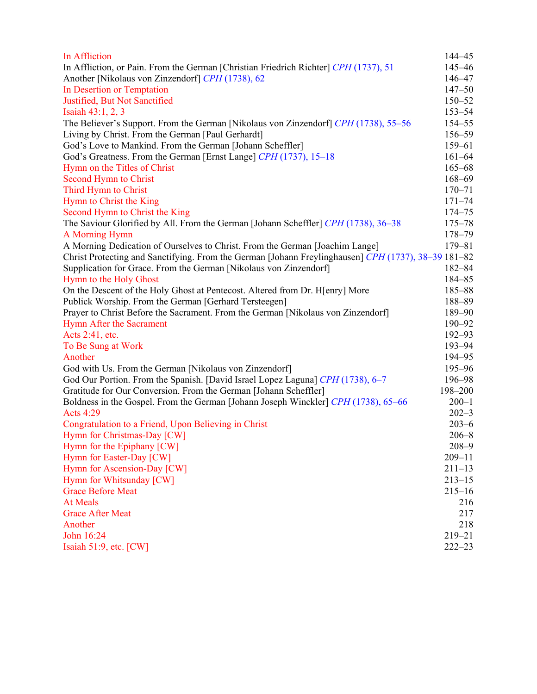| In Affliction                                                                                       | 144-45     |
|-----------------------------------------------------------------------------------------------------|------------|
| In Affliction, or Pain. From the German [Christian Friedrich Richter] CPH (1737), 51                | $145 - 46$ |
| Another [Nikolaus von Zinzendorf] CPH (1738), 62                                                    | $146 - 47$ |
| In Desertion or Temptation                                                                          | $147 - 50$ |
| Justified, But Not Sanctified                                                                       | $150 - 52$ |
| Isaiah 43:1, 2, 3                                                                                   | $153 - 54$ |
| The Believer's Support. From the German [Nikolaus von Zinzendorf] CPH (1738), 55–56                 | 154-55     |
| Living by Christ. From the German [Paul Gerhardt]                                                   | 156-59     |
| God's Love to Mankind. From the German [Johann Scheffler]                                           | $159 - 61$ |
| God's Greatness. From the German [Ernst Lange] CPH (1737), 15-18                                    | $161 - 64$ |
| Hymn on the Titles of Christ                                                                        | $165 - 68$ |
| Second Hymn to Christ                                                                               | $168 - 69$ |
| Third Hymn to Christ                                                                                | $170 - 71$ |
| Hymn to Christ the King                                                                             | $171 - 74$ |
| Second Hymn to Christ the King                                                                      | 174-75     |
| The Saviour Glorified by All. From the German [Johann Scheffler] CPH (1738), 36-38                  | $175 - 78$ |
| A Morning Hymn                                                                                      | 178-79     |
| A Morning Dedication of Ourselves to Christ. From the German [Joachim Lange]                        | 179-81     |
| Christ Protecting and Sanctifying. From the German [Johann Freylinghausen] CPH (1737), 38–39 181–82 |            |
| Supplication for Grace. From the German [Nikolaus von Zinzendorf]                                   | $182 - 84$ |
| Hymn to the Holy Ghost                                                                              | $184 - 85$ |
| On the Descent of the Holy Ghost at Pentecost. Altered from Dr. H[enry] More                        | 185-88     |
| Publick Worship. From the German [Gerhard Tersteegen]                                               | 188-89     |
| Prayer to Christ Before the Sacrament. From the German [Nikolaus von Zinzendorf]                    | 189-90     |
| Hymn After the Sacrament                                                                            | $190 - 92$ |
| Acts 2:41, etc.                                                                                     | $192 - 93$ |
| To Be Sung at Work                                                                                  | 193-94     |
| Another                                                                                             | 194-95     |
| God with Us. From the German [Nikolaus von Zinzendorf]                                              | 195-96     |
| God Our Portion. From the Spanish. [David Israel Lopez Laguna] CPH (1738), 6-7                      | 196-98     |
| Gratitude for Our Conversion. From the German [Johann Scheffler]                                    | 198-200    |
| Boldness in the Gospel. From the German [Johann Joseph Winckler] CPH (1738), 65–66                  | $200 - 1$  |
| <b>Acts 4:29</b>                                                                                    | $202 - 3$  |
| Congratulation to a Friend, Upon Believing in Christ                                                | $203 - 6$  |
| Hymn for Christmas-Day [CW]                                                                         | $206 - 8$  |
| Hymn for the Epiphany [CW]                                                                          | $208 - 9$  |
| Hymn for Easter-Day [CW]                                                                            | $209 - 11$ |
| Hymn for Ascension-Day [CW]                                                                         | $211 - 13$ |
| Hymn for Whitsunday [CW]                                                                            | $213 - 15$ |
| <b>Grace Before Meat</b>                                                                            | $215 - 16$ |
| <b>At Meals</b>                                                                                     | 216        |
| <b>Grace After Meat</b>                                                                             | 217        |
| Another                                                                                             | 218        |
| John 16:24                                                                                          | 219-21     |
| Isaiah 51:9, etc. [CW]                                                                              | $222 - 23$ |
|                                                                                                     |            |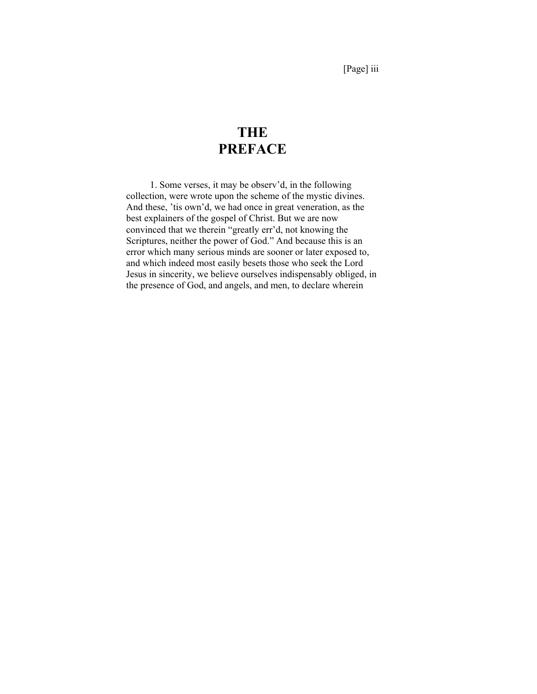[Page] iii

# **THE PREFACE**

1. Some verses, it may be observ'd, in the following collection, were wrote upon the scheme of the mystic divines. And these, 'tis own'd, we had once in great veneration, as the best explainers of the gospel of Christ. But we are now convinced that we therein "greatly err'd, not knowing the Scriptures, neither the power of God." And because this is an error which many serious minds are sooner or later exposed to, and which indeed most easily besets those who seek the Lord Jesus in sincerity, we believe ourselves indispensably obliged, in the presence of God, and angels, and men, to declare wherein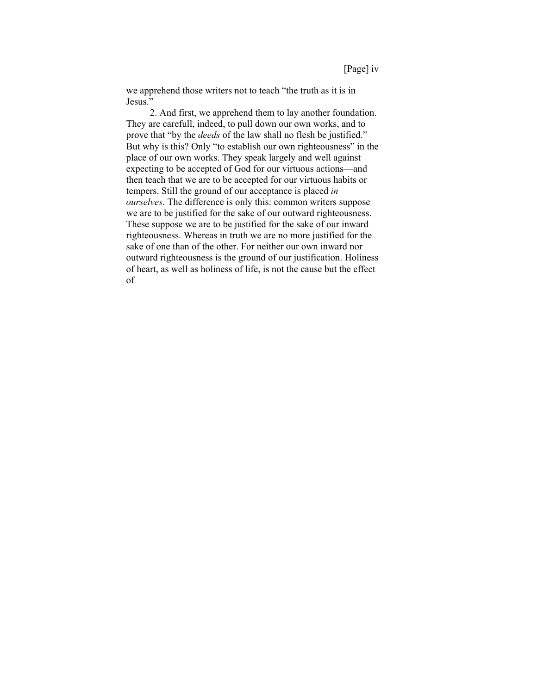we apprehend those writers not to teach "the truth as it is in Jesus."

2. And first, we apprehend them to lay another foundation. They are carefull, indeed, to pull down our own works, and to prove that "by the *deeds* of the law shall no flesh be justified." But why is this? Only "to establish our own righteousness" in the place of our own works. They speak largely and well against expecting to be accepted of God for our virtuous actions—and then teach that we are to be accepted for our virtuous habits or tempers. Still the ground of our acceptance is placed *in ourselves*. The difference is only this: common writers suppose we are to be justified for the sake of our outward righteousness. These suppose we are to be justified for the sake of our inward righteousness. Whereas in truth we are no more justified for the sake of one than of the other. For neither our own inward nor outward righteousness is the ground of our justification. Holiness of heart, as well as holiness of life, is not the cause but the effect of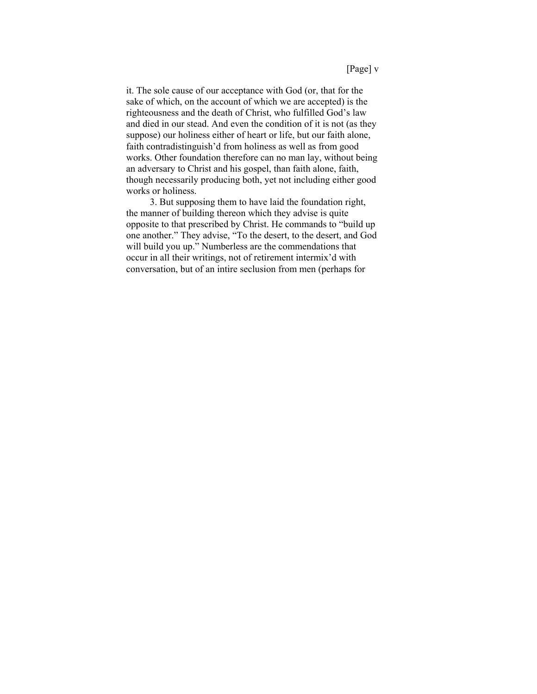it. The sole cause of our acceptance with God (or, that for the sake of which, on the account of which we are accepted) is the righteousness and the death of Christ, who fulfilled God's law and died in our stead. And even the condition of it is not (as they suppose) our holiness either of heart or life, but our faith alone, faith contradistinguish'd from holiness as well as from good works. Other foundation therefore can no man lay, without being an adversary to Christ and his gospel, than faith alone, faith, though necessarily producing both, yet not including either good works or holiness.

3. But supposing them to have laid the foundation right, the manner of building thereon which they advise is quite opposite to that prescribed by Christ. He commands to "build up one another." They advise, "To the desert, to the desert, and God will build you up." Numberless are the commendations that occur in all their writings, not of retirement intermix'd with conversation, but of an intire seclusion from men (perhaps for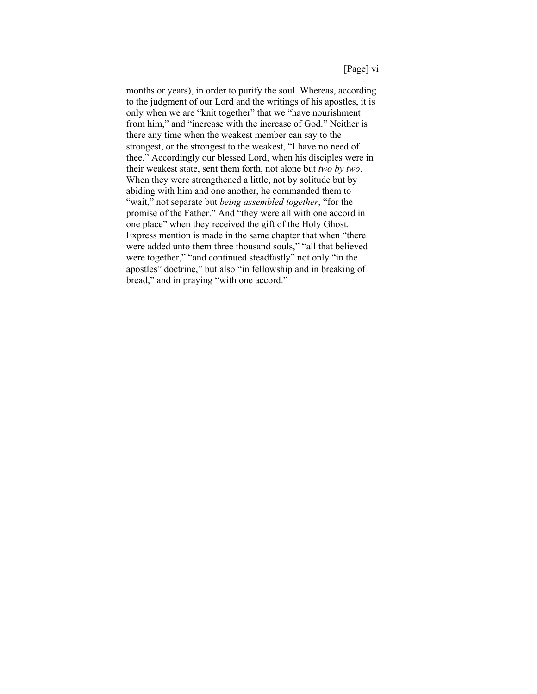#### [Page] vi

months or years), in order to purify the soul. Whereas, according to the judgment of our Lord and the writings of his apostles, it is only when we are "knit together" that we "have nourishment from him," and "increase with the increase of God." Neither is there any time when the weakest member can say to the strongest, or the strongest to the weakest, "I have no need of thee." Accordingly our blessed Lord, when his disciples were in their weakest state, sent them forth, not alone but *two by two*. When they were strengthened a little, not by solitude but by abiding with him and one another, he commanded them to "wait," not separate but *being assembled together*, "for the promise of the Father." And "they were all with one accord in one place" when they received the gift of the Holy Ghost. Express mention is made in the same chapter that when "there were added unto them three thousand souls," "all that believed were together," "and continued steadfastly" not only "in the apostles" doctrine," but also "in fellowship and in breaking of bread," and in praying "with one accord."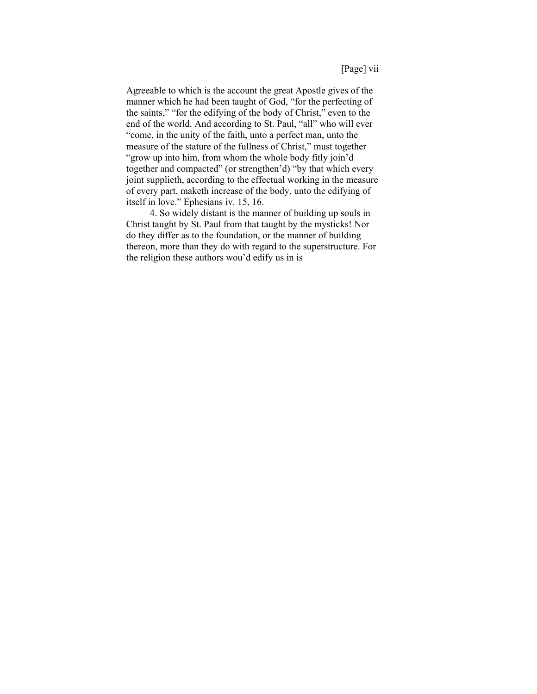Agreeable to which is the account the great Apostle gives of the manner which he had been taught of God, "for the perfecting of the saints," "for the edifying of the body of Christ," even to the end of the world. And according to St. Paul, "all" who will ever "come, in the unity of the faith, unto a perfect man, unto the measure of the stature of the fullness of Christ," must together "grow up into him, from whom the whole body fitly join'd together and compacted" (or strengthen'd) "by that which every joint supplieth, according to the effectual working in the measure of every part, maketh increase of the body, unto the edifying of itself in love." Ephesians iv. 15, 16.

4. So widely distant is the manner of building up souls in Christ taught by St. Paul from that taught by the mysticks! Nor do they differ as to the foundation, or the manner of building thereon, more than they do with regard to the superstructure. For the religion these authors wou'd edify us in is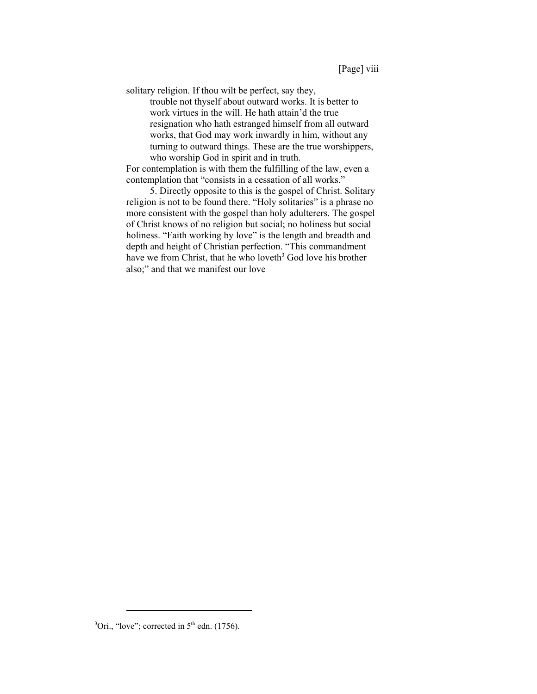solitary religion. If thou wilt be perfect, say they,

trouble not thyself about outward works. It is better to work virtues in the will. He hath attain'd the true resignation who hath estranged himself from all outward works, that God may work inwardly in him, without any turning to outward things. These are the true worshippers, who worship God in spirit and in truth.

For contemplation is with them the fulfilling of the law, even a contemplation that "consists in a cessation of all works."

5. Directly opposite to this is the gospel of Christ. Solitary religion is not to be found there. "Holy solitaries" is a phrase no more consistent with the gospel than holy adulterers. The gospel of Christ knows of no religion but social; no holiness but social holiness. "Faith working by love" is the length and breadth and depth and height of Christian perfection. "This commandment have we from Christ, that he who loveth<sup>3</sup> God love his brother also;" and that we manifest our love

 ${}^{3}$ Ori., "love"; corrected in 5<sup>th</sup> edn. (1756).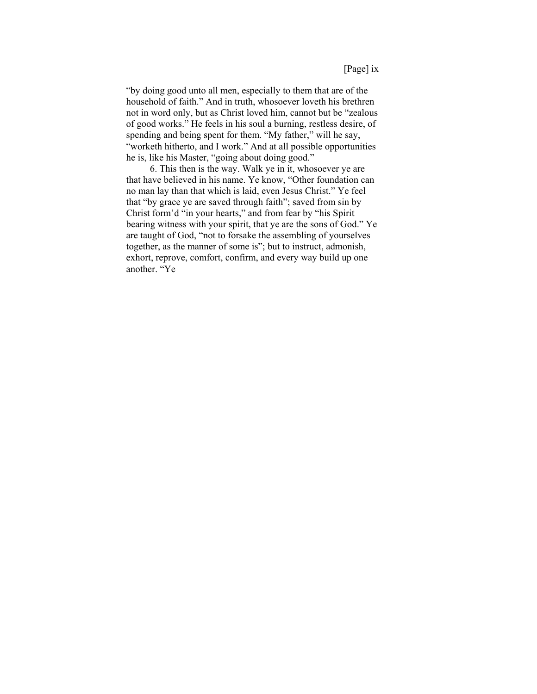"by doing good unto all men, especially to them that are of the household of faith." And in truth, whosoever loveth his brethren not in word only, but as Christ loved him, cannot but be "zealous of good works." He feels in his soul a burning, restless desire, of spending and being spent for them. "My father," will he say, "worketh hitherto, and I work." And at all possible opportunities he is, like his Master, "going about doing good."

6. This then is the way. Walk ye in it, whosoever ye are that have believed in his name. Ye know, "Other foundation can no man lay than that which is laid, even Jesus Christ." Ye feel that "by grace ye are saved through faith"; saved from sin by Christ form'd "in your hearts," and from fear by "his Spirit bearing witness with your spirit, that ye are the sons of God." Ye are taught of God, "not to forsake the assembling of yourselves together, as the manner of some is"; but to instruct, admonish, exhort, reprove, comfort, confirm, and every way build up one another. "Ye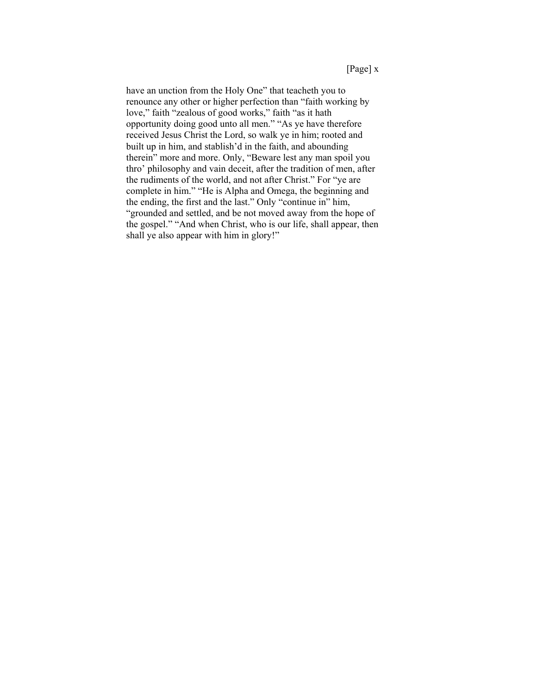have an unction from the Holy One" that teacheth you to renounce any other or higher perfection than "faith working by love," faith "zealous of good works," faith "as it hath opportunity doing good unto all men." "As ye have therefore received Jesus Christ the Lord, so walk ye in him; rooted and built up in him, and stablish'd in the faith, and abounding therein" more and more. Only, "Beware lest any man spoil you thro' philosophy and vain deceit, after the tradition of men, after the rudiments of the world, and not after Christ." For "ye are complete in him." "He is Alpha and Omega, the beginning and the ending, the first and the last." Only "continue in" him, "grounded and settled, and be not moved away from the hope of the gospel." "And when Christ, who is our life, shall appear, then shall ye also appear with him in glory!"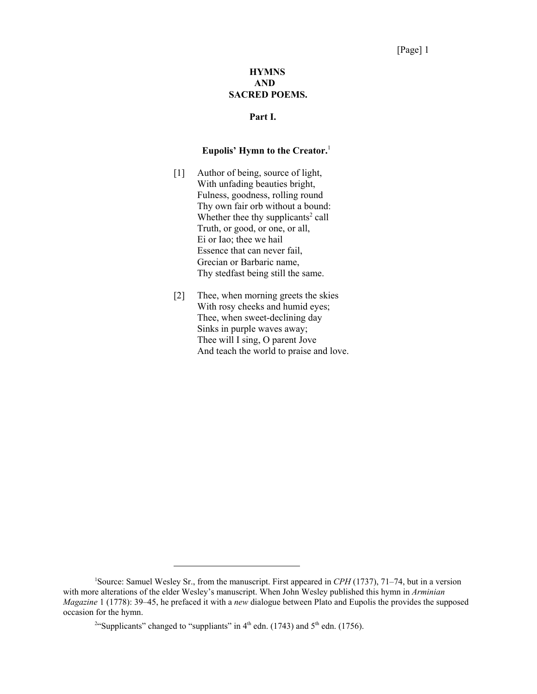## [Page] 1

## **HYMNS AND SACRED POEMS.**

## **Part I.**

#### **Eupolis' Hymn to the Creator.**<sup>1</sup>

- [1] Author of being, source of light, With unfading beauties bright, Fulness, goodness, rolling round Thy own fair orb without a bound: Whether thee thy supplicants $2$  call Truth, or good, or one, or all, Ei or Iao; thee we hail Essence that can never fail, Grecian or Barbaric name, Thy stedfast being still the same.
- [2] Thee, when morning greets the skies With rosy cheeks and humid eyes; Thee, when sweet-declining day Sinks in purple waves away; Thee will I sing, O parent Jove And teach the world to praise and love.

<sup>1</sup> Source: Samuel Wesley Sr., from the manuscript. First appeared in *CPH* (1737), 71–74, but in a version with more alterations of the elder Wesley's manuscript. When John Wesley published this hymn in *Arminian Magazine* 1 (1778): 39–45, he prefaced it with a *new* dialogue between Plato and Eupolis the provides the supposed occasion for the hymn.

<sup>&</sup>lt;sup>2</sup>"Supplicants" changed to "suppliants" in  $4<sup>th</sup>$  edn. (1743) and  $5<sup>th</sup>$  edn. (1756).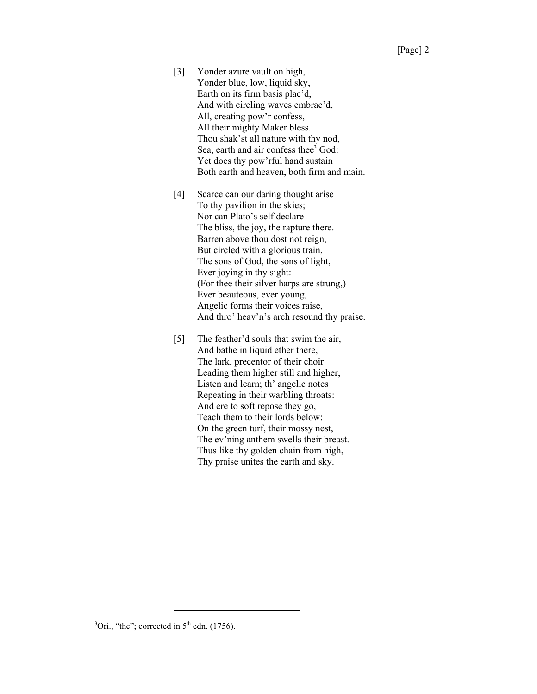- [3] Yonder azure vault on high, Yonder blue, low, liquid sky, Earth on its firm basis plac'd, And with circling waves embrac'd, All, creating pow'r confess, All their mighty Maker bless. Thou shak'st all nature with thy nod, Sea, earth and air confess thee<sup>3</sup> God: Yet does thy pow'rful hand sustain Both earth and heaven, both firm and main.
- [4] Scarce can our daring thought arise To thy pavilion in the skies; Nor can Plato's self declare The bliss, the joy, the rapture there. Barren above thou dost not reign, But circled with a glorious train, The sons of God, the sons of light, Ever joying in thy sight: (For thee their silver harps are strung,) Ever beauteous, ever young, Angelic forms their voices raise, And thro' heav'n's arch resound thy praise.
- [5] The feather'd souls that swim the air, And bathe in liquid ether there, The lark, precentor of their choir Leading them higher still and higher, Listen and learn; th' angelic notes Repeating in their warbling throats: And ere to soft repose they go, Teach them to their lords below: On the green turf, their mossy nest, The ev'ning anthem swells their breast. Thus like thy golden chain from high, Thy praise unites the earth and sky.

 ${}^{3}$ Ori., "the"; corrected in 5<sup>th</sup> edn. (1756).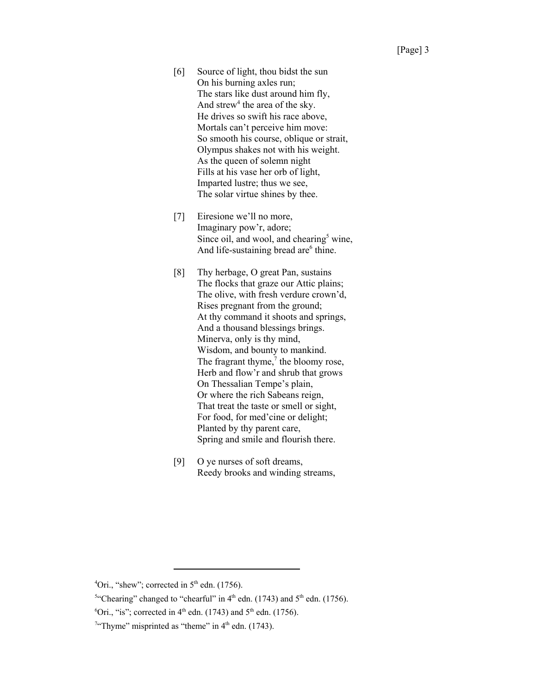- [6] Source of light, thou bidst the sun On his burning axles run; The stars like dust around him fly, And strew<sup>4</sup> the area of the sky. He drives so swift his race above, Mortals can't perceive him move: So smooth his course, oblique or strait, Olympus shakes not with his weight. As the queen of solemn night Fills at his vase her orb of light, Imparted lustre; thus we see, The solar virtue shines by thee.
- [7] Eiresione we'll no more, Imaginary pow'r, adore; Since oil, and wool, and chearing<sup>5</sup> wine, And life-sustaining bread are<sup>6</sup> thine.
- [8] Thy herbage, O great Pan, sustains The flocks that graze our Attic plains; The olive, with fresh verdure crown'd, Rises pregnant from the ground; At thy command it shoots and springs, And a thousand blessings brings. Minerva, only is thy mind, Wisdom, and bounty to mankind. The fragrant thyme, $<sup>7</sup>$  the bloomy rose,</sup> Herb and flow'r and shrub that grows On Thessalian Tempe's plain, Or where the rich Sabeans reign, That treat the taste or smell or sight, For food, for med'cine or delight; Planted by thy parent care, Spring and smile and flourish there.
- [9] O ye nurses of soft dreams, Reedy brooks and winding streams,

 ${}^{4}$ Ori., "shew"; corrected in 5<sup>th</sup> edn. (1756).

<sup>&</sup>lt;sup>5"</sup>Chearing" changed to "chearful" in  $4<sup>th</sup>$  edn. (1743) and  $5<sup>th</sup>$  edn. (1756).

<sup>&</sup>lt;sup>6</sup>Ori., "is"; corrected in 4<sup>th</sup> edn. (1743) and 5<sup>th</sup> edn. (1756).

<sup>&</sup>lt;sup>7</sup>"Thyme" misprinted as "theme" in  $4<sup>th</sup>$  edn. (1743).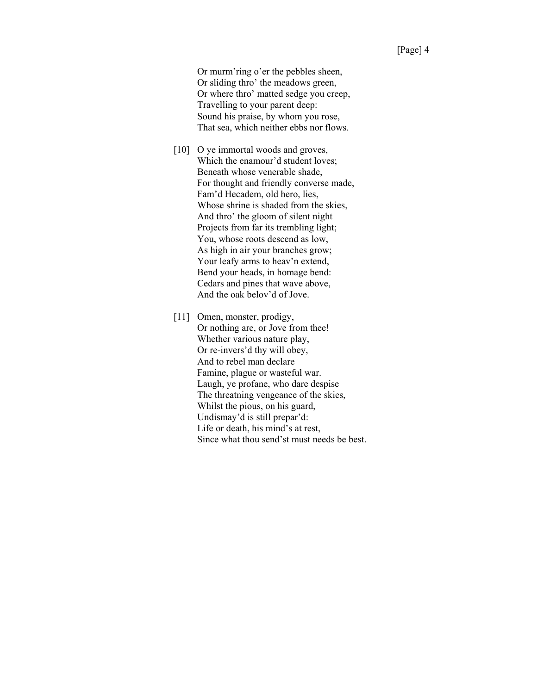Or murm'ring o'er the pebbles sheen, Or sliding thro' the meadows green, Or where thro' matted sedge you creep, Travelling to your parent deep: Sound his praise, by whom you rose, That sea, which neither ebbs nor flows.

- [10] O ye immortal woods and groves, Which the enamour'd student loves; Beneath whose venerable shade, For thought and friendly converse made, Fam'd Hecadem, old hero, lies, Whose shrine is shaded from the skies, And thro' the gloom of silent night Projects from far its trembling light; You, whose roots descend as low, As high in air your branches grow; Your leafy arms to heav'n extend, Bend your heads, in homage bend: Cedars and pines that wave above, And the oak belov'd of Jove.
- [11] Omen, monster, prodigy, Or nothing are, or Jove from thee! Whether various nature play, Or re-invers'd thy will obey, And to rebel man declare Famine, plague or wasteful war. Laugh, ye profane, who dare despise The threatning vengeance of the skies, Whilst the pious, on his guard, Undismay'd is still prepar'd: Life or death, his mind's at rest, Since what thou send'st must needs be best.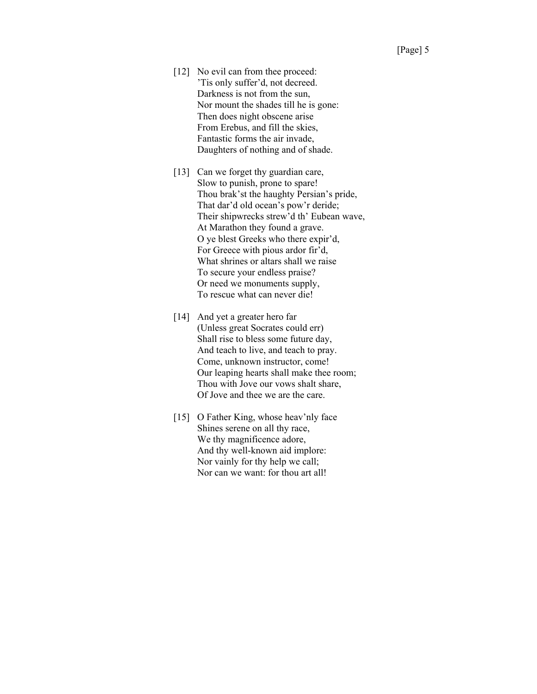- [12] No evil can from thee proceed: 'Tis only suffer'd, not decreed. Darkness is not from the sun, Nor mount the shades till he is gone: Then does night obscene arise From Erebus, and fill the skies, Fantastic forms the air invade, Daughters of nothing and of shade.
- [13] Can we forget thy guardian care, Slow to punish, prone to spare! Thou brak'st the haughty Persian's pride, That dar'd old ocean's pow'r deride; Their shipwrecks strew'd th' Eubean wave, At Marathon they found a grave. O ye blest Greeks who there expir'd, For Greece with pious ardor fir'd, What shrines or altars shall we raise To secure your endless praise? Or need we monuments supply, To rescue what can never die!
- [14] And yet a greater hero far (Unless great Socrates could err) Shall rise to bless some future day, And teach to live, and teach to pray. Come, unknown instructor, come! Our leaping hearts shall make thee room; Thou with Jove our vows shalt share, Of Jove and thee we are the care.
- [15] O Father King, whose heav'nly face Shines serene on all thy race, We thy magnificence adore, And thy well-known aid implore: Nor vainly for thy help we call; Nor can we want: for thou art all!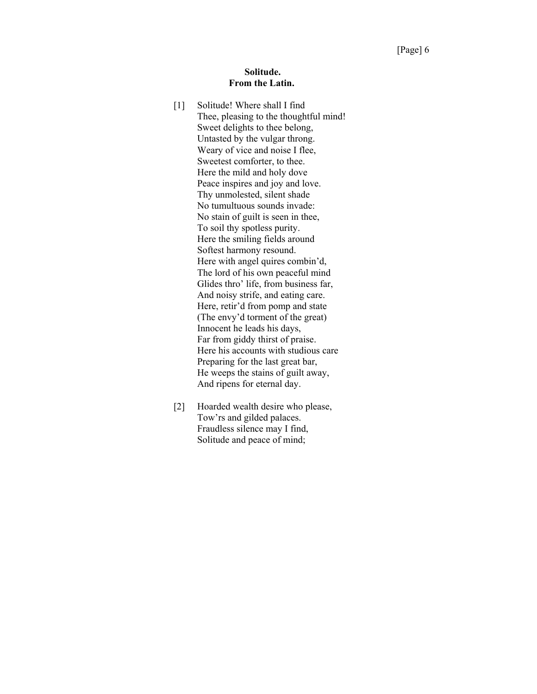#### **Solitude. From the Latin.**

- [1] Solitude! Where shall I find Thee, pleasing to the thoughtful mind! Sweet delights to thee belong, Untasted by the vulgar throng. Weary of vice and noise I flee, Sweetest comforter, to thee. Here the mild and holy dove Peace inspires and joy and love. Thy unmolested, silent shade No tumultuous sounds invade: No stain of guilt is seen in thee, To soil thy spotless purity. Here the smiling fields around Softest harmony resound. Here with angel quires combin'd, The lord of his own peaceful mind Glides thro' life, from business far, And noisy strife, and eating care. Here, retir'd from pomp and state (The envy'd torment of the great) Innocent he leads his days, Far from giddy thirst of praise. Here his accounts with studious care Preparing for the last great bar, He weeps the stains of guilt away, And ripens for eternal day.
- [2] Hoarded wealth desire who please, Tow'rs and gilded palaces. Fraudless silence may I find, Solitude and peace of mind;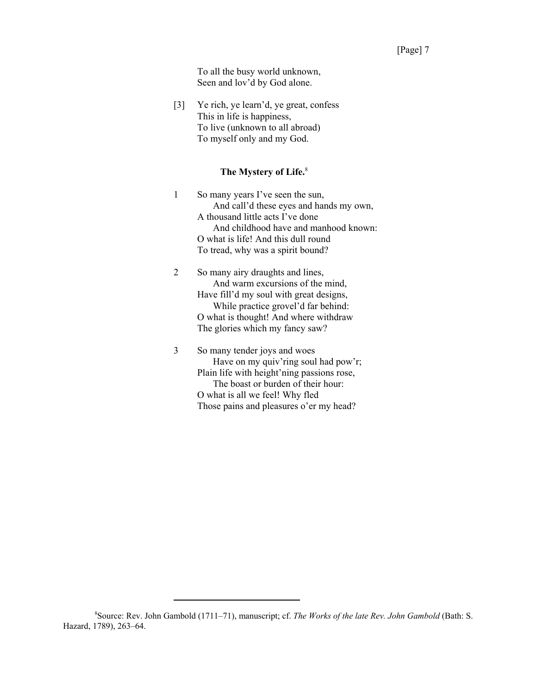[3] Ye rich, ye learn'd, ye great, confess This in life is happiness, To live (unknown to all abroad) To myself only and my God.

## **The Mystery of Life.**<sup>8</sup>

1 So many years I've seen the sun, And call'd these eyes and hands my own, A thousand little acts I've done And childhood have and manhood known: O what is life! And this dull round To tread, why was a spirit bound?

2 So many airy draughts and lines, And warm excursions of the mind, Have fill'd my soul with great designs, While practice grovel'd far behind: O what is thought! And where withdraw The glories which my fancy saw?

3 So many tender joys and woes Have on my quiv'ring soul had pow'r; Plain life with height'ning passions rose, The boast or burden of their hour: O what is all we feel! Why fled Those pains and pleasures o'er my head?

<sup>8</sup> Source: Rev. John Gambold (1711–71), manuscript; cf. *The Works of the late Rev. John Gambold* (Bath: S. Hazard, 1789), 263–64.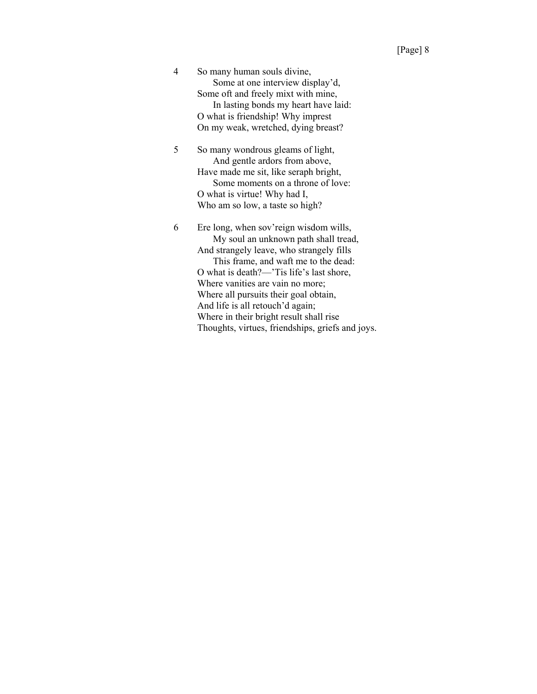4 So many human souls divine, Some at one interview display'd, Some oft and freely mixt with mine, In lasting bonds my heart have laid: O what is friendship! Why imprest On my weak, wretched, dying breast?

5 So many wondrous gleams of light, And gentle ardors from above, Have made me sit, like seraph bright, Some moments on a throne of love: O what is virtue! Why had I, Who am so low, a taste so high?

6 Ere long, when sov'reign wisdom wills, My soul an unknown path shall tread, And strangely leave, who strangely fills This frame, and waft me to the dead: O what is death?—'Tis life's last shore, Where vanities are vain no more; Where all pursuits their goal obtain, And life is all retouch'd again; Where in their bright result shall rise Thoughts, virtues, friendships, griefs and joys.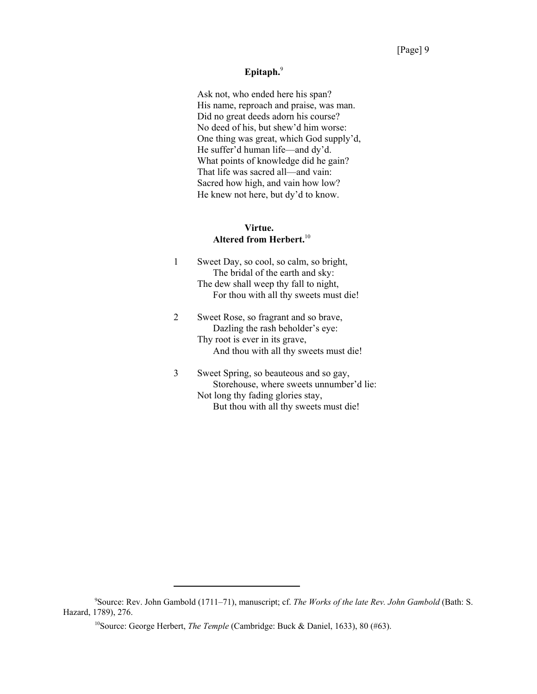## **Epitaph.**<sup>9</sup>

Ask not, who ended here his span? His name, reproach and praise, was man. Did no great deeds adorn his course? No deed of his, but shew'd him worse: One thing was great, which God supply'd, He suffer'd human life—and dy'd. What points of knowledge did he gain? That life was sacred all—and vain: Sacred how high, and vain how low? He knew not here, but dy'd to know.

## **Virtue. Altered from Herbert.**<sup>10</sup>

|               | Sweet Day, so cool, so calm, so bright,<br>The bridal of the earth and sky:<br>The dew shall weep thy fall to night,<br>For thou with all thy sweets must die!                                                  |
|---------------|-----------------------------------------------------------------------------------------------------------------------------------------------------------------------------------------------------------------|
| $\mathcal{L}$ | Sweet Rose, so fragrant and so brave,<br>Dazling the rash beholder's eye:<br>Thy root is ever in its grave,<br>And thou with all thy sweets must die!                                                           |
|               | $\mathbf{C}$ , $\mathbf{C}$ , $\mathbf{C}$ , $\mathbf{C}$ , $\mathbf{C}$ , $\mathbf{D}$ , $\mathbf{D}$ , $\mathbf{D}$ , $\mathbf{D}$ , $\mathbf{D}$ , $\mathbf{D}$ , $\mathbf{D}$ , $\mathbf{D}$ , $\mathbf{D}$ |

3 Sweet Spring, so beauteous and so gay, Storehouse, where sweets unnumber'd lie: Not long thy fading glories stay, But thou with all thy sweets must die!

<sup>9</sup> Source: Rev. John Gambold (1711–71), manuscript; cf. *The Works of the late Rev. John Gambold* (Bath: S. Hazard, 1789), 276.

<sup>&</sup>lt;sup>10</sup>Source: George Herbert, *The Temple* (Cambridge: Buck & Daniel, 1633), 80 (#63).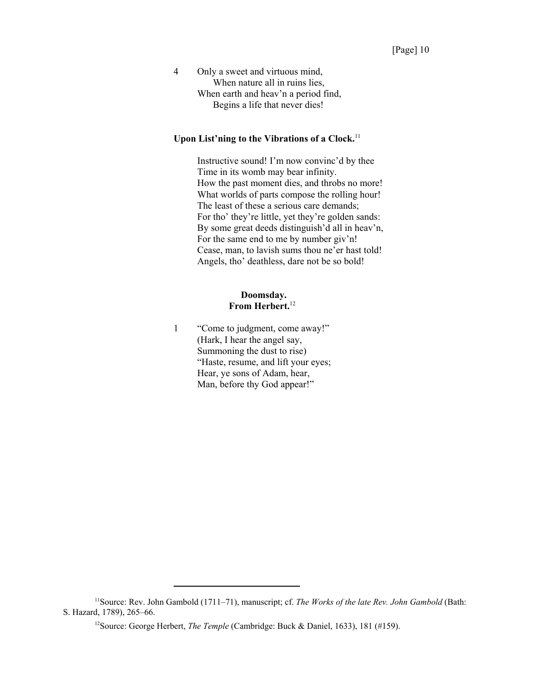4 Only a sweet and virtuous mind, When nature all in ruins lies, When earth and heav'n a period find, Begins a life that never dies!

## Upon List'ning to the Vibrations of a Clock.<sup>11</sup>

Instructive sound! I'm now convinc'd by thee Time in its womb may bear infinity. How the past moment dies, and throbs no more! What worlds of parts compose the rolling hour! The least of these a serious care demands; For tho' they're little, yet they're golden sands: By some great deeds distinguish'd all in heav'n, For the same end to me by number giv'n! Cease, man, to lavish sums thou ne'er hast told! Angels, tho' deathless, dare not be so bold!

#### **Doomsday. From Herbert.**<sup>12</sup>

1 "Come to judgment, come away!" (Hark, I hear the angel say, Summoning the dust to rise) "Haste, resume, and lift your eyes; Hear, ye sons of Adam, hear, Man, before thy God appear!"

<sup>11</sup>Source: Rev. John Gambold (1711–71), manuscript; cf. *The Works of the late Rev. John Gambold* (Bath: S. Hazard, 1789), 265–66.

<sup>&</sup>lt;sup>12</sup>Source: George Herbert, *The Temple* (Cambridge: Buck & Daniel, 1633), 181 (#159).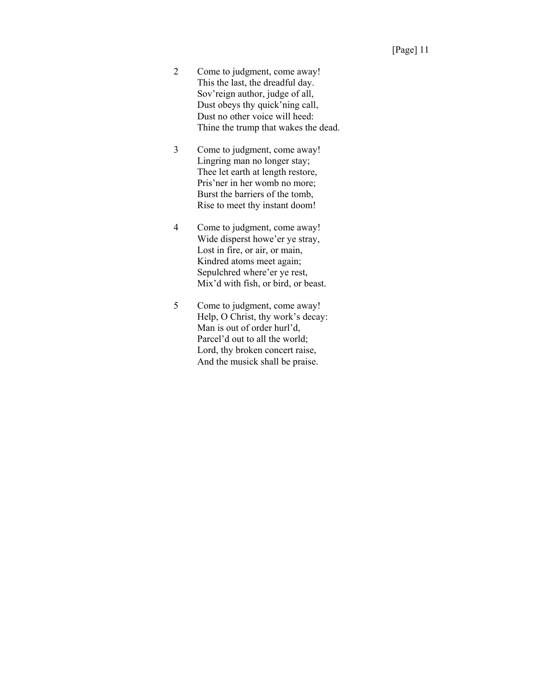- 2 Come to judgment, come away! This the last, the dreadful day. Sov'reign author, judge of all, Dust obeys thy quick'ning call, Dust no other voice will heed: Thine the trump that wakes the dead.
- 3 Come to judgment, come away! Lingring man no longer stay; Thee let earth at length restore, Pris'ner in her womb no more; Burst the barriers of the tomb, Rise to meet thy instant doom!
- 4 Come to judgment, come away! Wide disperst howe'er ye stray, Lost in fire, or air, or main, Kindred atoms meet again; Sepulchred where'er ye rest, Mix'd with fish, or bird, or beast.
- 5 Come to judgment, come away! Help, O Christ, thy work's decay: Man is out of order hurl'd, Parcel'd out to all the world; Lord, thy broken concert raise, And the musick shall be praise.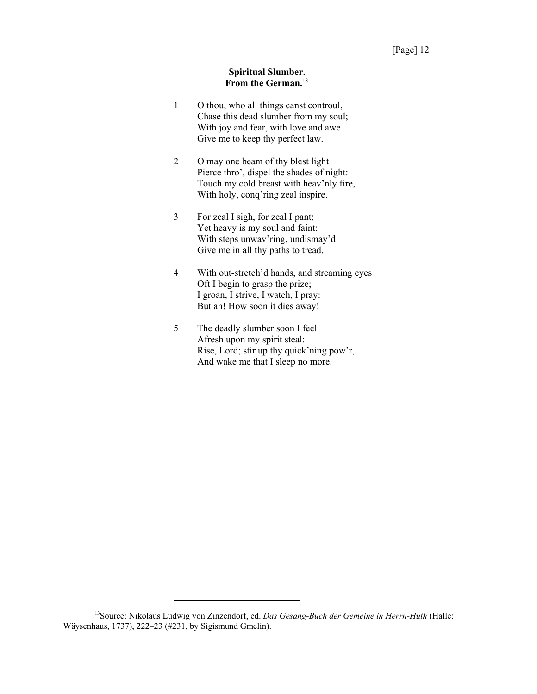#### **Spiritual Slumber. From the German.**<sup>13</sup>

- 1 O thou, who all things canst controul, Chase this dead slumber from my soul; With joy and fear, with love and awe Give me to keep thy perfect law.
- 2 O may one beam of thy blest light Pierce thro', dispel the shades of night: Touch my cold breast with heav'nly fire, With holy, conq'ring zeal inspire.
- 3 For zeal I sigh, for zeal I pant; Yet heavy is my soul and faint: With steps unwav'ring, undismay'd Give me in all thy paths to tread.
- 4 With out-stretch'd hands, and streaming eyes Oft I begin to grasp the prize; I groan, I strive, I watch, I pray: But ah! How soon it dies away!
- 5 The deadly slumber soon I feel Afresh upon my spirit steal: Rise, Lord; stir up thy quick'ning pow'r, And wake me that I sleep no more.

<sup>13</sup>Source: Nikolaus Ludwig von Zinzendorf, ed. *Das Gesang-Buch der Gemeine in Herrn-Huth* (Halle: Wäysenhaus, 1737), 222–23 (#231, by Sigismund Gmelin).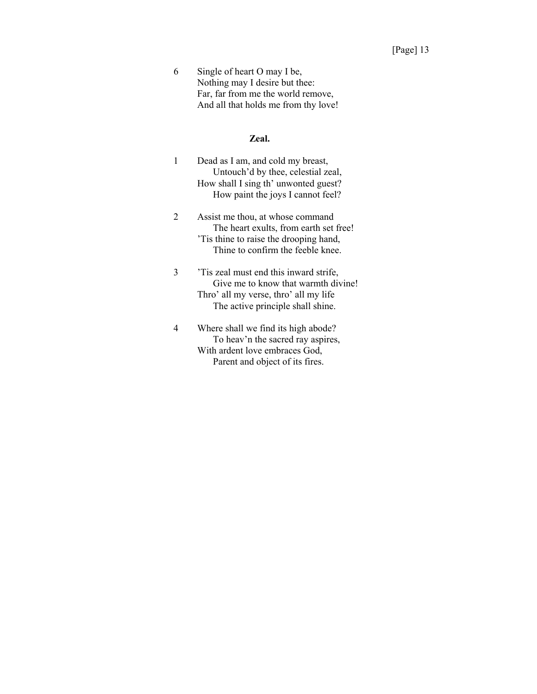6 Single of heart O may I be, Nothing may I desire but thee: Far, far from me the world remove, And all that holds me from thy love!

#### **Zeal.**

- 1 Dead as I am, and cold my breast, Untouch'd by thee, celestial zeal, How shall I sing th' unwonted guest? How paint the joys I cannot feel?
- 2 Assist me thou, at whose command The heart exults, from earth set free! 'Tis thine to raise the drooping hand, Thine to confirm the feeble knee.
- 3 'Tis zeal must end this inward strife, Give me to know that warmth divine! Thro' all my verse, thro' all my life The active principle shall shine.
- 4 Where shall we find its high abode? To heav'n the sacred ray aspires, With ardent love embraces God, Parent and object of its fires.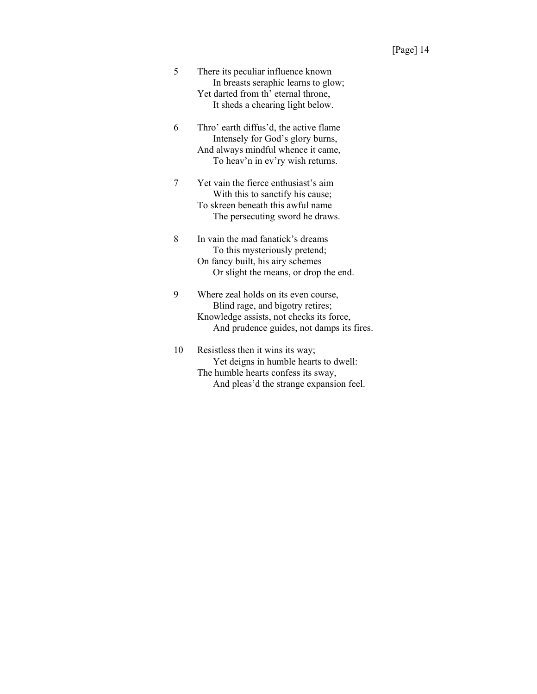- 5 There its peculiar influence known In breasts seraphic learns to glow; Yet darted from th' eternal throne, It sheds a chearing light below.
- 6 Thro' earth diffus'd, the active flame Intensely for God's glory burns, And always mindful whence it came, To heav'n in ev'ry wish returns.
- 7 Yet vain the fierce enthusiast's aim With this to sanctify his cause; To skreen beneath this awful name The persecuting sword he draws.
- 8 In vain the mad fanatick's dreams To this mysteriously pretend; On fancy built, his airy schemes Or slight the means, or drop the end.
- 9 Where zeal holds on its even course, Blind rage, and bigotry retires; Knowledge assists, not checks its force, And prudence guides, not damps its fires.

10 Resistless then it wins its way; Yet deigns in humble hearts to dwell: The humble hearts confess its sway, And pleas'd the strange expansion feel.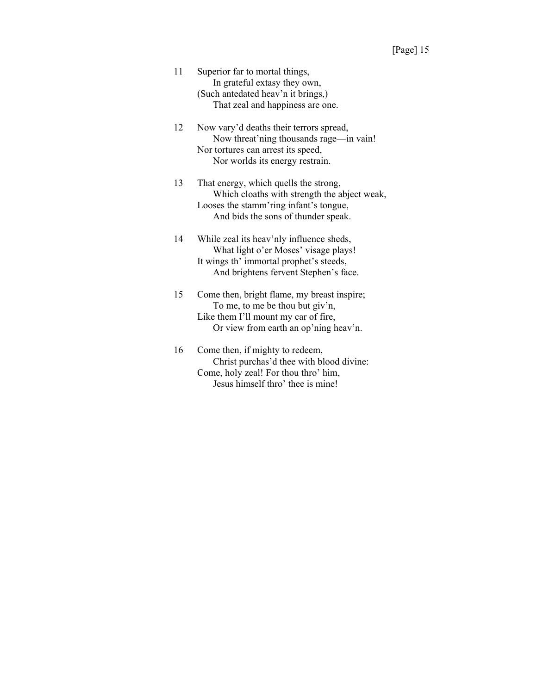- 11 Superior far to mortal things, In grateful extasy they own, (Such antedated heav'n it brings,) That zeal and happiness are one.
- 12 Now vary'd deaths their terrors spread, Now threat'ning thousands rage—in vain! Nor tortures can arrest its speed, Nor worlds its energy restrain.

13 That energy, which quells the strong, Which cloaths with strength the abject weak, Looses the stamm'ring infant's tongue, And bids the sons of thunder speak.

- 14 While zeal its heav'nly influence sheds, What light o'er Moses' visage plays! It wings th' immortal prophet's steeds, And brightens fervent Stephen's face.
- 15 Come then, bright flame, my breast inspire; To me, to me be thou but giv'n, Like them I'll mount my car of fire, Or view from earth an op'ning heav'n.
- 16 Come then, if mighty to redeem, Christ purchas'd thee with blood divine: Come, holy zeal! For thou thro' him, Jesus himself thro' thee is mine!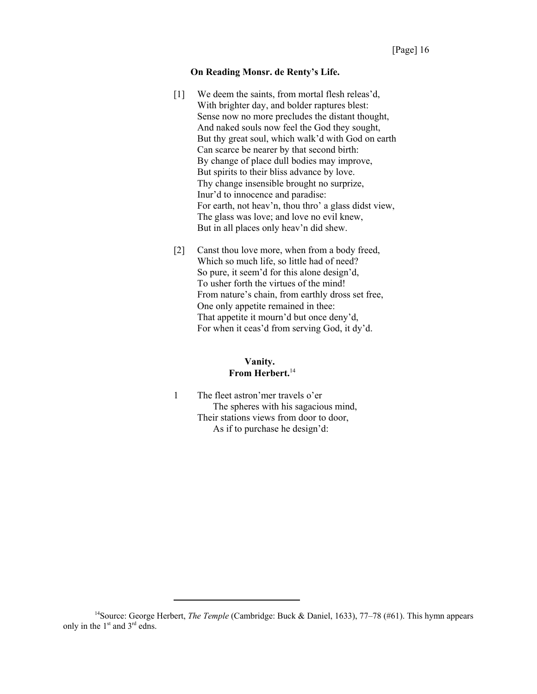#### **On Reading Monsr. de Renty's Life.**

- [1] We deem the saints, from mortal flesh releas'd, With brighter day, and bolder raptures blest: Sense now no more precludes the distant thought, And naked souls now feel the God they sought, But thy great soul, which walk'd with God on earth Can scarce be nearer by that second birth: By change of place dull bodies may improve, But spirits to their bliss advance by love. Thy change insensible brought no surprize, Inur'd to innocence and paradise: For earth, not heav'n, thou thro' a glass didst view, The glass was love; and love no evil knew, But in all places only heav'n did shew.
- [2] Canst thou love more, when from a body freed, Which so much life, so little had of need? So pure, it seem'd for this alone design'd, To usher forth the virtues of the mind! From nature's chain, from earthly dross set free, One only appetite remained in thee: That appetite it mourn'd but once deny'd, For when it ceas'd from serving God, it dy'd.

## **Vanity. From Herbert.**<sup>14</sup>

1 The fleet astron'mer travels o'er The spheres with his sagacious mind, Their stations views from door to door, As if to purchase he design'd:

<sup>14</sup>Source: George Herbert, *The Temple* (Cambridge: Buck & Daniel, 1633), 77–78 (#61). This hymn appears only in the  $1<sup>st</sup>$  and  $3<sup>rd</sup>$  edns.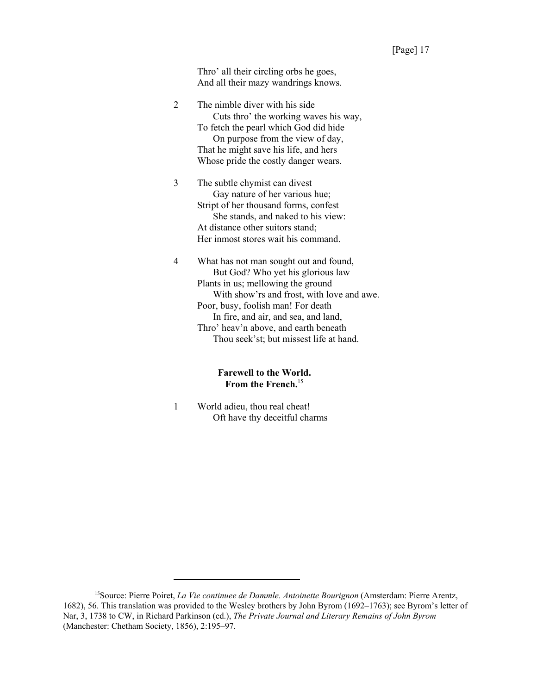Thro' all their circling orbs he goes, And all their mazy wandrings knows.

|   | The nimble diver with his side         |
|---|----------------------------------------|
|   | Cuts thro' the working waves his way,  |
|   | To fetch the pearl which God did hide  |
|   | On purpose from the view of day,       |
|   | That he might save his life, and hers  |
|   | Whose pride the costly danger wears.   |
| 3 | The subtle chymist can divest          |
|   | Gay nature of her various hue;         |
|   | Stript of her thousand forms, confest  |
|   | She stands, and naked to his view:     |
|   | At distance other suitors stand;       |
|   | Her inmost stores wait his command.    |
|   | What has not man sought out and found, |
|   | But God? Who yet his glorious law      |

Plants in us; mellowing the ground With show'rs and frost, with love and awe. Poor, busy, foolish man! For death In fire, and air, and sea, and land, Thro' heav'n above, and earth beneath Thou seek'st; but missest life at hand.

#### **Farewell to the World. From the French.**<sup>15</sup>

1 World adieu, thou real cheat! Oft have thy deceitful charms

<sup>15</sup>Source: Pierre Poiret, *La Vie continuee de Dammle. Antoinette Bourignon* (Amsterdam: Pierre Arentz, 1682), 56. This translation was provided to the Wesley brothers by John Byrom (1692–1763); see Byrom's letter of Nar, 3, 1738 to CW, in Richard Parkinson (ed.), *The Private Journal and Literary Remains of John Byrom* (Manchester: Chetham Society, 1856), 2:195–97.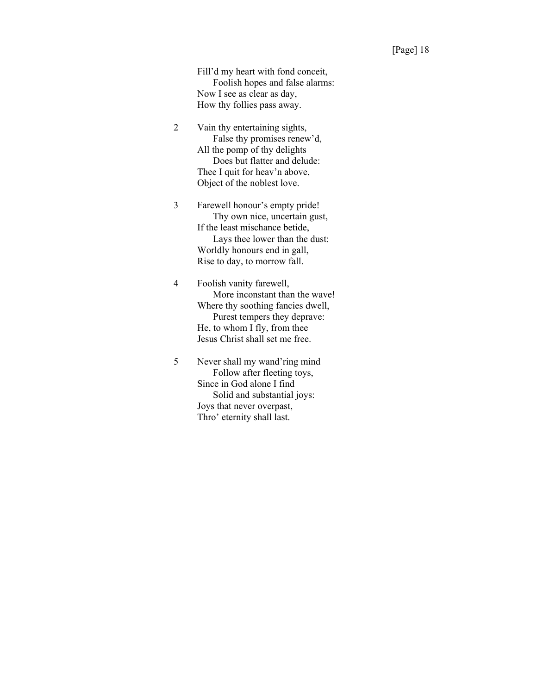Fill'd my heart with fond conceit, Foolish hopes and false alarms: Now I see as clear as day, How thy follies pass away.

2 Vain thy entertaining sights, False thy promises renew'd, All the pomp of thy delights Does but flatter and delude: Thee I quit for heav'n above, Object of the noblest love.

3 Farewell honour's empty pride! Thy own nice, uncertain gust, If the least mischance betide, Lays thee lower than the dust: Worldly honours end in gall, Rise to day, to morrow fall.

4 Foolish vanity farewell, More inconstant than the wave! Where thy soothing fancies dwell, Purest tempers they deprave: He, to whom I fly, from thee Jesus Christ shall set me free.

5 Never shall my wand'ring mind Follow after fleeting toys, Since in God alone I find Solid and substantial joys: Joys that never overpast, Thro' eternity shall last.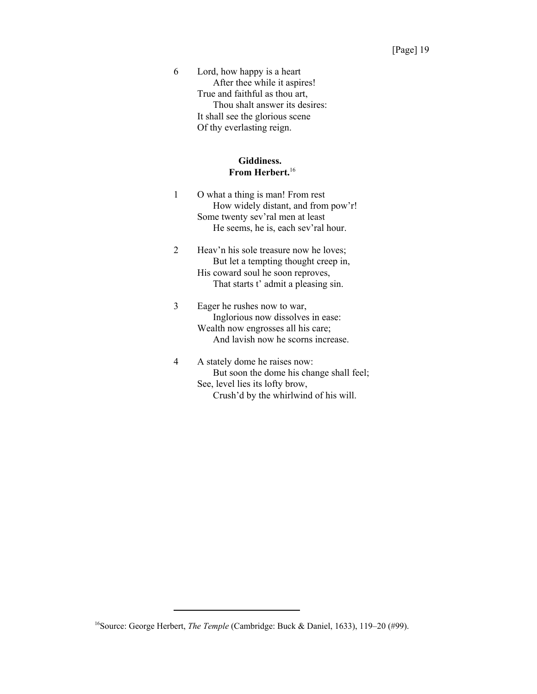6 Lord, how happy is a heart After thee while it aspires! True and faithful as thou art, Thou shalt answer its desires: It shall see the glorious scene Of thy everlasting reign.

#### **Giddiness. From Herbert.**<sup>16</sup>

- 1 O what a thing is man! From rest How widely distant, and from pow'r! Some twenty sev'ral men at least He seems, he is, each sev'ral hour.
- 2 Heav'n his sole treasure now he loves; But let a tempting thought creep in, His coward soul he soon reproves, That starts t' admit a pleasing sin.

## 3 Eager he rushes now to war, Inglorious now dissolves in ease: Wealth now engrosses all his care; And lavish now he scorns increase.

4 A stately dome he raises now: But soon the dome his change shall feel; See, level lies its lofty brow, Crush'd by the whirlwind of his will.

<sup>16</sup>Source: George Herbert, *The Temple* (Cambridge: Buck & Daniel, 1633), 119–20 (#99).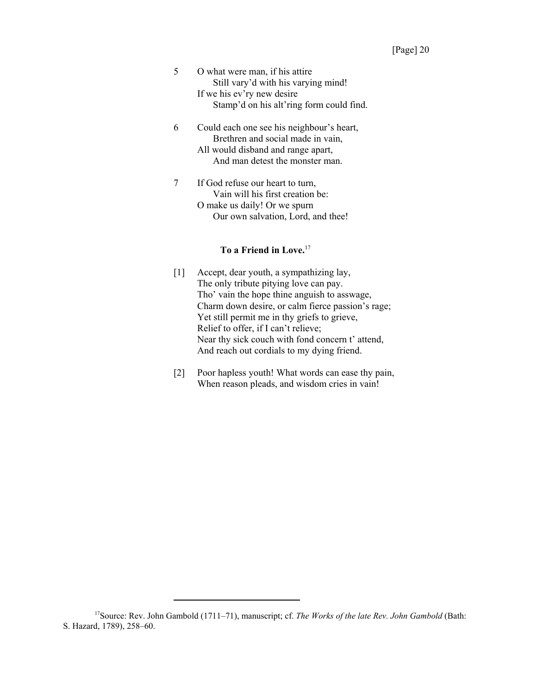- 5 O what were man, if his attire Still vary'd with his varying mind! If we his ev'ry new desire Stamp'd on his alt'ring form could find.
- 6 Could each one see his neighbour's heart, Brethren and social made in vain, All would disband and range apart, And man detest the monster man.
- 7 If God refuse our heart to turn, Vain will his first creation be: O make us daily! Or we spurn Our own salvation, Lord, and thee!

## **To a Friend in Love.**<sup>17</sup>

- [1] Accept, dear youth, a sympathizing lay, The only tribute pitying love can pay. Tho' vain the hope thine anguish to asswage, Charm down desire, or calm fierce passion's rage; Yet still permit me in thy griefs to grieve, Relief to offer, if I can't relieve; Near thy sick couch with fond concern t' attend, And reach out cordials to my dying friend.
- [2] Poor hapless youth! What words can ease thy pain, When reason pleads, and wisdom cries in vain!

<sup>&</sup>lt;sup>17</sup>Source: Rev. John Gambold (1711–71), manuscript; cf. *The Works of the late Rev. John Gambold* (Bath: S. Hazard, 1789), 258–60.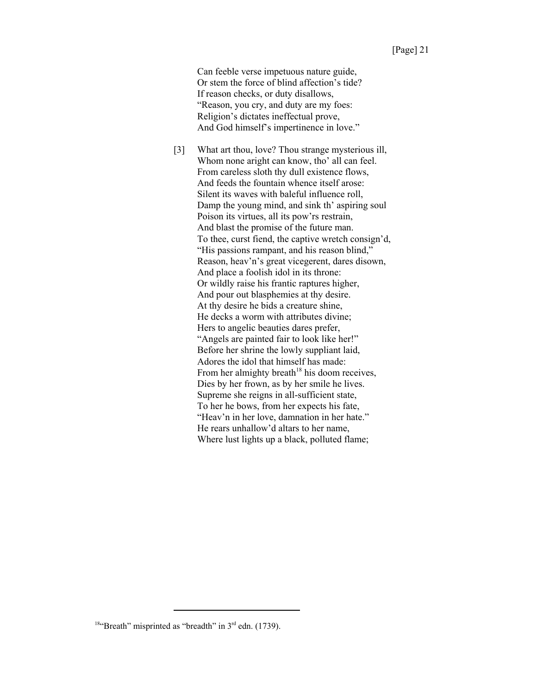Can feeble verse impetuous nature guide, Or stem the force of blind affection's tide? If reason checks, or duty disallows, "Reason, you cry, and duty are my foes: Religion's dictates ineffectual prove, And God himself's impertinence in love."

[3] What art thou, love? Thou strange mysterious ill, Whom none aright can know, tho' all can feel. From careless sloth thy dull existence flows, And feeds the fountain whence itself arose: Silent its waves with baleful influence roll, Damp the young mind, and sink th' aspiring soul Poison its virtues, all its pow'rs restrain, And blast the promise of the future man. To thee, curst fiend, the captive wretch consign'd, "His passions rampant, and his reason blind," Reason, heav'n's great vicegerent, dares disown, And place a foolish idol in its throne: Or wildly raise his frantic raptures higher, And pour out blasphemies at thy desire. At thy desire he bids a creature shine, He decks a worm with attributes divine; Hers to angelic beauties dares prefer, "Angels are painted fair to look like her!" Before her shrine the lowly suppliant laid, Adores the idol that himself has made: From her almighty breath<sup>18</sup> his doom receives, Dies by her frown, as by her smile he lives. Supreme she reigns in all-sufficient state, To her he bows, from her expects his fate, "Heav'n in her love, damnation in her hate." He rears unhallow'd altars to her name, Where lust lights up a black, polluted flame;

<sup>&</sup>lt;sup>18"</sup>Breath" misprinted as "breadth" in  $3<sup>rd</sup>$  edn. (1739).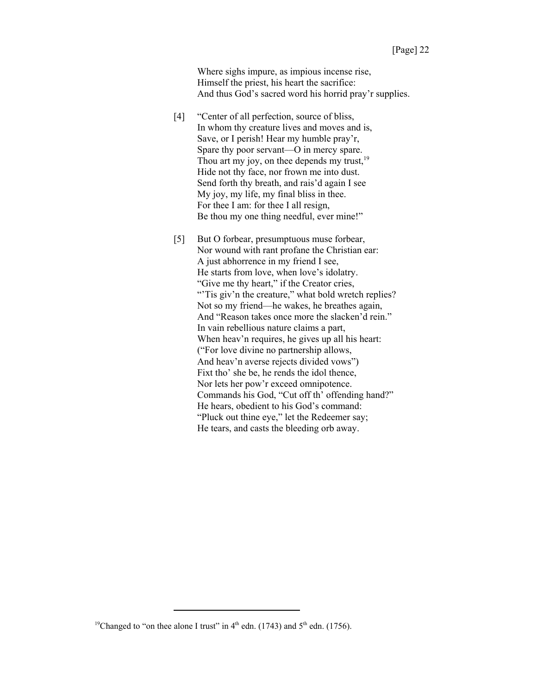Where sighs impure, as impious incense rise, Himself the priest, his heart the sacrifice: And thus God's sacred word his horrid pray'r supplies.

- [4] "Center of all perfection, source of bliss, In whom thy creature lives and moves and is, Save, or I perish! Hear my humble pray'r, Spare thy poor servant—O in mercy spare. Thou art my joy, on thee depends my trust, $19$ Hide not thy face, nor frown me into dust. Send forth thy breath, and rais'd again I see My joy, my life, my final bliss in thee. For thee I am: for thee I all resign, Be thou my one thing needful, ever mine!"
- [5] But O forbear, presumptuous muse forbear, Nor wound with rant profane the Christian ear: A just abhorrence in my friend I see, He starts from love, when love's idolatry. "Give me thy heart," if the Creator cries, "Tis giv'n the creature," what bold wretch replies? Not so my friend—he wakes, he breathes again, And "Reason takes once more the slacken'd rein." In vain rebellious nature claims a part, When heav'n requires, he gives up all his heart: ("For love divine no partnership allows, And heav'n averse rejects divided vows") Fixt tho' she be, he rends the idol thence, Nor lets her pow'r exceed omnipotence. Commands his God, "Cut off th' offending hand?" He hears, obedient to his God's command: "Pluck out thine eye," let the Redeemer say; He tears, and casts the bleeding orb away.

<sup>&</sup>lt;sup>19</sup>Changed to "on thee alone I trust" in  $4<sup>th</sup>$  edn. (1743) and  $5<sup>th</sup>$  edn. (1756).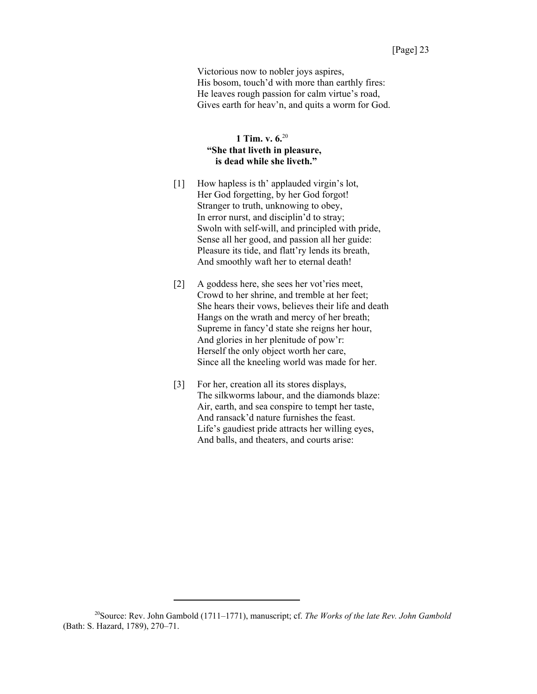Victorious now to nobler joys aspires, His bosom, touch'd with more than earthly fires: He leaves rough passion for calm virtue's road, Gives earth for heav'n, and quits a worm for God.

## **1 Tim. v. 6.**<sup>20</sup>  **"She that liveth in pleasure, is dead while she liveth."**

- [1] How hapless is th' applauded virgin's lot, Her God forgetting, by her God forgot! Stranger to truth, unknowing to obey, In error nurst, and disciplin'd to stray; Swoln with self-will, and principled with pride, Sense all her good, and passion all her guide: Pleasure its tide, and flatt'ry lends its breath, And smoothly waft her to eternal death!
- [2] A goddess here, she sees her vot'ries meet, Crowd to her shrine, and tremble at her feet; She hears their vows, believes their life and death Hangs on the wrath and mercy of her breath; Supreme in fancy'd state she reigns her hour, And glories in her plenitude of pow'r: Herself the only object worth her care, Since all the kneeling world was made for her.
- [3] For her, creation all its stores displays, The silkworms labour, and the diamonds blaze: Air, earth, and sea conspire to tempt her taste, And ransack'd nature furnishes the feast. Life's gaudiest pride attracts her willing eyes, And balls, and theaters, and courts arise:

<sup>20</sup>Source: Rev. John Gambold (1711–1771), manuscript; cf. *The Works of the late Rev. John Gambold* (Bath: S. Hazard, 1789), 270–71.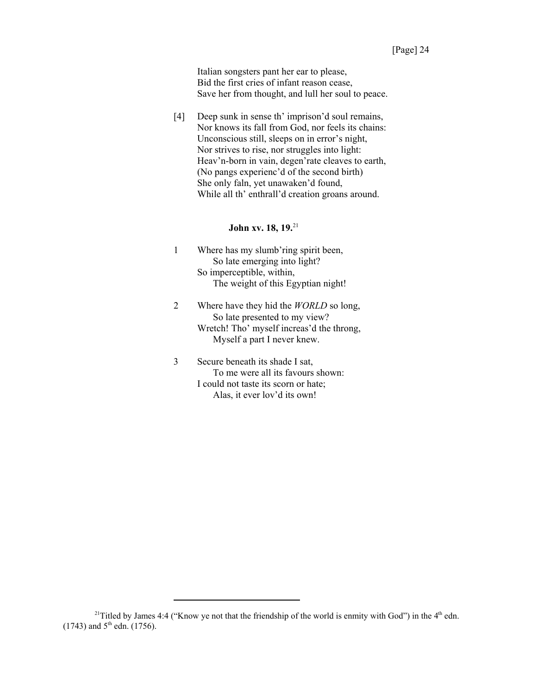Italian songsters pant her ear to please, Bid the first cries of infant reason cease, Save her from thought, and lull her soul to peace.

[4] Deep sunk in sense th' imprison'd soul remains, Nor knows its fall from God, nor feels its chains: Unconscious still, sleeps on in error's night, Nor strives to rise, nor struggles into light: Heav'n-born in vain, degen'rate cleaves to earth, (No pangs experienc'd of the second birth) She only faln, yet unawaken'd found, While all th' enthrall'd creation groans around.

# **John xv. 18, 19.**<sup>21</sup>

- 1 Where has my slumb'ring spirit been, So late emerging into light? So imperceptible, within, The weight of this Egyptian night!
- 2 Where have they hid the *WORLD* so long, So late presented to my view? Wretch! Tho' myself increas'd the throng, Myself a part I never knew.
- 3 Secure beneath its shade I sat, To me were all its favours shown: I could not taste its scorn or hate; Alas, it ever lov'd its own!

<sup>&</sup>lt;sup>21</sup>Titled by James 4:4 ("Know ye not that the friendship of the world is enmity with God") in the  $4<sup>th</sup>$  edn.  $(1743)$  and  $5^{\text{th}}$  edn.  $(1756)$ .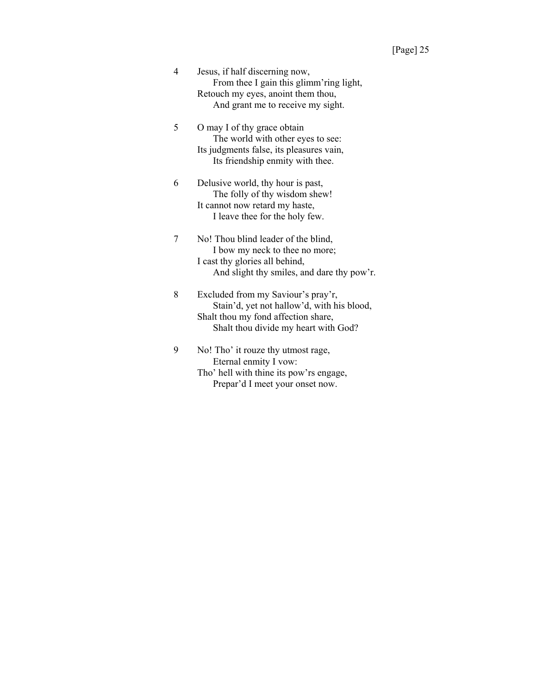- 4 Jesus, if half discerning now, From thee I gain this glimm'ring light, Retouch my eyes, anoint them thou, And grant me to receive my sight.
- 5 O may I of thy grace obtain The world with other eyes to see: Its judgments false, its pleasures vain, Its friendship enmity with thee.
- 6 Delusive world, thy hour is past, The folly of thy wisdom shew! It cannot now retard my haste, I leave thee for the holy few.
- 7 No! Thou blind leader of the blind, I bow my neck to thee no more; I cast thy glories all behind, And slight thy smiles, and dare thy pow'r.
- 8 Excluded from my Saviour's pray'r, Stain'd, yet not hallow'd, with his blood, Shalt thou my fond affection share, Shalt thou divide my heart with God?
- 9 No! Tho' it rouze thy utmost rage, Eternal enmity I vow: Tho' hell with thine its pow'rs engage, Prepar'd I meet your onset now.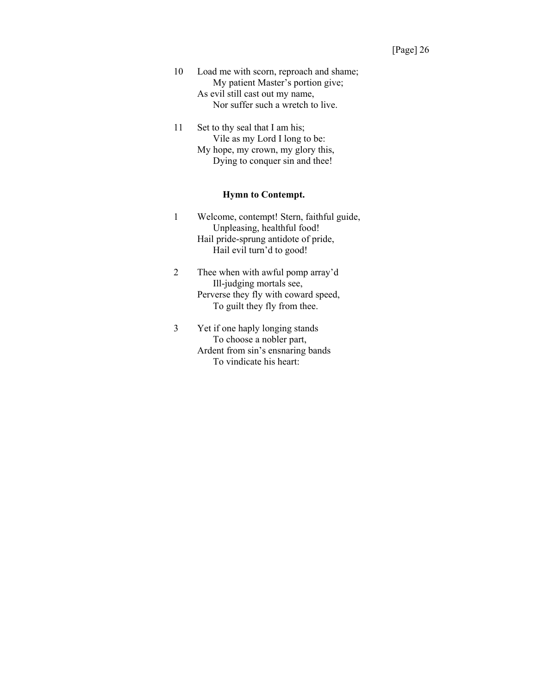- 10 Load me with scorn, reproach and shame; My patient Master's portion give; As evil still cast out my name, Nor suffer such a wretch to live.
- 11 Set to thy seal that I am his; Vile as my Lord I long to be: My hope, my crown, my glory this, Dying to conquer sin and thee!

### **Hymn to Contempt.**

- 1 Welcome, contempt! Stern, faithful guide, Unpleasing, healthful food! Hail pride-sprung antidote of pride, Hail evil turn'd to good!
- 2 Thee when with awful pomp array'd Ill-judging mortals see, Perverse they fly with coward speed, To guilt they fly from thee.
- 3 Yet if one haply longing stands To choose a nobler part, Ardent from sin's ensnaring bands To vindicate his heart: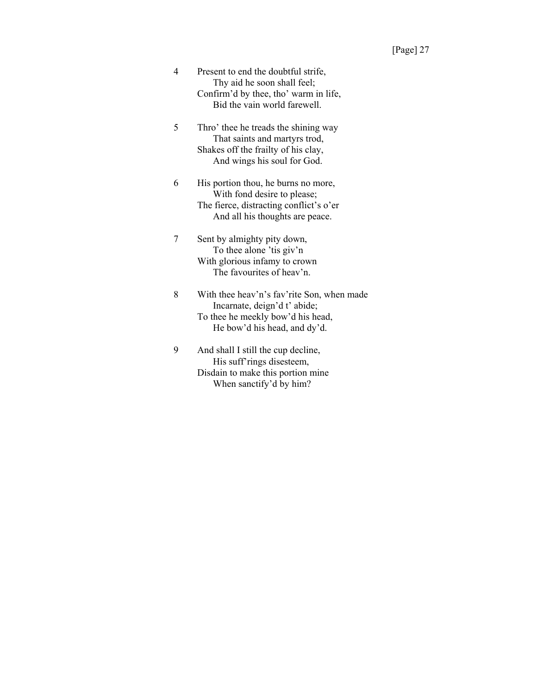- 4 Present to end the doubtful strife, Thy aid he soon shall feel; Confirm'd by thee, tho' warm in life, Bid the vain world farewell.
- 5 Thro' thee he treads the shining way That saints and martyrs trod, Shakes off the frailty of his clay, And wings his soul for God.
- 6 His portion thou, he burns no more, With fond desire to please; The fierce, distracting conflict's o'er And all his thoughts are peace.
- 7 Sent by almighty pity down, To thee alone 'tis giv'n With glorious infamy to crown The favourites of heav'n.
- 8 With thee heav'n's fav'rite Son, when made Incarnate, deign'd t' abide; To thee he meekly bow'd his head, He bow'd his head, and dy'd.
- 9 And shall I still the cup decline, His suff'rings disesteem, Disdain to make this portion mine When sanctify'd by him?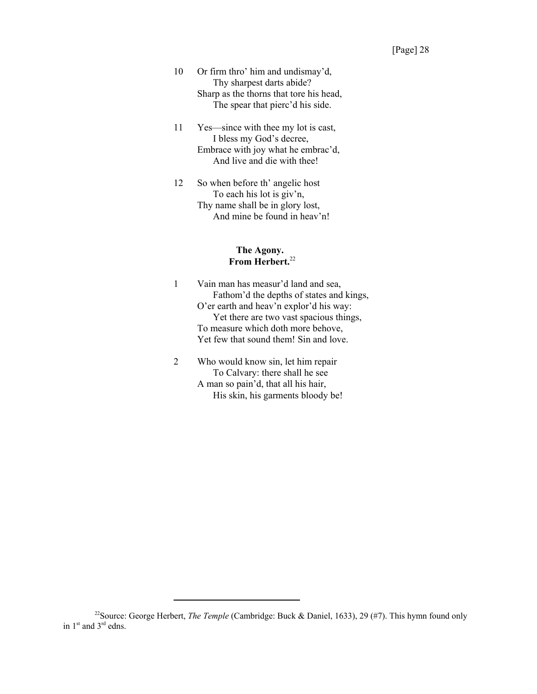- 10 Or firm thro' him and undismay'd, Thy sharpest darts abide? Sharp as the thorns that tore his head, The spear that pierc'd his side.
- 11 Yes—since with thee my lot is cast, I bless my God's decree, Embrace with joy what he embrac'd, And live and die with thee!
- 12 So when before th' angelic host To each his lot is giv'n, Thy name shall be in glory lost, And mine be found in heav'n!

#### **The Agony. From Herbert.**<sup>22</sup>

- 1 Vain man has measur'd land and sea, Fathom'd the depths of states and kings, O'er earth and heav'n explor'd his way: Yet there are two vast spacious things, To measure which doth more behove, Yet few that sound them! Sin and love.
- 2 Who would know sin, let him repair To Calvary: there shall he see A man so pain'd, that all his hair, His skin, his garments bloody be!

<sup>&</sup>lt;sup>22</sup>Source: George Herbert, *The Temple* (Cambridge: Buck & Daniel, 1633), 29 (#7). This hymn found only in 1<sup>st</sup> and 3<sup>rd</sup> edns.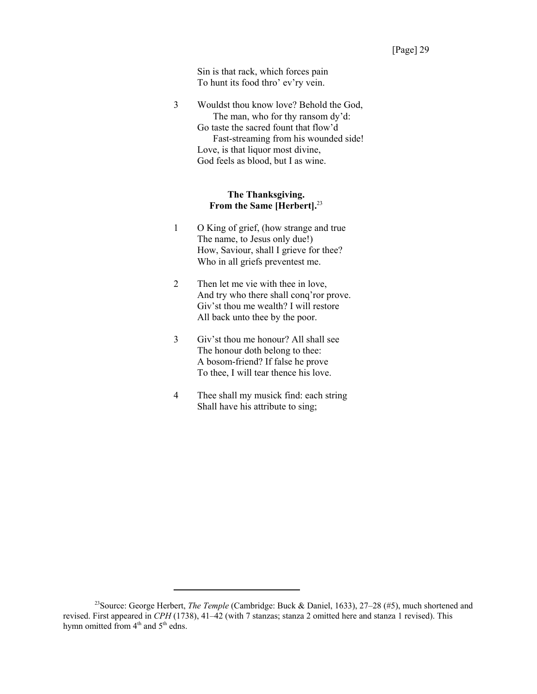Sin is that rack, which forces pain To hunt its food thro' ev'ry vein.

3 Wouldst thou know love? Behold the God, The man, who for thy ransom dy'd: Go taste the sacred fount that flow'd Fast-streaming from his wounded side! Love, is that liquor most divine, God feels as blood, but I as wine.

#### **The Thanksgiving. From the Same [Herbert].**<sup>23</sup>

- 1 O King of grief, (how strange and true The name, to Jesus only due!) How, Saviour, shall I grieve for thee? Who in all griefs preventest me.
- 2 Then let me vie with thee in love, And try who there shall conq'ror prove. Giv'st thou me wealth? I will restore All back unto thee by the poor.
- 3 Giv'st thou me honour? All shall see The honour doth belong to thee: A bosom-friend? If false he prove To thee, I will tear thence his love.
- 4 Thee shall my musick find: each string Shall have his attribute to sing;

<sup>23</sup>Source: George Herbert, *The Temple* (Cambridge: Buck & Daniel, 1633), 27–28 (#5), much shortened and revised. First appeared in *CPH* (1738), 41–42 (with 7 stanzas; stanza 2 omitted here and stanza 1 revised). This hymn omitted from 4<sup>th</sup> and 5<sup>th</sup> edns.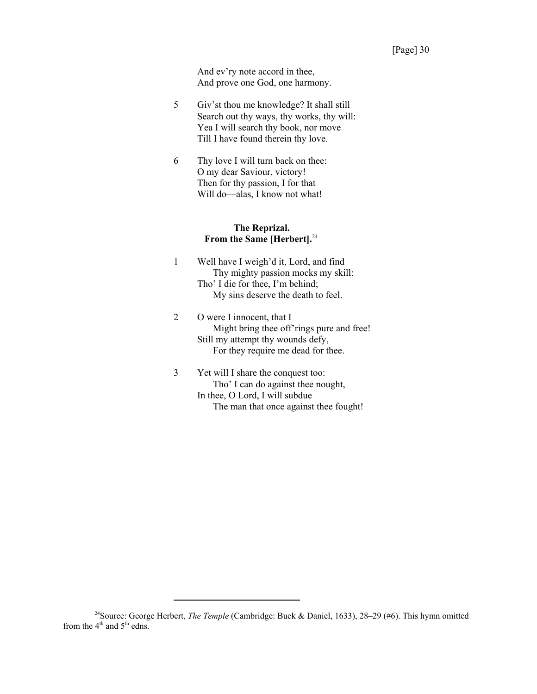And ev'ry note accord in thee, And prove one God, one harmony.

- 5 Giv'st thou me knowledge? It shall still Search out thy ways, thy works, thy will: Yea I will search thy book, nor move Till I have found therein thy love.
- 6 Thy love I will turn back on thee: O my dear Saviour, victory! Then for thy passion, I for that Will do—alas, I know not what!

#### **The Reprizal. From the Same [Herbert].**<sup>24</sup>

- 1 Well have I weigh'd it, Lord, and find Thy mighty passion mocks my skill: Tho' I die for thee, I'm behind; My sins deserve the death to feel.
- 2 O were I innocent, that I Might bring thee off'rings pure and free! Still my attempt thy wounds defy, For they require me dead for thee.
- 3 Yet will I share the conquest too: Tho' I can do against thee nought, In thee, O Lord, I will subdue The man that once against thee fought!

<sup>24</sup>Source: George Herbert, *The Temple* (Cambridge: Buck & Daniel, 1633), 28–29 (#6). This hymn omitted from the  $4<sup>th</sup>$  and  $5<sup>th</sup>$  edns.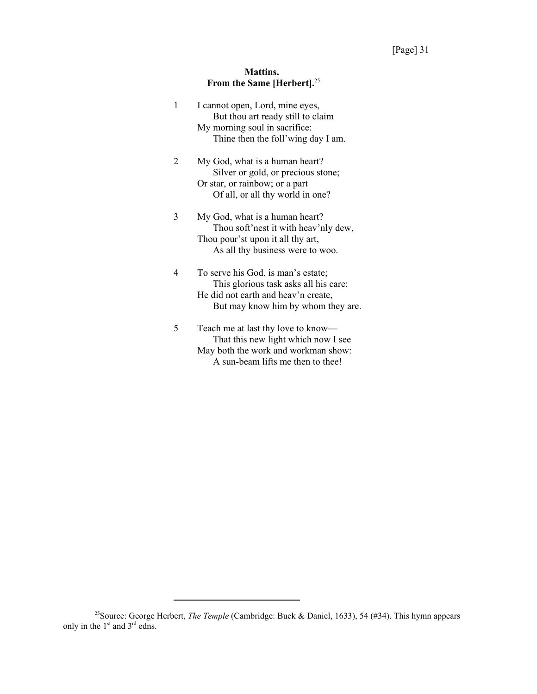# **Mattins. From the Same [Herbert].**<sup>25</sup>

| 1 | I cannot open, Lord, mine eyes,<br>But thou art ready still to claim<br>My morning soul in sacrifice:<br>Thine then the foll'wing day I am.              |
|---|----------------------------------------------------------------------------------------------------------------------------------------------------------|
| 2 | My God, what is a human heart?<br>Silver or gold, or precious stone;<br>Or star, or rainbow; or a part<br>Of all, or all thy world in one?               |
| 3 | My God, what is a human heart?<br>Thou soft'nest it with heav'nly dew,<br>Thou pour'st upon it all thy art,<br>As all thy business were to woo.          |
| 4 | To serve his God, is man's estate;<br>This glorious task asks all his care:<br>He did not earth and heav'n create,<br>But may know him by whom they are. |
| 5 | Teach me at last thy love to know-<br>That this new light which now I see<br>May both the work and workman show:<br>A sun-beam lifts me then to thee!    |

<sup>&</sup>lt;sup>25</sup>Source: George Herbert, *The Temple* (Cambridge: Buck & Daniel, 1633), 54 (#34). This hymn appears only in the  $1<sup>st</sup>$  and  $3<sup>rd</sup>$  edns.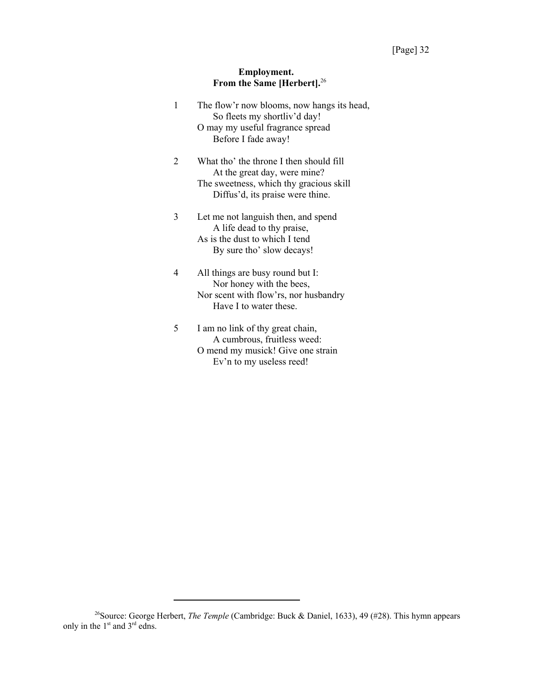#### **Employment. From the Same [Herbert].**<sup>26</sup>

| 1              | The flow'r now blooms, now hangs its head,<br>So fleets my shortliv'd day!<br>O may my useful fragrance spread<br>Before I fade away!                  |
|----------------|--------------------------------------------------------------------------------------------------------------------------------------------------------|
| $\overline{2}$ | What tho' the throne I then should fill<br>At the great day, were mine?<br>The sweetness, which thy gracious skill<br>Diffus'd, its praise were thine. |
| 3              | Let me not languish then, and spend<br>A life dead to thy praise,<br>As is the dust to which I tend<br>By sure tho' slow decays!                       |
| 4              | All things are busy round but I:<br>Nor honey with the bees,<br>Nor scent with flow'rs, nor husbandry<br>Have I to water these.                        |
| 5              | I am no link of thy great chain,<br>A cumbrous, fruitless weed:<br>O mend my musick! Give one strain                                                   |

Ev'n to my useless reed!

<sup>&</sup>lt;sup>26</sup>Source: George Herbert, *The Temple* (Cambridge: Buck & Daniel, 1633), 49 (#28). This hymn appears only in the  $1<sup>st</sup>$  and  $3<sup>rd</sup>$  edns.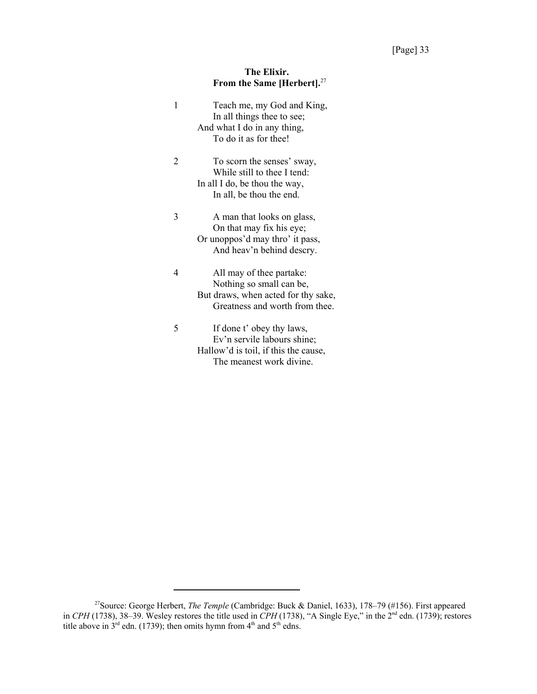# **The Elixir. From the Same [Herbert].**<sup>27</sup>

| 1 | Teach me, my God and King,<br>In all things thee to see;<br>And what I do in any thing,<br>To do it as for thee!              |
|---|-------------------------------------------------------------------------------------------------------------------------------|
| 2 | To scorn the senses' sway,<br>While still to thee I tend:<br>In all I do, be thou the way,<br>In all, be thou the end.        |
| 3 | A man that looks on glass,<br>On that may fix his eye;<br>Or unoppos'd may thro' it pass,<br>And heav'n behind descry.        |
| 4 | All may of thee partake:<br>Nothing so small can be,<br>But draws, when acted for thy sake,<br>Greatness and worth from thee. |
| 5 | If done t' obey thy laws,<br>Ev'n servile labours shine;<br>Hallow'd is toil, if this the cause,<br>The meanest work divine.  |

<sup>27</sup>Source: George Herbert, *The Temple* (Cambridge: Buck & Daniel, 1633), 178–79 (#156). First appeared in *CPH* (1738), 38–39. Wesley restores the title used in *CPH* (1738), "A Single Eye," in the 2nd edn. (1739); restores title above in 3<sup>rd</sup> edn. (1739); then omits hymn from 4<sup>th</sup> and 5<sup>th</sup> edns.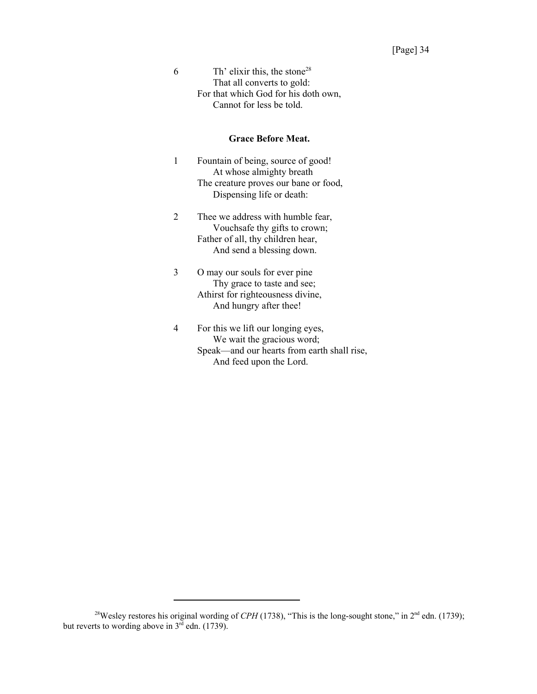6 Th' elixir this, the stone<sup>28</sup> That all converts to gold: For that which God for his doth own, Cannot for less be told.

#### **Grace Before Meat.**

- 1 Fountain of being, source of good! At whose almighty breath The creature proves our bane or food, Dispensing life or death:
- 2 Thee we address with humble fear, Vouchsafe thy gifts to crown; Father of all, thy children hear, And send a blessing down.
- 3 O may our souls for ever pine Thy grace to taste and see; Athirst for righteousness divine, And hungry after thee!
- 4 For this we lift our longing eyes, We wait the gracious word; Speak—and our hearts from earth shall rise, And feed upon the Lord.

<sup>&</sup>lt;sup>28</sup>Wesley restores his original wording of *CPH* (1738), "This is the long-sought stone," in 2<sup>nd</sup> edn. (1739); but reverts to wording above in  $3^{rd}$  edn. (1739).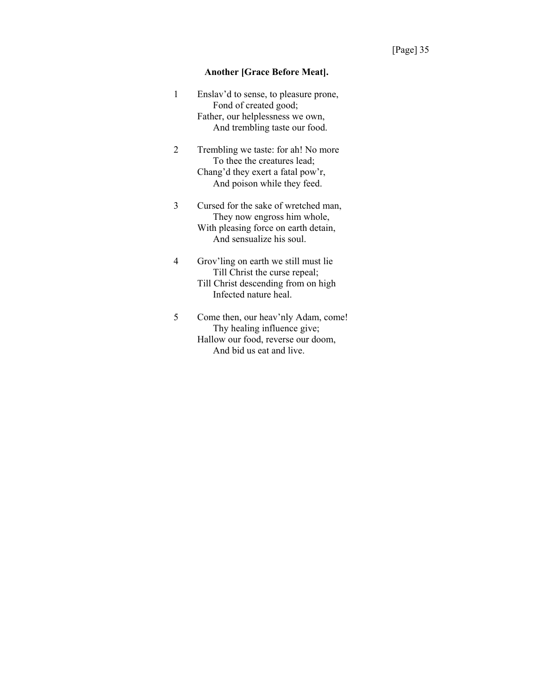#### **Another [Grace Before Meat].**

| 1 | Enslav'd to sense, to pleasure prone, |
|---|---------------------------------------|
|   | Fond of created good;                 |
|   | Father, our helplessness we own,      |
|   | And trembling taste our food.         |
|   |                                       |

- 2 Trembling we taste: for ah! No more To thee the creatures lead; Chang'd they exert a fatal pow'r, And poison while they feed.
- 3 Cursed for the sake of wretched man, They now engross him whole, With pleasing force on earth detain, And sensualize his soul.
- 4 Grov'ling on earth we still must lie Till Christ the curse repeal; Till Christ descending from on high Infected nature heal.
- 5 Come then, our heav'nly Adam, come! Thy healing influence give; Hallow our food, reverse our doom, And bid us eat and live.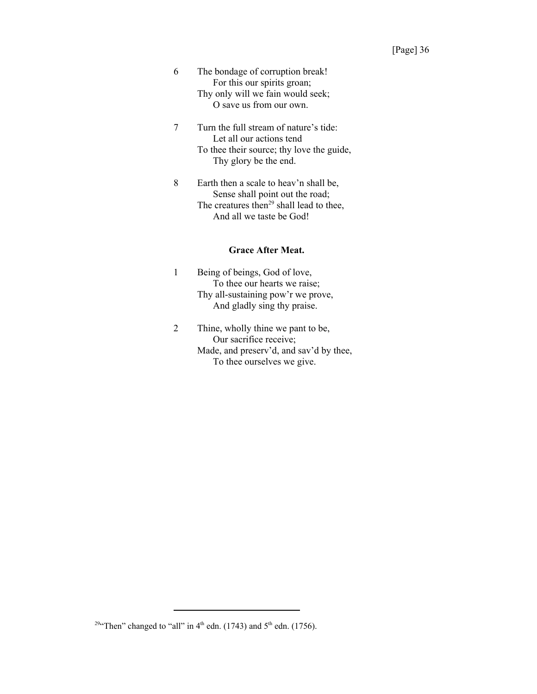- 6 The bondage of corruption break! For this our spirits groan; Thy only will we fain would seek; O save us from our own.
- 7 Turn the full stream of nature's tide: Let all our actions tend To thee their source; thy love the guide, Thy glory be the end.
- 8 Earth then a scale to heav'n shall be, Sense shall point out the road; The creatures then $^{29}$  shall lead to thee, And all we taste be God!

### **Grace After Meat.**

- 1 Being of beings, God of love, To thee our hearts we raise; Thy all-sustaining pow'r we prove, And gladly sing thy praise.
- 2 Thine, wholly thine we pant to be, Our sacrifice receive; Made, and preserv'd, and sav'd by thee, To thee ourselves we give.

<sup>&</sup>lt;sup>29</sup>"Then" changed to "all" in  $4<sup>th</sup>$  edn. (1743) and  $5<sup>th</sup>$  edn. (1756).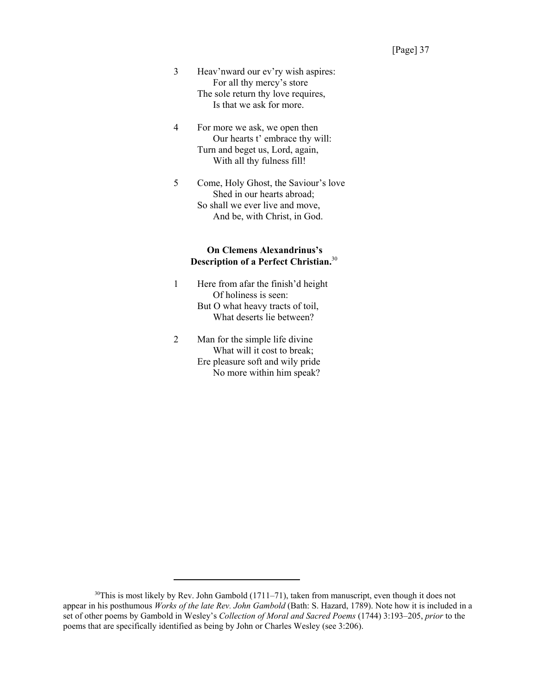- 3 Heav'nward our ev'ry wish aspires: For all thy mercy's store The sole return thy love requires, Is that we ask for more.
- 4 For more we ask, we open then Our hearts t' embrace thy will: Turn and beget us, Lord, again, With all thy fulness fill!
- 5 Come, Holy Ghost, the Saviour's love Shed in our hearts abroad; So shall we ever live and move, And be, with Christ, in God.

# **On Clemens Alexandrinus's Description of a Perfect Christian.**<sup>30</sup>

- 1 Here from afar the finish'd height Of holiness is seen: But O what heavy tracts of toil, What deserts lie between?
- 2 Man for the simple life divine What will it cost to break; Ere pleasure soft and wily pride No more within him speak?

 $30$ This is most likely by Rev. John Gambold (1711–71), taken from manuscript, even though it does not appear in his posthumous *Works of the late Rev. John Gambold* (Bath: S. Hazard, 1789). Note how it is included in a set of other poems by Gambold in Wesley's *Collection of Moral and Sacred Poems* (1744) 3:193–205, *prior* to the poems that are specifically identified as being by John or Charles Wesley (see 3:206).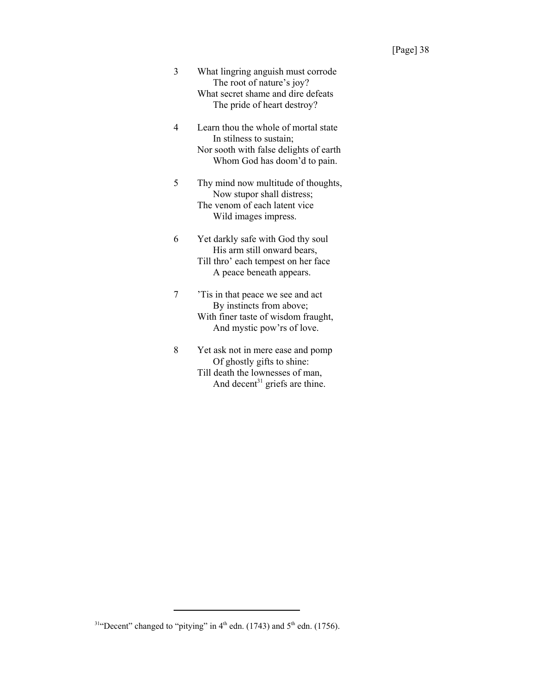- 3 What lingring anguish must corrode The root of nature's joy? What secret shame and dire defeats The pride of heart destroy?
- 4 Learn thou the whole of mortal state In stilness to sustain; Nor sooth with false delights of earth Whom God has doom'd to pain.
- 5 Thy mind now multitude of thoughts, Now stupor shall distress; The venom of each latent vice Wild images impress.
- 6 Yet darkly safe with God thy soul His arm still onward bears, Till thro' each tempest on her face A peace beneath appears.
- 7 'Tis in that peace we see and act By instincts from above; With finer taste of wisdom fraught, And mystic pow'rs of love.
- 8 Yet ask not in mere ease and pomp Of ghostly gifts to shine: Till death the lownesses of man, And decent<sup>31</sup> griefs are thine.

<sup>&</sup>lt;sup>31</sup>"Decent" changed to "pitying" in  $4<sup>th</sup>$  edn. (1743) and  $5<sup>th</sup>$  edn. (1756).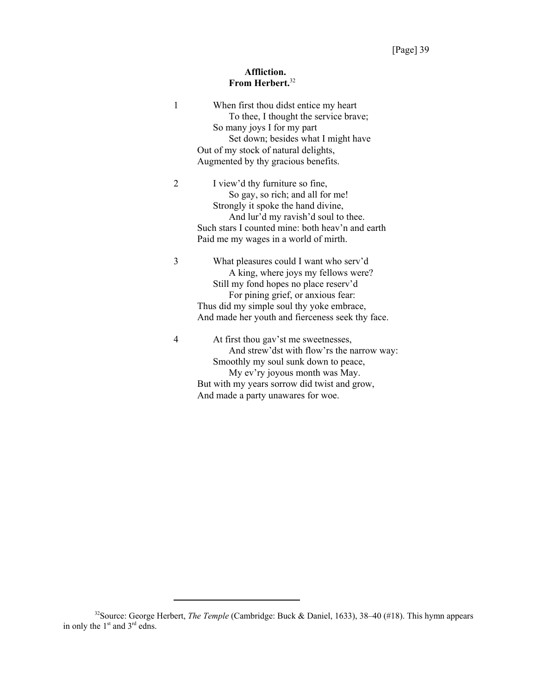# **Affliction. From Herbert.**<sup>32</sup>

| 1 | When first thou didst entice my heart<br>To thee, I thought the service brave;<br>So many joys I for my part<br>Set down; besides what I might have<br>Out of my stock of natural delights,                                                                   |
|---|---------------------------------------------------------------------------------------------------------------------------------------------------------------------------------------------------------------------------------------------------------------|
|   | Augmented by thy gracious benefits.                                                                                                                                                                                                                           |
| 2 | I view'd thy furniture so fine,<br>So gay, so rich; and all for me!<br>Strongly it spoke the hand divine,<br>And lur'd my ravish'd soul to thee.<br>Such stars I counted mine: both heav'n and earth<br>Paid me my wages in a world of mirth.                 |
|   |                                                                                                                                                                                                                                                               |
| 3 | What pleasures could I want who serv'd<br>A king, where joys my fellows were?<br>Still my fond hopes no place reserv'd<br>For pining grief, or anxious fear:<br>Thus did my simple soul thy yoke embrace,<br>And made her youth and fierceness seek thy face. |
| 4 | At first thou gav'st me sweetnesses,<br>And strew'dst with flow'rs the narrow way:<br>Smoothly my soul sunk down to peace,<br>My ev'ry joyous month was May.<br>But with my years sorrow did twist and grow,<br>And made a party unawares for woe.            |

<sup>32</sup>Source: George Herbert, *The Temple* (Cambridge: Buck & Daniel, 1633), 38–40 (#18). This hymn appears in only the  $1<sup>st</sup>$  and  $3<sup>rd</sup>$  edns.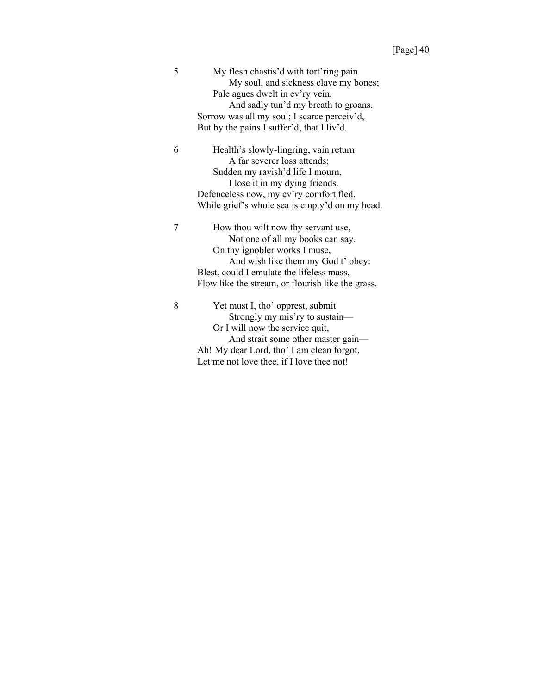| 5 | My flesh chastis'd with tort'ring pain            |
|---|---------------------------------------------------|
|   | My soul, and sickness clave my bones;             |
|   | Pale agues dwelt in ev'ry vein,                   |
|   | And sadly tun'd my breath to groans.              |
|   | Sorrow was all my soul; I scarce perceiv'd,       |
|   | But by the pains I suffer'd, that I liv'd.        |
| 6 | Health's slowly-lingring, vain return             |
|   | A far severer loss attends;                       |
|   | Sudden my ravish'd life I mourn,                  |
|   | I lose it in my dying friends.                    |
|   | Defenceless now, my ev'ry comfort fled,           |
|   | While grief's whole sea is empty'd on my head.    |
| 7 | How thou wilt now thy servant use,                |
|   | Not one of all my books can say.                  |
|   | On thy ignobler works I muse,                     |
|   | And wish like them my God t' obey:                |
|   | Blest, could I emulate the lifeless mass,         |
|   | Flow like the stream, or flourish like the grass. |
|   |                                                   |
| 8 | Yet must I, tho' opprest, submit                  |
|   | Strongly my mis'ry to sustain-                    |
|   | Or I will now the service quit,                   |
|   | And strait some other master gain-                |
|   | Ah! My dear Lord, tho' I am clean forgot,         |
|   | Let me not love thee, if I love thee not!         |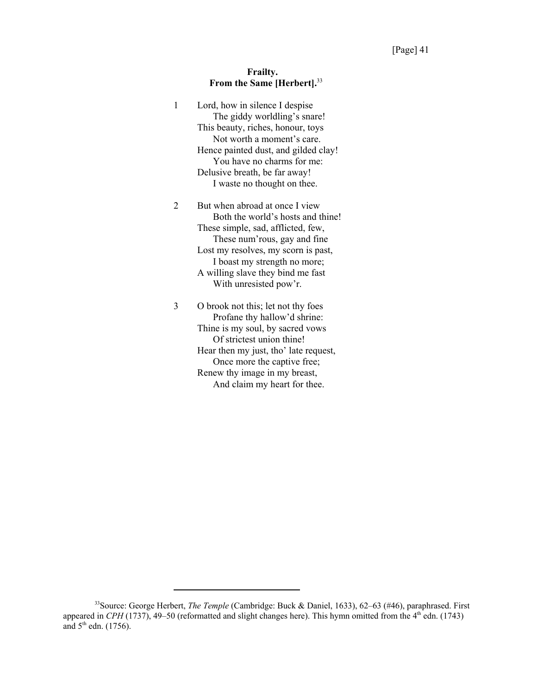# **Frailty. From the Same [Herbert].**<sup>33</sup>

| 1 | Lord, how in silence I despise<br>The giddy worldling's snare!<br>This beauty, riches, honour, toys<br>Not worth a moment's care.<br>Hence painted dust, and gilded clay!<br>You have no charms for me:<br>Delusive breath, be far away!<br>I waste no thought on thee.         |
|---|---------------------------------------------------------------------------------------------------------------------------------------------------------------------------------------------------------------------------------------------------------------------------------|
| 2 | But when abroad at once I view<br>Both the world's hosts and thine!<br>These simple, sad, afflicted, few,<br>These num'rous, gay and fine<br>Lost my resolves, my scorn is past,<br>I boast my strength no more;<br>A willing slave they bind me fast<br>With unresisted pow'r. |
| 3 | O brook not this; let not thy foes<br>Profane thy hallow'd shrine:<br>Thine is my soul, by sacred vows<br>Of strictest union thine!                                                                                                                                             |

Hear then my just, tho' late request, Once more the captive free; Renew thy image in my breast, And claim my heart for thee.

<sup>33</sup>Source: George Herbert, *The Temple* (Cambridge: Buck & Daniel, 1633), 62–63 (#46), paraphrased. First appeared in *CPH* (1737), 49–50 (reformatted and slight changes here). This hymn omitted from the 4<sup>th</sup> edn. (1743) and  $5<sup>th</sup>$  edn. (1756).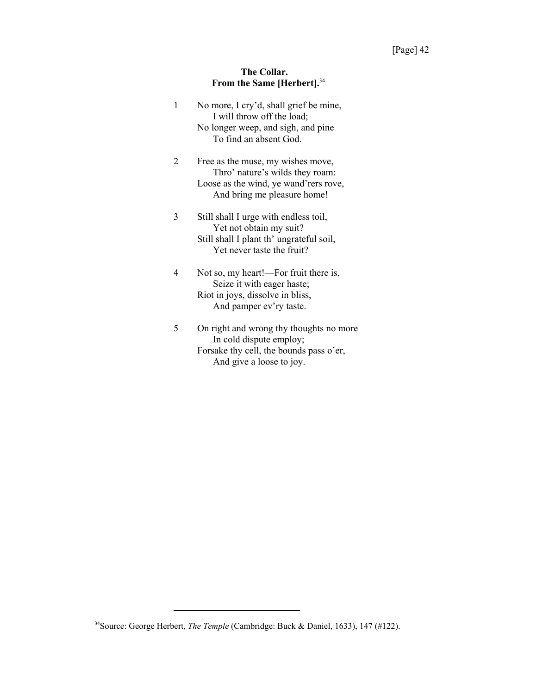# **The Collar. From the Same [Herbert].**<sup>34</sup>

| 1 | No more, I cry'd, shall grief be mine,<br>I will throw off the load;<br>No longer weep, and sigh, and pine<br>To find an absent God.         |
|---|----------------------------------------------------------------------------------------------------------------------------------------------|
| 2 | Free as the muse, my wishes move,<br>Thro' nature's wilds they roam:<br>Loose as the wind, ye wand'rers rove,<br>And bring me pleasure home! |
| 3 | Still shall I urge with endless toil,<br>Yet not obtain my suit?<br>Still shall I plant th' ungrateful soil,<br>Yet never taste the fruit?   |
| 4 | Not so, my heart!—For fruit there is,<br>Seize it with eager haste;<br>Riot in joys, dissolve in bliss,<br>And pamper ev'ry taste.           |
| 5 | On right and wrong thy thoughts no more<br>In cold dispute employ;<br>Forsake thy cell, the bounds pass o'er,                                |

And give a loose to joy.

<sup>&</sup>lt;sup>34</sup>Source: George Herbert, *The Temple* (Cambridge: Buck & Daniel, 1633), 147 (#122).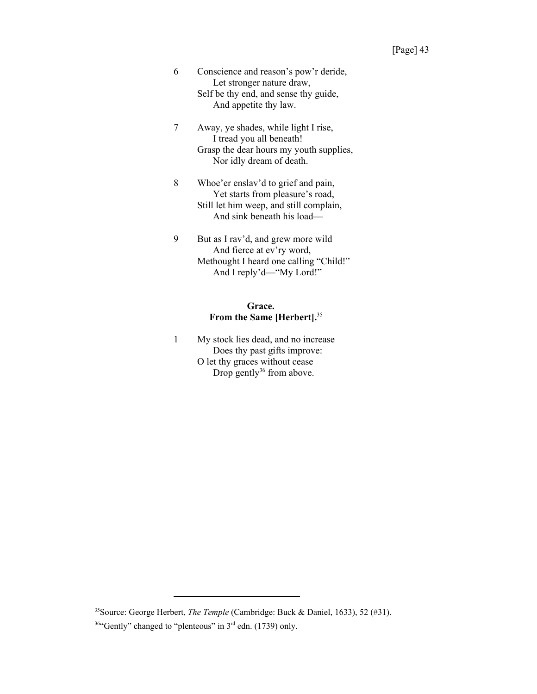- 6 Conscience and reason's pow'r deride, Let stronger nature draw, Self be thy end, and sense thy guide, And appetite thy law.
- 7 Away, ye shades, while light I rise, I tread you all beneath! Grasp the dear hours my youth supplies, Nor idly dream of death.
- 8 Whoe'er enslav'd to grief and pain, Yet starts from pleasure's road, Still let him weep, and still complain, And sink beneath his load—
- 9 But as I rav'd, and grew more wild And fierce at ev'ry word, Methought I heard one calling "Child!" And I reply'd—"My Lord!"

# **Grace. From the Same [Herbert].**<sup>35</sup>

1 My stock lies dead, and no increase Does thy past gifts improve: O let thy graces without cease Drop gently $36$  from above.

<sup>35</sup>Source: George Herbert, *The Temple* (Cambridge: Buck & Daniel, 1633), 52 (#31).

<sup>&</sup>lt;sup>36</sup>"Gently" changed to "plenteous" in 3<sup>rd</sup> edn. (1739) only.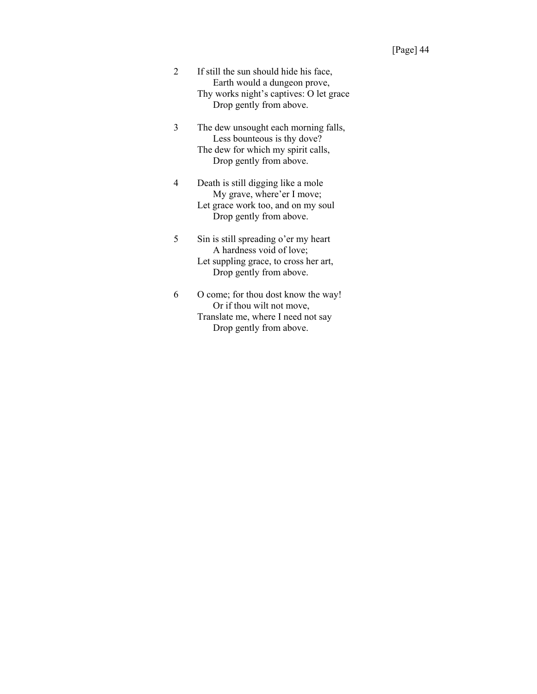- 2 If still the sun should hide his face, Earth would a dungeon prove, Thy works night's captives: O let grace Drop gently from above.
- 3 The dew unsought each morning falls, Less bounteous is thy dove? The dew for which my spirit calls, Drop gently from above.
- 4 Death is still digging like a mole My grave, where'er I move; Let grace work too, and on my soul Drop gently from above.
- 5 Sin is still spreading o'er my heart A hardness void of love; Let suppling grace, to cross her art, Drop gently from above.
- 6 O come; for thou dost know the way! Or if thou wilt not move, Translate me, where I need not say Drop gently from above.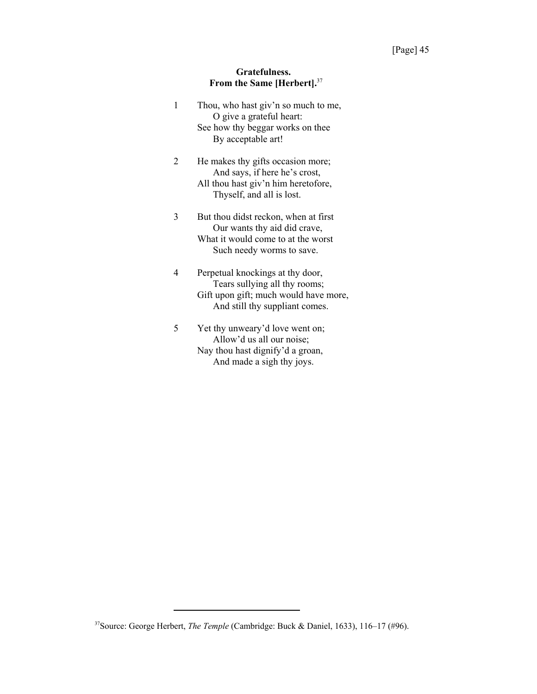# **Gratefulness. From the Same [Herbert].**<sup>37</sup>

| 1 | Thou, who hast giv'n so much to me,<br>O give a grateful heart:<br>See how thy beggar works on thee<br>By acceptable art!                    |
|---|----------------------------------------------------------------------------------------------------------------------------------------------|
| 2 | He makes thy gifts occasion more;<br>And says, if here he's crost,<br>All thou hast giv'n him heretofore,<br>Thyself, and all is lost.       |
| 3 | But thou didst reckon, when at first<br>Our wants thy aid did crave,<br>What it would come to at the worst<br>Such needy worms to save.      |
|   | Perpetual knockings at thy door,<br>Tears sullying all thy rooms;<br>Gift upon gift; much would have more,<br>And still thy suppliant comes. |
| 5 | Yet thy unweary'd love went on;<br>Allow'd us all our noise;<br>Nay thou hast dignify'd a groan,                                             |

And made a sigh thy joys.

37Source: George Herbert, *The Temple* (Cambridge: Buck & Daniel, 1633), 116–17 (#96).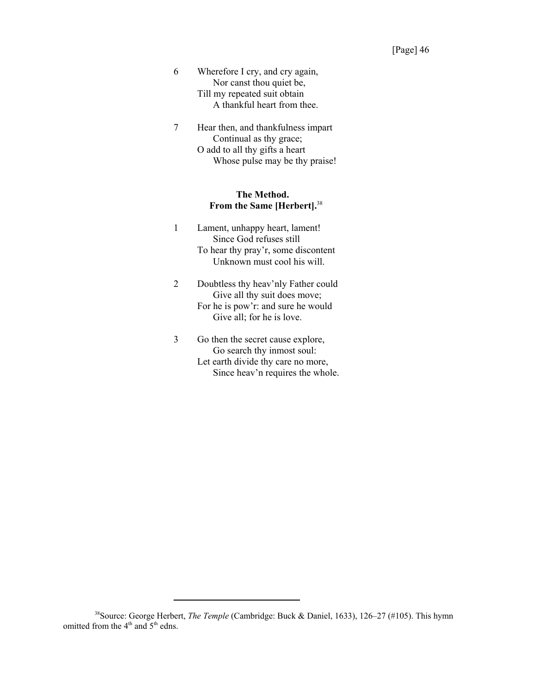- 6 Wherefore I cry, and cry again, Nor canst thou quiet be, Till my repeated suit obtain A thankful heart from thee.
- 7 Hear then, and thankfulness impart Continual as thy grace; O add to all thy gifts a heart Whose pulse may be thy praise!

# **The Method. From the Same [Herbert].**<sup>38</sup>

- 1 Lament, unhappy heart, lament! Since God refuses still To hear thy pray'r, some discontent Unknown must cool his will.
- 2 Doubtless thy heav'nly Father could Give all thy suit does move; For he is pow'r: and sure he would Give all; for he is love.
- 3 Go then the secret cause explore, Go search thy inmost soul: Let earth divide thy care no more, Since heav'n requires the whole.

<sup>38</sup>Source: George Herbert, *The Temple* (Cambridge: Buck & Daniel, 1633), 126–27 (#105). This hymn omitted from the 4<sup>th</sup> and 5<sup>th</sup> edns.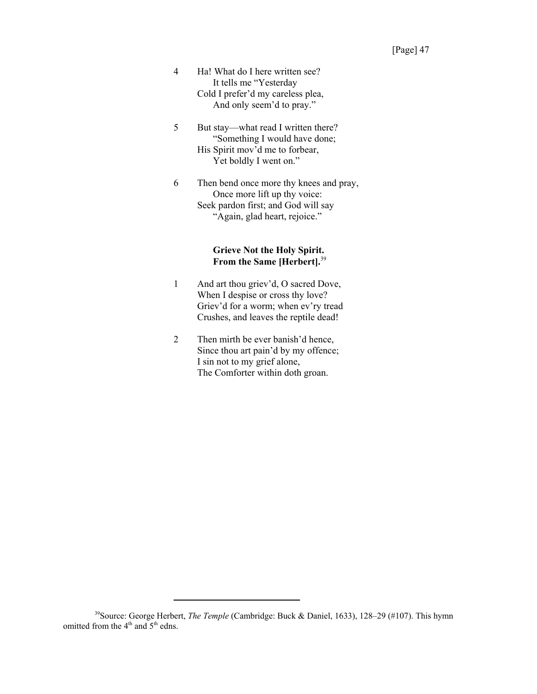- 4 Ha! What do I here written see? It tells me "Yesterday Cold I prefer'd my careless plea, And only seem'd to pray."
- 5 But stay—what read I written there? "Something I would have done; His Spirit mov'd me to forbear, Yet boldly I went on."
- 6 Then bend once more thy knees and pray, Once more lift up thy voice: Seek pardon first; and God will say "Again, glad heart, rejoice."

# **Grieve Not the Holy Spirit. From the Same [Herbert].**<sup>39</sup>

- 1 And art thou griev'd, O sacred Dove, When I despise or cross thy love? Griev'd for a worm; when ev'ry tread Crushes, and leaves the reptile dead!
- 2 Then mirth be ever banish'd hence, Since thou art pain'd by my offence; I sin not to my grief alone, The Comforter within doth groan.

<sup>39</sup>Source: George Herbert, *The Temple* (Cambridge: Buck & Daniel, 1633), 128–29 (#107). This hymn omitted from the 4<sup>th</sup> and 5<sup>th</sup> edns.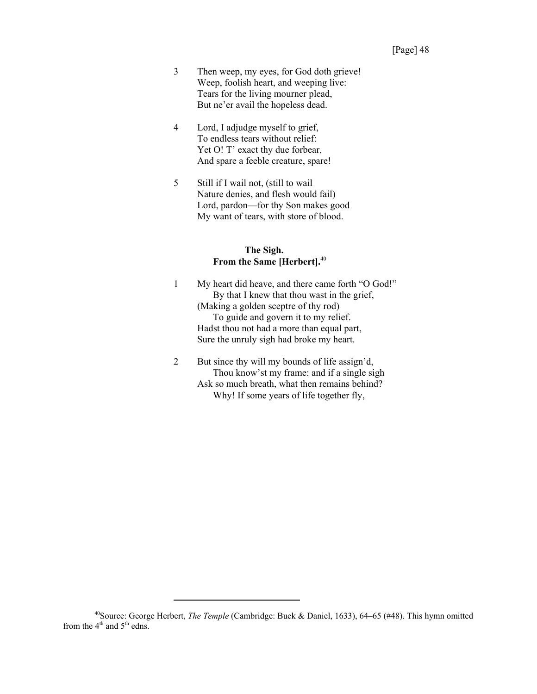- 3 Then weep, my eyes, for God doth grieve! Weep, foolish heart, and weeping live: Tears for the living mourner plead, But ne'er avail the hopeless dead.
- 4 Lord, I adjudge myself to grief, To endless tears without relief: Yet O! T' exact thy due forbear, And spare a feeble creature, spare!
- 5 Still if I wail not, (still to wail Nature denies, and flesh would fail) Lord, pardon—for thy Son makes good My want of tears, with store of blood.

### **The Sigh. From the Same [Herbert].**<sup>40</sup>

- 1 My heart did heave, and there came forth "O God!" By that I knew that thou wast in the grief, (Making a golden sceptre of thy rod) To guide and govern it to my relief. Hadst thou not had a more than equal part, Sure the unruly sigh had broke my heart.
- 2 But since thy will my bounds of life assign'd, Thou know'st my frame: and if a single sigh Ask so much breath, what then remains behind? Why! If some years of life together fly,

<sup>40</sup>Source: George Herbert, *The Temple* (Cambridge: Buck & Daniel, 1633), 64–65 (#48). This hymn omitted from the  $4<sup>th</sup>$  and  $5<sup>th</sup>$  edns.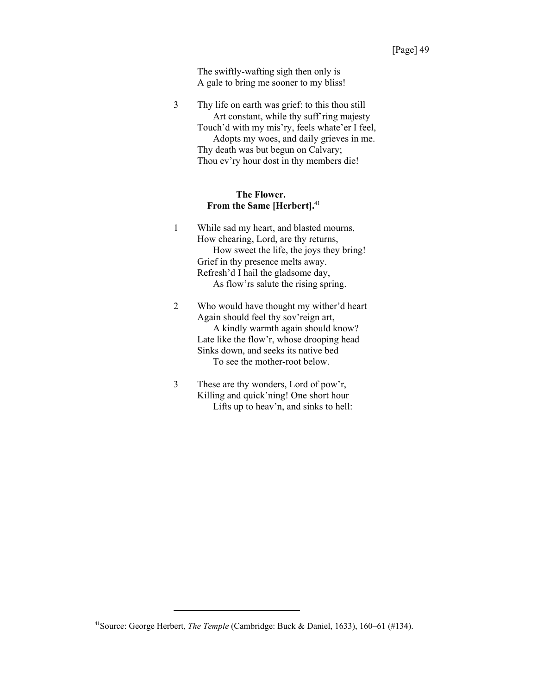The swiftly-wafting sigh then only is A gale to bring me sooner to my bliss!

3 Thy life on earth was grief: to this thou still Art constant, while thy suff'ring majesty Touch'd with my mis'ry, feels whate'er I feel, Adopts my woes, and daily grieves in me. Thy death was but begun on Calvary; Thou ev'ry hour dost in thy members die!

#### **The Flower. From the Same [Herbert].**<sup>41</sup>

- 1 While sad my heart, and blasted mourns, How chearing, Lord, are thy returns, How sweet the life, the joys they bring! Grief in thy presence melts away. Refresh'd I hail the gladsome day, As flow'rs salute the rising spring.
- 2 Who would have thought my wither'd heart Again should feel thy sov'reign art, A kindly warmth again should know? Late like the flow'r, whose drooping head Sinks down, and seeks its native bed To see the mother-root below.
- 3 These are thy wonders, Lord of pow'r, Killing and quick'ning! One short hour Lifts up to heav'n, and sinks to hell:

<sup>41</sup>Source: George Herbert, *The Temple* (Cambridge: Buck & Daniel, 1633), 160–61 (#134).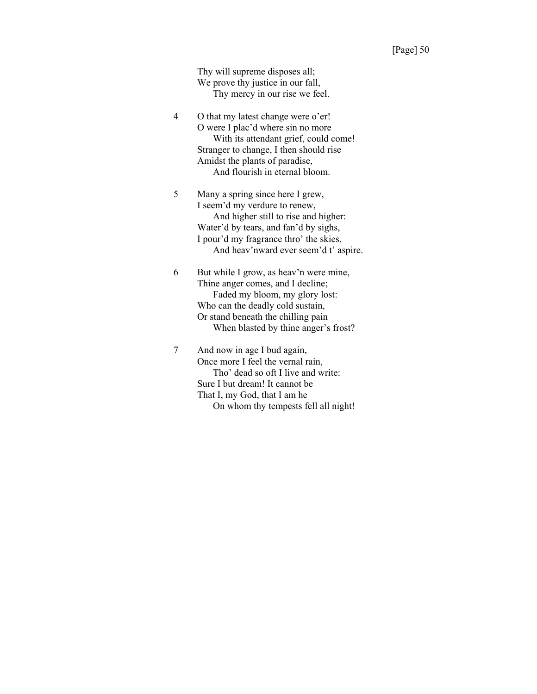Thy will supreme disposes all; We prove thy justice in our fall, Thy mercy in our rise we feel.

- 4 O that my latest change were o'er! O were I plac'd where sin no more With its attendant grief, could come! Stranger to change, I then should rise Amidst the plants of paradise, And flourish in eternal bloom.
- 5 Many a spring since here I grew, I seem'd my verdure to renew, And higher still to rise and higher: Water'd by tears, and fan'd by sighs, I pour'd my fragrance thro' the skies, And heav'nward ever seem'd t' aspire.
- 6 But while I grow, as heav'n were mine, Thine anger comes, and I decline; Faded my bloom, my glory lost: Who can the deadly cold sustain, Or stand beneath the chilling pain When blasted by thine anger's frost?
- 7 And now in age I bud again, Once more I feel the vernal rain, Tho' dead so oft I live and write: Sure I but dream! It cannot be That I, my God, that I am he On whom thy tempests fell all night!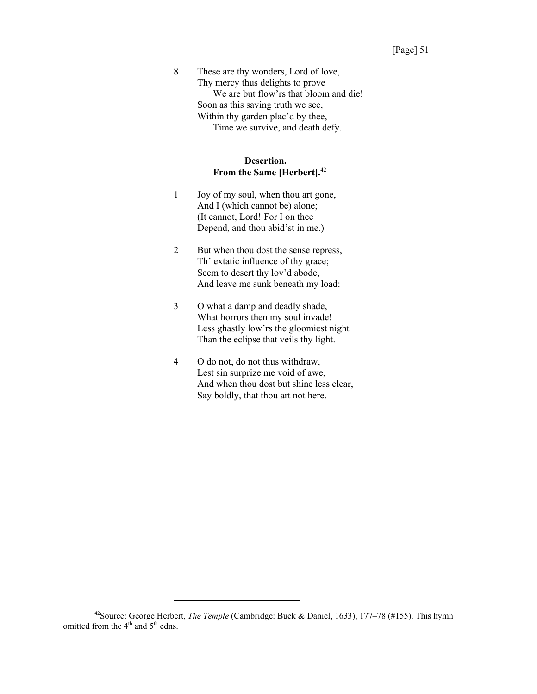8 These are thy wonders, Lord of love, Thy mercy thus delights to prove We are but flow'rs that bloom and die! Soon as this saving truth we see, Within thy garden plac'd by thee, Time we survive, and death defy.

# **Desertion. From the Same [Herbert].**<sup>42</sup>

- 1 Joy of my soul, when thou art gone, And I (which cannot be) alone; (It cannot, Lord! For I on thee Depend, and thou abid'st in me.)
- 2 But when thou dost the sense repress, Th' extatic influence of thy grace; Seem to desert thy lov'd abode, And leave me sunk beneath my load:
- 3 O what a damp and deadly shade, What horrors then my soul invade! Less ghastly low'rs the gloomiest night Than the eclipse that veils thy light.
- 4 O do not, do not thus withdraw, Lest sin surprize me void of awe, And when thou dost but shine less clear, Say boldly, that thou art not here.

<sup>42</sup>Source: George Herbert, *The Temple* (Cambridge: Buck & Daniel, 1633), 177–78 (#155). This hymn omitted from the 4<sup>th</sup> and 5<sup>th</sup> edns.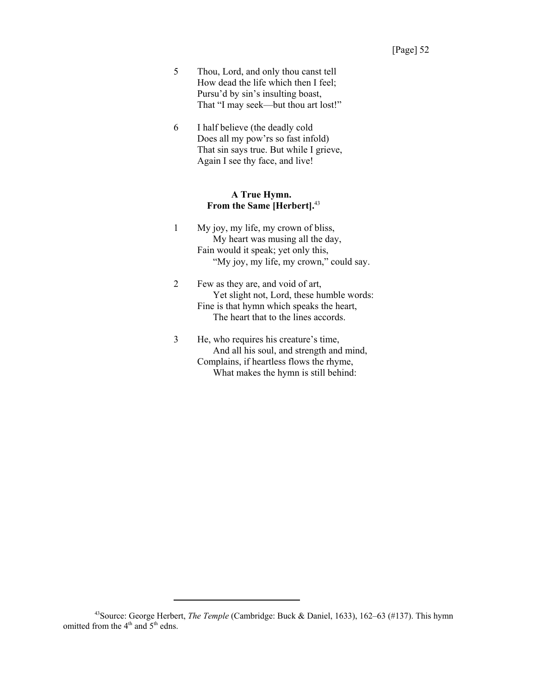- 5 Thou, Lord, and only thou canst tell How dead the life which then I feel; Pursu'd by sin's insulting boast, That "I may seek—but thou art lost!"
- 6 I half believe (the deadly cold Does all my pow'rs so fast infold) That sin says true. But while I grieve, Again I see thy face, and live!

### **A True Hymn. From the Same [Herbert].**<sup>43</sup>

- 1 My joy, my life, my crown of bliss, My heart was musing all the day, Fain would it speak; yet only this, "My joy, my life, my crown," could say.
- 2 Few as they are, and void of art, Yet slight not, Lord, these humble words: Fine is that hymn which speaks the heart, The heart that to the lines accords.
- 3 He, who requires his creature's time, And all his soul, and strength and mind, Complains, if heartless flows the rhyme, What makes the hymn is still behind:

<sup>43</sup>Source: George Herbert, *The Temple* (Cambridge: Buck & Daniel, 1633), 162–63 (#137). This hymn omitted from the 4<sup>th</sup> and 5<sup>th</sup> edns.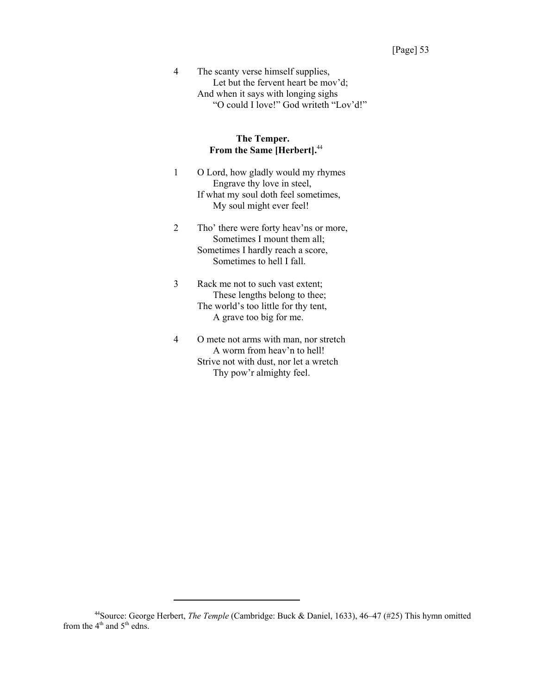4 The scanty verse himself supplies, Let but the fervent heart be mov'd; And when it says with longing sighs "O could I love!" God writeth "Lov'd!"

#### **The Temper. From the Same [Herbert].**<sup>44</sup>

- 1 O Lord, how gladly would my rhymes Engrave thy love in steel, If what my soul doth feel sometimes, My soul might ever feel!
- 2 Tho' there were forty heav'ns or more, Sometimes I mount them all; Sometimes I hardly reach a score, Sometimes to hell I fall.
- 3 Rack me not to such vast extent; These lengths belong to thee; The world's too little for thy tent, A grave too big for me.
- 4 O mete not arms with man, nor stretch A worm from heav'n to hell! Strive not with dust, nor let a wretch Thy pow'r almighty feel.

<sup>44</sup>Source: George Herbert, *The Temple* (Cambridge: Buck & Daniel, 1633), 46–47 (#25) This hymn omitted from the  $4<sup>th</sup>$  and  $5<sup>th</sup>$  edns.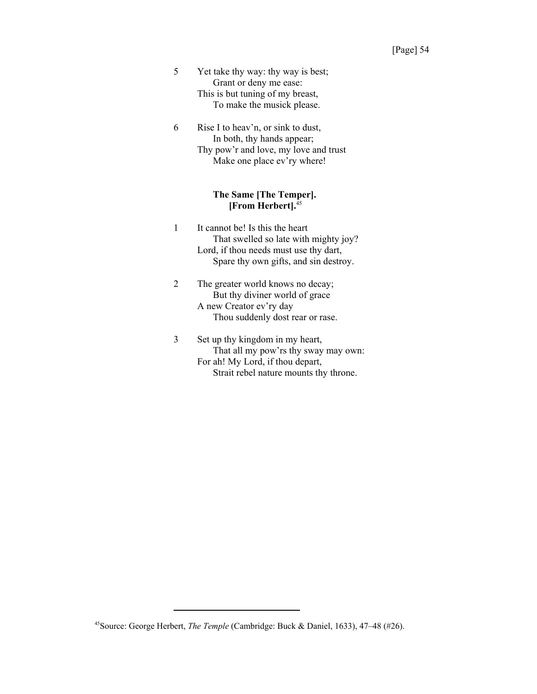- 5 Yet take thy way: thy way is best; Grant or deny me ease: This is but tuning of my breast, To make the musick please.
- 6 Rise I to heav'n, or sink to dust, In both, thy hands appear; Thy pow'r and love, my love and trust Make one place ev'ry where!

#### **The Same [The Temper]. [From Herbert].**<sup>45</sup>

- 1 It cannot be! Is this the heart That swelled so late with mighty joy? Lord, if thou needs must use thy dart, Spare thy own gifts, and sin destroy.
- 2 The greater world knows no decay; But thy diviner world of grace A new Creator ev'ry day Thou suddenly dost rear or rase.
- 3 Set up thy kingdom in my heart, That all my pow'rs thy sway may own: For ah! My Lord, if thou depart, Strait rebel nature mounts thy throne.

<sup>45</sup>Source: George Herbert, *The Temple* (Cambridge: Buck & Daniel, 1633), 47–48 (#26).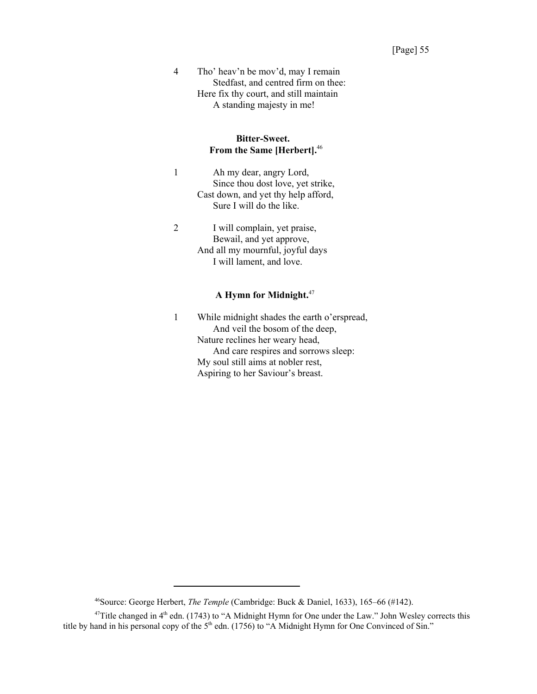4 Tho' heav'n be mov'd, may I remain Stedfast, and centred firm on thee: Here fix thy court, and still maintain A standing majesty in me!

### **Bitter-Sweet. From the Same [Herbert].**<sup>46</sup>

- 1 Ah my dear, angry Lord, Since thou dost love, yet strike, Cast down, and yet thy help afford, Sure I will do the like.
- 2 I will complain, yet praise, Bewail, and yet approve, And all my mournful, joyful days I will lament, and love.

### **A Hymn for Midnight.**<sup>47</sup>

1 While midnight shades the earth o'erspread, And veil the bosom of the deep, Nature reclines her weary head, And care respires and sorrows sleep: My soul still aims at nobler rest, Aspiring to her Saviour's breast.

<sup>46</sup>Source: George Herbert, *The Temple* (Cambridge: Buck & Daniel, 1633), 165–66 (#142).

 $47$ Title changed in  $4<sup>th</sup>$  edn. (1743) to "A Midnight Hymn for One under the Law." John Wesley corrects this title by hand in his personal copy of the 5<sup>th</sup> edn. (1756) to "A Midnight Hymn for One Convinced of Sin."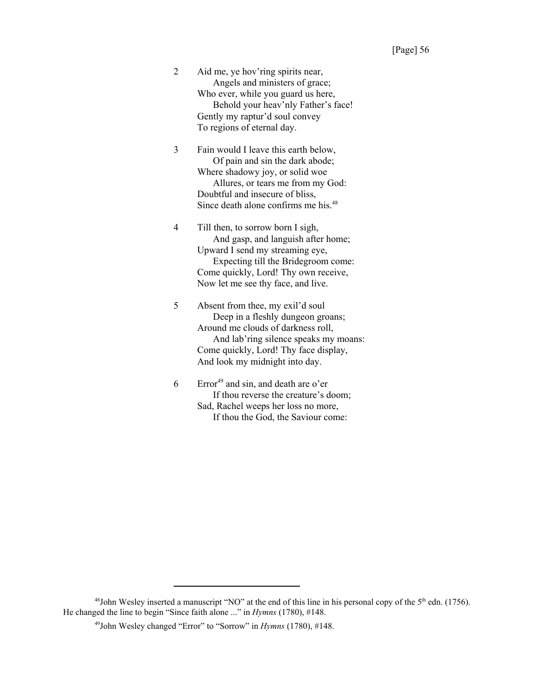2 Aid me, ye hov'ring spirits near, Angels and ministers of grace; Who ever, while you guard us here, Behold your heav'nly Father's face! Gently my raptur'd soul convey To regions of eternal day.

3 Fain would I leave this earth below, Of pain and sin the dark abode; Where shadowy joy, or solid woe Allures, or tears me from my God: Doubtful and insecure of bliss, Since death alone confirms me his.48

4 Till then, to sorrow born I sigh, And gasp, and languish after home; Upward I send my streaming eye, Expecting till the Bridegroom come: Come quickly, Lord! Thy own receive, Now let me see thy face, and live.

5 Absent from thee, my exil'd soul Deep in a fleshly dungeon groans; Around me clouds of darkness roll, And lab'ring silence speaks my moans: Come quickly, Lord! Thy face display, And look my midnight into day.

 $6$  Error<sup>49</sup> and sin, and death are o'er If thou reverse the creature's doom; Sad, Rachel weeps her loss no more, If thou the God, the Saviour come:

 $48$ John Wesley inserted a manuscript "NO" at the end of this line in his personal copy of the  $5<sup>th</sup>$  edn. (1756). He changed the line to begin "Since faith alone ..." in *Hymns* (1780), #148.

<sup>49</sup>John Wesley changed "Error" to "Sorrow" in *Hymns* (1780), #148.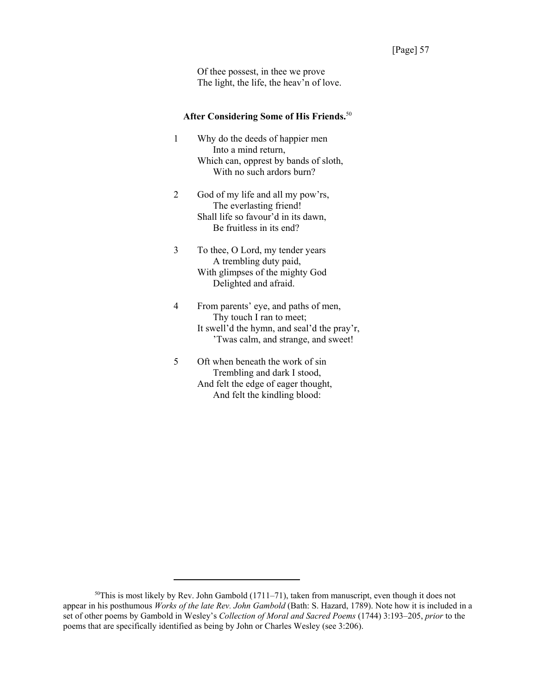Of thee possest, in thee we prove The light, the life, the heav'n of love.

# **After Considering Some of His Friends.**<sup>50</sup>

- 1 Why do the deeds of happier men Into a mind return, Which can, opprest by bands of sloth, With no such ardors burn?
- 2 God of my life and all my pow'rs, The everlasting friend! Shall life so favour'd in its dawn, Be fruitless in its end?
- 3 To thee, O Lord, my tender years A trembling duty paid, With glimpses of the mighty God Delighted and afraid.
- 4 From parents' eye, and paths of men, Thy touch I ran to meet; It swell'd the hymn, and seal'd the pray'r, 'Twas calm, and strange, and sweet!
- 5 Oft when beneath the work of sin Trembling and dark I stood, And felt the edge of eager thought, And felt the kindling blood:

 $50$ This is most likely by Rev. John Gambold (1711–71), taken from manuscript, even though it does not appear in his posthumous *Works of the late Rev. John Gambold* (Bath: S. Hazard, 1789). Note how it is included in a set of other poems by Gambold in Wesley's *Collection of Moral and Sacred Poems* (1744) 3:193–205, *prior* to the poems that are specifically identified as being by John or Charles Wesley (see 3:206).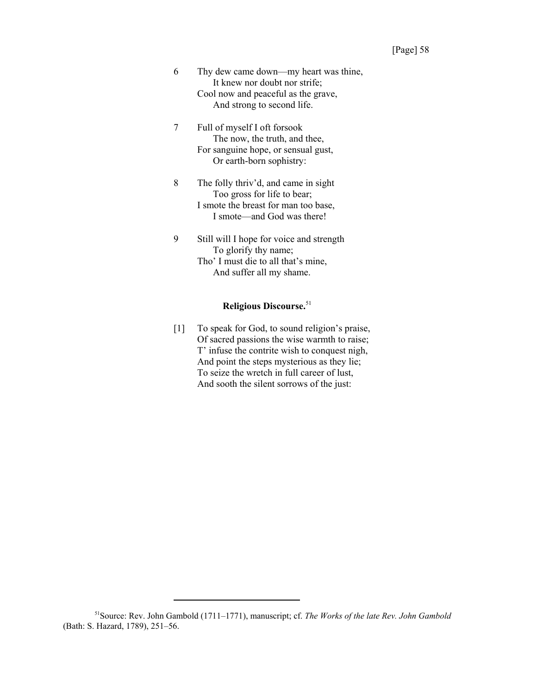- 6 Thy dew came down—my heart was thine, It knew nor doubt nor strife; Cool now and peaceful as the grave, And strong to second life.
- 7 Full of myself I oft forsook The now, the truth, and thee, For sanguine hope, or sensual gust, Or earth-born sophistry:
- 8 The folly thriv'd, and came in sight Too gross for life to bear; I smote the breast for man too base, I smote—and God was there!
- 9 Still will I hope for voice and strength To glorify thy name; Tho' I must die to all that's mine, And suffer all my shame.

# **Religious Discourse.**<sup>51</sup>

[1] To speak for God, to sound religion's praise, Of sacred passions the wise warmth to raise; T' infuse the contrite wish to conquest nigh, And point the steps mysterious as they lie; To seize the wretch in full career of lust, And sooth the silent sorrows of the just:

<sup>51</sup>Source: Rev. John Gambold (1711–1771), manuscript; cf. *The Works of the late Rev. John Gambold* (Bath: S. Hazard, 1789), 251–56.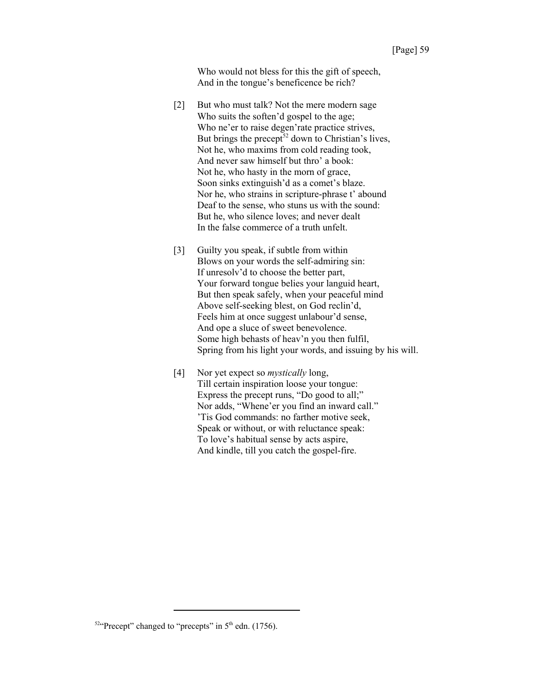Who would not bless for this the gift of speech, And in the tongue's beneficence be rich?

- [2] But who must talk? Not the mere modern sage Who suits the soften'd gospel to the age; Who ne'er to raise degen'rate practice strives, But brings the precept<sup>52</sup> down to Christian's lives, Not he, who maxims from cold reading took, And never saw himself but thro' a book: Not he, who hasty in the morn of grace, Soon sinks extinguish'd as a comet's blaze. Nor he, who strains in scripture-phrase t' abound Deaf to the sense, who stuns us with the sound: But he, who silence loves; and never dealt In the false commerce of a truth unfelt.
- [3] Guilty you speak, if subtle from within Blows on your words the self-admiring sin: If unresolv'd to choose the better part, Your forward tongue belies your languid heart, But then speak safely, when your peaceful mind Above self-seeking blest, on God reclin'd, Feels him at once suggest unlabour'd sense, And ope a sluce of sweet benevolence. Some high behasts of heav'n you then fulfil, Spring from his light your words, and issuing by his will.
- [4] Nor yet expect so *mystically* long, Till certain inspiration loose your tongue: Express the precept runs, "Do good to all;" Nor adds, "Whene'er you find an inward call." 'Tis God commands: no farther motive seek, Speak or without, or with reluctance speak: To love's habitual sense by acts aspire, And kindle, till you catch the gospel-fire.

 $52$ "Precept" changed to "precepts" in  $5<sup>th</sup>$  edn. (1756).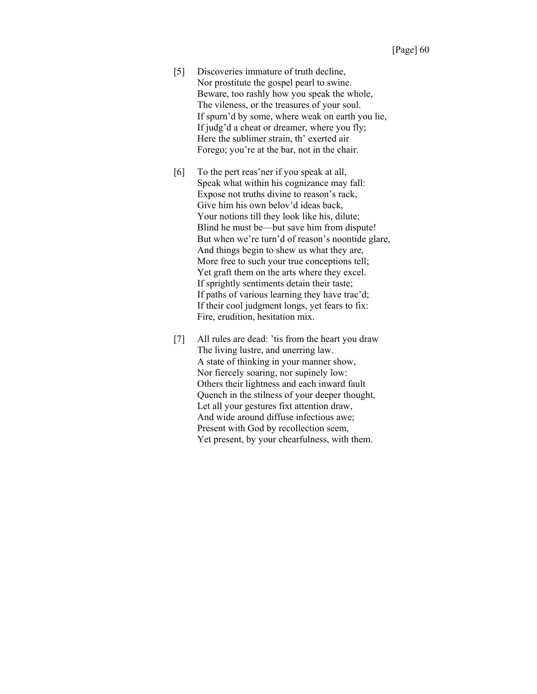- [5] Discoveries immature of truth decline, Nor prostitute the gospel pearl to swine. Beware, too rashly how you speak the whole, The vileness, or the treasures of your soul. If spurn'd by some, where weak on earth you lie, If judg'd a cheat or dreamer, where you fly; Here the sublimer strain, th' exerted air Forego; you're at the bar, not in the chair.
- [6] To the pert reas'ner if you speak at all, Speak what within his cognizance may fall: Expose not truths divine to reason's rack, Give him his own belov'd ideas back, Your notions till they look like his, dilute; Blind he must be—but save him from dispute! But when we're turn'd of reason's noontide glare, And things begin to shew us what they are, More free to such your true conceptions tell; Yet graft them on the arts where they excel. If sprightly sentiments detain their taste; If paths of various learning they have trac'd; If their cool judgment longs, yet fears to fix: Fire, erudition, hesitation mix.
- [7] All rules are dead: 'tis from the heart you draw The living lustre, and unerring law. A state of thinking in your manner show, Nor fiercely soaring, nor supinely low: Others their lightness and each inward fault Quench in the stilness of your deeper thought, Let all your gestures fixt attention draw, And wide around diffuse infectious awe; Present with God by recollection seem, Yet present, by your chearfulness, with them.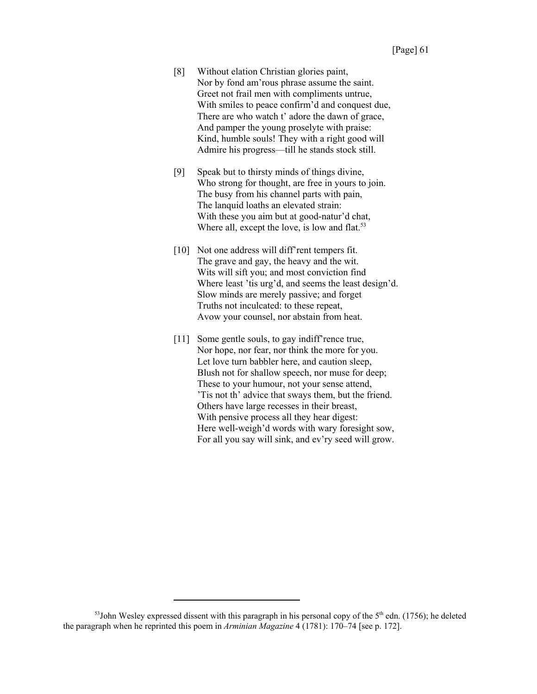- [8] Without elation Christian glories paint, Nor by fond am'rous phrase assume the saint. Greet not frail men with compliments untrue, With smiles to peace confirm'd and conquest due, There are who watch t' adore the dawn of grace, And pamper the young proselyte with praise: Kind, humble souls! They with a right good will Admire his progress—till he stands stock still.
- [9] Speak but to thirsty minds of things divine, Who strong for thought, are free in yours to join. The busy from his channel parts with pain, The lanquid loaths an elevated strain: With these you aim but at good-natur'd chat, Where all, except the love, is low and flat. $53$
- [10] Not one address will diff'rent tempers fit. The grave and gay, the heavy and the wit. Wits will sift you; and most conviction find Where least 'tis urg'd, and seems the least design'd. Slow minds are merely passive; and forget Truths not inculcated: to these repeat, Avow your counsel, nor abstain from heat.
- [11] Some gentle souls, to gay indiff'rence true, Nor hope, nor fear, nor think the more for you. Let love turn babbler here, and caution sleep, Blush not for shallow speech, nor muse for deep; These to your humour, not your sense attend, 'Tis not th' advice that sways them, but the friend. Others have large recesses in their breast, With pensive process all they hear digest: Here well-weigh'd words with wary foresight sow, For all you say will sink, and ev'ry seed will grow.

 $53$ John Wesley expressed dissent with this paragraph in his personal copy of the  $5<sup>th</sup>$  edn. (1756); he deleted the paragraph when he reprinted this poem in *Arminian Magazine* 4 (1781): 170–74 [see p. 172].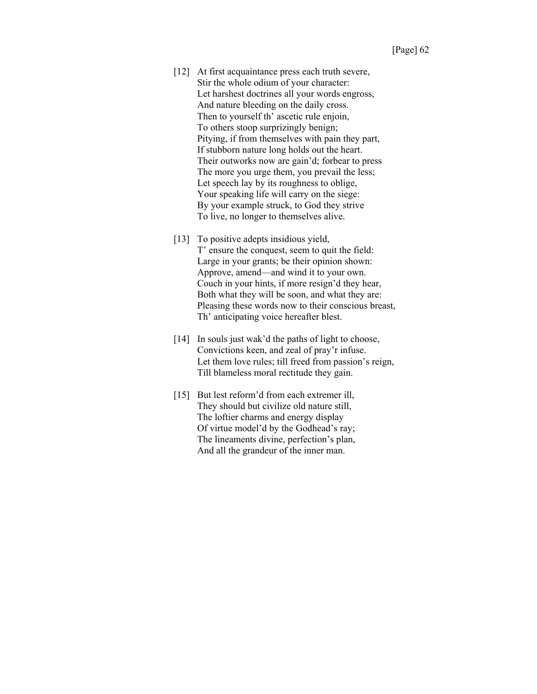- [12] At first acquaintance press each truth severe, Stir the whole odium of your character: Let harshest doctrines all your words engross, And nature bleeding on the daily cross. Then to yourself th' ascetic rule enjoin, To others stoop surprizingly benign; Pitying, if from themselves with pain they part, If stubborn nature long holds out the heart. Their outworks now are gain'd; forbear to press The more you urge them, you prevail the less; Let speech lay by its roughness to oblige, Your speaking life will carry on the siege: By your example struck, to God they strive To live, no longer to themselves alive.
- [13] To positive adepts insidious yield, T' ensure the conquest, seem to quit the field: Large in your grants; be their opinion shown: Approve, amend—and wind it to your own. Couch in your hints, if more resign'd they hear, Both what they will be soon, and what they are: Pleasing these words now to their conscious breast, Th' anticipating voice hereafter blest.
- [14] In souls just wak'd the paths of light to choose, Convictions keen, and zeal of pray'r infuse. Let them love rules; till freed from passion's reign, Till blameless moral rectitude they gain.
- [15] But lest reform'd from each extremer ill, They should but civilize old nature still, The loftier charms and energy display Of virtue model'd by the Godhead's ray; The lineaments divine, perfection's plan, And all the grandeur of the inner man.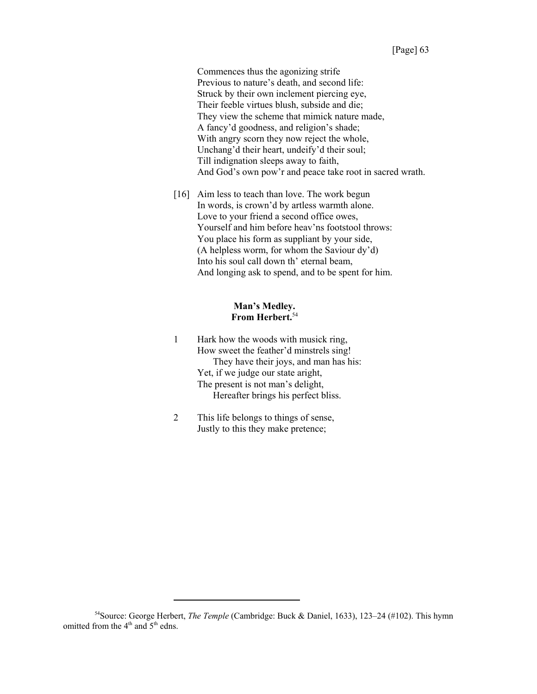Commences thus the agonizing strife Previous to nature's death, and second life: Struck by their own inclement piercing eye, Their feeble virtues blush, subside and die; They view the scheme that mimick nature made, A fancy'd goodness, and religion's shade; With angry scorn they now reject the whole, Unchang'd their heart, undeify'd their soul; Till indignation sleeps away to faith, And God's own pow'r and peace take root in sacred wrath.

[16] Aim less to teach than love. The work begun In words, is crown'd by artless warmth alone. Love to your friend a second office owes, Yourself and him before heav'ns footstool throws: You place his form as suppliant by your side, (A helpless worm, for whom the Saviour dy'd) Into his soul call down th' eternal beam, And longing ask to spend, and to be spent for him.

#### **Man's Medley. From Herbert.**<sup>54</sup>

- 1 Hark how the woods with musick ring, How sweet the feather'd minstrels sing! They have their joys, and man has his: Yet, if we judge our state aright, The present is not man's delight, Hereafter brings his perfect bliss.
- 2 This life belongs to things of sense, Justly to this they make pretence;

<sup>54</sup>Source: George Herbert, *The Temple* (Cambridge: Buck & Daniel, 1633), 123–24 (#102). This hymn omitted from the 4<sup>th</sup> and 5<sup>th</sup> edns.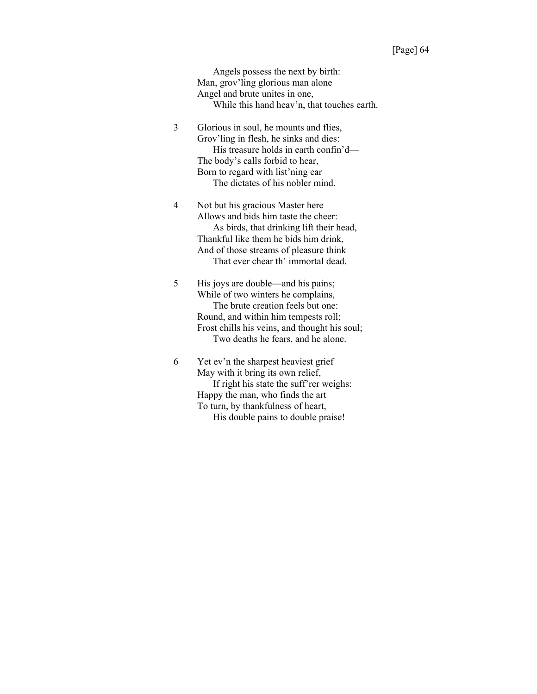Angels possess the next by birth: Man, grov'ling glorious man alone Angel and brute unites in one, While this hand heav'n, that touches earth.

3 Glorious in soul, he mounts and flies, Grov'ling in flesh, he sinks and dies: His treasure holds in earth confin'd— The body's calls forbid to hear, Born to regard with list'ning ear The dictates of his nobler mind.

4 Not but his gracious Master here Allows and bids him taste the cheer: As birds, that drinking lift their head, Thankful like them he bids him drink, And of those streams of pleasure think That ever chear th' immortal dead.

5 His joys are double—and his pains; While of two winters he complains, The brute creation feels but one: Round, and within him tempests roll; Frost chills his veins, and thought his soul; Two deaths he fears, and he alone.

6 Yet ev'n the sharpest heaviest grief May with it bring its own relief, If right his state the suff'rer weighs: Happy the man, who finds the art To turn, by thankfulness of heart, His double pains to double praise!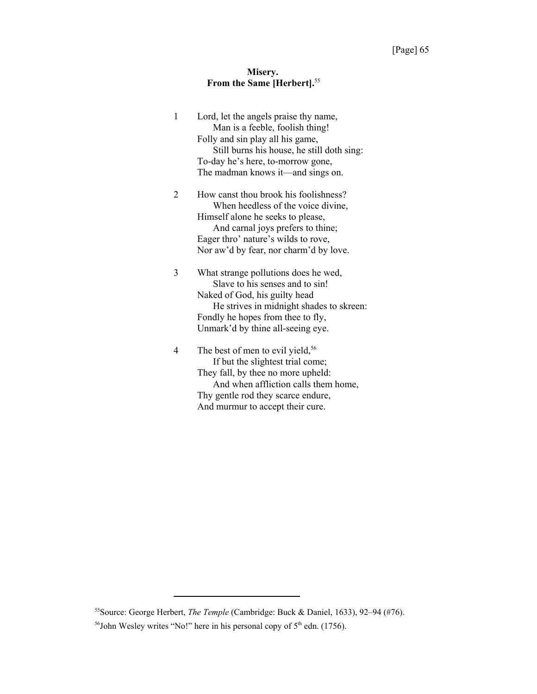# **Misery. From the Same [Herbert].**<sup>55</sup>

| Still burns his house, he still doth sing: |
|--------------------------------------------|
|                                            |
|                                            |
|                                            |
|                                            |
|                                            |
|                                            |
| When heedless of the voice divine,         |
|                                            |
|                                            |
|                                            |
| Nor aw'd by fear, nor charm'd by love.     |
|                                            |
|                                            |
|                                            |
| He strives in midnight shades to skreen:   |
|                                            |
|                                            |
|                                            |
|                                            |
|                                            |
| And when affliction calls them home,       |
|                                            |
|                                            |
| How canst thou brook his foolishness?      |

<sup>55</sup>Source: George Herbert, *The Temple* (Cambridge: Buck & Daniel, 1633), 92–94 (#76).

 $56$ John Wesley writes "No!" here in his personal copy of  $5<sup>th</sup>$  edn. (1756).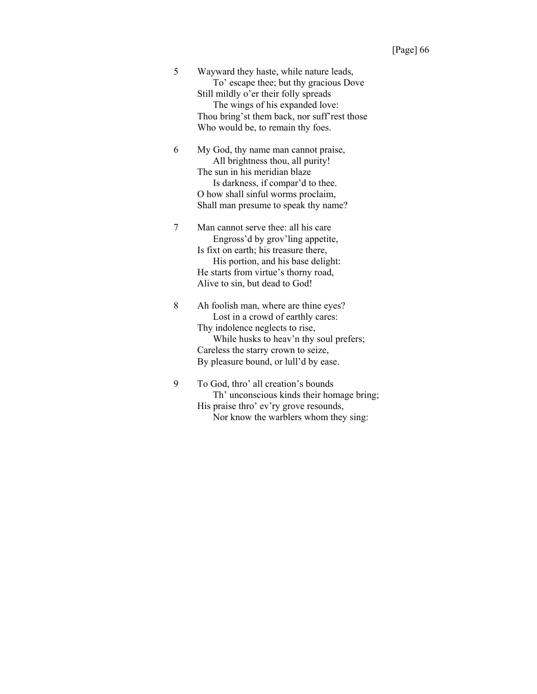| 5 | Wayward they haste, while nature leads,      |
|---|----------------------------------------------|
|   | To' escape thee; but thy gracious Dove       |
|   | Still mildly o'er their folly spreads        |
|   | The wings of his expanded love:              |
|   | Thou bring'st them back, nor suff'rest those |
|   | Who would be, to remain thy foes.            |
| 6 | My God, thy name man cannot praise,          |

All brightness thou, all purity! The sun in his meridian blaze Is darkness, if compar'd to thee. O how shall sinful worms proclaim, Shall man presume to speak thy name?

7 Man cannot serve thee: all his care Engross'd by grov'ling appetite, Is fixt on earth; his treasure there, His portion, and his base delight: He starts from virtue's thorny road, Alive to sin, but dead to God!

8 Ah foolish man, where are thine eyes? Lost in a crowd of earthly cares: Thy indolence neglects to rise, While husks to heav'n thy soul prefers; Careless the starry crown to seize, By pleasure bound, or lull'd by ease.

9 To God, thro' all creation's bounds Th' unconscious kinds their homage bring; His praise thro' ev'ry grove resounds, Nor know the warblers whom they sing: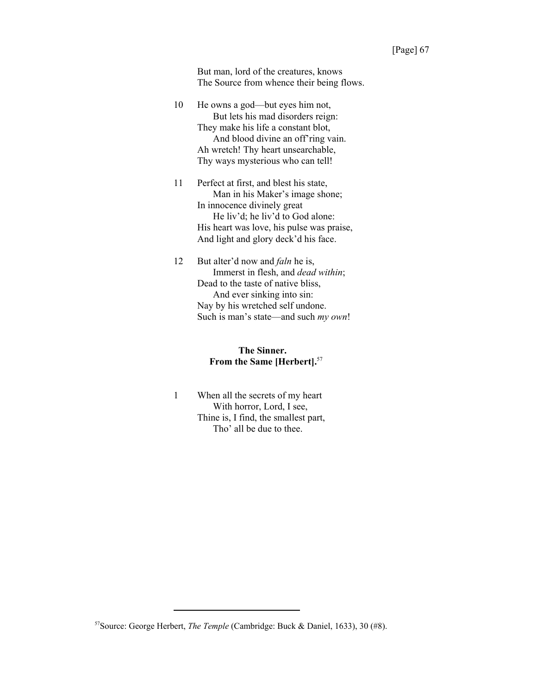But man, lord of the creatures, knows The Source from whence their being flows.

- 10 He owns a god—but eyes him not, But lets his mad disorders reign: They make his life a constant blot, And blood divine an off'ring vain. Ah wretch! Thy heart unsearchable, Thy ways mysterious who can tell!
- 11 Perfect at first, and blest his state, Man in his Maker's image shone; In innocence divinely great He liv'd; he liv'd to God alone: His heart was love, his pulse was praise, And light and glory deck'd his face.
- 12 But alter'd now and *faln* he is, Immerst in flesh, and *dead within*; Dead to the taste of native bliss, And ever sinking into sin: Nay by his wretched self undone. Such is man's state—and such *my own*!

#### **The Sinner. From the Same [Herbert].**<sup>57</sup>

1 When all the secrets of my heart With horror, Lord, I see, Thine is, I find, the smallest part, Tho' all be due to thee.

<sup>57</sup>Source: George Herbert, *The Temple* (Cambridge: Buck & Daniel, 1633), 30 (#8).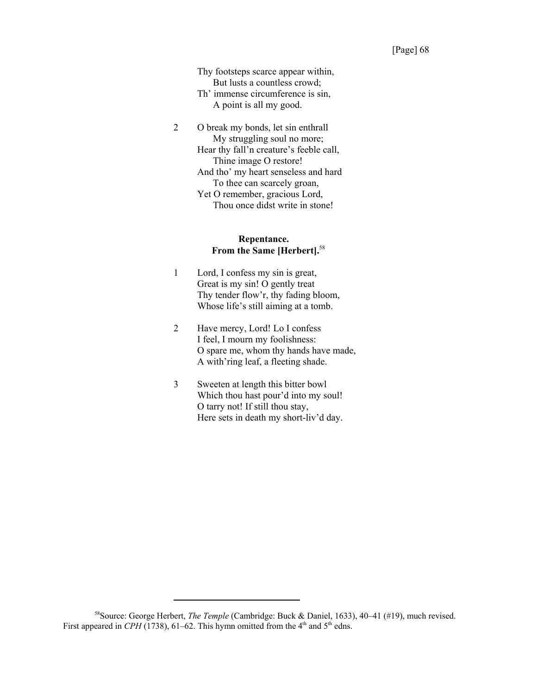Thy footsteps scarce appear within, But lusts a countless crowd; Th' immense circumference is sin, A point is all my good.

2 O break my bonds, let sin enthrall My struggling soul no more; Hear thy fall'n creature's feeble call, Thine image O restore! And tho' my heart senseless and hard To thee can scarcely groan, Yet O remember, gracious Lord, Thou once didst write in stone!

#### **Repentance. From the Same [Herbert].**<sup>58</sup>

- 1 Lord, I confess my sin is great, Great is my sin! O gently treat Thy tender flow'r, thy fading bloom, Whose life's still aiming at a tomb.
- 2 Have mercy, Lord! Lo I confess I feel, I mourn my foolishness: O spare me, whom thy hands have made, A with'ring leaf, a fleeting shade.
- 3 Sweeten at length this bitter bowl Which thou hast pour'd into my soul! O tarry not! If still thou stay, Here sets in death my short-liv'd day.

<sup>58</sup>Source: George Herbert, *The Temple* (Cambridge: Buck & Daniel, 1633), 40–41 (#19), much revised. First appeared in *CPH* (1738), 61–62. This hymn omitted from the  $4<sup>th</sup>$  and  $5<sup>th</sup>$  edns.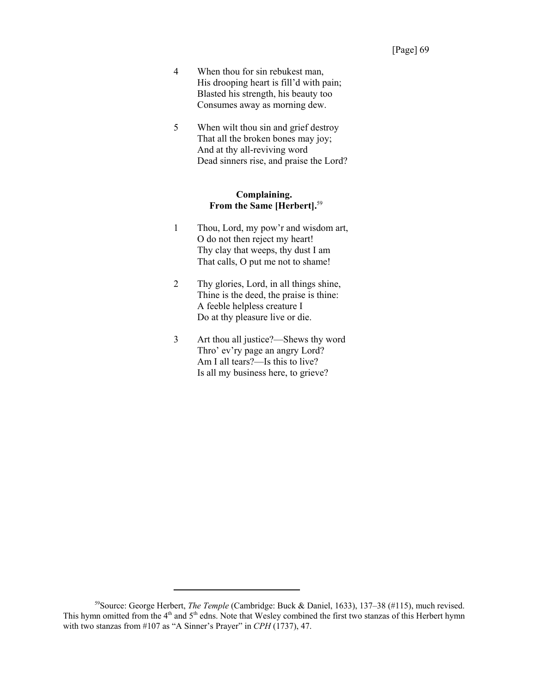- 4 When thou for sin rebukest man, His drooping heart is fill'd with pain; Blasted his strength, his beauty too Consumes away as morning dew.
- 5 When wilt thou sin and grief destroy That all the broken bones may joy; And at thy all-reviving word Dead sinners rise, and praise the Lord?

#### **Complaining. From the Same [Herbert].**<sup>59</sup>

- 1 Thou, Lord, my pow'r and wisdom art, O do not then reject my heart! Thy clay that weeps, thy dust I am That calls, O put me not to shame!
- 2 Thy glories, Lord, in all things shine, Thine is the deed, the praise is thine: A feeble helpless creature I Do at thy pleasure live or die.
- 3 Art thou all justice?—Shews thy word Thro' ev'ry page an angry Lord? Am I all tears?—Is this to live? Is all my business here, to grieve?

<sup>59</sup>Source: George Herbert, *The Temple* (Cambridge: Buck & Daniel, 1633), 137–38 (#115), much revised. This hymn omitted from the  $4<sup>th</sup>$  and  $5<sup>th</sup>$  edns. Note that Wesley combined the first two stanzas of this Herbert hymn with two stanzas from #107 as "A Sinner's Prayer" in *CPH* (1737), 47.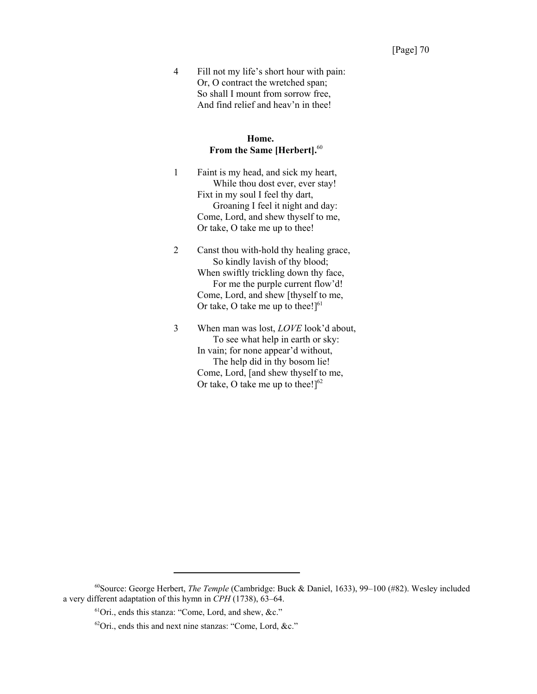4 Fill not my life's short hour with pain: Or, O contract the wretched span; So shall I mount from sorrow free, And find relief and heav'n in thee!

#### **Home. From the Same [Herbert].**<sup>60</sup>

- 1 Faint is my head, and sick my heart, While thou dost ever, ever stay! Fixt in my soul I feel thy dart, Groaning I feel it night and day: Come, Lord, and shew thyself to me, Or take, O take me up to thee!
- 2 Canst thou with-hold thy healing grace, So kindly lavish of thy blood; When swiftly trickling down thy face, For me the purple current flow'd! Come, Lord, and shew [thyself to me, Or take, O take me up to thee! $]^{61}$
- 3 When man was lost, *LOVE* look'd about, To see what help in earth or sky: In vain; for none appear'd without, The help did in thy bosom lie! Come, Lord, [and shew thyself to me, Or take, O take me up to thee! $]^{62}$

<sup>60</sup>Source: George Herbert, *The Temple* (Cambridge: Buck & Daniel, 1633), 99–100 (#82). Wesley included a very different adaptation of this hymn in *CPH* (1738), 63–64.

<sup>61</sup>Ori., ends this stanza: "Come, Lord, and shew, &c."

 $62$ Ori., ends this and next nine stanzas: "Come, Lord, &c."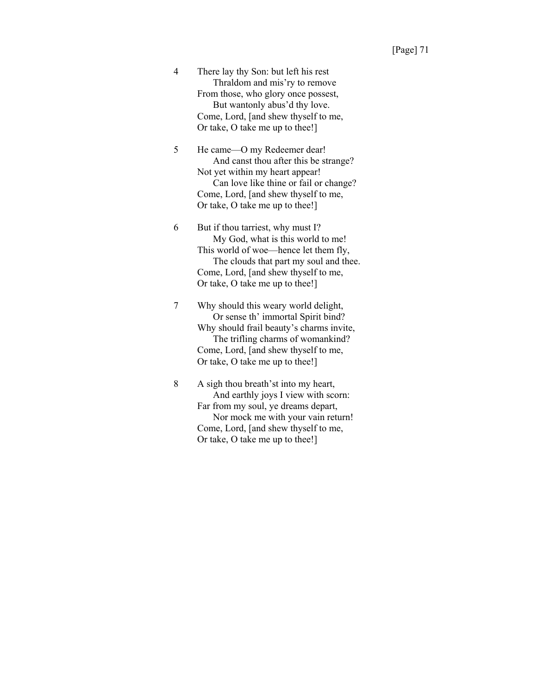4 There lay thy Son: but left his rest Thraldom and mis'ry to remove From those, who glory once possest, But wantonly abus'd thy love. Come, Lord, [and shew thyself to me, Or take, O take me up to thee!]

5 He came—O my Redeemer dear! And canst thou after this be strange? Not yet within my heart appear! Can love like thine or fail or change? Come, Lord, [and shew thyself to me, Or take, O take me up to thee!]

6 But if thou tarriest, why must I? My God, what is this world to me! This world of woe—hence let them fly, The clouds that part my soul and thee. Come, Lord, [and shew thyself to me, Or take, O take me up to thee!]

7 Why should this weary world delight, Or sense th' immortal Spirit bind? Why should frail beauty's charms invite, The trifling charms of womankind? Come, Lord, [and shew thyself to me, Or take, O take me up to thee!]

8 A sigh thou breath'st into my heart, And earthly joys I view with scorn: Far from my soul, ye dreams depart, Nor mock me with your vain return! Come, Lord, [and shew thyself to me, Or take, O take me up to thee!]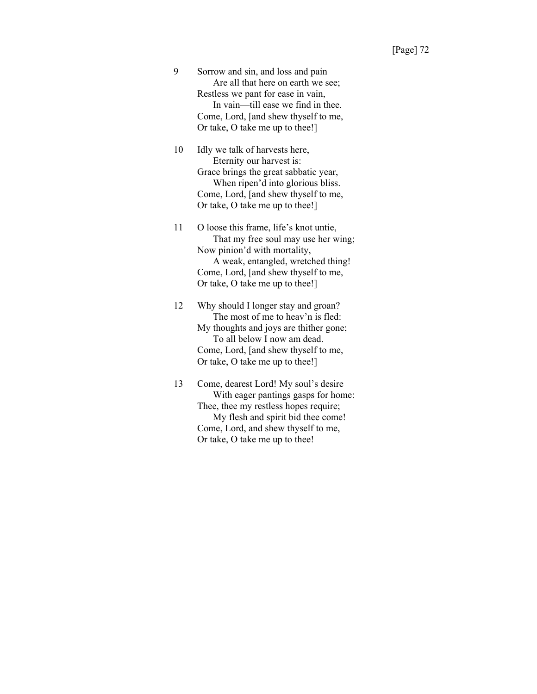9 Sorrow and sin, and loss and pain Are all that here on earth we see; Restless we pant for ease in vain, In vain—till ease we find in thee. Come, Lord, [and shew thyself to me, Or take, O take me up to thee!]

10 Idly we talk of harvests here, Eternity our harvest is: Grace brings the great sabbatic year, When ripen'd into glorious bliss. Come, Lord, [and shew thyself to me, Or take, O take me up to thee!]

11 O loose this frame, life's knot untie, That my free soul may use her wing; Now pinion'd with mortality, A weak, entangled, wretched thing! Come, Lord, [and shew thyself to me, Or take, O take me up to thee!]

12 Why should I longer stay and groan? The most of me to heav'n is fled: My thoughts and joys are thither gone; To all below I now am dead. Come, Lord, [and shew thyself to me, Or take, O take me up to thee!]

13 Come, dearest Lord! My soul's desire With eager pantings gasps for home: Thee, thee my restless hopes require; My flesh and spirit bid thee come! Come, Lord, and shew thyself to me, Or take, O take me up to thee!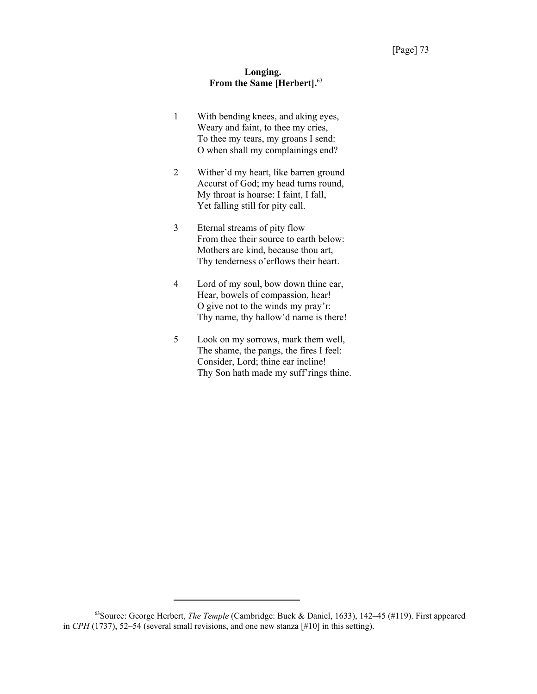#### **Longing. From the Same [Herbert].**<sup>63</sup>

- 1 With bending knees, and aking eyes, Weary and faint, to thee my cries, To thee my tears, my groans I send: O when shall my complainings end?
- 2 Wither'd my heart, like barren ground Accurst of God; my head turns round, My throat is hoarse: I faint, I fall, Yet falling still for pity call.
- 3 Eternal streams of pity flow From thee their source to earth below: Mothers are kind, because thou art, Thy tenderness o'erflows their heart.
- 4 Lord of my soul, bow down thine ear, Hear, bowels of compassion, hear! O give not to the winds my pray'r: Thy name, thy hallow'd name is there!
- 5 Look on my sorrows, mark them well, The shame, the pangs, the fires I feel: Consider, Lord; thine ear incline! Thy Son hath made my suff'rings thine.

<sup>63</sup>Source: George Herbert, *The Temple* (Cambridge: Buck & Daniel, 1633), 142–45 (#119). First appeared in *CPH* (1737), 52–54 (several small revisions, and one new stanza [#10] in this setting).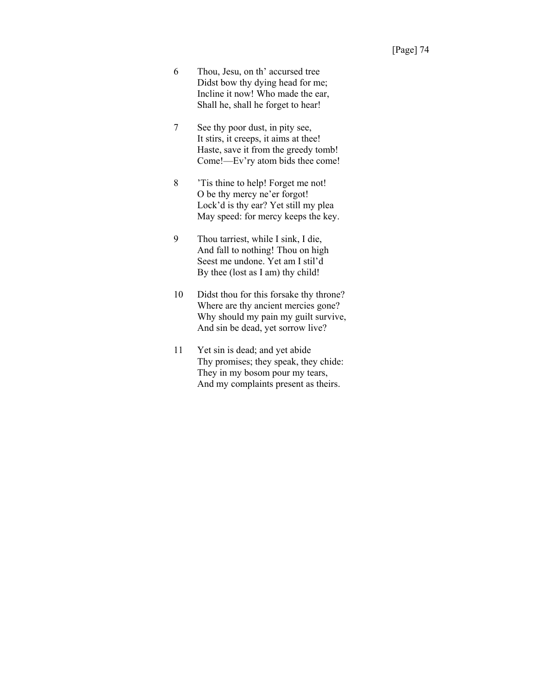- 6 Thou, Jesu, on th' accursed tree Didst bow thy dying head for me; Incline it now! Who made the ear, Shall he, shall he forget to hear!
- 7 See thy poor dust, in pity see, It stirs, it creeps, it aims at thee! Haste, save it from the greedy tomb! Come!—Ev'ry atom bids thee come!
- 8 'Tis thine to help! Forget me not! O be thy mercy ne'er forgot! Lock'd is thy ear? Yet still my plea May speed: for mercy keeps the key.
- 9 Thou tarriest, while I sink, I die, And fall to nothing! Thou on high Seest me undone. Yet am I stil'd By thee (lost as I am) thy child!
- 10 Didst thou for this forsake thy throne? Where are thy ancient mercies gone? Why should my pain my guilt survive, And sin be dead, yet sorrow live?
- 11 Yet sin is dead; and yet abide Thy promises; they speak, they chide: They in my bosom pour my tears, And my complaints present as theirs.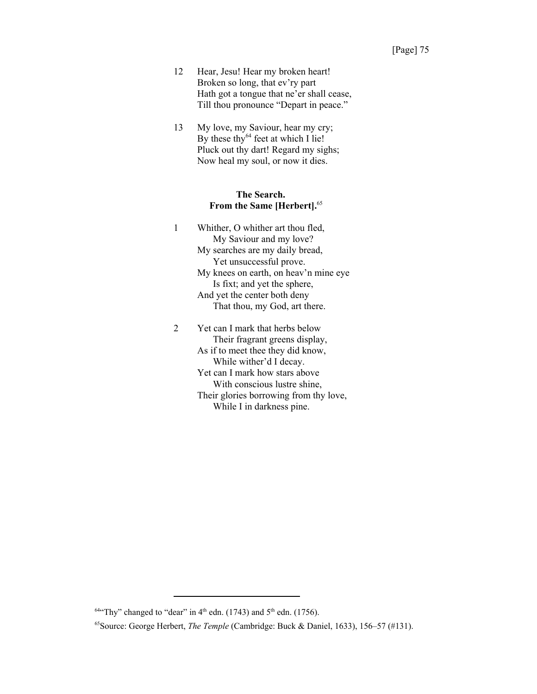- 12 Hear, Jesu! Hear my broken heart! Broken so long, that ev'ry part Hath got a tongue that ne'er shall cease, Till thou pronounce "Depart in peace."
- 13 My love, my Saviour, hear my cry; By these thy $^{64}$  feet at which I lie! Pluck out thy dart! Regard my sighs; Now heal my soul, or now it dies.

#### **The Search. From the Same [Herbert].**<sup>65</sup>

- 1 Whither, O whither art thou fled, My Saviour and my love? My searches are my daily bread, Yet unsuccessful prove. My knees on earth, on heav'n mine eye Is fixt; and yet the sphere, And yet the center both deny That thou, my God, art there. 2 Yet can I mark that herbs below Their fragrant greens display,
	- As if to meet thee they did know, While wither'd I decay. Yet can I mark how stars above With conscious lustre shine, Their glories borrowing from thy love, While I in darkness pine.

 $64$ <sup>4</sup> Thy" changed to "dear" in 4<sup>th</sup> edn. (1743) and 5<sup>th</sup> edn. (1756).

<sup>65</sup>Source: George Herbert, *The Temple* (Cambridge: Buck & Daniel, 1633), 156–57 (#131).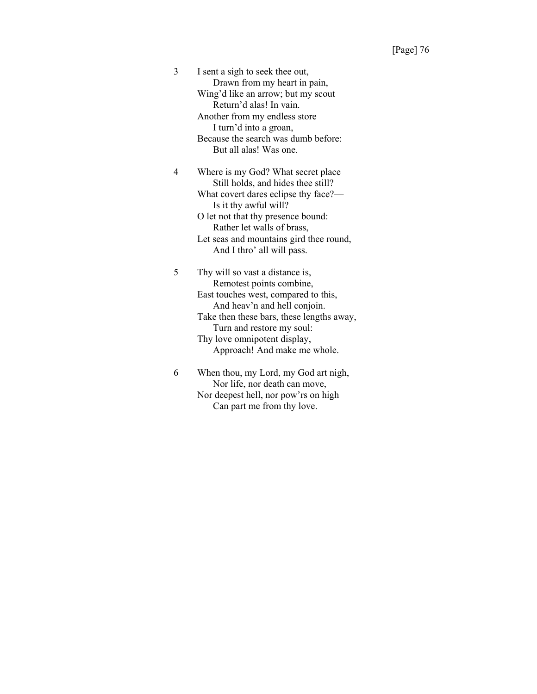3 I sent a sigh to seek thee out, Drawn from my heart in pain, Wing'd like an arrow; but my scout Return'd alas! In vain. Another from my endless store I turn'd into a groan, Because the search was dumb before: But all alas! Was one.

4 Where is my God? What secret place Still holds, and hides thee still? What covert dares eclipse thy face?— Is it thy awful will? O let not that thy presence bound: Rather let walls of brass, Let seas and mountains gird thee round, And I thro' all will pass.

5 Thy will so vast a distance is, Remotest points combine, East touches west, compared to this, And heav'n and hell conjoin. Take then these bars, these lengths away, Turn and restore my soul: Thy love omnipotent display, Approach! And make me whole.

6 When thou, my Lord, my God art nigh, Nor life, nor death can move, Nor deepest hell, nor pow'rs on high Can part me from thy love.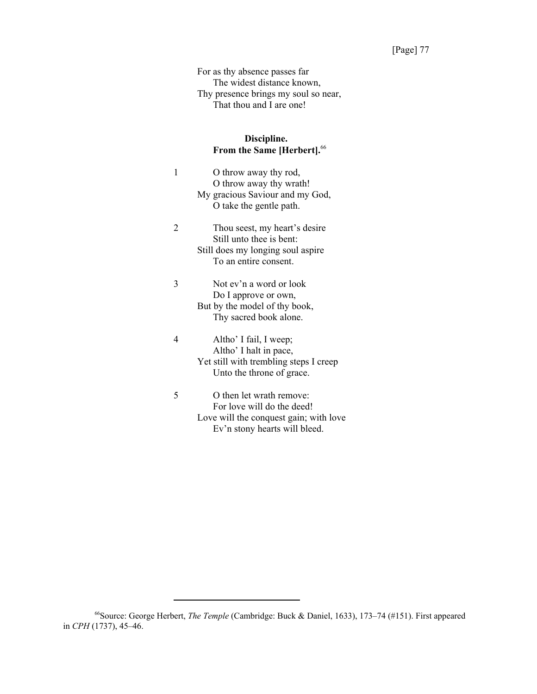For as thy absence passes far The widest distance known, Thy presence brings my soul so near, That thou and I are one!

## **Discipline. From the Same [Herbert].**<sup>66</sup>

| 1 | O throw away thy rod,<br>O throw away thy wrath!<br>My gracious Saviour and my God,<br>O take the gentle path.                    |
|---|-----------------------------------------------------------------------------------------------------------------------------------|
| 2 | Thou seest, my heart's desire<br>Still unto thee is bent:<br>Still does my longing soul aspire<br>To an entire consent.           |
| 3 | Not ev'n a word or look<br>Do I approve or own,<br>But by the model of thy book,<br>Thy sacred book alone.                        |
| 4 | Altho' I fail, I weep;<br>Altho' I halt in pace,<br>Yet still with trembling steps I creep<br>Unto the throne of grace.           |
| 5 | O then let wrath remove:<br>For love will do the deed!<br>Love will the conquest gain; with love<br>Ev'n stony hearts will bleed. |

<sup>66</sup>Source: George Herbert, *The Temple* (Cambridge: Buck & Daniel, 1633), 173–74 (#151). First appeared in *CPH* (1737), 45–46.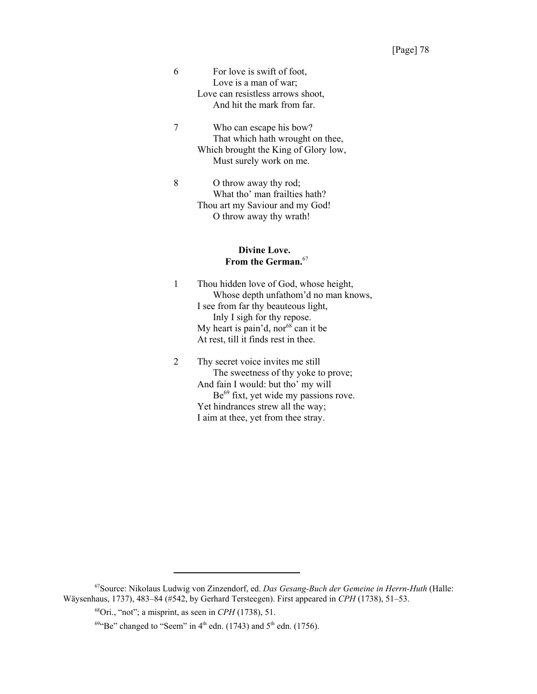6 For love is swift of foot, Love is a man of war; Love can resistless arrows shoot, And hit the mark from far.

7 Who can escape his bow? That which hath wrought on thee, Which brought the King of Glory low, Must surely work on me.

8 O throw away thy rod; What tho' man frailties hath? Thou art my Saviour and my God! O throw away thy wrath!

#### **Divine Love. From the German.**<sup>67</sup>

1 Thou hidden love of God, whose height, Whose depth unfathom'd no man knows, I see from far thy beauteous light, Inly I sigh for thy repose. My heart is pain'd, nor  $68$  can it be At rest, till it finds rest in thee.

2 Thy secret voice invites me still The sweetness of thy yoke to prove; And fain I would: but tho' my will Be<sup>69</sup> fixt, yet wide my passions rove. Yet hindrances strew all the way; I aim at thee, yet from thee stray.

<sup>67</sup>Source: Nikolaus Ludwig von Zinzendorf, ed. *Das Gesang-Buch der Gemeine in Herrn-Huth* (Halle: Wäysenhaus, 1737), 483–84 (#542, by Gerhard Tersteegen). First appeared in *CPH* (1738), 51–53.

<sup>68</sup>Ori., "not"; a misprint, as seen in *CPH* (1738), 51.

 $69$ <sup>4</sup> Be" changed to "Seem" in 4<sup>th</sup> edn. (1743) and 5<sup>th</sup> edn. (1756).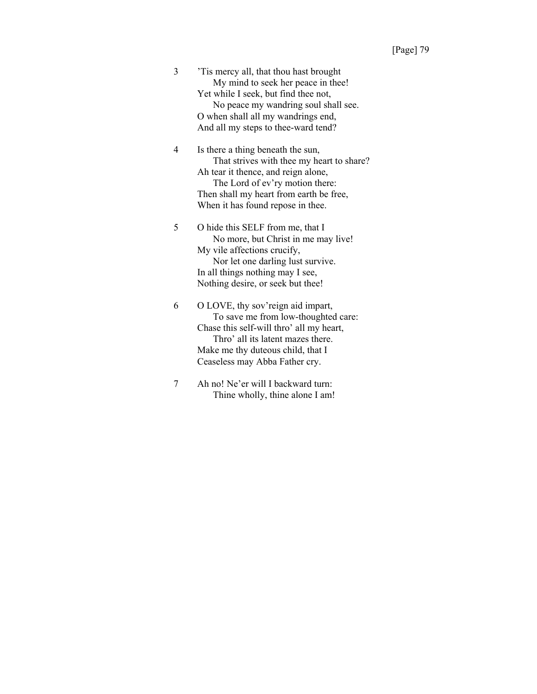3 'Tis mercy all, that thou hast brought My mind to seek her peace in thee! Yet while I seek, but find thee not, No peace my wandring soul shall see. O when shall all my wandrings end, And all my steps to thee-ward tend?

4 Is there a thing beneath the sun, That strives with thee my heart to share? Ah tear it thence, and reign alone, The Lord of ev'ry motion there: Then shall my heart from earth be free, When it has found repose in thee.

5 O hide this SELF from me, that I No more, but Christ in me may live! My vile affections crucify, Nor let one darling lust survive. In all things nothing may I see, Nothing desire, or seek but thee!

6 O LOVE, thy sov'reign aid impart, To save me from low-thoughted care: Chase this self-will thro' all my heart, Thro' all its latent mazes there. Make me thy duteous child, that I Ceaseless may Abba Father cry.

7 Ah no! Ne'er will I backward turn: Thine wholly, thine alone I am!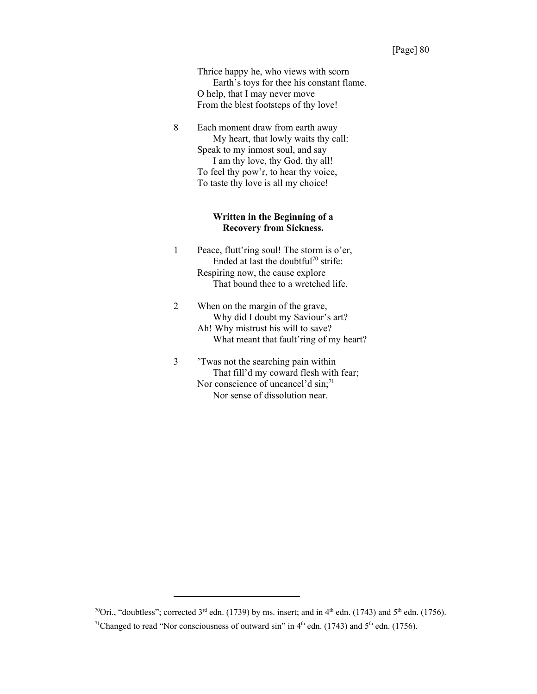Thrice happy he, who views with scorn Earth's toys for thee his constant flame. O help, that I may never move From the blest footsteps of thy love!

8 Each moment draw from earth away My heart, that lowly waits thy call: Speak to my inmost soul, and say I am thy love, thy God, thy all! To feel thy pow'r, to hear thy voice, To taste thy love is all my choice!

#### **Written in the Beginning of a Recovery from Sickness.**

- 1 Peace, flutt'ring soul! The storm is o'er, Ended at last the doubtful<sup>70</sup> strife: Respiring now, the cause explore That bound thee to a wretched life.
- 2 When on the margin of the grave, Why did I doubt my Saviour's art? Ah! Why mistrust his will to save? What meant that fault'ring of my heart?
- 3 'Twas not the searching pain within That fill'd my coward flesh with fear; Nor conscience of uncancel'd  $\sin$ ;<sup>71</sup> Nor sense of dissolution near.

<sup>&</sup>lt;sup>70</sup>Ori., "doubtless"; corrected 3<sup>rd</sup> edn. (1739) by ms. insert; and in 4<sup>th</sup> edn. (1743) and 5<sup>th</sup> edn. (1756).

<sup>&</sup>lt;sup>71</sup>Changed to read "Nor consciousness of outward sin" in  $4<sup>th</sup>$  edn. (1743) and  $5<sup>th</sup>$  edn. (1756).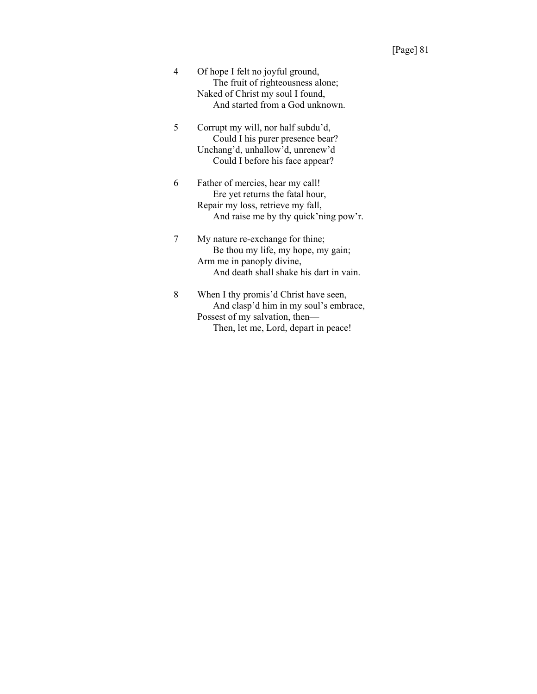- 4 Of hope I felt no joyful ground, The fruit of righteousness alone; Naked of Christ my soul I found, And started from a God unknown.
- 5 Corrupt my will, nor half subdu'd, Could I his purer presence bear? Unchang'd, unhallow'd, unrenew'd Could I before his face appear?
- 6 Father of mercies, hear my call! Ere yet returns the fatal hour, Repair my loss, retrieve my fall, And raise me by thy quick'ning pow'r.
- 7 My nature re-exchange for thine; Be thou my life, my hope, my gain; Arm me in panoply divine, And death shall shake his dart in vain.
- 8 When I thy promis'd Christ have seen, And clasp'd him in my soul's embrace, Possest of my salvation, then— Then, let me, Lord, depart in peace!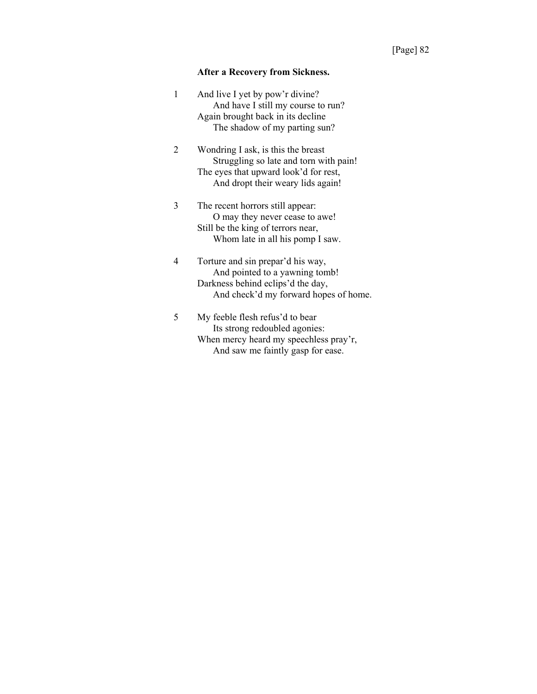#### **After a Recovery from Sickness.**

| 1 | And live I yet by pow'r divine?    |
|---|------------------------------------|
|   | And have I still my course to run? |
|   | Again brought back in its decline  |
|   | The shadow of my parting sun?      |

2 Wondring I ask, is this the breast Struggling so late and torn with pain! The eyes that upward look'd for rest, And dropt their weary lids again!

3 The recent horrors still appear: O may they never cease to awe! Still be the king of terrors near, Whom late in all his pomp I saw.

4 Torture and sin prepar'd his way, And pointed to a yawning tomb! Darkness behind eclips'd the day, And check'd my forward hopes of home.

5 My feeble flesh refus'd to bear Its strong redoubled agonies: When mercy heard my speechless pray'r, And saw me faintly gasp for ease.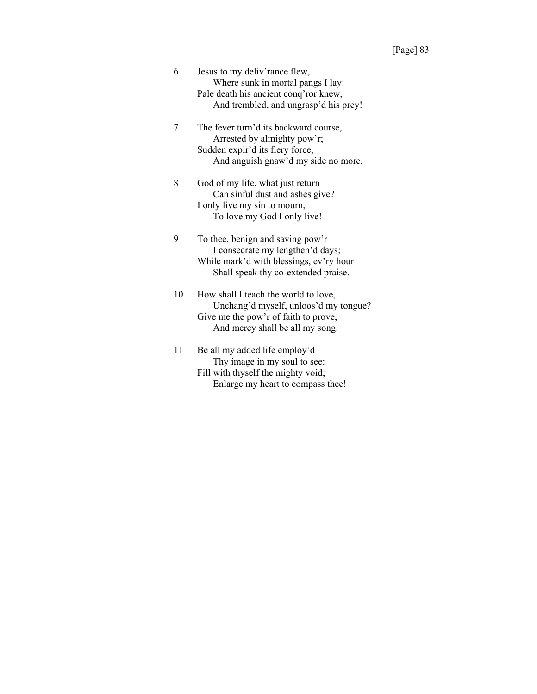- 6 Jesus to my deliv'rance flew, Where sunk in mortal pangs I lay: Pale death his ancient conq'ror knew, And trembled, and ungrasp'd his prey!
- 7 The fever turn'd its backward course, Arrested by almighty pow'r; Sudden expir'd its fiery force, And anguish gnaw'd my side no more.
- 8 God of my life, what just return Can sinful dust and ashes give? I only live my sin to mourn, To love my God I only live!
- 9 To thee, benign and saving pow'r I consecrate my lengthen'd days; While mark'd with blessings, ev'ry hour Shall speak thy co-extended praise.
- 10 How shall I teach the world to love, Unchang'd myself, unloos'd my tongue? Give me the pow'r of faith to prove, And mercy shall be all my song.
- 11 Be all my added life employ'd Thy image in my soul to see: Fill with thyself the mighty void; Enlarge my heart to compass thee!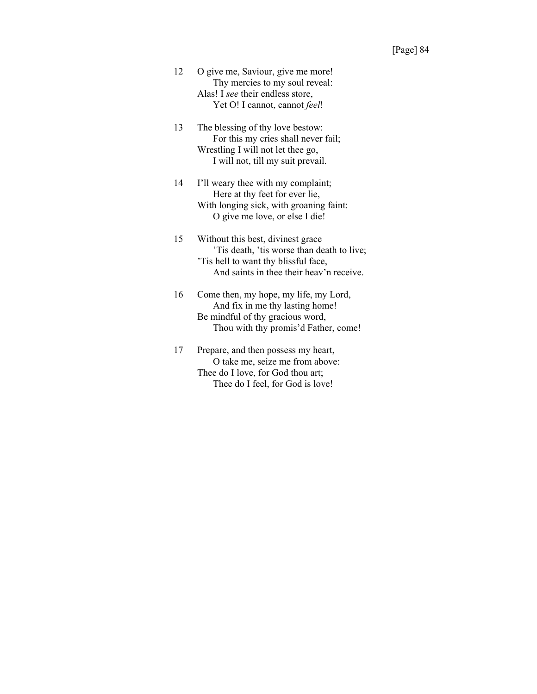- 12 O give me, Saviour, give me more! Thy mercies to my soul reveal: Alas! I *see* their endless store, Yet O! I cannot, cannot *feel*!
- 13 The blessing of thy love bestow: For this my cries shall never fail; Wrestling I will not let thee go, I will not, till my suit prevail.
- 14 I'll weary thee with my complaint; Here at thy feet for ever lie, With longing sick, with groaning faint: O give me love, or else I die!
- 15 Without this best, divinest grace 'Tis death, 'tis worse than death to live; 'Tis hell to want thy blissful face, And saints in thee their heav'n receive.
- 16 Come then, my hope, my life, my Lord, And fix in me thy lasting home! Be mindful of thy gracious word, Thou with thy promis'd Father, come!
- 17 Prepare, and then possess my heart, O take me, seize me from above: Thee do I love, for God thou art; Thee do I feel, for God is love!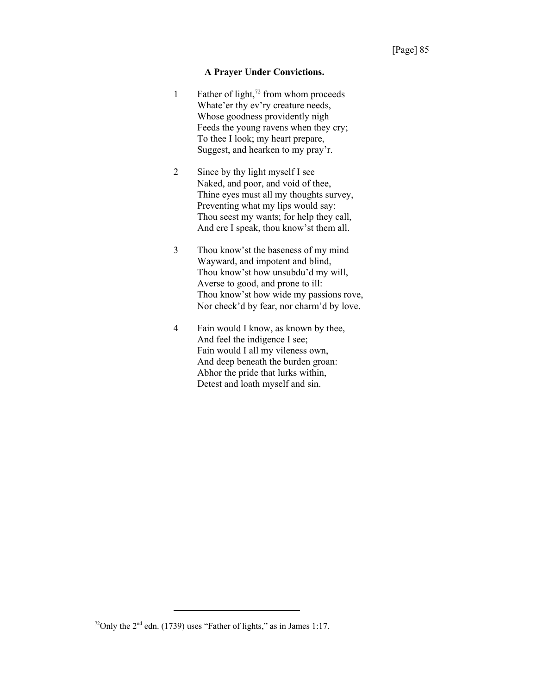#### **A Prayer Under Convictions.**

- 1 Father of light, $72$  from whom proceeds Whate'er thy ev'ry creature needs, Whose goodness providently nigh Feeds the young ravens when they cry; To thee I look; my heart prepare, Suggest, and hearken to my pray'r.
- 2 Since by thy light myself I see Naked, and poor, and void of thee, Thine eyes must all my thoughts survey, Preventing what my lips would say: Thou seest my wants; for help they call, And ere I speak, thou know'st them all.
- 3 Thou know'st the baseness of my mind Wayward, and impotent and blind, Thou know'st how unsubdu'd my will, Averse to good, and prone to ill: Thou know'st how wide my passions rove, Nor check'd by fear, nor charm'd by love.
- 4 Fain would I know, as known by thee, And feel the indigence I see; Fain would I all my vileness own, And deep beneath the burden groan: Abhor the pride that lurks within, Detest and loath myself and sin.

<sup>&</sup>lt;sup>72</sup>Only the  $2<sup>nd</sup>$  edn. (1739) uses "Father of lights," as in James 1:17.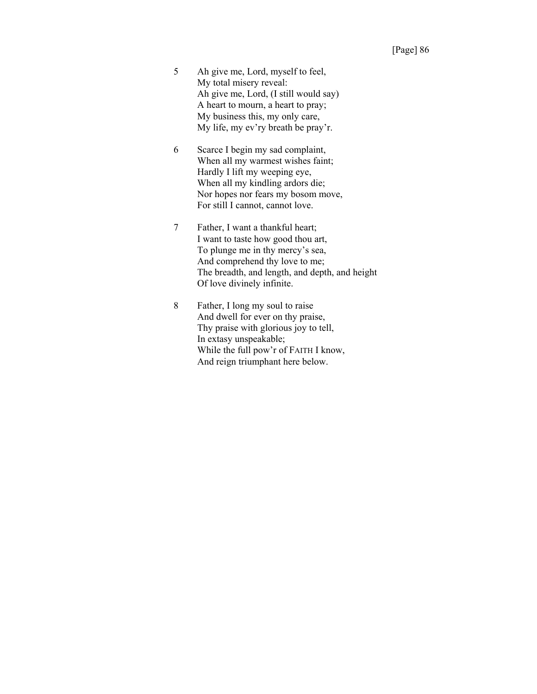- 5 Ah give me, Lord, myself to feel, My total misery reveal: Ah give me, Lord, (I still would say) A heart to mourn, a heart to pray; My business this, my only care, My life, my ev'ry breath be pray'r.
- 6 Scarce I begin my sad complaint, When all my warmest wishes faint; Hardly I lift my weeping eye, When all my kindling ardors die; Nor hopes nor fears my bosom move, For still I cannot, cannot love.
- 7 Father, I want a thankful heart; I want to taste how good thou art, To plunge me in thy mercy's sea, And comprehend thy love to me; The breadth, and length, and depth, and height Of love divinely infinite.
- 8 Father, I long my soul to raise And dwell for ever on thy praise, Thy praise with glorious joy to tell, In extasy unspeakable; While the full pow'r of FAITH I know, And reign triumphant here below.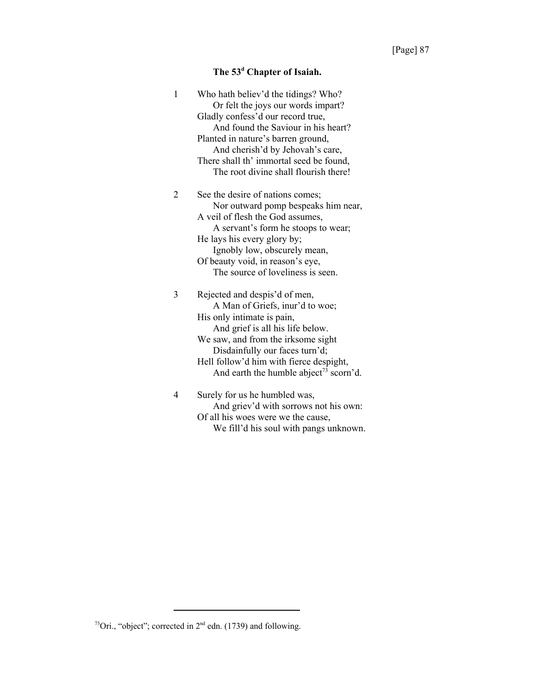#### **The 53d Chapter of Isaiah.**

| 1 | Who hath believ'd the tidings? Who?<br>Or felt the joys our words impart?                                                                                                                                                                                                                                                                                 |
|---|-----------------------------------------------------------------------------------------------------------------------------------------------------------------------------------------------------------------------------------------------------------------------------------------------------------------------------------------------------------|
|   | Gladly confess'd our record true,                                                                                                                                                                                                                                                                                                                         |
|   | And found the Saviour in his heart?                                                                                                                                                                                                                                                                                                                       |
|   | Planted in nature's barren ground,                                                                                                                                                                                                                                                                                                                        |
|   | And cherish'd by Jehovah's care,                                                                                                                                                                                                                                                                                                                          |
|   | There shall th' immortal seed be found,                                                                                                                                                                                                                                                                                                                   |
|   | The root divine shall flourish there!                                                                                                                                                                                                                                                                                                                     |
| 2 | See the desire of nations comes;                                                                                                                                                                                                                                                                                                                          |
|   | Nor outward pomp bespeaks him near,                                                                                                                                                                                                                                                                                                                       |
|   | A veil of flesh the God assumes,                                                                                                                                                                                                                                                                                                                          |
|   | A servant's form he stoops to wear;                                                                                                                                                                                                                                                                                                                       |
|   | He lays his every glory by;                                                                                                                                                                                                                                                                                                                               |
|   | Ignobly low, obscurely mean,                                                                                                                                                                                                                                                                                                                              |
|   | Of beauty void, in reason's eye,                                                                                                                                                                                                                                                                                                                          |
|   | The source of loveliness is seen.                                                                                                                                                                                                                                                                                                                         |
| 3 | Rejected and despis'd of men,                                                                                                                                                                                                                                                                                                                             |
|   | A Man of Griefs, inur'd to woe;                                                                                                                                                                                                                                                                                                                           |
|   | His only intimate is pain,                                                                                                                                                                                                                                                                                                                                |
|   | And grief is all his life below.                                                                                                                                                                                                                                                                                                                          |
|   | We saw, and from the irksome sight                                                                                                                                                                                                                                                                                                                        |
|   | Disdainfully our faces turn'd;                                                                                                                                                                                                                                                                                                                            |
|   | Hell follow'd him with fierce despight,                                                                                                                                                                                                                                                                                                                   |
|   | And earth the humble abject <sup>73</sup> scorn'd.                                                                                                                                                                                                                                                                                                        |
| 4 | Surely for us he humbled was,                                                                                                                                                                                                                                                                                                                             |
|   | $\lambda$ and $\lambda$ and $\lambda$ and $\lambda$ and $\lambda$ and $\lambda$ and $\lambda$ and $\lambda$ and $\lambda$ and $\lambda$ and $\lambda$ and $\lambda$ and $\lambda$ and $\lambda$ and $\lambda$ and $\lambda$ and $\lambda$ and $\lambda$ and $\lambda$ and $\lambda$ and $\lambda$ and $\lambda$ and $\lambda$ and $\lambda$ and $\lambda$ |

And griev'd with sorrows not his own: Of all his woes were we the cause, We fill'd his soul with pangs unknown.

<sup>&</sup>lt;sup>73</sup>Ori., "object"; corrected in  $2<sup>nd</sup>$  edn. (1739) and following.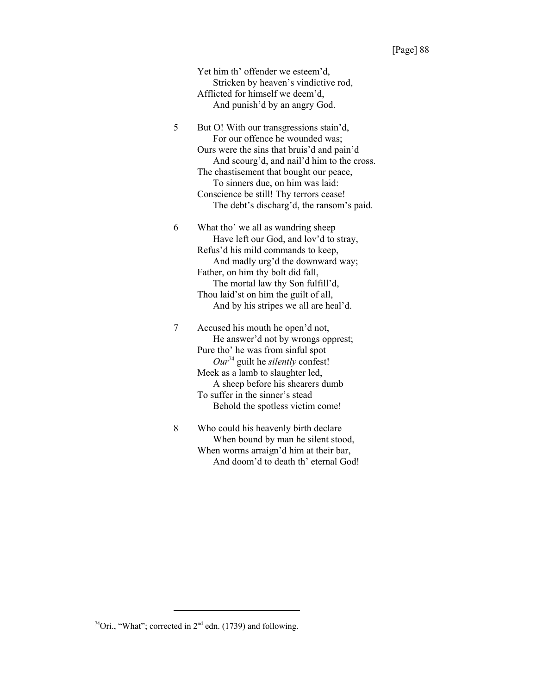#### [Page] 88

Yet him th' offender we esteem'd, Stricken by heaven's vindictive rod, Afflicted for himself we deem'd, And punish'd by an angry God.

5 But O! With our transgressions stain'd, For our offence he wounded was; Ours were the sins that bruis'd and pain'd And scourg'd, and nail'd him to the cross. The chastisement that bought our peace, To sinners due, on him was laid: Conscience be still! Thy terrors cease! The debt's discharg'd, the ransom's paid.

6 What tho' we all as wandring sheep Have left our God, and lov'd to stray, Refus'd his mild commands to keep, And madly urg'd the downward way; Father, on him thy bolt did fall, The mortal law thy Son fulfill'd, Thou laid'st on him the guilt of all, And by his stripes we all are heal'd.

7 Accused his mouth he open'd not, He answer'd not by wrongs opprest; Pure tho' he was from sinful spot *Our*74 guilt he *silently* confest! Meek as a lamb to slaughter led, A sheep before his shearers dumb To suffer in the sinner's stead Behold the spotless victim come!

8 Who could his heavenly birth declare When bound by man he silent stood, When worms arraign'd him at their bar, And doom'd to death th' eternal God!

<sup>&</sup>lt;sup>74</sup>Ori., "What"; corrected in  $2<sup>nd</sup>$  edn. (1739) and following.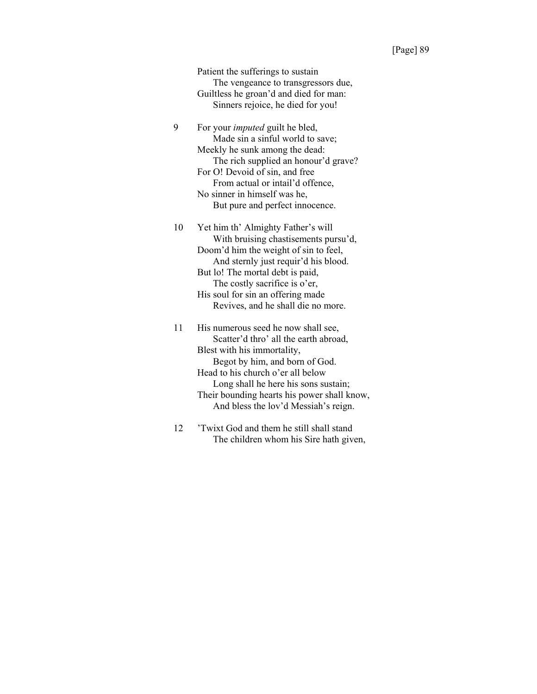Patient the sufferings to sustain The vengeance to transgressors due, Guiltless he groan'd and died for man: Sinners rejoice, he died for you!

9 For your *imputed* guilt he bled, Made sin a sinful world to save; Meekly he sunk among the dead: The rich supplied an honour'd grave? For O! Devoid of sin, and free From actual or intail'd offence, No sinner in himself was he, But pure and perfect innocence.

10 Yet him th' Almighty Father's will With bruising chastisements pursu'd, Doom'd him the weight of sin to feel, And sternly just requir'd his blood. But lo! The mortal debt is paid, The costly sacrifice is o'er, His soul for sin an offering made Revives, and he shall die no more.

11 His numerous seed he now shall see, Scatter'd thro' all the earth abroad, Blest with his immortality, Begot by him, and born of God. Head to his church o'er all below Long shall he here his sons sustain; Their bounding hearts his power shall know, And bless the lov'd Messiah's reign.

12 'Twixt God and them he still shall stand The children whom his Sire hath given,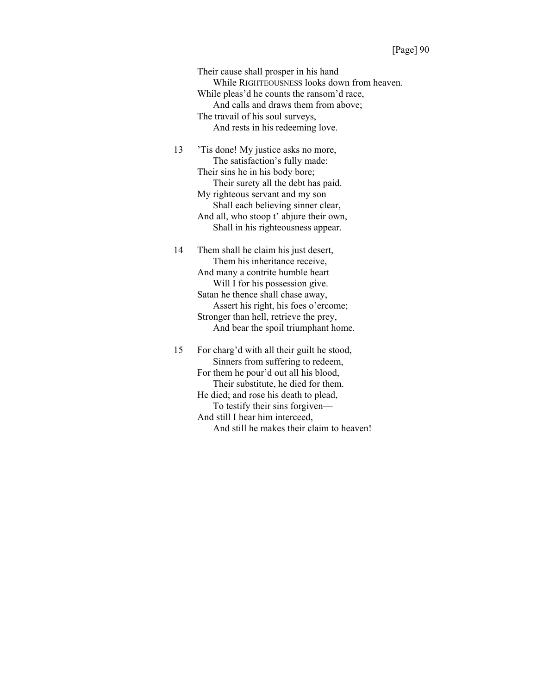Their cause shall prosper in his hand While RIGHTEOUSNESS looks down from heaven. While pleas'd he counts the ransom'd race, And calls and draws them from above; The travail of his soul surveys, And rests in his redeeming love.

13 'Tis done! My justice asks no more, The satisfaction's fully made: Their sins he in his body bore; Their surety all the debt has paid. My righteous servant and my son Shall each believing sinner clear, And all, who stoop t' abjure their own, Shall in his righteousness appear.

14 Them shall he claim his just desert, Them his inheritance receive, And many a contrite humble heart Will I for his possession give. Satan he thence shall chase away, Assert his right, his foes o'ercome; Stronger than hell, retrieve the prey, And bear the spoil triumphant home.

15 For charg'd with all their guilt he stood, Sinners from suffering to redeem, For them he pour'd out all his blood, Their substitute, he died for them. He died; and rose his death to plead, To testify their sins forgiven— And still I hear him interceed, And still he makes their claim to heaven!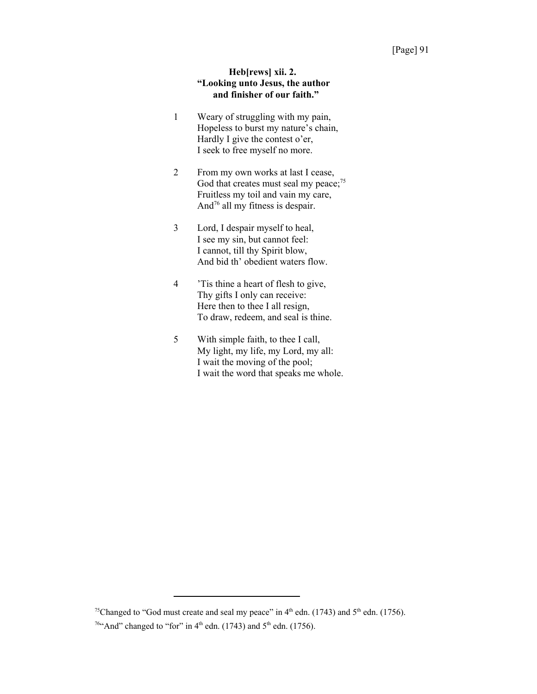### **Heb[rews] xii. 2. "Looking unto Jesus, the author and finisher of our faith."**

- 1 Weary of struggling with my pain, Hopeless to burst my nature's chain, Hardly I give the contest o'er, I seek to free myself no more.
- 2 From my own works at last I cease, God that creates must seal my peace;<sup>75</sup> Fruitless my toil and vain my care, And76 all my fitness is despair.
- 3 Lord, I despair myself to heal, I see my sin, but cannot feel: I cannot, till thy Spirit blow, And bid th' obedient waters flow.
- 4 'Tis thine a heart of flesh to give, Thy gifts I only can receive: Here then to thee I all resign, To draw, redeem, and seal is thine.
- 5 With simple faith, to thee I call, My light, my life, my Lord, my all: I wait the moving of the pool; I wait the word that speaks me whole.

<sup>&</sup>lt;sup>75</sup>Changed to "God must create and seal my peace" in  $4<sup>th</sup>$  edn. (1743) and  $5<sup>th</sup>$  edn. (1756).

 $764$ And" changed to "for" in 4<sup>th</sup> edn. (1743) and 5<sup>th</sup> edn. (1756).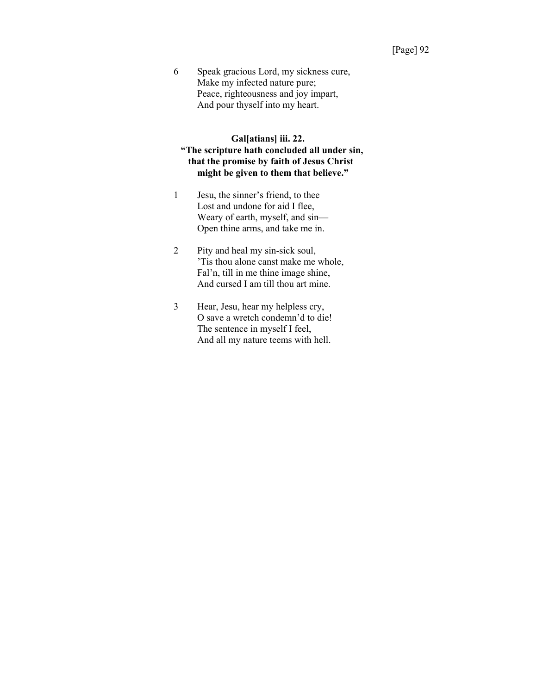6 Speak gracious Lord, my sickness cure, Make my infected nature pure; Peace, righteousness and joy impart, And pour thyself into my heart.

### **Gal[atians] iii. 22. "The scripture hath concluded all under sin, that the promise by faith of Jesus Christ might be given to them that believe."**

- 1 Jesu, the sinner's friend, to thee Lost and undone for aid I flee, Weary of earth, myself, and sin— Open thine arms, and take me in.
- 2 Pity and heal my sin-sick soul, 'Tis thou alone canst make me whole, Fal'n, till in me thine image shine, And cursed I am till thou art mine.
- 3 Hear, Jesu, hear my helpless cry, O save a wretch condemn'd to die! The sentence in myself I feel, And all my nature teems with hell.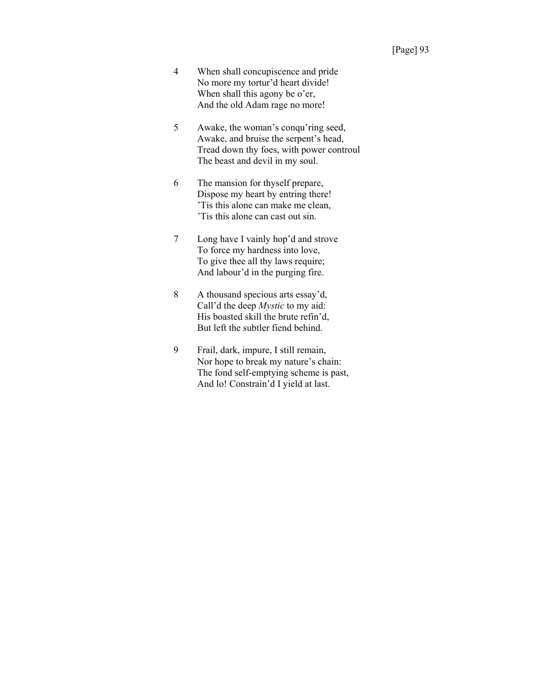- 4 When shall concupiscence and pride No more my tortur'd heart divide! When shall this agony be o'er, And the old Adam rage no more!
- 5 Awake, the woman's conqu'ring seed, Awake, and bruise the serpent's head, Tread down thy foes, with power controul The beast and devil in my soul.
- 6 The mansion for thyself prepare, Dispose my heart by entring there! 'Tis this alone can make me clean, 'Tis this alone can cast out sin.
- 7 Long have I vainly hop'd and strove To force my hardness into love, To give thee all thy laws require; And labour'd in the purging fire.
- 8 A thousand specious arts essay'd, Call'd the deep *Mystic* to my aid: His boasted skill the brute refin'd, But left the subtler fiend behind.
- 9 Frail, dark, impure, I still remain, Nor hope to break my nature's chain: The fond self-emptying scheme is past, And lo! Constrain'd I yield at last.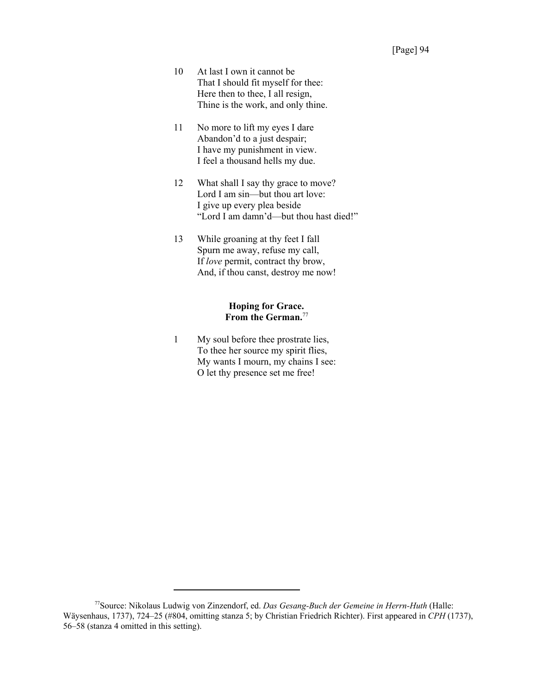- 10 At last I own it cannot be That I should fit myself for thee: Here then to thee, I all resign, Thine is the work, and only thine.
- 11 No more to lift my eyes I dare Abandon'd to a just despair; I have my punishment in view. I feel a thousand hells my due.
- 12 What shall I say thy grace to move? Lord I am sin—but thou art love: I give up every plea beside "Lord I am damn'd—but thou hast died!"
- 13 While groaning at thy feet I fall Spurn me away, refuse my call, If *love* permit, contract thy brow, And, if thou canst, destroy me now!

### **Hoping for Grace. From the German.**<sup>77</sup>

1 My soul before thee prostrate lies, To thee her source my spirit flies, My wants I mourn, my chains I see: O let thy presence set me free!

<sup>77</sup>Source: Nikolaus Ludwig von Zinzendorf, ed. *Das Gesang-Buch der Gemeine in Herrn-Huth* (Halle: Wäysenhaus, 1737), 724–25 (#804, omitting stanza 5; by Christian Friedrich Richter). First appeared in *CPH* (1737), 56–58 (stanza 4 omitted in this setting).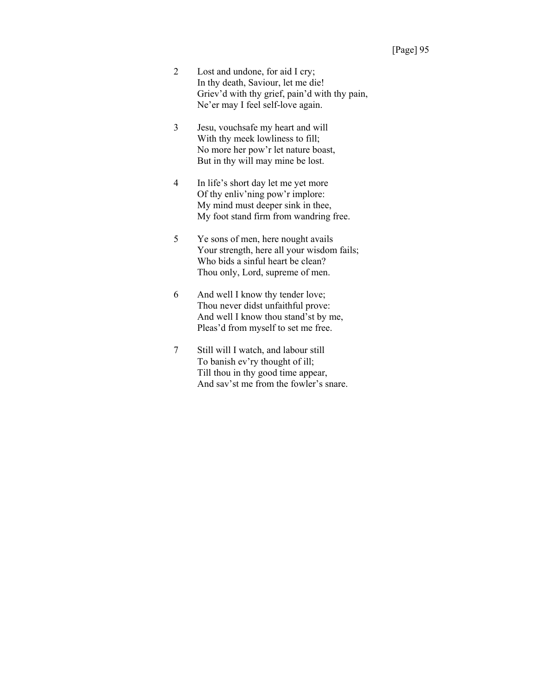- 2 Lost and undone, for aid I cry; In thy death, Saviour, let me die! Griev'd with thy grief, pain'd with thy pain, Ne'er may I feel self-love again.
- 3 Jesu, vouchsafe my heart and will With thy meek lowliness to fill; No more her pow'r let nature boast, But in thy will may mine be lost.
- 4 In life's short day let me yet more Of thy enliv'ning pow'r implore: My mind must deeper sink in thee, My foot stand firm from wandring free.
- 5 Ye sons of men, here nought avails Your strength, here all your wisdom fails; Who bids a sinful heart be clean? Thou only, Lord, supreme of men.
- 6 And well I know thy tender love; Thou never didst unfaithful prove: And well I know thou stand'st by me, Pleas'd from myself to set me free.
- 7 Still will I watch, and labour still To banish ev'ry thought of ill; Till thou in thy good time appear, And sav'st me from the fowler's snare.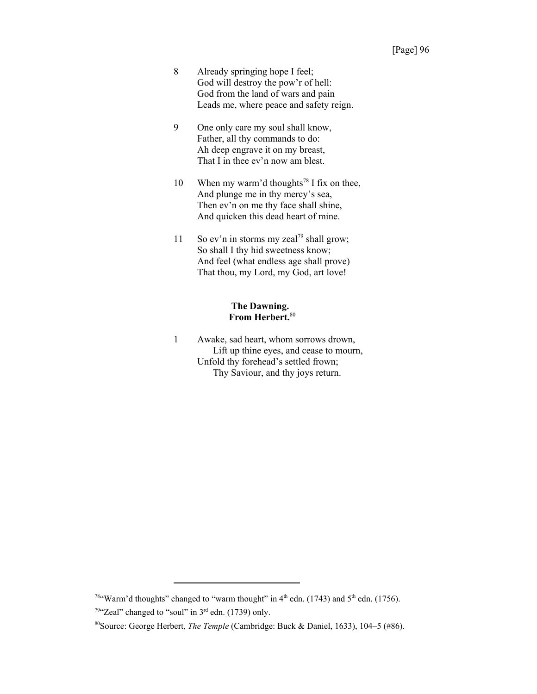- 8 Already springing hope I feel; God will destroy the pow'r of hell: God from the land of wars and pain Leads me, where peace and safety reign.
- 9 One only care my soul shall know, Father, all thy commands to do: Ah deep engrave it on my breast, That I in thee ev'n now am blest.
- 10 When my warm'd thoughts<sup>78</sup> I fix on thee, And plunge me in thy mercy's sea, Then ev'n on me thy face shall shine, And quicken this dead heart of mine.
- 11 So ev'n in storms my zeal<sup>79</sup> shall grow; So shall I thy hid sweetness know; And feel (what endless age shall prove) That thou, my Lord, my God, art love!

# **The Dawning. From Herbert.**<sup>80</sup>

1 Awake, sad heart, whom sorrows drown, Lift up thine eyes, and cease to mourn, Unfold thy forehead's settled frown; Thy Saviour, and thy joys return.

<sup>&</sup>lt;sup>78"</sup>Warm'd thoughts" changed to "warm thought" in  $4<sup>th</sup>$  edn. (1743) and  $5<sup>th</sup>$  edn. (1756).  $79$ "Zeal" changed to "soul" in  $3<sup>rd</sup>$  edn. (1739) only.

<sup>80</sup>Source: George Herbert, *The Temple* (Cambridge: Buck & Daniel, 1633), 104–5 (#86).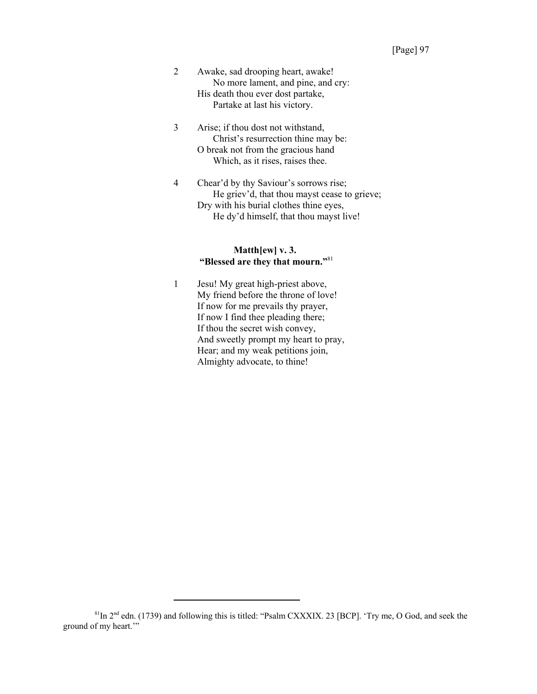- 2 Awake, sad drooping heart, awake! No more lament, and pine, and cry: His death thou ever dost partake, Partake at last his victory.
- 3 Arise; if thou dost not withstand, Christ's resurrection thine may be: O break not from the gracious hand Which, as it rises, raises thee.
- 4 Chear'd by thy Saviour's sorrows rise; He griev'd, that thou mayst cease to grieve; Dry with his burial clothes thine eyes, He dy'd himself, that thou mayst live!

## **Matth[ew] v. 3. "Blessed are they that mourn."**<sup>81</sup>

1 Jesu! My great high-priest above, My friend before the throne of love! If now for me prevails thy prayer, If now I find thee pleading there; If thou the secret wish convey, And sweetly prompt my heart to pray, Hear; and my weak petitions join, Almighty advocate, to thine!

<sup>81</sup>In 2nd edn. (1739) and following this is titled: "Psalm CXXXIX. 23 [BCP]. 'Try me, O God, and seek the ground of my heart."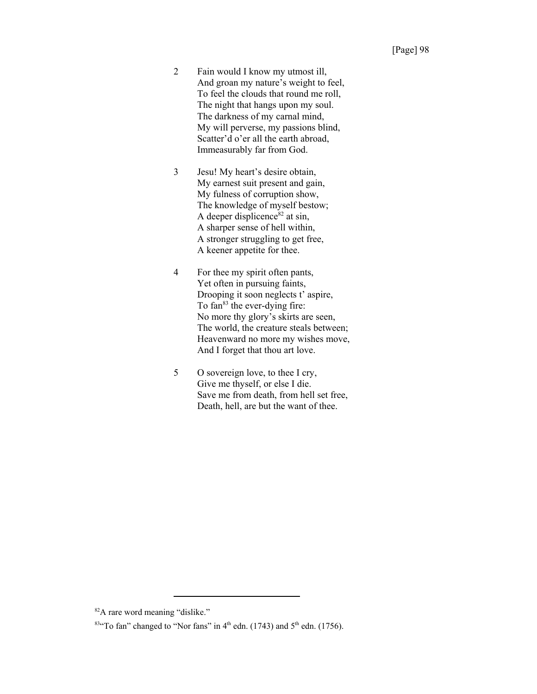- 2 Fain would I know my utmost ill, And groan my nature's weight to feel, To feel the clouds that round me roll, The night that hangs upon my soul. The darkness of my carnal mind, My will perverse, my passions blind, Scatter'd o'er all the earth abroad, Immeasurably far from God.
- 3 Jesu! My heart's desire obtain, My earnest suit present and gain, My fulness of corruption show, The knowledge of myself bestow; A deeper displicence<sup>82</sup> at sin, A sharper sense of hell within, A stronger struggling to get free, A keener appetite for thee.
- 4 For thee my spirit often pants, Yet often in pursuing faints, Drooping it soon neglects t' aspire, To  $tan^{83}$  the ever-dying fire: No more thy glory's skirts are seen, The world, the creature steals between; Heavenward no more my wishes move, And I forget that thou art love.
- 5 O sovereign love, to thee I cry, Give me thyself, or else I die. Save me from death, from hell set free, Death, hell, are but the want of thee.

<sup>82</sup>A rare word meaning "dislike."

 $83$ <sup>4</sup>To fan" changed to "Nor fans" in 4<sup>th</sup> edn. (1743) and 5<sup>th</sup> edn. (1756).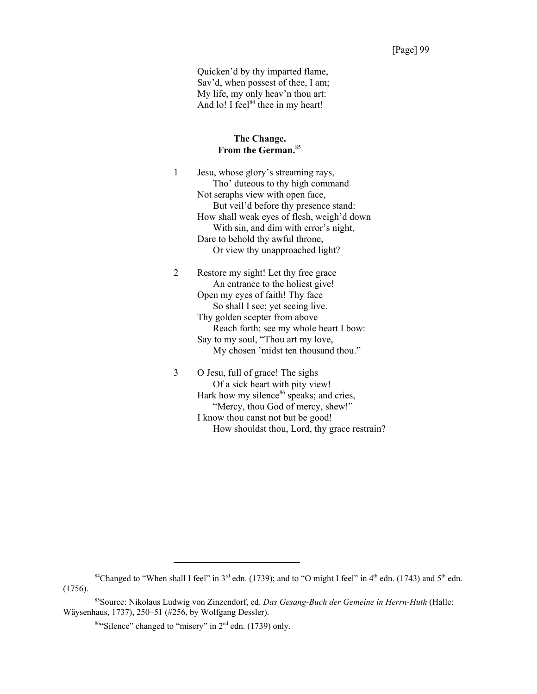Quicken'd by thy imparted flame, Sav'd, when possest of thee, I am; My life, my only heav'n thou art: And lo! I feel $84$  thee in my heart!

#### **The Change. From the German.**<sup>85</sup>

1 Jesu, whose glory's streaming rays, Tho' duteous to thy high command Not seraphs view with open face, But veil'd before thy presence stand: How shall weak eyes of flesh, weigh'd down With sin, and dim with error's night, Dare to behold thy awful throne, Or view thy unapproached light?

2 Restore my sight! Let thy free grace An entrance to the holiest give! Open my eyes of faith! Thy face So shall I see; yet seeing live. Thy golden scepter from above Reach forth: see my whole heart I bow: Say to my soul, "Thou art my love, My chosen 'midst ten thousand thou."

3 O Jesu, full of grace! The sighs Of a sick heart with pity view! Hark how my silence<sup>86</sup> speaks; and cries, "Mercy, thou God of mercy, shew!" I know thou canst not but be good! How shouldst thou, Lord, thy grace restrain?

<sup>&</sup>lt;sup>84</sup>Changed to "When shall I feel" in 3<sup>rd</sup> edn. (1739); and to "O might I feel" in 4<sup>th</sup> edn. (1743) and 5<sup>th</sup> edn. (1756).

<sup>85</sup>Source: Nikolaus Ludwig von Zinzendorf, ed. *Das Gesang-Buch der Gemeine in Herrn-Huth* (Halle: Wäysenhaus, 1737), 250–51 (#256, by Wolfgang Dessler).

<sup>86&</sup>quot;Silence" changed to "misery" in 2nd edn. (1739) only.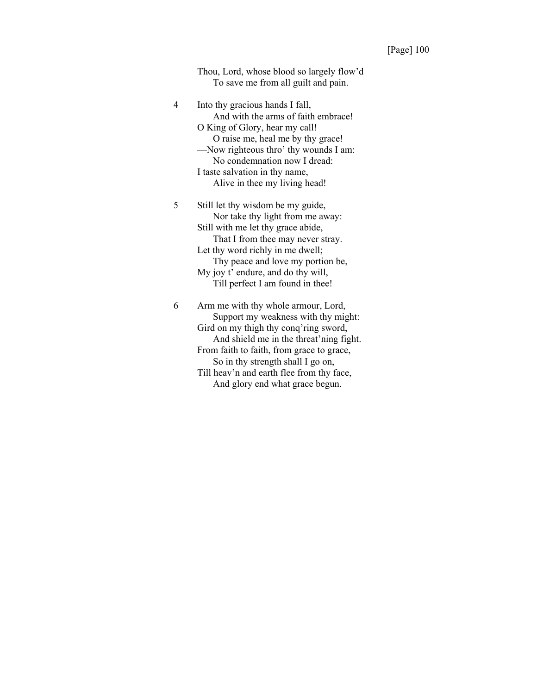Thou, Lord, whose blood so largely flow'd To save me from all guilt and pain.

4 Into thy gracious hands I fall, And with the arms of faith embrace! O King of Glory, hear my call! O raise me, heal me by thy grace! —Now righteous thro' thy wounds I am: No condemnation now I dread: I taste salvation in thy name, Alive in thee my living head! 5 Still let thy wisdom be my guide, Nor take thy light from me away: Still with me let thy grace abide, That I from thee may never stray. Let thy word richly in me dwell; Thy peace and love my portion be, My joy t' endure, and do thy will,

Till perfect I am found in thee! 6 Arm me with thy whole armour, Lord, Support my weakness with thy might: Gird on my thigh thy conq'ring sword, And shield me in the threat'ning fight. From faith to faith, from grace to grace, So in thy strength shall I go on, Till heav'n and earth flee from thy face,

And glory end what grace begun.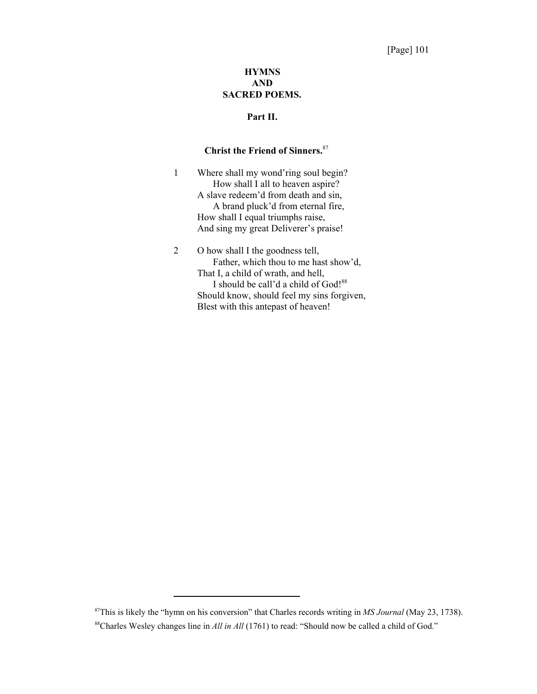# **HYMNS AND SACRED POEMS.**

# **Part II.**

# **Christ the Friend of Sinners.**<sup>87</sup>

1 Where shall my wond'ring soul begin? How shall I all to heaven aspire? A slave redeem'd from death and sin, A brand pluck'd from eternal fire, How shall I equal triumphs raise, And sing my great Deliverer's praise!

# 2 O how shall I the goodness tell, Father, which thou to me hast show'd, That I, a child of wrath, and hell, I should be call'd a child of God!<sup>88</sup> Should know, should feel my sins forgiven, Blest with this antepast of heaven!

<sup>87</sup>This is likely the "hymn on his conversion" that Charles records writing in *MS Journal* (May 23, 1738).

<sup>&</sup>lt;sup>88</sup>Charles Wesley changes line in *All in All* (1761) to read: "Should now be called a child of God."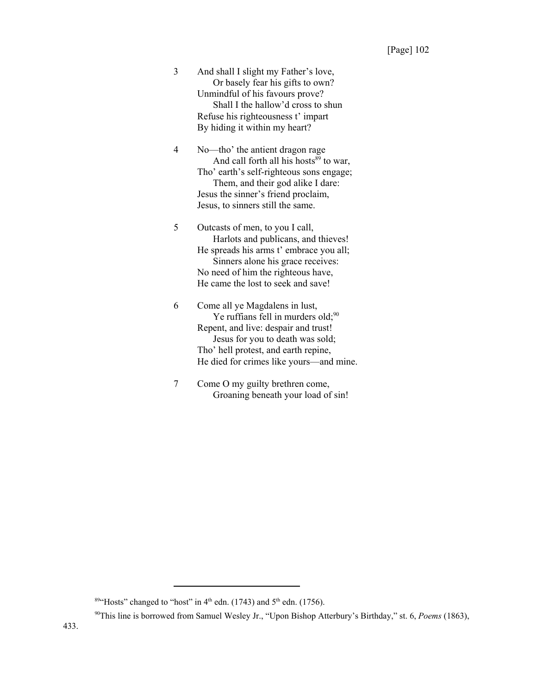3 And shall I slight my Father's love, Or basely fear his gifts to own? Unmindful of his favours prove? Shall I the hallow'd cross to shun Refuse his righteousness t' impart By hiding it within my heart?

4 No—tho' the antient dragon rage And call forth all his hosts $89$  to war, Tho' earth's self-righteous sons engage; Them, and their god alike I dare: Jesus the sinner's friend proclaim, Jesus, to sinners still the same.

5 Outcasts of men, to you I call, Harlots and publicans, and thieves! He spreads his arms t' embrace you all; Sinners alone his grace receives: No need of him the righteous have, He came the lost to seek and save!

6 Come all ye Magdalens in lust, Ye ruffians fell in murders old; $90$ Repent, and live: despair and trust! Jesus for you to death was sold; Tho' hell protest, and earth repine, He died for crimes like yours—and mine.

7 Come O my guilty brethren come, Groaning beneath your load of sin!

<sup>&</sup>lt;sup>89</sup>"Hosts" changed to "host" in  $4<sup>th</sup>$  edn. (1743) and  $5<sup>th</sup>$  edn. (1756).

<sup>90</sup>This line is borrowed from Samuel Wesley Jr., "Upon Bishop Atterbury's Birthday," st. 6, *Poems* (1863),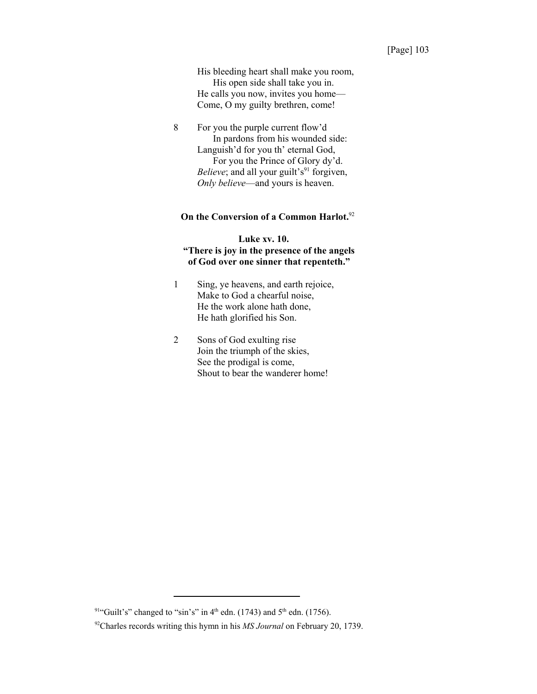## [Page] 103

His bleeding heart shall make you room, His open side shall take you in. He calls you now, invites you home— Come, O my guilty brethren, come!

8 For you the purple current flow'd In pardons from his wounded side: Languish'd for you th' eternal God, For you the Prince of Glory dy'd. *Believe*; and all your guilt's<sup>91</sup> forgiven, *Only believe*—and yours is heaven.

# **On the Conversion of a Common Harlot.**<sup>92</sup>

# **Luke xv. 10. "There is joy in the presence of the angels of God over one sinner that repenteth."**

- 1 Sing, ye heavens, and earth rejoice, Make to God a chearful noise, He the work alone hath done, He hath glorified his Son.
- 2 Sons of God exulting rise Join the triumph of the skies, See the prodigal is come, Shout to bear the wanderer home!

<sup>&</sup>lt;sup>91"</sup>Guilt's" changed to "sin's" in 4<sup>th</sup> edn. (1743) and 5<sup>th</sup> edn. (1756).

<sup>92</sup>Charles records writing this hymn in his *MS Journal* on February 20, 1739.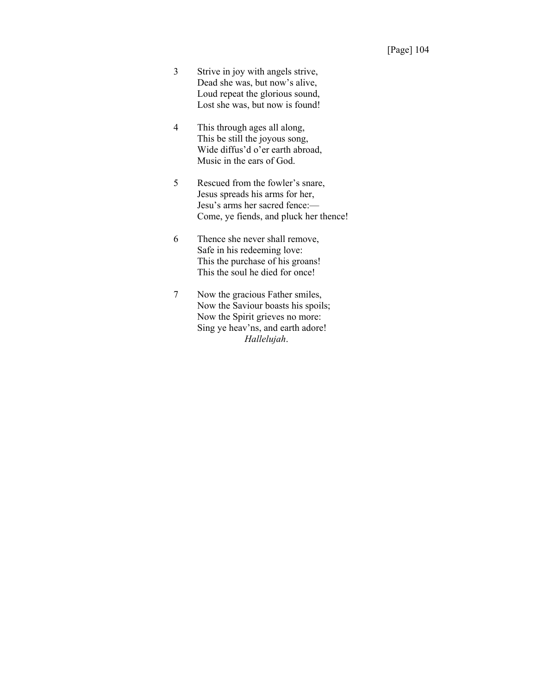- 3 Strive in joy with angels strive, Dead she was, but now's alive, Loud repeat the glorious sound, Lost she was, but now is found!
- 4 This through ages all along, This be still the joyous song, Wide diffus'd o'er earth abroad, Music in the ears of God.
- 5 Rescued from the fowler's snare, Jesus spreads his arms for her, Jesu's arms her sacred fence:— Come, ye fiends, and pluck her thence!
- 6 Thence she never shall remove, Safe in his redeeming love: This the purchase of his groans! This the soul he died for once!
- 7 Now the gracious Father smiles, Now the Saviour boasts his spoils; Now the Spirit grieves no more: Sing ye heav'ns, and earth adore! *Hallelujah*.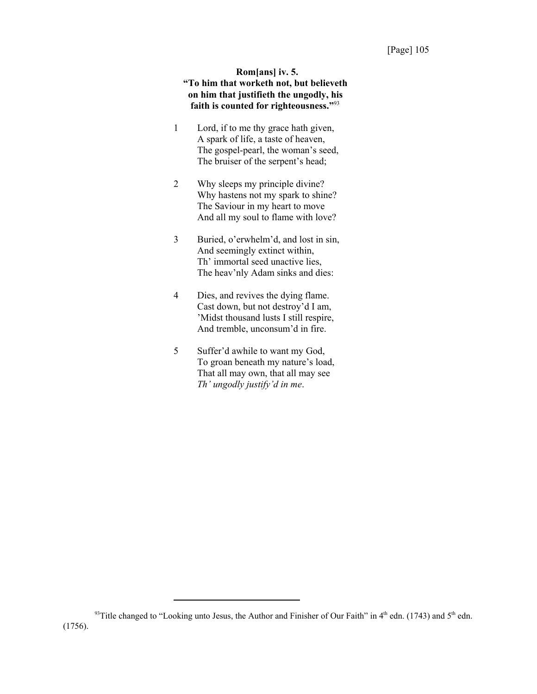# **Rom[ans] iv. 5. "To him that worketh not, but believeth on him that justifieth the ungodly, his faith is counted for righteousness."**<sup>93</sup>

- 1 Lord, if to me thy grace hath given, A spark of life, a taste of heaven, The gospel-pearl, the woman's seed, The bruiser of the serpent's head;
- 2 Why sleeps my principle divine? Why hastens not my spark to shine? The Saviour in my heart to move And all my soul to flame with love?
- 3 Buried, o'erwhelm'd, and lost in sin, And seemingly extinct within, Th' immortal seed unactive lies, The heav'nly Adam sinks and dies:
- 4 Dies, and revives the dying flame. Cast down, but not destroy'd I am, 'Midst thousand lusts I still respire, And tremble, unconsum'd in fire.
- 5 Suffer'd awhile to want my God, To groan beneath my nature's load, That all may own, that all may see *Th' ungodly justify'd in me*.

<sup>93</sup> Title changed to "Looking unto Jesus, the Author and Finisher of Our Faith" in 4<sup>th</sup> edn. (1743) and 5<sup>th</sup> edn. (1756).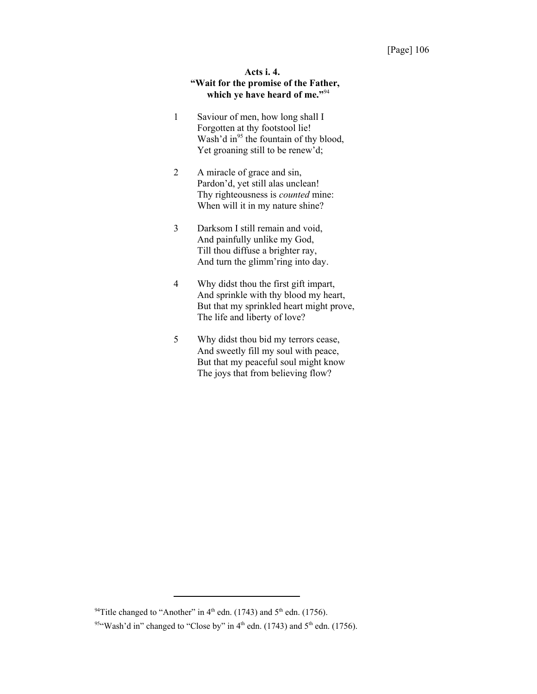# **Acts i. 4. "Wait for the promise of the Father, which ye have heard of me."**<sup>94</sup>

- 1 Saviour of men, how long shall I Forgotten at thy footstool lie! Wash'd in<sup>95</sup> the fountain of thy blood, Yet groaning still to be renew'd;
- 2 A miracle of grace and sin, Pardon'd, yet still alas unclean! Thy righteousness is *counted* mine: When will it in my nature shine?
- 3 Darksom I still remain and void, And painfully unlike my God, Till thou diffuse a brighter ray, And turn the glimm'ring into day.
- 4 Why didst thou the first gift impart, And sprinkle with thy blood my heart, But that my sprinkled heart might prove, The life and liberty of love?
- 5 Why didst thou bid my terrors cease, And sweetly fill my soul with peace, But that my peaceful soul might know The joys that from believing flow?

<sup>&</sup>lt;sup>94</sup>Title changed to "Another" in  $4<sup>th</sup>$  edn. (1743) and  $5<sup>th</sup>$  edn. (1756).

<sup>&</sup>lt;sup>95"</sup>Wash'd in" changed to "Close by" in  $4<sup>th</sup>$  edn. (1743) and  $5<sup>th</sup>$  edn. (1756).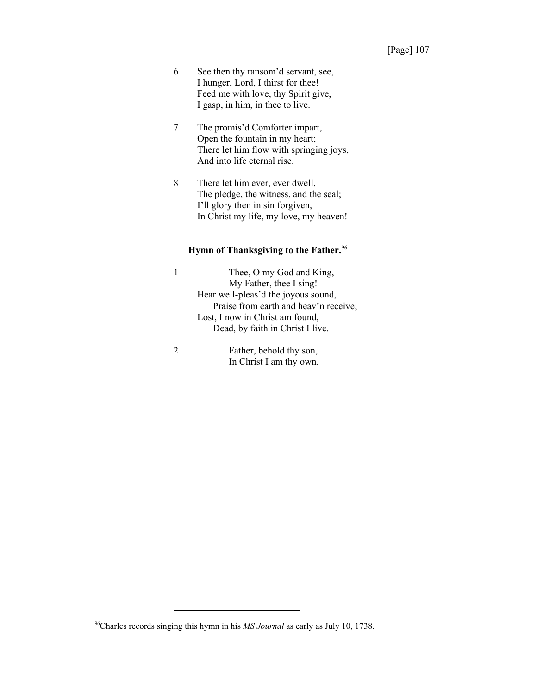- 6 See then thy ransom'd servant, see, I hunger, Lord, I thirst for thee! Feed me with love, thy Spirit give, I gasp, in him, in thee to live.
- 7 The promis'd Comforter impart, Open the fountain in my heart; There let him flow with springing joys, And into life eternal rise.
- 8 There let him ever, ever dwell, The pledge, the witness, and the seal; I'll glory then in sin forgiven, In Christ my life, my love, my heaven!

## **Hymn of Thanksgiving to the Father.**<sup>96</sup>

- 1 Thee, O my God and King, My Father, thee I sing! Hear well-pleas'd the joyous sound, Praise from earth and heav'n receive; Lost, I now in Christ am found, Dead, by faith in Christ I live.
- 

2 Father, behold thy son, In Christ I am thy own.

<sup>96</sup>Charles records singing this hymn in his *MS Journal* as early as July 10, 1738.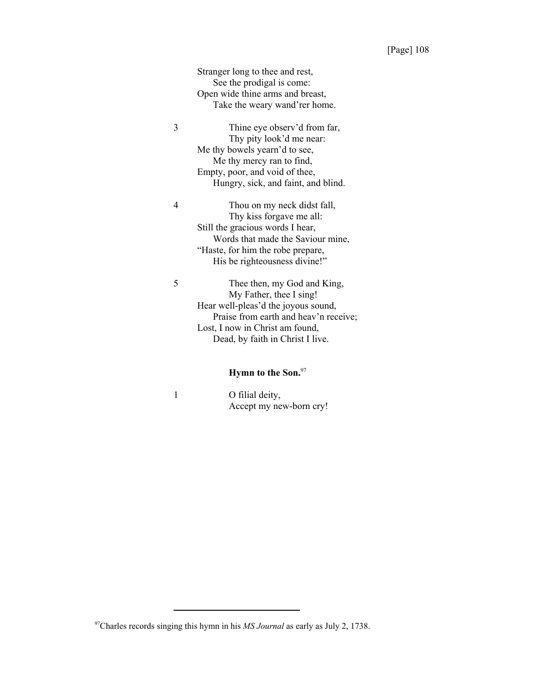Stranger long to thee and rest, See the prodigal is come: Open wide thine arms and breast, Take the weary wand'rer home.

3 Thine eye observ'd from far, Thy pity look'd me near: Me thy bowels yearn'd to see, Me thy mercy ran to find, Empty, poor, and void of thee, Hungry, sick, and faint, and blind.

4 Thou on my neck didst fall, Thy kiss forgave me all: Still the gracious words I hear, Words that made the Saviour mine, "Haste, for him the robe prepare, His be righteousness divine!"

5 Thee then, my God and King, My Father, thee I sing! Hear well-pleas'd the joyous sound, Praise from earth and heav'n receive; Lost, I now in Christ am found, Dead, by faith in Christ I live.

# **Hymn to the Son.**<sup>97</sup>

| O filial deity,         |
|-------------------------|
| Accept my new-born cry! |

<sup>97</sup>Charles records singing this hymn in his *MS Journal* as early as July 2, 1738.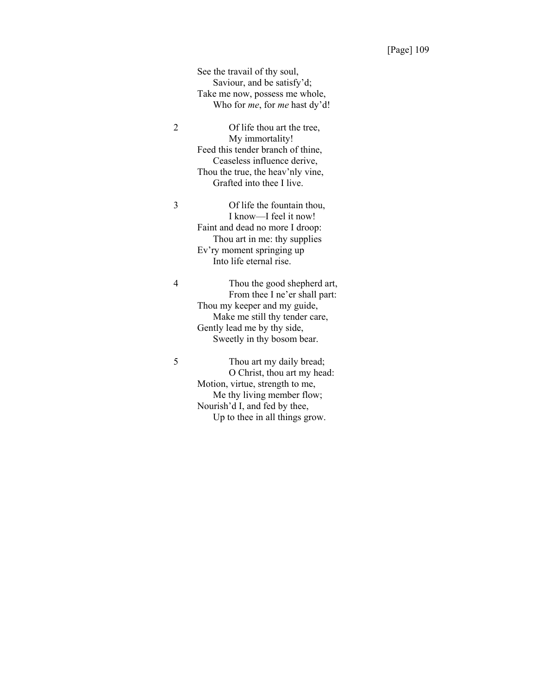See the travail of thy soul, Saviour, and be satisfy'd; Take me now, possess me whole, Who for *me*, for *me* hast dy'd!

2 Of life thou art the tree, My immortality! Feed this tender branch of thine, Ceaseless influence derive, Thou the true, the heav'nly vine, Grafted into thee I live.

3 Of life the fountain thou, I know—I feel it now! Faint and dead no more I droop: Thou art in me: thy supplies Ev'ry moment springing up Into life eternal rise.

4 Thou the good shepherd art, From thee I ne'er shall part: Thou my keeper and my guide, Make me still thy tender care, Gently lead me by thy side, Sweetly in thy bosom bear.

5 Thou art my daily bread; O Christ, thou art my head: Motion, virtue, strength to me, Me thy living member flow; Nourish'd I, and fed by thee, Up to thee in all things grow.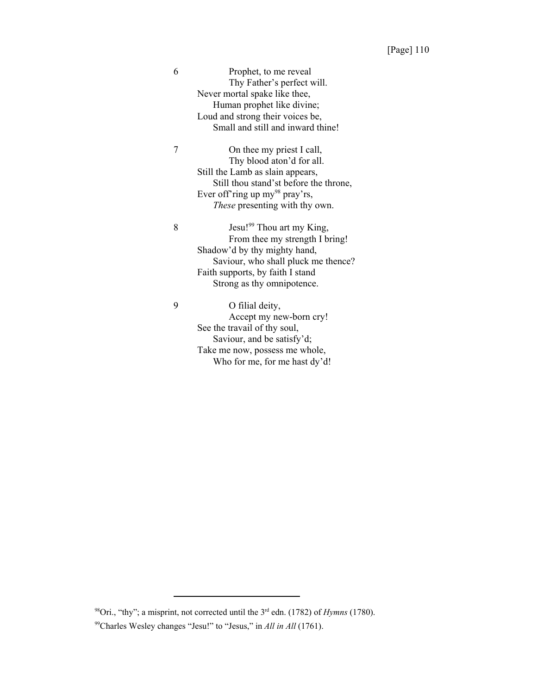6 Prophet, to me reveal Thy Father's perfect will. Never mortal spake like thee, Human prophet like divine; Loud and strong their voices be, Small and still and inward thine!

7 On thee my priest I call, Thy blood aton'd for all. Still the Lamb as slain appears, Still thou stand'st before the throne, Ever off'ring up my<sup>98</sup> pray'rs, *These* presenting with thy own.

8 Jesu!<sup>99</sup> Thou art my King, From thee my strength I bring! Shadow'd by thy mighty hand, Saviour, who shall pluck me thence? Faith supports, by faith I stand Strong as thy omnipotence.

9 O filial deity,

Accept my new-born cry! See the travail of thy soul, Saviour, and be satisfy'd; Take me now, possess me whole, Who for me, for me hast dy'd!

98Ori., "thy"; a misprint, not corrected until the 3rd edn. (1782) of *Hymns* (1780).

<sup>99</sup>Charles Wesley changes "Jesu!" to "Jesus," in *All in All* (1761).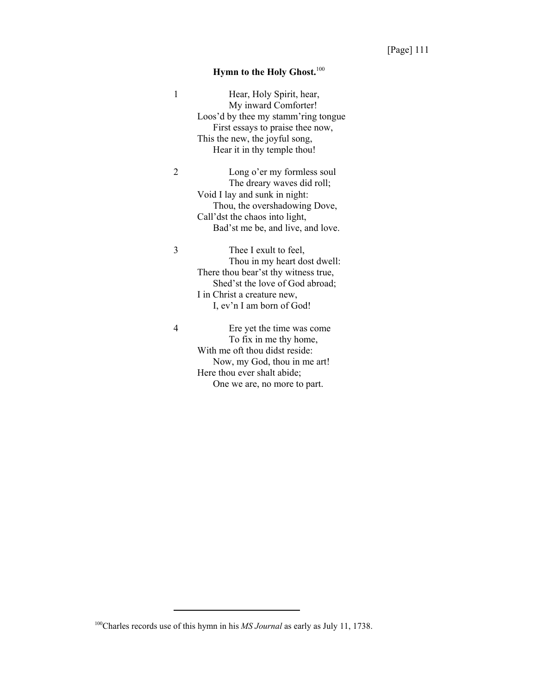# **Hymn to the Holy Ghost.**<sup>100</sup>

| 1              | Hear, Holy Spirit, hear,<br>My inward Comforter! |
|----------------|--------------------------------------------------|
|                | Loos'd by thee my stamm'ring tongue              |
|                | First essays to praise thee now,                 |
|                | This the new, the joyful song,                   |
|                | Hear it in thy temple thou!                      |
| $\overline{c}$ | Long o'er my formless soul                       |
|                | The dreary waves did roll;                       |
|                | Void I lay and sunk in night:                    |
|                | Thou, the overshadowing Dove,                    |
|                | Call'dst the chaos into light,                   |
|                | Bad'st me be, and live, and love.                |
|                |                                                  |
| 3              | Thee I exult to feel,                            |
|                | Thou in my heart dost dwell:                     |
|                | There thou bear'st thy witness true,             |
|                | Shed'st the love of God abroad;                  |
|                | I in Christ a creature new,                      |
|                | I, ev'n I am born of God!                        |
| 4              | Ere yet the time was come                        |
|                | To fix in me thy home,                           |
|                | With me oft thou didst reside:                   |
|                | Now, my God, thou in me art!                     |
|                | Here thou ever shalt abide;                      |
|                |                                                  |

One we are, no more to part.

<sup>100</sup>Charles records use of this hymn in his *MS Journal* as early as July 11, 1738.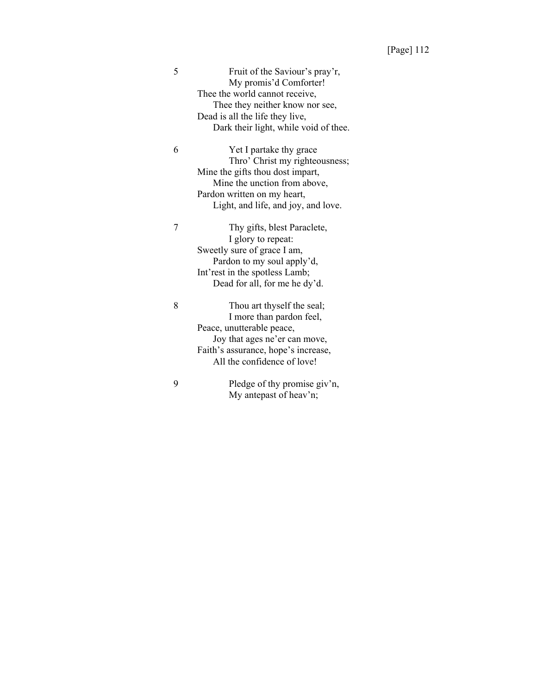| 5 | Fruit of the Saviour's pray'r,        |
|---|---------------------------------------|
|   | My promis'd Comforter!                |
|   | Thee the world cannot receive,        |
|   | Thee they neither know nor see,       |
|   | Dead is all the life they live,       |
|   | Dark their light, while void of thee. |
| 6 | Yet I partake thy grace               |
|   | Thro' Christ my righteousness;        |
|   | Mine the gifts thou dost impart,      |
|   | Mine the unction from above,          |
|   | Pardon written on my heart,           |
|   | Light, and life, and joy, and love.   |
|   | Thy gifts, blest Paraclete,           |
|   | I glory to repeat:                    |
|   | Sweetly sure of grace I am,           |
|   | Pardon to my soul apply'd,            |
|   | Int'rest in the spotless Lamb;        |
|   | Dead for all, for me he dy'd.         |
|   |                                       |

8 Thou art thyself the seal; I more than pardon feel, Peace, unutterable peace, Joy that ages ne'er can move, Faith's assurance, hope's increase, All the confidence of love!

9 Pledge of thy promise giv'n, My antepast of heav'n;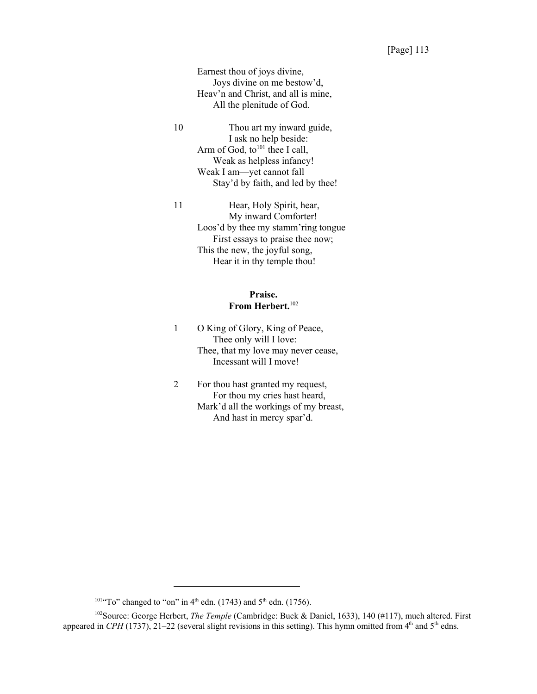Earnest thou of joys divine, Joys divine on me bestow'd, Heav'n and Christ, and all is mine, All the plenitude of God.

10 Thou art my inward guide, I ask no help beside: Arm of God, to<sup>101</sup> thee I call, Weak as helpless infancy! Weak I am—yet cannot fall Stay'd by faith, and led by thee!

11 Hear, Holy Spirit, hear, My inward Comforter! Loos'd by thee my stamm'ring tongue First essays to praise thee now; This the new, the joyful song, Hear it in thy temple thou!

# **Praise. From Herbert.**<sup>102</sup>

- 1 O King of Glory, King of Peace, Thee only will I love: Thee, that my love may never cease, Incessant will I move!
- 2 For thou hast granted my request, For thou my cries hast heard, Mark'd all the workings of my breast, And hast in mercy spar'd.

<sup>&</sup>lt;sup>101</sup>"To" changed to "on" in 4<sup>th</sup> edn. (1743) and 5<sup>th</sup> edn. (1756).

<sup>&</sup>lt;sup>102</sup>Source: George Herbert, *The Temple* (Cambridge: Buck & Daniel, 1633), 140 (#117), much altered. First appeared in *CPH* (1737), 21–22 (several slight revisions in this setting). This hymn omitted from  $4<sup>th</sup>$  and  $5<sup>th</sup>$  edns.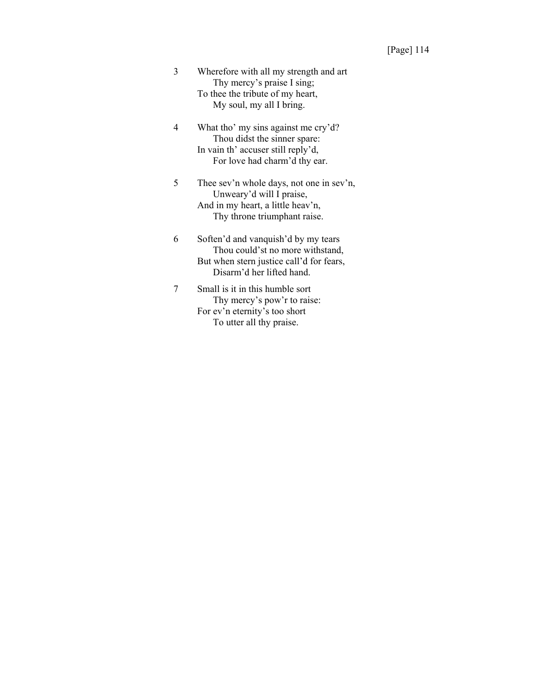- 3 Wherefore with all my strength and art Thy mercy's praise I sing; To thee the tribute of my heart, My soul, my all I bring.
- 4 What tho' my sins against me cry'd? Thou didst the sinner spare: In vain th' accuser still reply'd, For love had charm'd thy ear.
- 5 Thee sev'n whole days, not one in sev'n, Unweary'd will I praise, And in my heart, a little heav'n, Thy throne triumphant raise.
- 6 Soften'd and vanquish'd by my tears Thou could'st no more withstand, But when stern justice call'd for fears, Disarm'd her lifted hand.
- 7 Small is it in this humble sort Thy mercy's pow'r to raise: For ev'n eternity's too short To utter all thy praise.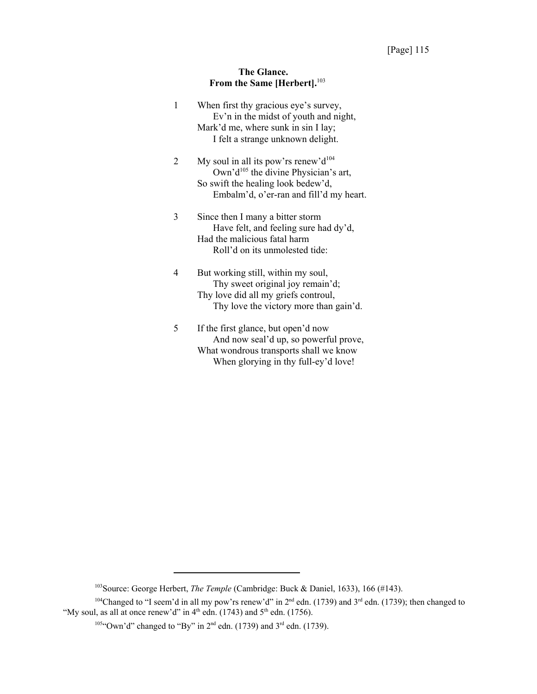# **The Glance. From the Same [Herbert].**<sup>103</sup>

| 1 | When first thy gracious eye's survey,<br>Ev'n in the midst of youth and night, |
|---|--------------------------------------------------------------------------------|
|   | Mark'd me, where sunk in sin I lay;                                            |
|   | I felt a strange unknown delight.                                              |
| 2 | My soul in all its pow'rs renew'd <sup>104</sup>                               |
|   | Own'd <sup>105</sup> the divine Physician's art,                               |
|   | So swift the healing look bedew'd,                                             |
|   | Embalm'd, o'er-ran and fill'd my heart.                                        |
| 3 | Since then I many a bitter storm                                               |
|   | Have felt, and feeling sure had dy'd,                                          |
|   | Had the malicious fatal harm                                                   |
|   | Roll'd on its unmolested tide:                                                 |
| 4 | But working still, within my soul,                                             |
|   | Thy sweet original joy remain'd;                                               |
|   | Thy love did all my griefs controul,                                           |
|   | Thy love the victory more than gain'd.                                         |
| 5 | If the first glance, but open'd now                                            |
|   | And now seal'd up, so powerful prove,                                          |
|   | What wondrous transports shall we know                                         |

What wondrous transports shall we know When glorying in thy full-ey'd love!

<sup>103</sup>Source: George Herbert, *The Temple* (Cambridge: Buck & Daniel, 1633), 166 (#143).

<sup>&</sup>lt;sup>104</sup>Changed to "I seem'd in all my pow'rs renew'd" in  $2<sup>nd</sup>$  edn. (1739) and  $3<sup>rd</sup>$  edn. (1739); then changed to "My soul, as all at once renew'd" in  $4<sup>th</sup>$  edn. (1743) and  $5<sup>th</sup>$  edn. (1756).

 $105$ "Own'd" changed to "By" in  $2<sup>nd</sup>$  edn. (1739) and  $3<sup>rd</sup>$  edn. (1739).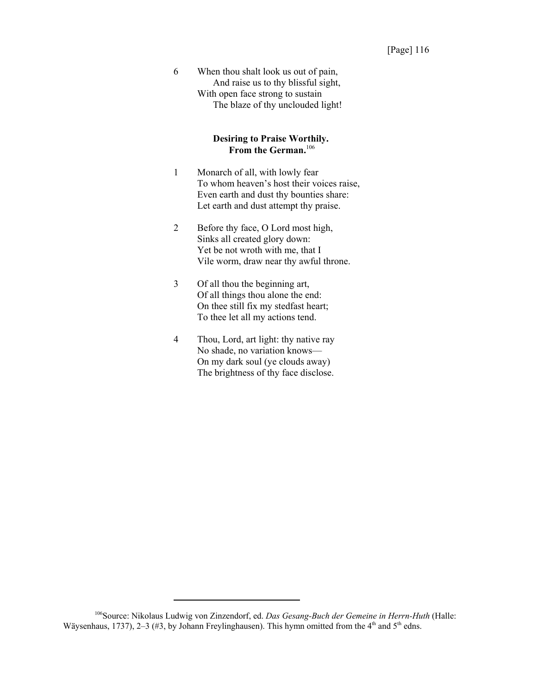6 When thou shalt look us out of pain, And raise us to thy blissful sight, With open face strong to sustain The blaze of thy unclouded light!

#### **Desiring to Praise Worthily. From the German.**<sup>106</sup>

- 1 Monarch of all, with lowly fear To whom heaven's host their voices raise, Even earth and dust thy bounties share: Let earth and dust attempt thy praise.
- 2 Before thy face, O Lord most high, Sinks all created glory down: Yet be not wroth with me, that I Vile worm, draw near thy awful throne.
- 3 Of all thou the beginning art, Of all things thou alone the end: On thee still fix my stedfast heart; To thee let all my actions tend.
- 4 Thou, Lord, art light: thy native ray No shade, no variation knows— On my dark soul (ye clouds away) The brightness of thy face disclose.

<sup>106</sup>Source: Nikolaus Ludwig von Zinzendorf, ed. *Das Gesang-Buch der Gemeine in Herrn-Huth* (Halle: Wäysenhaus, 1737), 2–3 (#3, by Johann Freylinghausen). This hymn omitted from the  $4<sup>th</sup>$  and  $5<sup>th</sup>$  edns.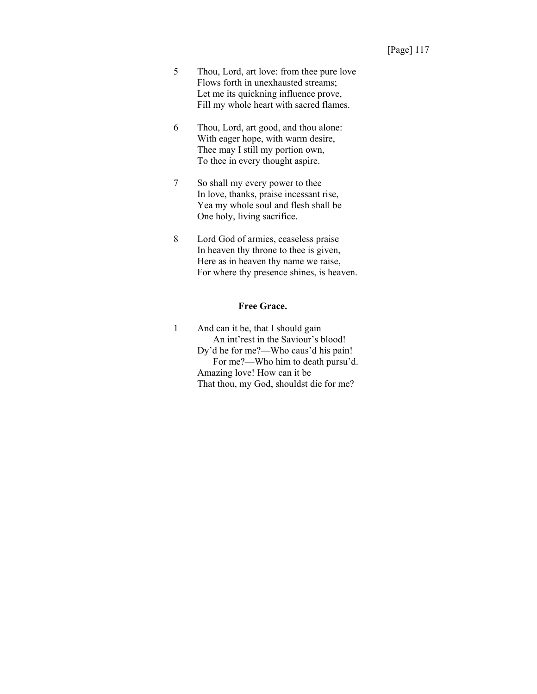- 5 Thou, Lord, art love: from thee pure love Flows forth in unexhausted streams; Let me its quickning influence prove, Fill my whole heart with sacred flames.
- 6 Thou, Lord, art good, and thou alone: With eager hope, with warm desire, Thee may I still my portion own, To thee in every thought aspire.
- 7 So shall my every power to thee In love, thanks, praise incessant rise, Yea my whole soul and flesh shall be One holy, living sacrifice.
- 8 Lord God of armies, ceaseless praise In heaven thy throne to thee is given, Here as in heaven thy name we raise, For where thy presence shines, is heaven.

#### **Free Grace.**

1 And can it be, that I should gain An int'rest in the Saviour's blood! Dy'd he for me?—Who caus'd his pain! For me?—Who him to death pursu'd. Amazing love! How can it be That thou, my God, shouldst die for me?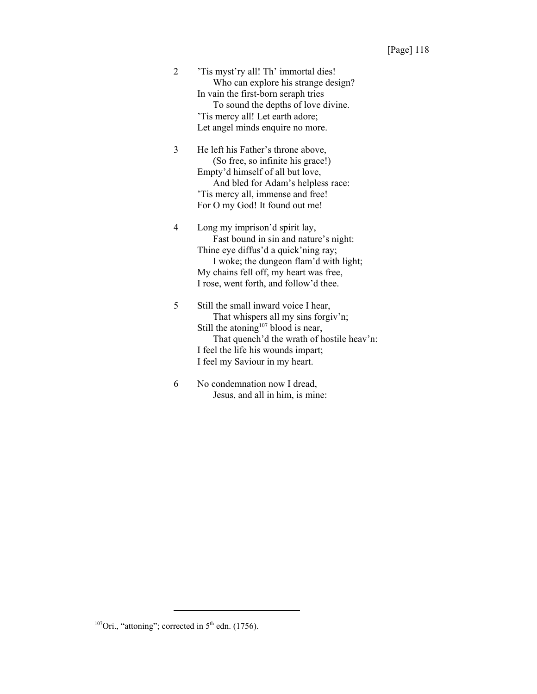2 'Tis myst'ry all! Th' immortal dies! Who can explore his strange design? In vain the first-born seraph tries To sound the depths of love divine. 'Tis mercy all! Let earth adore; Let angel minds enquire no more.

3 He left his Father's throne above, (So free, so infinite his grace!) Empty'd himself of all but love, And bled for Adam's helpless race: 'Tis mercy all, immense and free! For O my God! It found out me!

4 Long my imprison'd spirit lay, Fast bound in sin and nature's night: Thine eye diffus'd a quick'ning ray; I woke; the dungeon flam'd with light; My chains fell off, my heart was free, I rose, went forth, and follow'd thee.

5 Still the small inward voice I hear, That whispers all my sins forgiv'n; Still the atoning<sup>107</sup> blood is near, That quench'd the wrath of hostile heav'n: I feel the life his wounds impart; I feel my Saviour in my heart.

6 No condemnation now I dread, Jesus, and all in him, is mine:

<sup>&</sup>lt;sup>107</sup>Ori., "attoning"; corrected in  $5<sup>th</sup>$  edn. (1756).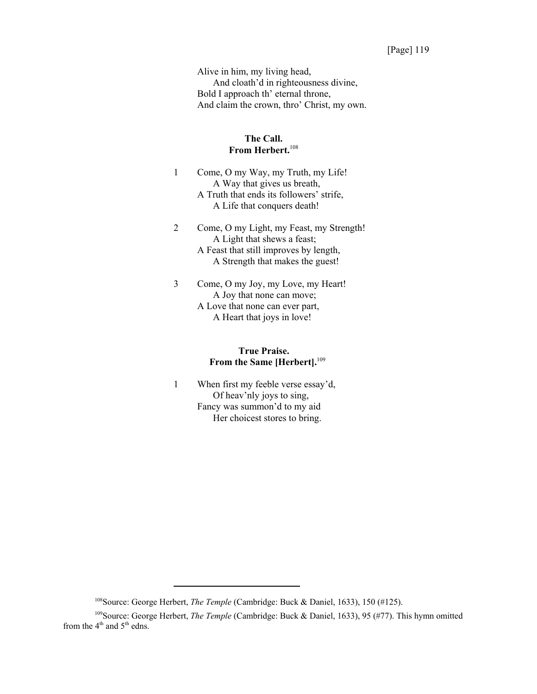Alive in him, my living head, And cloath'd in righteousness divine, Bold I approach th' eternal throne, And claim the crown, thro' Christ, my own.

#### **The Call. From Herbert.**<sup>108</sup>

- 1 Come, O my Way, my Truth, my Life! A Way that gives us breath, A Truth that ends its followers' strife, A Life that conquers death!
- 2 Come, O my Light, my Feast, my Strength! A Light that shews a feast; A Feast that still improves by length, A Strength that makes the guest!
- 3 Come, O my Joy, my Love, my Heart! A Joy that none can move; A Love that none can ever part, A Heart that joys in love!

# **True Praise. From the Same [Herbert].**<sup>109</sup>

1 When first my feeble verse essay'd, Of heav'nly joys to sing, Fancy was summon'd to my aid Her choicest stores to bring.

<sup>108</sup>Source: George Herbert, *The Temple* (Cambridge: Buck & Daniel, 1633), 150 (#125).

<sup>109</sup>Source: George Herbert, *The Temple* (Cambridge: Buck & Daniel, 1633), 95 (#77). This hymn omitted from the  $4<sup>th</sup>$  and  $5<sup>th</sup>$  edns.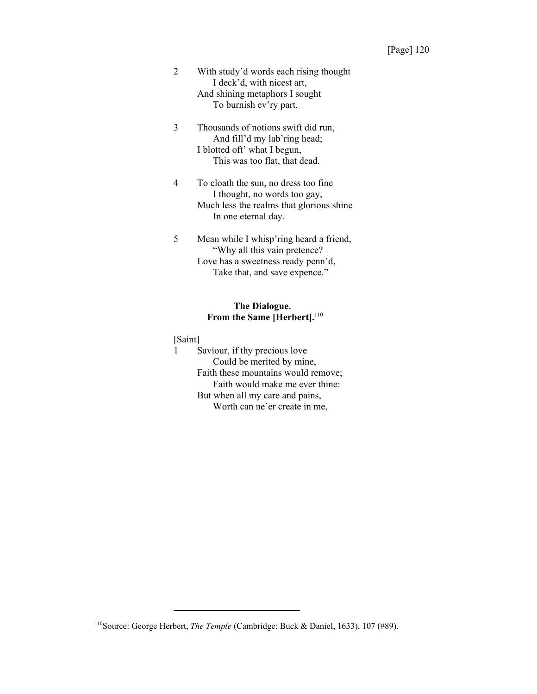- 2 With study'd words each rising thought I deck'd, with nicest art, And shining metaphors I sought To burnish ev'ry part.
- 3 Thousands of notions swift did run, And fill'd my lab'ring head; I blotted oft' what I begun, This was too flat, that dead.
- 4 To cloath the sun, no dress too fine I thought, no words too gay, Much less the realms that glorious shine In one eternal day.
- 5 Mean while I whisp'ring heard a friend, "Why all this vain pretence? Love has a sweetness ready penn'd, Take that, and save expence."

# **The Dialogue. From the Same [Herbert].**<sup>110</sup>

[Saint]

1 Saviour, if thy precious love Could be merited by mine, Faith these mountains would remove; Faith would make me ever thine: But when all my care and pains, Worth can ne'er create in me,

<sup>110</sup>Source: George Herbert, *The Temple* (Cambridge: Buck & Daniel, 1633), 107 (#89).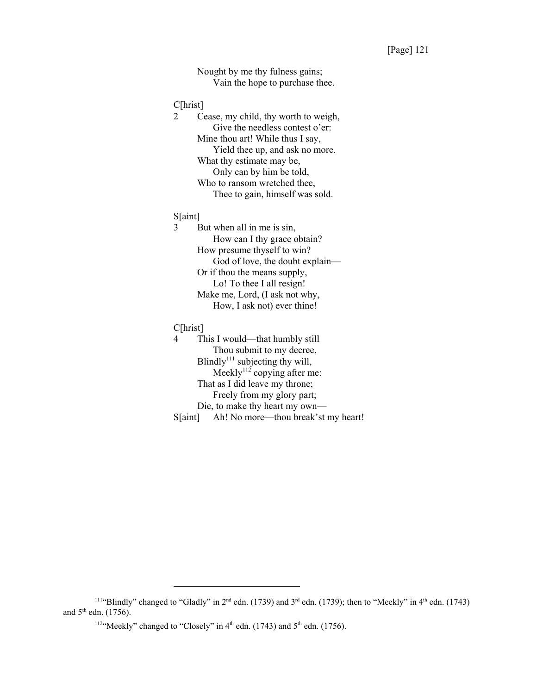Nought by me thy fulness gains; Vain the hope to purchase thee.

#### C[hrist]

2 Cease, my child, thy worth to weigh, Give the needless contest o'er: Mine thou art! While thus I say, Yield thee up, and ask no more. What thy estimate may be, Only can by him be told, Who to ransom wretched thee, Thee to gain, himself was sold.

#### S[aint]

3 But when all in me is sin, How can I thy grace obtain? How presume thyself to win? God of love, the doubt explain— Or if thou the means supply, Lo! To thee I all resign! Make me, Lord, (I ask not why, How, I ask not) ever thine!

#### C[hrist]

4 This I would—that humbly still Thou submit to my decree, Blindly $111$  subjecting thy will, Meekly $112$  copying after me: That as I did leave my throne; Freely from my glory part; Die, to make thy heart my own— S[aint] Ah! No more—thou break'st my heart!

<sup>&</sup>lt;sup>111</sup>"Blindly" changed to "Gladly" in  $2^{nd}$  edn. (1739) and  $3^{rd}$  edn. (1739); then to "Meekly" in  $4^{th}$  edn. (1743) and  $5<sup>th</sup>$  edn. (1756).

<sup>&</sup>lt;sup>112</sup>"Meekly" changed to "Closely" in  $4<sup>th</sup>$  edn. (1743) and  $5<sup>th</sup>$  edn. (1756).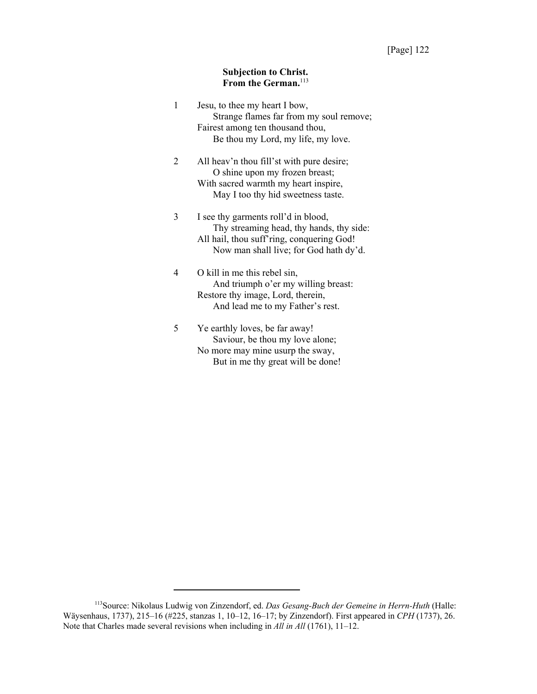## **Subjection to Christ.** From the German.<sup>113</sup>

| 1 | Jesu, to thee my heart I bow,<br>Strange flames far from my soul remove;<br>Fairest among ten thousand thou,<br>Be thou my Lord, my life, my love.                     |
|---|------------------------------------------------------------------------------------------------------------------------------------------------------------------------|
| 2 | All heav'n thou fill'st with pure desire;<br>O shine upon my frozen breast;<br>With sacred warmth my heart inspire,<br>May I too thy hid sweetness taste.              |
| 3 | I see thy garments roll'd in blood,<br>Thy streaming head, thy hands, thy side:<br>All hail, thou suff'ring, conquering God!<br>Now man shall live; for God hath dy'd. |
| 4 | O kill in me this rebel sin,<br>And triumph o'er my willing breast:<br>Restore thy image, Lord, therein,<br>And lead me to my Father's rest.                           |
| 5 | Ye earthly loves, be far away!<br>Saviour, be thou my love alone;<br>No more may mine usurp the sway,                                                                  |

But in me thy great will be done!

<sup>113</sup>Source: Nikolaus Ludwig von Zinzendorf, ed. *Das Gesang-Buch der Gemeine in Herrn-Huth* (Halle: Wäysenhaus, 1737), 215–16 (#225, stanzas 1, 10–12, 16–17; by Zinzendorf). First appeared in *CPH* (1737), 26. Note that Charles made several revisions when including in *All in All* (1761), 11–12.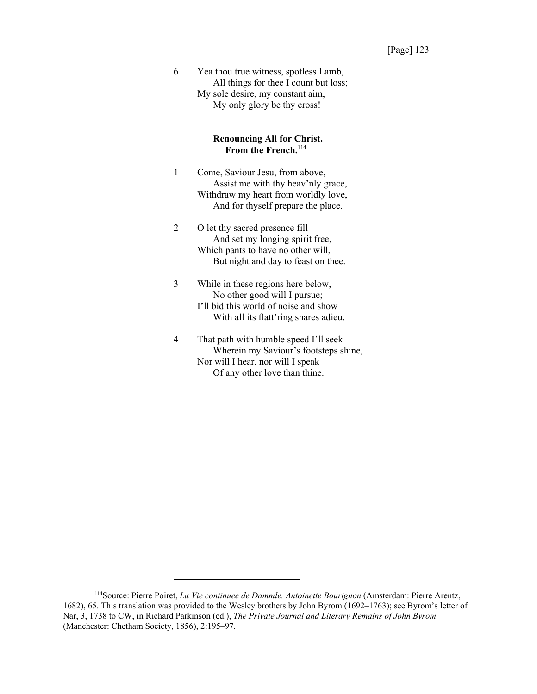6 Yea thou true witness, spotless Lamb, All things for thee I count but loss; My sole desire, my constant aim, My only glory be thy cross!

#### **Renouncing All for Christ.** From the French.<sup>114</sup>

- 1 Come, Saviour Jesu, from above, Assist me with thy heav'nly grace, Withdraw my heart from worldly love, And for thyself prepare the place.
- 2 O let thy sacred presence fill And set my longing spirit free, Which pants to have no other will, But night and day to feast on thee.
- 3 While in these regions here below, No other good will I pursue; I'll bid this world of noise and show With all its flatt'ring snares adieu.
- 4 That path with humble speed I'll seek Wherein my Saviour's footsteps shine, Nor will I hear, nor will I speak Of any other love than thine.

<sup>114</sup>Source: Pierre Poiret, *La Vie continuee de Dammle. Antoinette Bourignon* (Amsterdam: Pierre Arentz, 1682), 65. This translation was provided to the Wesley brothers by John Byrom (1692–1763); see Byrom's letter of Nar, 3, 1738 to CW, in Richard Parkinson (ed.), *The Private Journal and Literary Remains of John Byrom* (Manchester: Chetham Society, 1856), 2:195–97.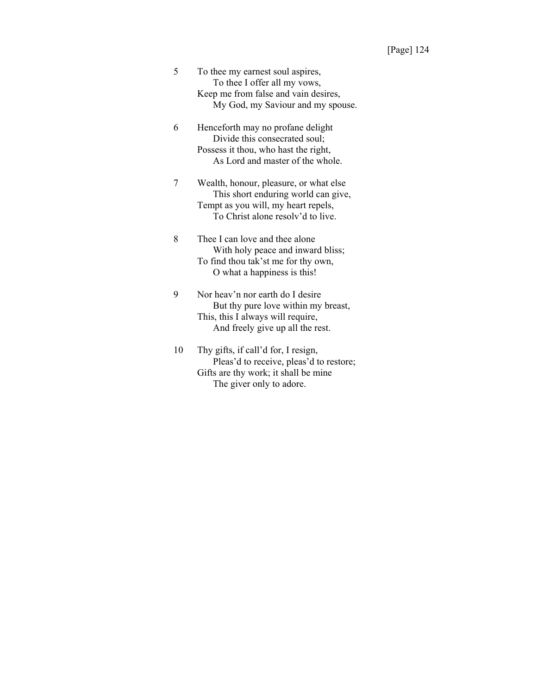- 5 To thee my earnest soul aspires, To thee I offer all my vows, Keep me from false and vain desires, My God, my Saviour and my spouse.
- 6 Henceforth may no profane delight Divide this consecrated soul; Possess it thou, who hast the right, As Lord and master of the whole.
- 7 Wealth, honour, pleasure, or what else This short enduring world can give, Tempt as you will, my heart repels, To Christ alone resolv'd to live.
- 8 Thee I can love and thee alone With holy peace and inward bliss; To find thou tak'st me for thy own, O what a happiness is this!
- 9 Nor heav'n nor earth do I desire But thy pure love within my breast, This, this I always will require, And freely give up all the rest.
- 10 Thy gifts, if call'd for, I resign, Pleas'd to receive, pleas'd to restore; Gifts are thy work; it shall be mine The giver only to adore.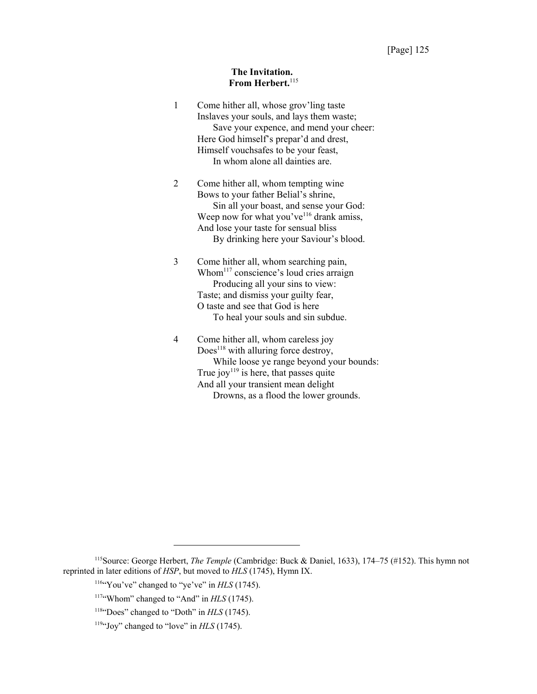#### **The Invitation.** From Herbert.<sup>115</sup>

| $\mathbf{1}$   | Come hither all, whose grov'ling taste<br>Inslaves your souls, and lays them waste;<br>Save your expence, and mend your cheer:<br>Here God himself's prepar'd and drest,<br>Himself vouchsafes to be your feast,<br>In whom alone all dainties are.               |
|----------------|-------------------------------------------------------------------------------------------------------------------------------------------------------------------------------------------------------------------------------------------------------------------|
| $\overline{2}$ | Come hither all, whom tempting wine<br>Bows to your father Belial's shrine,<br>Sin all your boast, and sense your God:<br>Weep now for what you've <sup>116</sup> drank amiss,<br>And lose your taste for sensual bliss<br>By drinking here your Saviour's blood. |
| 3              | Come hither all, whom searching pain,<br>Whom $117$ conscience's loud cries arraign<br>Producing all your sins to view:<br>Taste; and dismiss your guilty fear,<br>O taste and see that God is here<br>To heal your souls and sin subdue.                         |
| 4              | Come hither all, whom careless joy<br>$Does118$ with alluring force destroy,<br>While loose ye range beyond your bounds:<br>True joy <sup>119</sup> is here, that passes quite<br>And all your transient mean delight<br>Drowns, as a flood the lower grounds.    |

<sup>115</sup>Source: George Herbert, *The Temple* (Cambridge: Buck & Daniel, 1633), 174–75 (#152). This hymn not reprinted in later editions of *HSP*, but moved to *HLS* (1745), Hymn IX.

<sup>&</sup>lt;sup>116</sup>"You've" changed to "ye've" in *HLS* (1745).

<sup>&</sup>lt;sup>117</sup>"Whom" changed to "And" in *HLS* (1745).

<sup>&</sup>lt;sup>118</sup>"Does" changed to "Doth" in *HLS* (1745).

<sup>&</sup>lt;sup>119</sup>"Joy" changed to "love" in *HLS* (1745).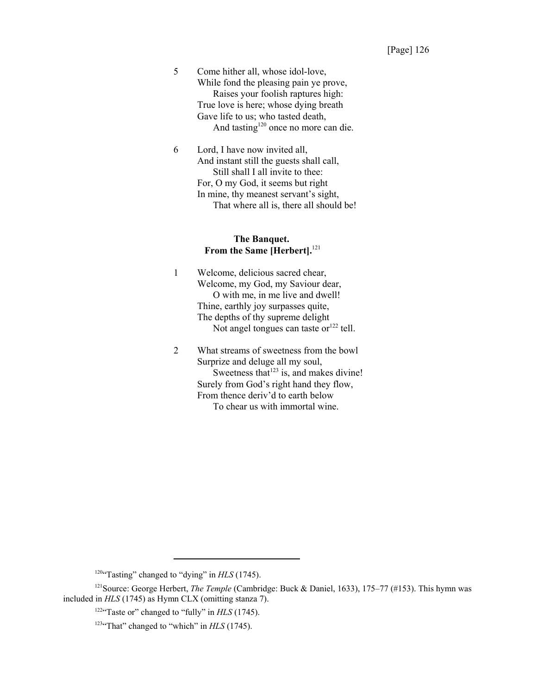5 Come hither all, whose idol-love, While fond the pleasing pain ye prove, Raises your foolish raptures high: True love is here; whose dying breath Gave life to us; who tasted death, And tasting<sup>120</sup> once no more can die.

6 Lord, I have now invited all, And instant still the guests shall call, Still shall I all invite to thee: For, O my God, it seems but right In mine, thy meanest servant's sight, That where all is, there all should be!

## **The Banquet.** From the Same [Herbert].<sup>121</sup>

1 Welcome, delicious sacred chear, Welcome, my God, my Saviour dear, O with me, in me live and dwell! Thine, earthly joy surpasses quite, The depths of thy supreme delight Not angel tongues can taste or $^{122}$  tell.

2 What streams of sweetness from the bowl Surprize and deluge all my soul, Sweetness that  $123$  is, and makes divine! Surely from God's right hand they flow, From thence deriv'd to earth below To chear us with immortal wine.

<sup>120 $\cdot$ </sup>Tasting" changed to "dying" in  $HLS$  (1745).

<sup>&</sup>lt;sup>121</sup>Source: George Herbert, *The Temple* (Cambridge: Buck & Daniel, 1633), 175–77 (#153). This hymn was included in *HLS* (1745) as Hymn CLX (omitting stanza 7).

<sup>&</sup>lt;sup>122</sup>"Taste or" changed to "fully" in *HLS* (1745).

<sup>&</sup>lt;sup>123</sup>"That" changed to "which" in *HLS* (1745).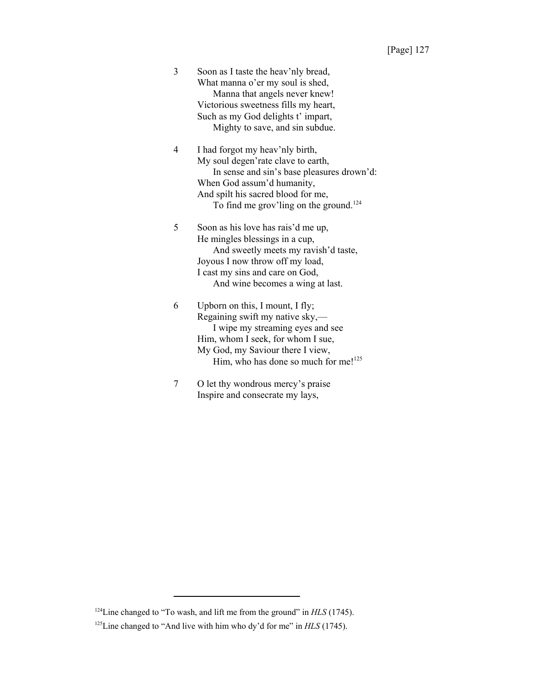3 Soon as I taste the heav'nly bread, What manna o'er my soul is shed, Manna that angels never knew! Victorious sweetness fills my heart, Such as my God delights t' impart, Mighty to save, and sin subdue.

4 I had forgot my heav'nly birth, My soul degen'rate clave to earth, In sense and sin's base pleasures drown'd: When God assum'd humanity, And spilt his sacred blood for me, To find me grov'ling on the ground.<sup>124</sup>

5 Soon as his love has rais'd me up, He mingles blessings in a cup, And sweetly meets my ravish'd taste, Joyous I now throw off my load, I cast my sins and care on God, And wine becomes a wing at last.

6 Upborn on this, I mount, I fly; Regaining swift my native sky,— I wipe my streaming eyes and see Him, whom I seek, for whom I sue, My God, my Saviour there I view, Him, who has done so much for me!<sup>125</sup>

7 O let thy wondrous mercy's praise Inspire and consecrate my lays,

<sup>&</sup>lt;sup>124</sup>Line changed to "To wash, and lift me from the ground" in *HLS* (1745).

<sup>&</sup>lt;sup>125</sup>Line changed to "And live with him who dy'd for me" in *HLS* (1745).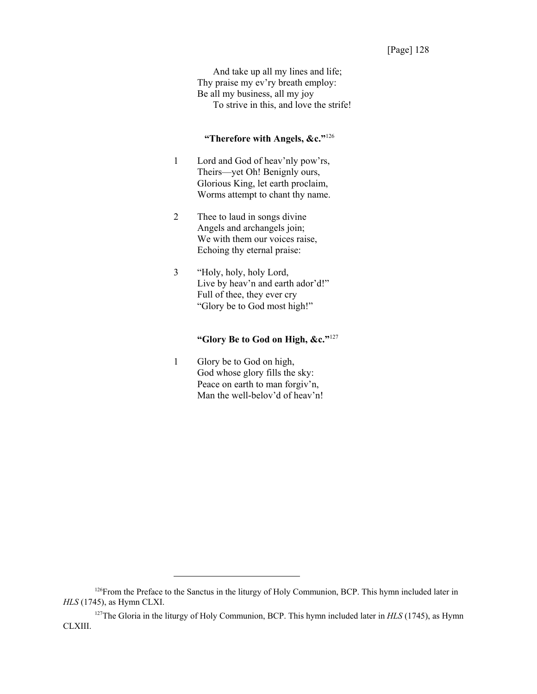And take up all my lines and life; Thy praise my ev'ry breath employ: Be all my business, all my joy To strive in this, and love the strife!

# **"Therefore with Angels, &c."**<sup>126</sup>

- 1 Lord and God of heav'nly pow'rs, Theirs—yet Oh! Benignly ours, Glorious King, let earth proclaim, Worms attempt to chant thy name.
- 2 Thee to laud in songs divine Angels and archangels join; We with them our voices raise, Echoing thy eternal praise:
- 3 "Holy, holy, holy Lord, Live by heav'n and earth ador'd!" Full of thee, they ever cry "Glory be to God most high!"

# **"Glory Be to God on High, &c."**<sup>127</sup>

1 Glory be to God on high, God whose glory fills the sky: Peace on earth to man forgiv'n, Man the well-belov'd of heav'n!

<sup>&</sup>lt;sup>126</sup>From the Preface to the Sanctus in the liturgy of Holy Communion, BCP. This hymn included later in *HLS* (1745), as Hymn CLXI.

<sup>127</sup>The Gloria in the liturgy of Holy Communion, BCP. This hymn included later in *HLS* (1745), as Hymn CLXIII.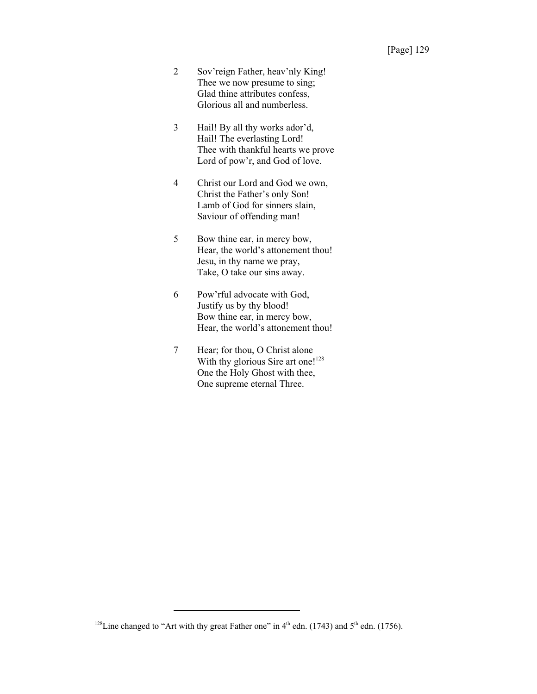- 2 Sov'reign Father, heav'nly King! Thee we now presume to sing; Glad thine attributes confess, Glorious all and numberless.
- 3 Hail! By all thy works ador'd, Hail! The everlasting Lord! Thee with thankful hearts we prove Lord of pow'r, and God of love.
- 4 Christ our Lord and God we own, Christ the Father's only Son! Lamb of God for sinners slain, Saviour of offending man!
- 5 Bow thine ear, in mercy bow, Hear, the world's attonement thou! Jesu, in thy name we pray, Take, O take our sins away.
- 6 Pow'rful advocate with God, Justify us by thy blood! Bow thine ear, in mercy bow, Hear, the world's attonement thou!
- 7 Hear; for thou, O Christ alone With thy glorious Sire art one!<sup>128</sup> One the Holy Ghost with thee, One supreme eternal Three.

<sup>&</sup>lt;sup>128</sup>Line changed to "Art with thy great Father one" in  $4<sup>th</sup>$  edn. (1743) and  $5<sup>th</sup>$  edn. (1756).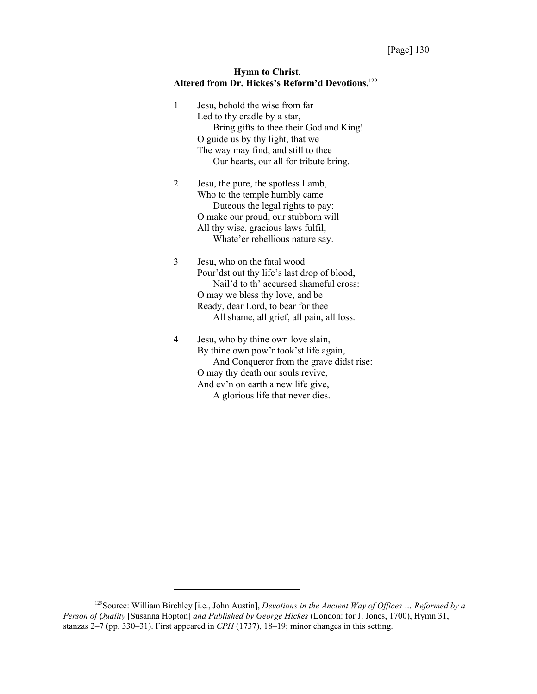#### **Hymn to Christ. Altered from Dr. Hickes's Reform'd Devotions.**<sup>129</sup>

1 Jesu, behold the wise from far Led to thy cradle by a star, Bring gifts to thee their God and King! O guide us by thy light, that we The way may find, and still to thee Our hearts, our all for tribute bring. 2 Jesu, the pure, the spotless Lamb, Who to the temple humbly came Duteous the legal rights to pay:

> O make our proud, our stubborn will All thy wise, gracious laws fulfil, Whate'er rebellious nature say.

3 Jesu, who on the fatal wood Pour'dst out thy life's last drop of blood, Nail'd to th' accursed shameful cross: O may we bless thy love, and be Ready, dear Lord, to bear for thee All shame, all grief, all pain, all loss.

4 Jesu, who by thine own love slain, By thine own pow'r took'st life again, And Conqueror from the grave didst rise: O may thy death our souls revive, And ev'n on earth a new life give, A glorious life that never dies.

<sup>129</sup>Source: William Birchley [i.e., John Austin], *Devotions in the Ancient Way of Offices … Reformed by a Person of Quality* [Susanna Hopton] *and Published by George Hickes* (London: for J. Jones, 1700), Hymn 31, stanzas 2–7 (pp. 330–31). First appeared in *CPH* (1737), 18–19; minor changes in this setting.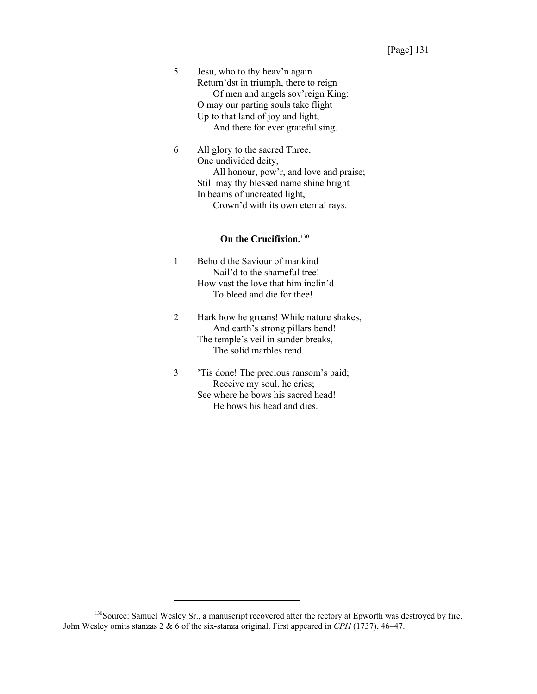5 Jesu, who to thy heav'n again Return'dst in triumph, there to reign Of men and angels sov'reign King: O may our parting souls take flight Up to that land of joy and light, And there for ever grateful sing.

6 All glory to the sacred Three, One undivided deity, All honour, pow'r, and love and praise; Still may thy blessed name shine bright In beams of uncreated light, Crown'd with its own eternal rays.

# **On the Crucifixion.**<sup>130</sup>

- 1 Behold the Saviour of mankind Nail'd to the shameful tree! How vast the love that him inclin'd To bleed and die for thee!
- 2 Hark how he groans! While nature shakes, And earth's strong pillars bend! The temple's veil in sunder breaks, The solid marbles rend.
- 3 'Tis done! The precious ransom's paid; Receive my soul, he cries; See where he bows his sacred head! He bows his head and dies.

<sup>130</sup> Source: Samuel Wesley Sr., a manuscript recovered after the rectory at Epworth was destroyed by fire. John Wesley omits stanzas 2 & 6 of the six-stanza original. First appeared in *CPH* (1737), 46–47.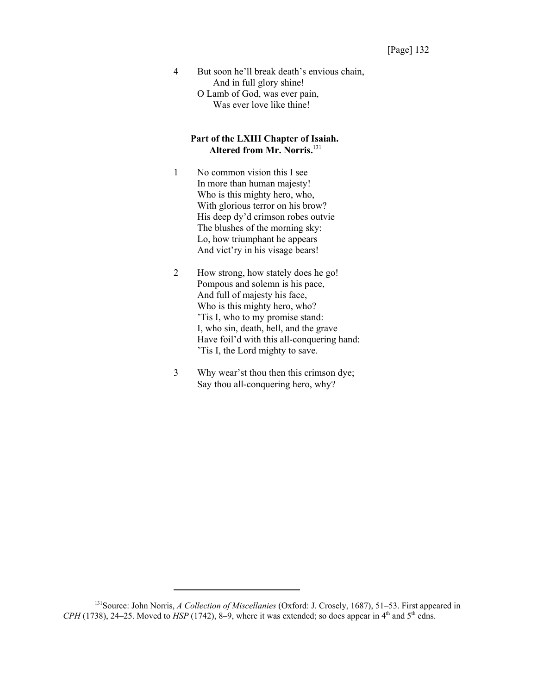4 But soon he'll break death's envious chain, And in full glory shine! O Lamb of God, was ever pain, Was ever love like thine!

#### **Part of the LXIII Chapter of Isaiah. Altered from Mr. Norris.**<sup>131</sup>

- 1 No common vision this I see In more than human majesty! Who is this mighty hero, who, With glorious terror on his brow? His deep dy'd crimson robes outvie The blushes of the morning sky: Lo, how triumphant he appears And vict'ry in his visage bears!
- 2 How strong, how stately does he go! Pompous and solemn is his pace, And full of majesty his face, Who is this mighty hero, who? 'Tis I, who to my promise stand: I, who sin, death, hell, and the grave Have foil'd with this all-conquering hand: 'Tis I, the Lord mighty to save.
- 3 Why wear'st thou then this crimson dye; Say thou all-conquering hero, why?

<sup>131</sup>Source: John Norris, *A Collection of Miscellanies* (Oxford: J. Crosely, 1687), 51–53. First appeared in  $CPH$  (1738), 24–25. Moved to *HSP* (1742), 8–9, where it was extended; so does appear in  $4<sup>th</sup>$  and  $5<sup>th</sup>$  edns.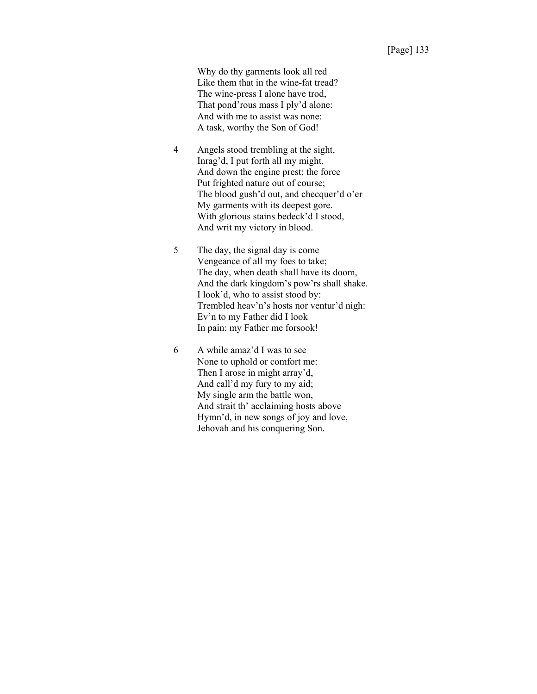Why do thy garments look all red Like them that in the wine-fat tread? The wine-press I alone have trod, That pond'rous mass I ply'd alone: And with me to assist was none: A task, worthy the Son of God!

- 4 Angels stood trembling at the sight, Inrag'd, I put forth all my might, And down the engine prest; the force Put frighted nature out of course; The blood gush'd out, and checquer'd o'er My garments with its deepest gore. With glorious stains bedeck'd I stood, And writ my victory in blood.
- 5 The day, the signal day is come Vengeance of all my foes to take; The day, when death shall have its doom, And the dark kingdom's pow'rs shall shake. I look'd, who to assist stood by: Trembled heav'n's hosts nor ventur'd nigh: Ev'n to my Father did I look In pain: my Father me forsook!
- 6 A while amaz'd I was to see None to uphold or comfort me: Then I arose in might array'd, And call'd my fury to my aid; My single arm the battle won, And strait th' acclaiming hosts above Hymn'd, in new songs of joy and love, Jehovah and his conquering Son.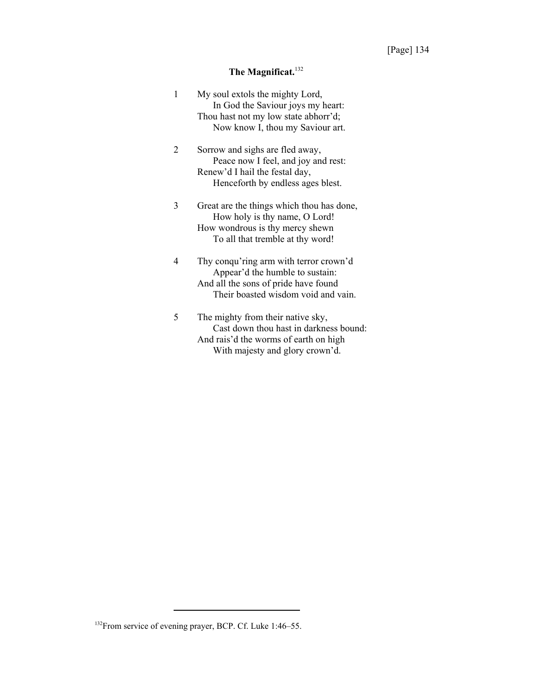# **The Magnificat.**<sup>132</sup>

| 1 | My soul extols the mighty Lord,<br>In God the Saviour joys my heart:<br>Thou hast not my low state abhorr'd;<br>Now know I, thou my Saviour art.         |
|---|----------------------------------------------------------------------------------------------------------------------------------------------------------|
| 2 | Sorrow and sighs are fled away,<br>Peace now I feel, and joy and rest:<br>Renew'd I hail the festal day,<br>Henceforth by endless ages blest.            |
| 3 | Great are the things which thou has done,<br>How holy is thy name, O Lord!<br>How wondrous is thy mercy shewn<br>To all that tremble at thy word!        |
| 4 | Thy conqu'ring arm with terror crown'd<br>Appear'd the humble to sustain:<br>And all the sons of pride have found<br>Their boasted wisdom void and vain. |
| 5 | The mighty from their native sky,<br>Cast down thou hast in darkness bound:<br>And rais'd the worms of earth on high<br>With majesty and glory crown'd.  |

<sup>&</sup>lt;sup>132</sup>From service of evening prayer, BCP. Cf. Luke 1:46-55.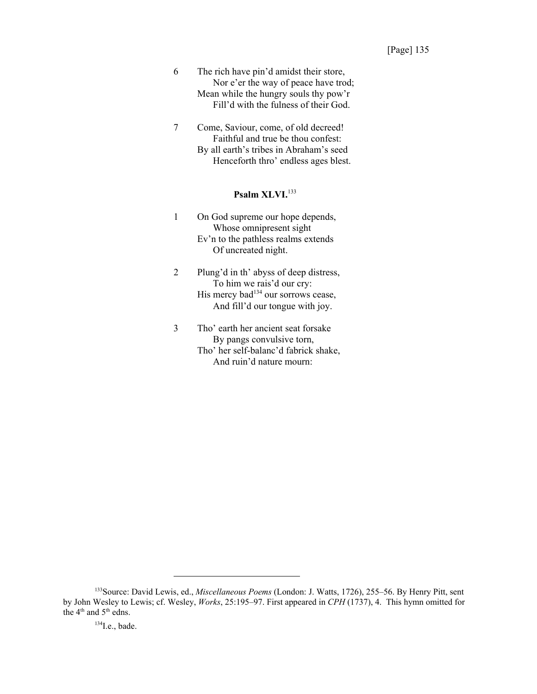- 6 The rich have pin'd amidst their store, Nor e'er the way of peace have trod; Mean while the hungry souls thy pow'r Fill'd with the fulness of their God.
- 7 Come, Saviour, come, of old decreed! Faithful and true be thou confest: By all earth's tribes in Abraham's seed Henceforth thro' endless ages blest.

#### **Psalm XLVI.**<sup>133</sup>

- 1 On God supreme our hope depends, Whose omnipresent sight Ev'n to the pathless realms extends Of uncreated night.
- 2 Plung'd in th' abyss of deep distress, To him we rais'd our cry: His mercy  $bad^{134}$  our sorrows cease, And fill'd our tongue with joy.
- 3 Tho' earth her ancient seat forsake By pangs convulsive torn, Tho' her self-balanc'd fabrick shake, And ruin'd nature mourn:

<sup>133</sup>Source: David Lewis, ed., *Miscellaneous Poems* (London: J. Watts, 1726), 255–56. By Henry Pitt, sent by John Wesley to Lewis; cf. Wesley, *Works*, 25:195–97. First appeared in *CPH* (1737), 4. This hymn omitted for the 4<sup>th</sup> and 5<sup>th</sup> edns.

 $134$ I.e., bade.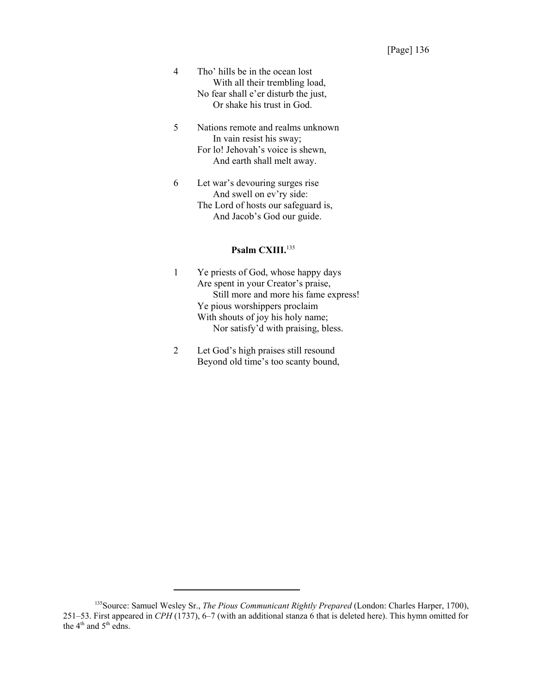- 4 Tho' hills be in the ocean lost With all their trembling load, No fear shall e'er disturb the just, Or shake his trust in God.
- 5 Nations remote and realms unknown In vain resist his sway; For lo! Jehovah's voice is shewn, And earth shall melt away.
- 6 Let war's devouring surges rise And swell on ev'ry side: The Lord of hosts our safeguard is, And Jacob's God our guide.

#### **Psalm CXIII.**<sup>135</sup>

- 1 Ye priests of God, whose happy days Are spent in your Creator's praise, Still more and more his fame express! Ye pious worshippers proclaim With shouts of joy his holy name; Nor satisfy'd with praising, bless.
- 2 Let God's high praises still resound Beyond old time's too scanty bound,

<sup>135</sup>Source: Samuel Wesley Sr., *The Pious Communicant Rightly Prepared* (London: Charles Harper, 1700), 251–53. First appeared in *CPH* (1737), 6–7 (with an additional stanza 6 that is deleted here). This hymn omitted for the 4<sup>th</sup> and 5<sup>th</sup> edns.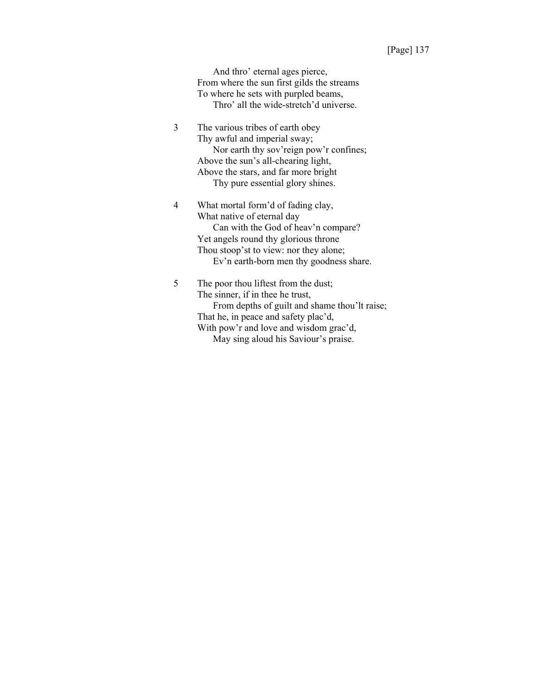And thro' eternal ages pierce, From where the sun first gilds the streams To where he sets with purpled beams, Thro' all the wide-stretch'd universe.

- 3 The various tribes of earth obey Thy awful and imperial sway; Nor earth thy sov'reign pow'r confines; Above the sun's all-chearing light, Above the stars, and far more bright Thy pure essential glory shines.
- 4 What mortal form'd of fading clay, What native of eternal day Can with the God of heav'n compare? Yet angels round thy glorious throne Thou stoop'st to view: nor they alone; Ev'n earth-born men thy goodness share.
- 5 The poor thou liftest from the dust; The sinner, if in thee he trust, From depths of guilt and shame thou'lt raise; That he, in peace and safety plac'd, With pow'r and love and wisdom grac'd, May sing aloud his Saviour's praise.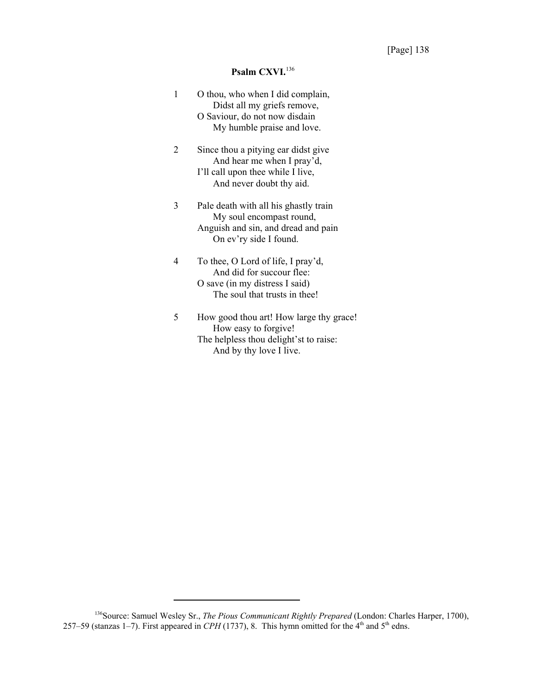## **Psalm CXVI.**<sup>136</sup>

| 1 | O thou, who when I did complain,<br>Didst all my griefs remove,<br>O Saviour, do not now disdain<br>My humble praise and love.     |
|---|------------------------------------------------------------------------------------------------------------------------------------|
| 2 | Since thou a pitying ear didst give<br>And hear me when I pray'd,<br>I'll call upon thee while I live,<br>And never doubt thy aid. |
| 3 | Pale death with all his ghastly train<br>My soul encompast round,<br>Anguish and sin, and dread and pain<br>On ev'ry side I found. |
|   | To thee, O Lord of life, I pray'd,<br>And did for succour flee:<br>O save (in my distress I said)<br>The soul that trusts in thee! |
| 5 | How good thou art! How large thy grace!<br>How easy to forgive!                                                                    |

The helpless thou delight'st to raise: And by thy love I live.

<sup>136</sup>Source: Samuel Wesley Sr., *The Pious Communicant Rightly Prepared* (London: Charles Harper, 1700), 257–59 (stanzas 1–7). First appeared in *CPH* (1737), 8. This hymn omitted for the  $4<sup>th</sup>$  and  $5<sup>th</sup>$  edns.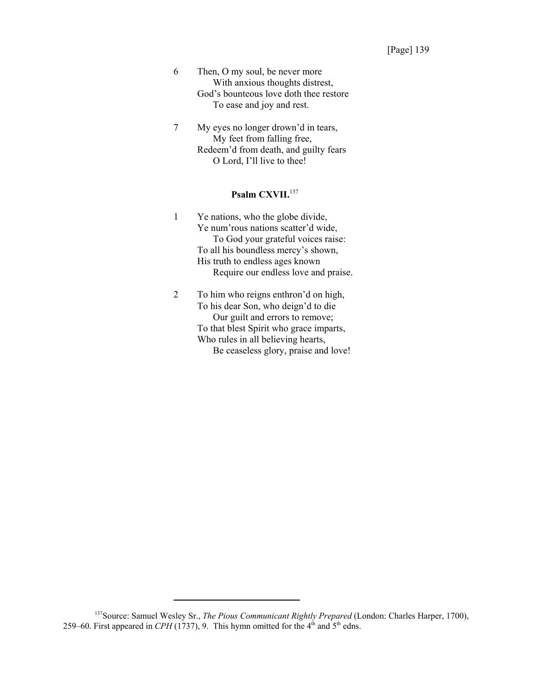- 6 Then, O my soul, be never more With anxious thoughts distrest, God's bounteous love doth thee restore To ease and joy and rest.
- 7 My eyes no longer drown'd in tears, My feet from falling free, Redeem'd from death, and guilty fears O Lord, I'll live to thee!

## **Psalm CXVII.**<sup>137</sup>

- 1 Ye nations, who the globe divide, Ye num'rous nations scatter'd wide, To God your grateful voices raise: To all his boundless mercy's shown, His truth to endless ages known Require our endless love and praise.
- 2 To him who reigns enthron'd on high, To his dear Son, who deign'd to die Our guilt and errors to remove; To that blest Spirit who grace imparts, Who rules in all believing hearts, Be ceaseless glory, praise and love!

<sup>137</sup>Source: Samuel Wesley Sr., *The Pious Communicant Rightly Prepared* (London: Charles Harper, 1700), 259–60. First appeared in *CPH* (1737), 9. This hymn omitted for the  $4<sup>th</sup>$  and  $5<sup>th</sup>$  edns.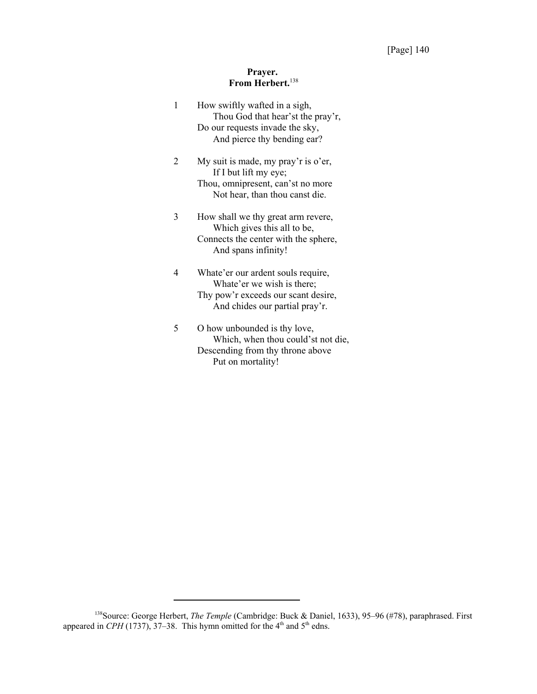## **Prayer. From Herbert.**<sup>138</sup>

| 1 | How swiftly wafted in a sigh,<br>Thou God that hear'st the pray'r,<br>Do our requests invade the sky,<br>And pierce thy bending ear?      |
|---|-------------------------------------------------------------------------------------------------------------------------------------------|
| 2 | My suit is made, my pray'r is o'er,<br>If I but lift my eye;<br>Thou, omnipresent, can'st no more<br>Not hear, than thou canst die.       |
| 3 | How shall we thy great arm revere,<br>Which gives this all to be,<br>Connects the center with the sphere,<br>And spans infinity!          |
| 4 | Whate'er our ardent souls require,<br>Whate'er we wish is there;<br>Thy pow'r exceeds our scant desire,<br>And chides our partial pray'r. |
| 5 | O how unbounded is thy love,<br>Which, when thou could'st not die,<br>Descending from thy throne above                                    |

Put on mortality!

<sup>138</sup>Source: George Herbert, *The Temple* (Cambridge: Buck & Daniel, 1633), 95–96 (#78), paraphrased. First appeared in  $\mathcal{CPH}$  (1737), 37–38. This hymn omitted for the 4<sup>th</sup> and 5<sup>th</sup> edns.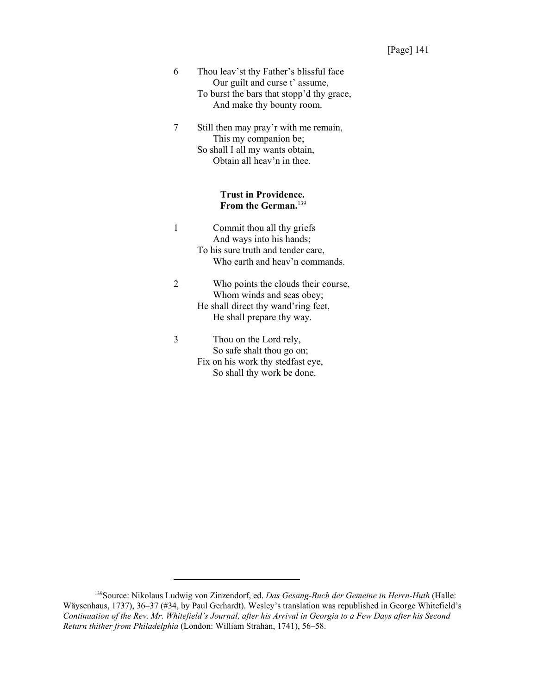- 6 Thou leav'st thy Father's blissful face Our guilt and curse t' assume, To burst the bars that stopp'd thy grace, And make thy bounty room.
- 7 Still then may pray'r with me remain, This my companion be; So shall I all my wants obtain, Obtain all heav'n in thee.

#### **Trust in Providence. From the German.**<sup>139</sup>

- 1 Commit thou all thy griefs And ways into his hands; To his sure truth and tender care, Who earth and heav'n commands.
- 2 Who points the clouds their course, Whom winds and seas obey; He shall direct thy wand'ring feet, He shall prepare thy way.
- 3 Thou on the Lord rely, So safe shalt thou go on; Fix on his work thy stedfast eye, So shall thy work be done.

<sup>139</sup>Source: Nikolaus Ludwig von Zinzendorf, ed. *Das Gesang-Buch der Gemeine in Herrn-Huth* (Halle: Wäysenhaus, 1737), 36–37 (#34, by Paul Gerhardt). Wesley's translation was republished in George Whitefield's *Continuation of the Rev. Mr. Whitefield's Journal, after his Arrival in Georgia to a Few Days after his Second Return thither from Philadelphia* (London: William Strahan, 1741), 56–58.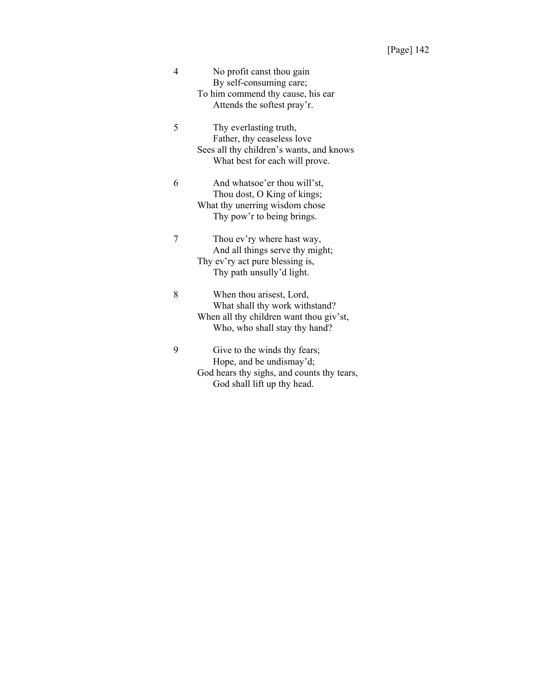| 4 | No profit canst thou gain                  |
|---|--------------------------------------------|
|   | By self-consuming care;                    |
|   | To him commend thy cause, his ear          |
|   | Attends the softest pray'r.                |
| 5 | Thy everlasting truth,                     |
|   | Father, thy ceaseless love                 |
|   | Sees all thy children's wants, and knows   |
|   | What best for each will prove.             |
| 6 | And whatsoe'er thou will'st,               |
|   | Thou dost, O King of kings;                |
|   | What thy unerring wisdom chose             |
|   | Thy pow'r to being brings.                 |
|   |                                            |
| 7 | Thou ev'ry where hast way,                 |
|   | And all things serve thy might;            |
|   | Thy ev'ry act pure blessing is,            |
|   | Thy path unsully'd light.                  |
|   |                                            |
| 8 | When thou arisest, Lord,                   |
|   | What shall thy work withstand?             |
|   | When all thy children want thou giv'st,    |
|   | Who, who shall stay thy hand?              |
| 9 | Give to the winds thy fears;               |
|   | Hope, and be undismay'd;                   |
|   | God hears thy sighs, and counts thy tears, |
|   | God shall lift up thy head.                |
|   |                                            |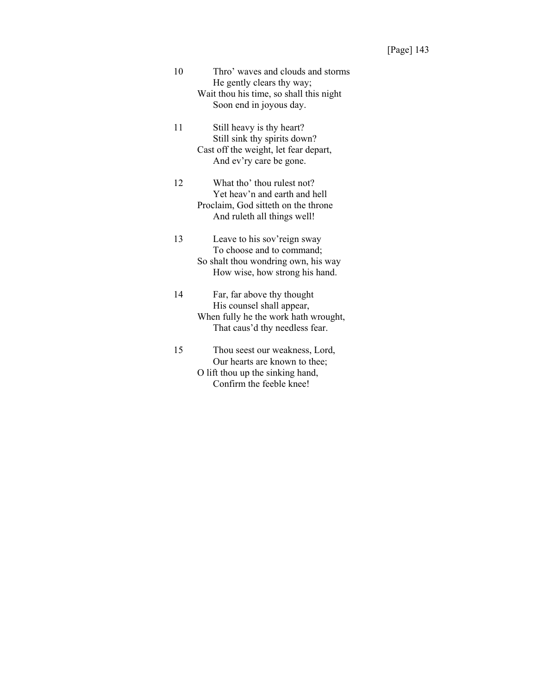| 10 | Thro' waves and clouds and storms<br>He gently clears thy way;<br>Wait thou his time, so shall this night<br>Soon end in joyous day. |
|----|--------------------------------------------------------------------------------------------------------------------------------------|
| 11 | Still heavy is thy heart?<br>Still sink thy spirits down?<br>Cast off the weight, let fear depart,<br>And ev'ry care be gone.        |
| 12 | What tho' thou rulest not?<br>Yet heav'n and earth and hell<br>Proclaim, God sitteth on the throne<br>And ruleth all things well!    |
| 13 | Leave to his sov'reign sway<br>To choose and to command;<br>So shalt thou wondring own, his way<br>How wise, how strong his hand.    |
| 14 | Far, far above thy thought<br>His counsel shall appear,<br>When fully he the work hath wrought,<br>That caus'd thy needless fear.    |
| 15 | Thou seest our weakness, Lord,<br>Our hearts are known to thee;<br>O lift thou up the sinking hand,<br>Confirm the feeble knee!      |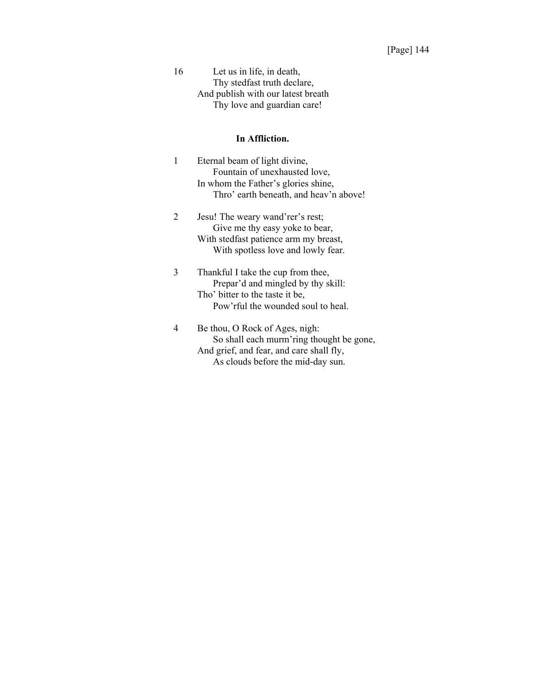16 Let us in life, in death, Thy stedfast truth declare, And publish with our latest breath Thy love and guardian care!

#### **In Affliction.**

- 1 Eternal beam of light divine, Fountain of unexhausted love, In whom the Father's glories shine, Thro' earth beneath, and heav'n above!
- 2 Jesu! The weary wand'rer's rest; Give me thy easy yoke to bear, With stedfast patience arm my breast, With spotless love and lowly fear.
- 3 Thankful I take the cup from thee, Prepar'd and mingled by thy skill: Tho' bitter to the taste it be, Pow'rful the wounded soul to heal.
- 4 Be thou, O Rock of Ages, nigh: So shall each murm'ring thought be gone, And grief, and fear, and care shall fly, As clouds before the mid-day sun.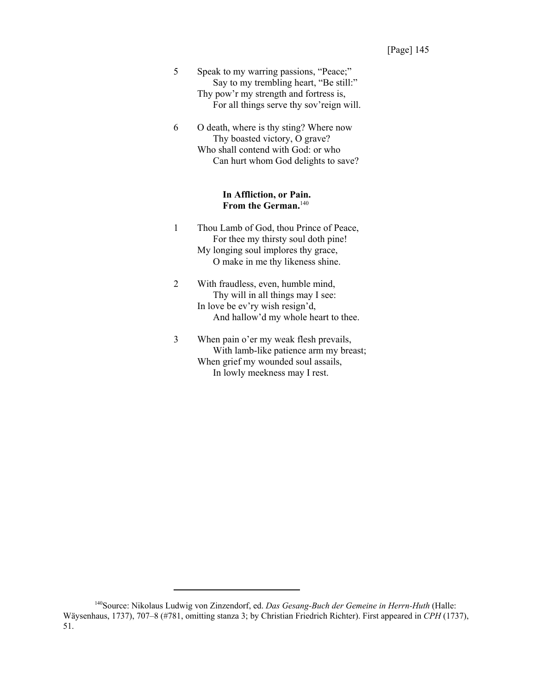- 5 Speak to my warring passions, "Peace;" Say to my trembling heart, "Be still:" Thy pow'r my strength and fortress is, For all things serve thy sov'reign will.
- 6 O death, where is thy sting? Where now Thy boasted victory, O grave? Who shall contend with God: or who Can hurt whom God delights to save?

#### **In Affliction, or Pain. From the German.**<sup>140</sup>

- 1 Thou Lamb of God, thou Prince of Peace, For thee my thirsty soul doth pine! My longing soul implores thy grace, O make in me thy likeness shine.
- 2 With fraudless, even, humble mind, Thy will in all things may I see: In love be ev'ry wish resign'd, And hallow'd my whole heart to thee.
- 3 When pain o'er my weak flesh prevails, With lamb-like patience arm my breast; When grief my wounded soul assails, In lowly meekness may I rest.

<sup>140</sup>Source: Nikolaus Ludwig von Zinzendorf, ed. *Das Gesang-Buch der Gemeine in Herrn-Huth* (Halle: Wäysenhaus, 1737), 707–8 (#781, omitting stanza 3; by Christian Friedrich Richter). First appeared in *CPH* (1737), 51.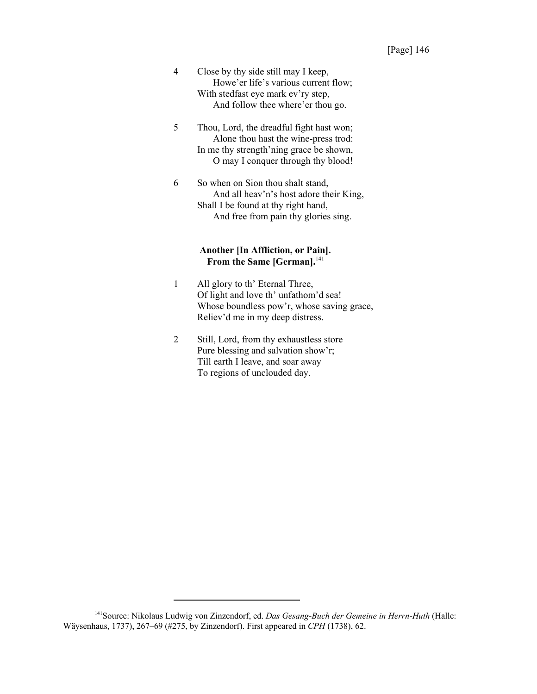- 4 Close by thy side still may I keep, Howe'er life's various current flow; With stedfast eye mark ev'ry step, And follow thee where'er thou go.
- 5 Thou, Lord, the dreadful fight hast won; Alone thou hast the wine-press trod: In me thy strength'ning grace be shown, O may I conquer through thy blood!
- 6 So when on Sion thou shalt stand, And all heav'n's host adore their King, Shall I be found at thy right hand, And free from pain thy glories sing.

#### **Another [In Affliction, or Pain].** From the Same [German].<sup>141</sup>

- 1 All glory to th' Eternal Three, Of light and love th' unfathom'd sea! Whose boundless pow'r, whose saving grace, Reliev'd me in my deep distress.
- 2 Still, Lord, from thy exhaustless store Pure blessing and salvation show'r; Till earth I leave, and soar away To regions of unclouded day.

<sup>141</sup>Source: Nikolaus Ludwig von Zinzendorf, ed. *Das Gesang-Buch der Gemeine in Herrn-Huth* (Halle: Wäysenhaus, 1737), 267–69 (#275, by Zinzendorf). First appeared in *CPH* (1738), 62.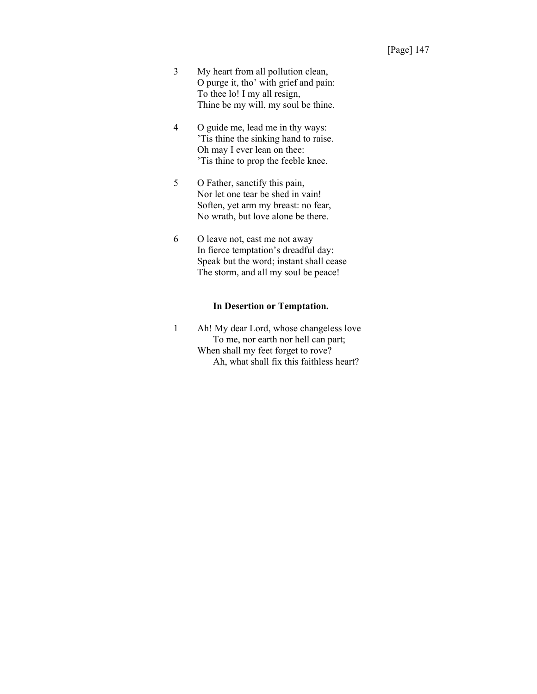- 3 My heart from all pollution clean, O purge it, tho' with grief and pain: To thee lo! I my all resign, Thine be my will, my soul be thine.
- 4 O guide me, lead me in thy ways: 'Tis thine the sinking hand to raise. Oh may I ever lean on thee: 'Tis thine to prop the feeble knee.
- 5 O Father, sanctify this pain, Nor let one tear be shed in vain! Soften, yet arm my breast: no fear, No wrath, but love alone be there.
- 6 O leave not, cast me not away In fierce temptation's dreadful day: Speak but the word; instant shall cease The storm, and all my soul be peace!

#### **In Desertion or Temptation.**

1 Ah! My dear Lord, whose changeless love To me, nor earth nor hell can part; When shall my feet forget to rove? Ah, what shall fix this faithless heart?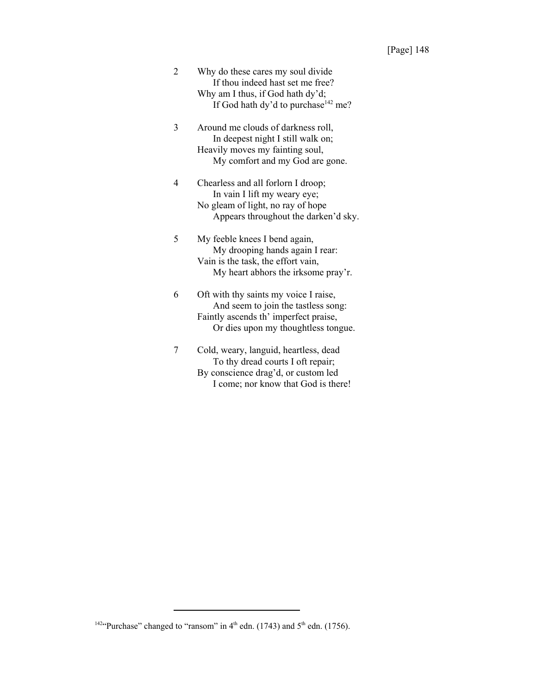| 2 | Why do these cares my soul divide               |
|---|-------------------------------------------------|
|   | If thou indeed hast set me free?                |
|   | Why am I thus, if God hath dy'd;                |
|   | If God hath dy'd to purchase <sup>142</sup> me? |

- 3 Around me clouds of darkness roll, In deepest night I still walk on; Heavily moves my fainting soul, My comfort and my God are gone.
- 4 Chearless and all forlorn I droop; In vain I lift my weary eye; No gleam of light, no ray of hope Appears throughout the darken'd sky.
- 5 My feeble knees I bend again, My drooping hands again I rear: Vain is the task, the effort vain, My heart abhors the irksome pray'r.
- 6 Oft with thy saints my voice I raise, And seem to join the tastless song: Faintly ascends th' imperfect praise, Or dies upon my thoughtless tongue.
- 7 Cold, weary, languid, heartless, dead To thy dread courts I oft repair; By conscience drag'd, or custom led I come; nor know that God is there!

<sup>&</sup>lt;sup>142</sup>"Purchase" changed to "ransom" in  $4<sup>th</sup>$  edn. (1743) and  $5<sup>th</sup>$  edn. (1756).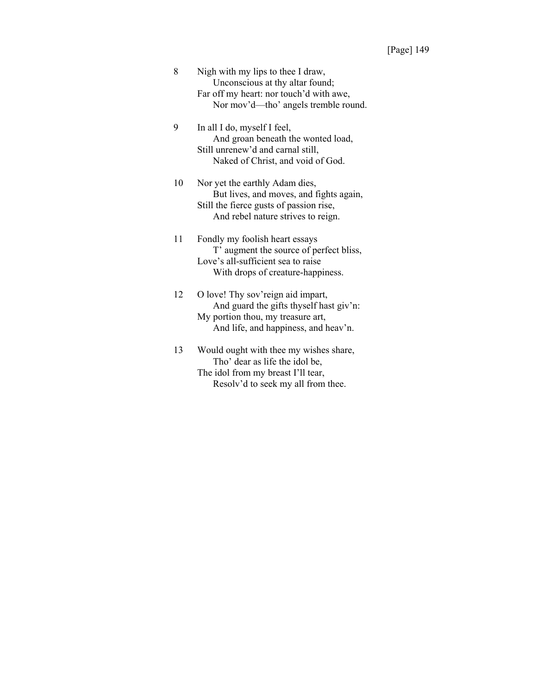| 8 | Nigh with my lips to thee I draw,       |
|---|-----------------------------------------|
|   | Unconscious at thy altar found;         |
|   | Far off my heart: nor touch'd with awe, |
|   | Nor mov'd—tho' angels tremble round.    |

9 In all I do, myself I feel, And groan beneath the wonted load, Still unrenew'd and carnal still, Naked of Christ, and void of God.

10 Nor yet the earthly Adam dies, But lives, and moves, and fights again, Still the fierce gusts of passion rise, And rebel nature strives to reign.

11 Fondly my foolish heart essays T' augment the source of perfect bliss, Love's all-sufficient sea to raise With drops of creature-happiness.

12 O love! Thy sov'reign aid impart, And guard the gifts thyself hast giv'n: My portion thou, my treasure art, And life, and happiness, and heav'n.

13 Would ought with thee my wishes share, Tho' dear as life the idol be, The idol from my breast I'll tear, Resolv'd to seek my all from thee.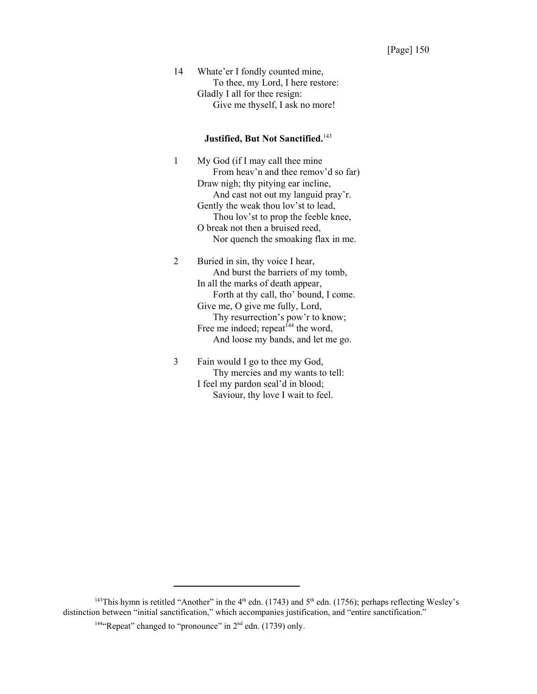14 Whate'er I fondly counted mine, To thee, my Lord, I here restore: Gladly I all for thee resign: Give me thyself, I ask no more!

## **Justified, But Not Sanctified.**<sup>143</sup>

1 My God (if I may call thee mine From heav'n and thee remov'd so far) Draw nigh; thy pitying ear incline, And cast not out my languid pray'r. Gently the weak thou lov'st to lead, Thou lov'st to prop the feeble knee, O break not then a bruised reed, Nor quench the smoaking flax in me.

2 Buried in sin, thy voice I hear, And burst the barriers of my tomb, In all the marks of death appear, Forth at thy call, tho' bound, I come. Give me, O give me fully, Lord, Thy resurrection's pow'r to know; Free me indeed; repeat $144$  the word, And loose my bands, and let me go.

3 Fain would I go to thee my God, Thy mercies and my wants to tell: I feel my pardon seal'd in blood; Saviour, thy love I wait to feel.

<sup>&</sup>lt;sup>143</sup>This hymn is retitled "Another" in the  $4<sup>th</sup>$  edn. (1743) and  $5<sup>th</sup>$  edn. (1756); perhaps reflecting Wesley's distinction between "initial sanctification," which accompanies justification, and "entire sanctification."

<sup>&</sup>lt;sup>144</sup>"Repeat" changed to "pronounce" in  $2<sup>nd</sup>$  edn. (1739) only.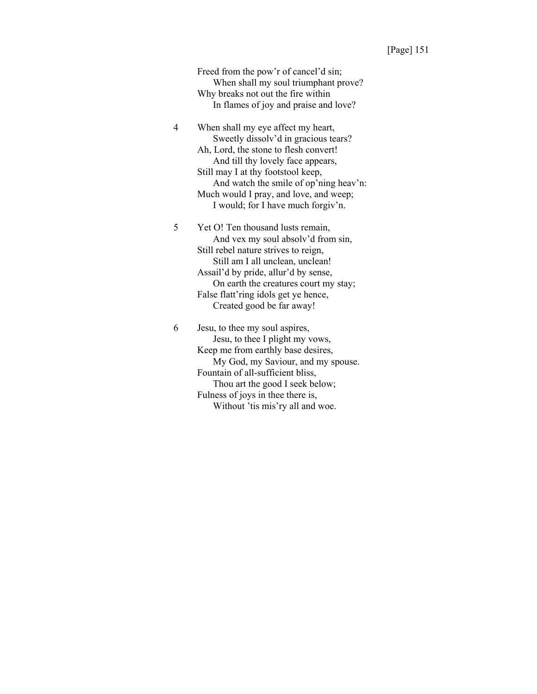Freed from the pow'r of cancel'd sin; When shall my soul triumphant prove? Why breaks not out the fire within In flames of joy and praise and love?

4 When shall my eye affect my heart, Sweetly dissolv'd in gracious tears? Ah, Lord, the stone to flesh convert! And till thy lovely face appears, Still may I at thy footstool keep, And watch the smile of op'ning heav'n: Much would I pray, and love, and weep; I would; for I have much forgiv'n.

5 Yet O! Ten thousand lusts remain, And vex my soul absolv'd from sin, Still rebel nature strives to reign, Still am I all unclean, unclean! Assail'd by pride, allur'd by sense, On earth the creatures court my stay; False flatt'ring idols get ye hence, Created good be far away!

6 Jesu, to thee my soul aspires, Jesu, to thee I plight my vows, Keep me from earthly base desires, My God, my Saviour, and my spouse. Fountain of all-sufficient bliss, Thou art the good I seek below; Fulness of joys in thee there is, Without 'tis mis'ry all and woe.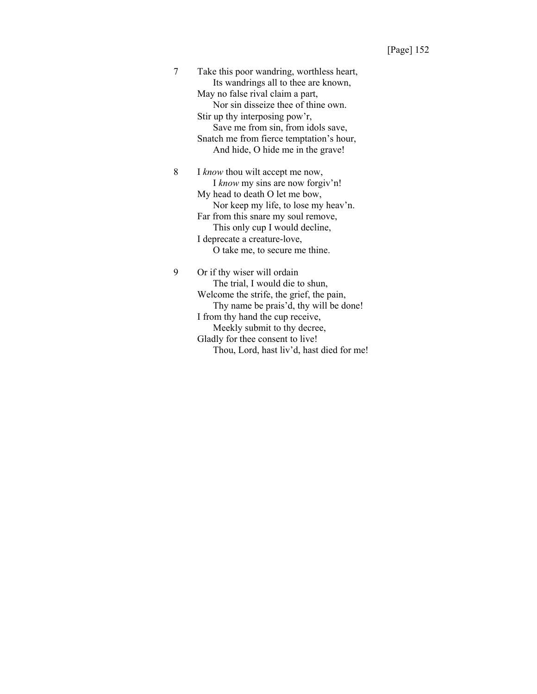|  | Take this poor wandring, worthless heart,<br>Its wandrings all to thee are known, |
|--|-----------------------------------------------------------------------------------|
|  | May no false rival claim a part,                                                  |
|  | Nor sin disseize thee of thine own.                                               |
|  | Stir up thy interposing pow'r,                                                    |
|  | Save me from sin, from idols save,                                                |
|  | Snatch me from fierce temptation's hour,                                          |
|  | And hide, O hide me in the grave!                                                 |
|  |                                                                                   |
|  | I know thou wilt accept me now,                                                   |

I *know* my sins are now forgiv'n! My head to death O let me bow, Nor keep my life, to lose my heav'n. Far from this snare my soul remove, This only cup I would decline, I deprecate a creature-love, O take me, to secure me thine.

9 Or if thy wiser will ordain The trial, I would die to shun, Welcome the strife, the grief, the pain, Thy name be prais'd, thy will be done! I from thy hand the cup receive, Meekly submit to thy decree, Gladly for thee consent to live! Thou, Lord, hast liv'd, hast died for me!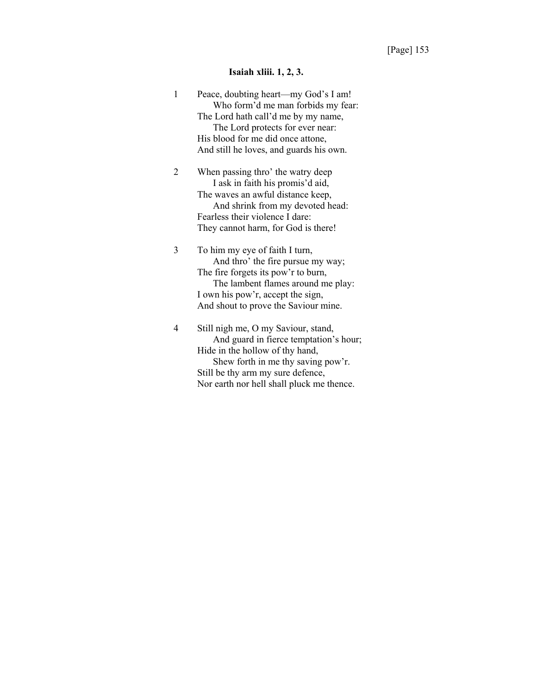## **Isaiah xliii. 1, 2, 3.**

| 1 | Peace, doubting heart—my God's I am!<br>Who form'd me man forbids my fear:<br>The Lord hath call'd me by my name,<br>The Lord protects for ever near:<br>His blood for me did once attone,<br>And still he loves, and guards his own.    |
|---|------------------------------------------------------------------------------------------------------------------------------------------------------------------------------------------------------------------------------------------|
| 2 | When passing thro' the watry deep<br>I ask in faith his promis'd aid,<br>The waves an awful distance keep,<br>And shrink from my devoted head:<br>Fearless their violence I dare:<br>They cannot harm, for God is there!                 |
| 3 | To him my eye of faith I turn,<br>And thro' the fire pursue my way;<br>The fire forgets its pow'r to burn,<br>The lambent flames around me play:<br>I own his pow'r, accept the sign,<br>And shout to prove the Saviour mine.            |
| 4 | Still nigh me, O my Saviour, stand,<br>And guard in fierce temptation's hour;<br>Hide in the hollow of thy hand,<br>Shew forth in me thy saving pow'r.<br>Still be thy arm my sure defence,<br>Nor earth nor hell shall pluck me thence. |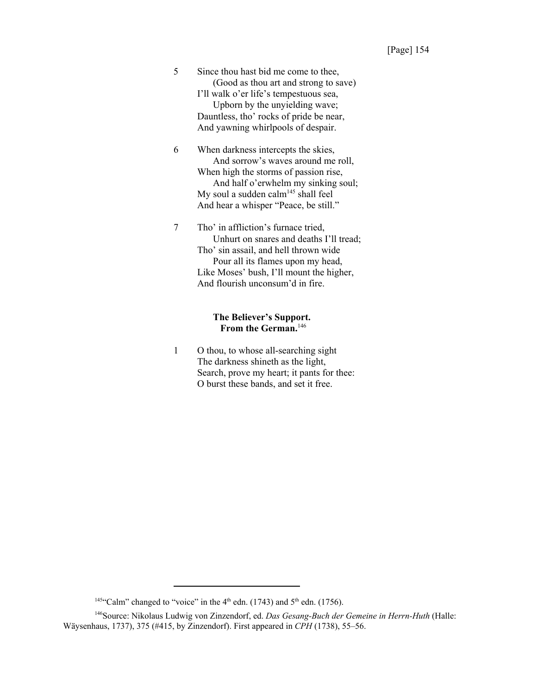| 5 | Since thou hast bid me come to thee,                                                                                                                                                                                                                  |
|---|-------------------------------------------------------------------------------------------------------------------------------------------------------------------------------------------------------------------------------------------------------|
|   | (Good as thou art and strong to save)<br>I'll walk o'er life's tempestuous sea,<br>Upborn by the unyielding wave;                                                                                                                                     |
|   | Dauntless, tho' rocks of pride be near,                                                                                                                                                                                                               |
|   | And yawning whirlpools of despair.                                                                                                                                                                                                                    |
| 6 | When darkness intercepts the skies,<br>And sorrow's waves around me roll,<br>When high the storms of passion rise,<br>And half o'erwhelm my sinking soul;<br>My soul a sudden calm <sup>145</sup> shall feel<br>And hear a whisper "Peace, be still." |
|   | Tho' in affliction's furnace tried,<br>Unhurt on snares and deaths I'll tread;<br>Tho' sin assail, and hell thrown wide<br>Pour all its flames upon my head,<br>Like Moses' bush, I'll mount the higher,<br>And flourish unconsum'd in fire.          |

## **The Believer's Support. From the German.**<sup>146</sup>

1 O thou, to whose all-searching sight The darkness shineth as the light, Search, prove my heart; it pants for thee: O burst these bands, and set it free.

<sup>&</sup>lt;sup>145"</sup>Calm" changed to "voice" in the 4<sup>th</sup> edn. (1743) and 5<sup>th</sup> edn. (1756).

<sup>146</sup>Source: Nikolaus Ludwig von Zinzendorf, ed. *Das Gesang-Buch der Gemeine in Herrn-Huth* (Halle: Wäysenhaus, 1737), 375 (#415, by Zinzendorf). First appeared in *CPH* (1738), 55–56.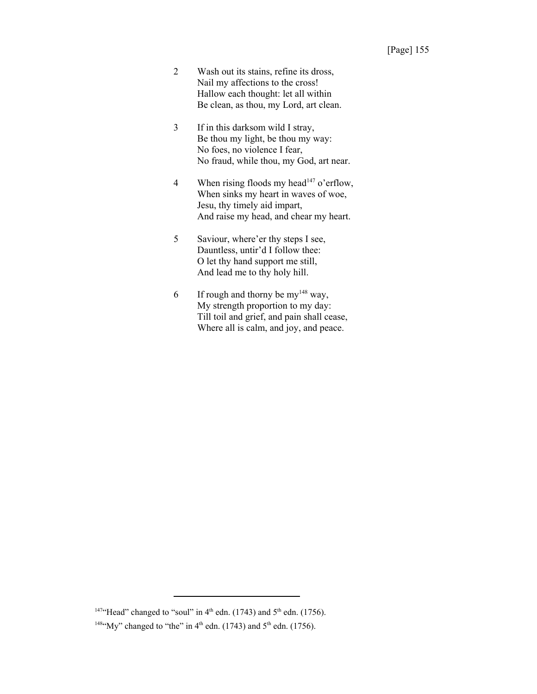- 2 Wash out its stains, refine its dross, Nail my affections to the cross! Hallow each thought: let all within Be clean, as thou, my Lord, art clean.
- 3 If in this darksom wild I stray, Be thou my light, be thou my way: No foes, no violence I fear, No fraud, while thou, my God, art near.
- 4 When rising floods my head<sup>147</sup> o'erflow, When sinks my heart in waves of woe, Jesu, thy timely aid impart, And raise my head, and chear my heart.
- 5 Saviour, where'er thy steps I see, Dauntless, untir'd I follow thee: O let thy hand support me still, And lead me to thy holy hill.
- 6 If rough and thorny be my<sup>148</sup> way, My strength proportion to my day: Till toil and grief, and pain shall cease, Where all is calm, and joy, and peace.

<sup>&</sup>lt;sup>147</sup>"Head" changed to "soul" in  $4<sup>th</sup>$  edn. (1743) and  $5<sup>th</sup>$  edn. (1756).

<sup>&</sup>lt;sup>148"</sup>My" changed to "the" in 4<sup>th</sup> edn. (1743) and 5<sup>th</sup> edn. (1756).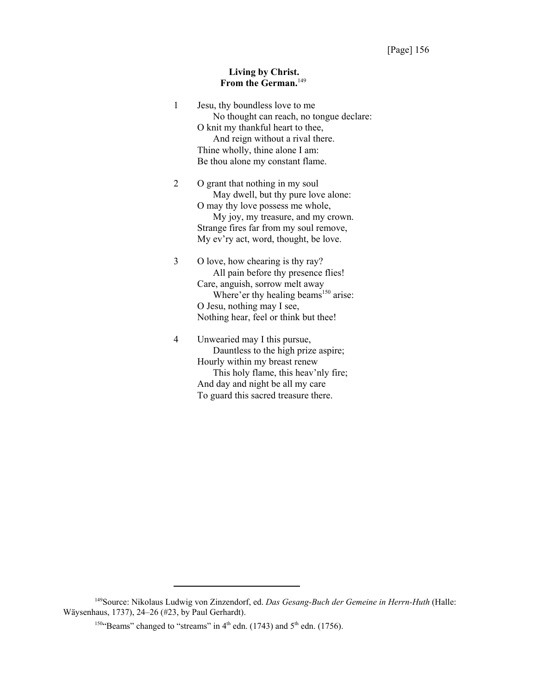#### **Living by Christ. From the German.**<sup>149</sup>

| $\mathbf{1}$ | Jesu, thy boundless love to me                   |
|--------------|--------------------------------------------------|
|              | No thought can reach, no tongue declare:         |
|              | O knit my thankful heart to thee,                |
|              | And reign without a rival there.                 |
|              | Thine wholly, thine alone I am:                  |
|              | Be thou alone my constant flame.                 |
| 2            | O grant that nothing in my soul                  |
|              | May dwell, but thy pure love alone:              |
|              | O may thy love possess me whole,                 |
|              | My joy, my treasure, and my crown.               |
|              | Strange fires far from my soul remove,           |
|              | My ev'ry act, word, thought, be love.            |
| 3            | O love, how chearing is thy ray?                 |
|              | All pain before thy presence flies!              |
|              | Care, anguish, sorrow melt away                  |
|              | Where'er thy healing beams <sup>150</sup> arise: |
|              | O Jesu, nothing may I see,                       |
|              | Nothing hear, feel or think but thee!            |
| 4            | Unwearied may I this pursue,                     |
|              | Dauntless to the high prize aspire;              |
|              | Hourly within my breast renew                    |
|              | This holy flame, this heav'nly fire;             |
|              | And day and night be all my care                 |
|              | To guard this sacred treasure there.             |

<sup>149</sup>Source: Nikolaus Ludwig von Zinzendorf, ed. *Das Gesang-Buch der Gemeine in Herrn-Huth* (Halle: Wäysenhaus, 1737), 24–26 (#23, by Paul Gerhardt).

<sup>&</sup>lt;sup>150</sup>"Beams" changed to "streams" in 4<sup>th</sup> edn. (1743) and 5<sup>th</sup> edn. (1756).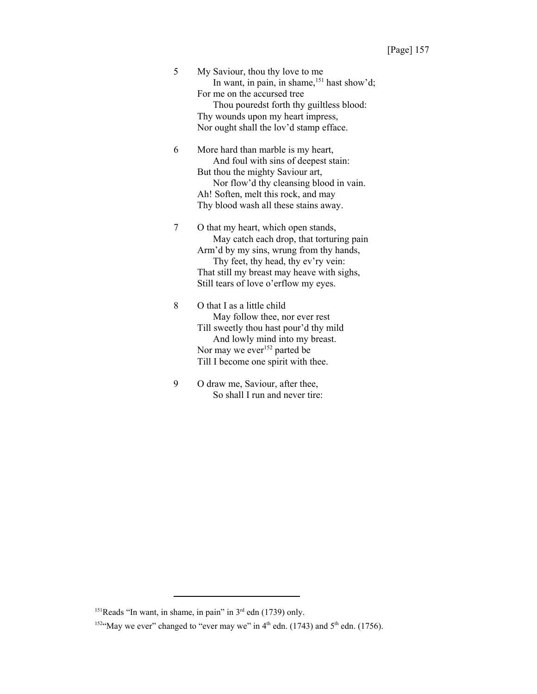| 5 | My Saviour, thou thy love to me                   |
|---|---------------------------------------------------|
|   | In want, in pain, in shame, $^{151}$ hast show'd; |
|   | For me on the accursed tree                       |
|   | Thou pouredst forth thy guiltless blood:          |
|   | Thy wounds upon my heart impress,                 |
|   | Nor ought shall the lov'd stamp efface.           |

6 More hard than marble is my heart, And foul with sins of deepest stain: But thou the mighty Saviour art, Nor flow'd thy cleansing blood in vain. Ah! Soften, melt this rock, and may Thy blood wash all these stains away.

7 O that my heart, which open stands, May catch each drop, that torturing pain Arm'd by my sins, wrung from thy hands, Thy feet, thy head, thy ev'ry vein: That still my breast may heave with sighs, Still tears of love o'erflow my eyes.

8 O that I as a little child May follow thee, nor ever rest Till sweetly thou hast pour'd thy mild And lowly mind into my breast. Nor may we ever<sup>152</sup> parted be Till I become one spirit with thee.

9 O draw me, Saviour, after thee, So shall I run and never tire:

 $151$ Reads "In want, in shame, in pain" in  $3<sup>rd</sup>$  edn (1739) only.

<sup>&</sup>lt;sup>152</sup>"May we ever" changed to "ever may we" in  $4<sup>th</sup>$  edn. (1743) and  $5<sup>th</sup>$  edn. (1756).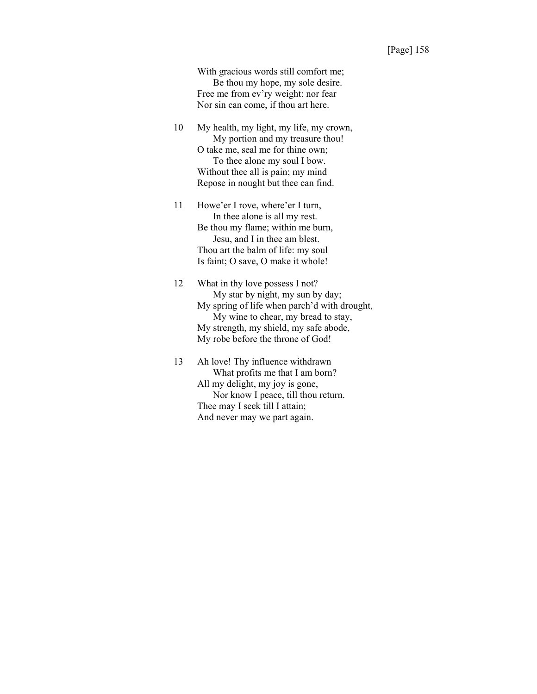With gracious words still comfort me; Be thou my hope, my sole desire. Free me from ev'ry weight: nor fear Nor sin can come, if thou art here.

10 My health, my light, my life, my crown, My portion and my treasure thou! O take me, seal me for thine own; To thee alone my soul I bow. Without thee all is pain; my mind Repose in nought but thee can find.

11 Howe'er I rove, where'er I turn, In thee alone is all my rest. Be thou my flame; within me burn, Jesu, and I in thee am blest. Thou art the balm of life: my soul Is faint; O save, O make it whole!

12 What in thy love possess I not? My star by night, my sun by day; My spring of life when parch'd with drought, My wine to chear, my bread to stay, My strength, my shield, my safe abode, My robe before the throne of God!

13 Ah love! Thy influence withdrawn What profits me that I am born? All my delight, my joy is gone, Nor know I peace, till thou return. Thee may I seek till I attain; And never may we part again.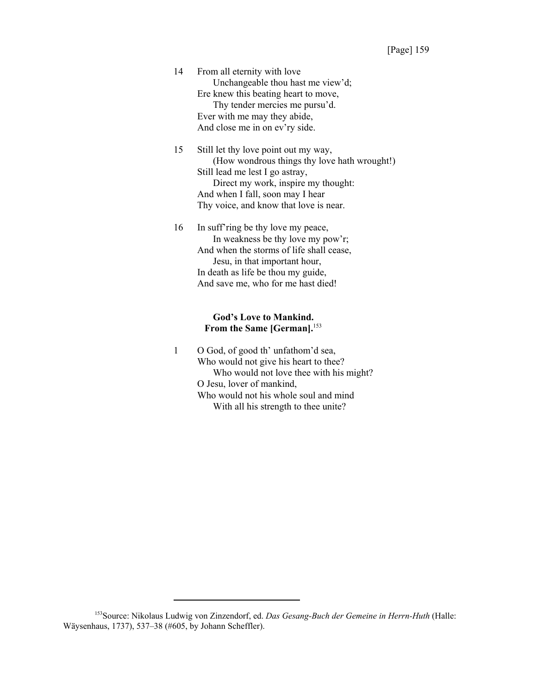14 From all eternity with love Unchangeable thou hast me view'd; Ere knew this beating heart to move, Thy tender mercies me pursu'd. Ever with me may they abide, And close me in on ev'ry side.

15 Still let thy love point out my way, (How wondrous things thy love hath wrought!) Still lead me lest I go astray, Direct my work, inspire my thought: And when I fall, soon may I hear Thy voice, and know that love is near.

16 In suff'ring be thy love my peace, In weakness be thy love my pow'r; And when the storms of life shall cease, Jesu, in that important hour, In death as life be thou my guide, And save me, who for me hast died!

#### **God's Love to Mankind.** From the Same [German].<sup>153</sup>

1 O God, of good th' unfathom'd sea, Who would not give his heart to thee? Who would not love thee with his might? O Jesu, lover of mankind, Who would not his whole soul and mind With all his strength to thee unite?

<sup>153</sup>Source: Nikolaus Ludwig von Zinzendorf, ed. *Das Gesang-Buch der Gemeine in Herrn-Huth* (Halle: Wäysenhaus, 1737), 537–38 (#605, by Johann Scheffler).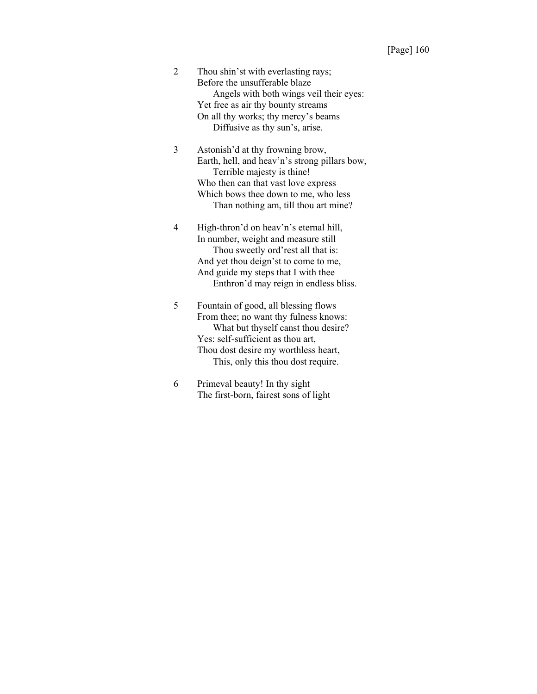- 2 Thou shin'st with everlasting rays; Before the unsufferable blaze Angels with both wings veil their eyes: Yet free as air thy bounty streams On all thy works; thy mercy's beams Diffusive as thy sun's, arise.
- 3 Astonish'd at thy frowning brow, Earth, hell, and heav'n's strong pillars bow, Terrible majesty is thine! Who then can that vast love express Which bows thee down to me, who less Than nothing am, till thou art mine?
- 4 High-thron'd on heav'n's eternal hill, In number, weight and measure still Thou sweetly ord'rest all that is: And yet thou deign'st to come to me, And guide my steps that I with thee Enthron'd may reign in endless bliss.
- 5 Fountain of good, all blessing flows From thee; no want thy fulness knows: What but thyself canst thou desire? Yes: self-sufficient as thou art, Thou dost desire my worthless heart, This, only this thou dost require.
- 6 Primeval beauty! In thy sight The first-born, fairest sons of light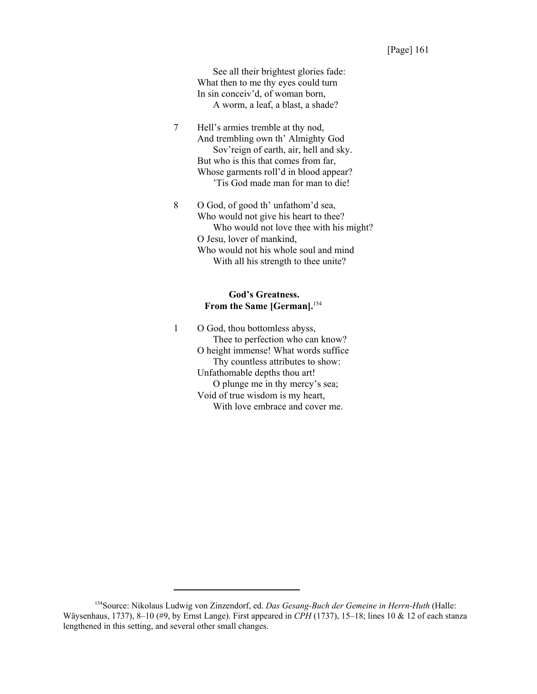See all their brightest glories fade: What then to me thy eyes could turn In sin conceiv'd, of woman born, A worm, a leaf, a blast, a shade?

7 Hell's armies tremble at thy nod, And trembling own th' Almighty God Sov'reign of earth, air, hell and sky. But who is this that comes from far, Whose garments roll'd in blood appear? 'Tis God made man for man to die!

8 O God, of good th' unfathom'd sea, Who would not give his heart to thee? Who would not love thee with his might? O Jesu, lover of mankind, Who would not his whole soul and mind With all his strength to thee unite?

## **God's Greatness. From the Same [German].**<sup>154</sup>

1 O God, thou bottomless abyss, Thee to perfection who can know? O height immense! What words suffice Thy countless attributes to show: Unfathomable depths thou art! O plunge me in thy mercy's sea; Void of true wisdom is my heart, With love embrace and cover me.

<sup>154</sup>Source: Nikolaus Ludwig von Zinzendorf, ed. *Das Gesang-Buch der Gemeine in Herrn-Huth* (Halle: Wäysenhaus, 1737), 8–10 (#9, by Ernst Lange). First appeared in *CPH* (1737), 15–18; lines 10 & 12 of each stanza lengthened in this setting, and several other small changes.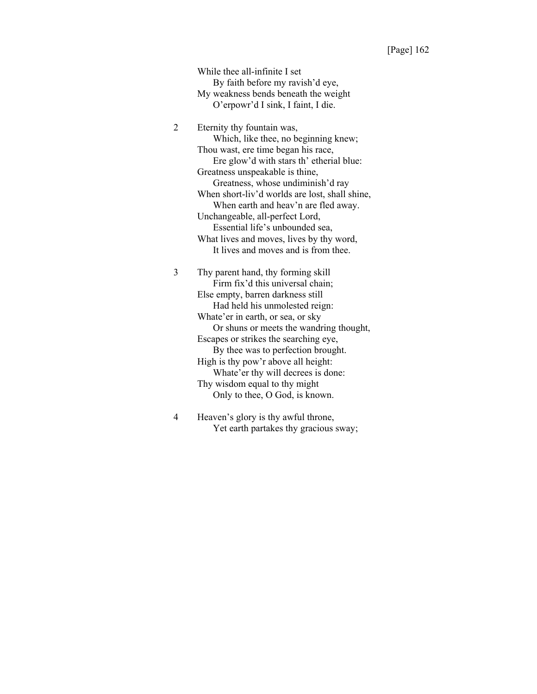While thee all-infinite I set By faith before my ravish'd eye, My weakness bends beneath the weight O'erpowr'd I sink, I faint, I die.

2 Eternity thy fountain was, Which, like thee, no beginning knew; Thou wast, ere time began his race, Ere glow'd with stars th' etherial blue: Greatness unspeakable is thine, Greatness, whose undiminish'd ray When short-liv'd worlds are lost, shall shine, When earth and heav'n are fled away. Unchangeable, all-perfect Lord, Essential life's unbounded sea, What lives and moves, lives by thy word, It lives and moves and is from thee.

3 Thy parent hand, thy forming skill Firm fix'd this universal chain; Else empty, barren darkness still Had held his unmolested reign: Whate'er in earth, or sea, or sky Or shuns or meets the wandring thought, Escapes or strikes the searching eye, By thee was to perfection brought. High is thy pow'r above all height: Whate'er thy will decrees is done: Thy wisdom equal to thy might Only to thee, O God, is known.

4 Heaven's glory is thy awful throne, Yet earth partakes thy gracious sway;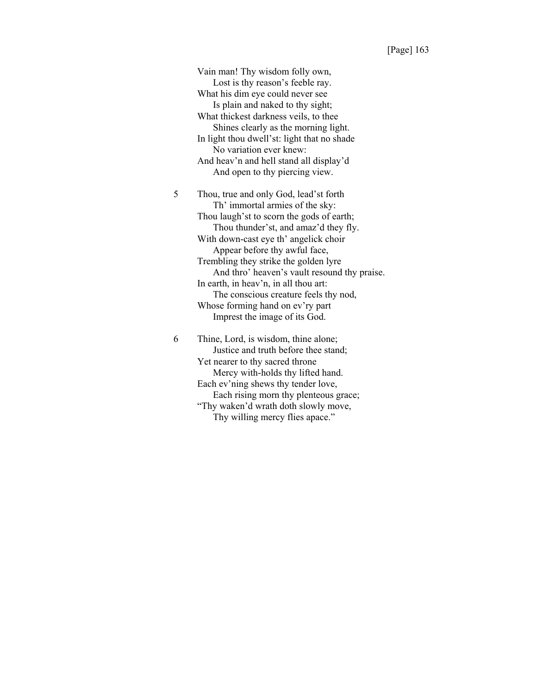Vain man! Thy wisdom folly own, Lost is thy reason's feeble ray. What his dim eye could never see Is plain and naked to thy sight; What thickest darkness veils, to thee Shines clearly as the morning light. In light thou dwell'st: light that no shade No variation ever knew: And heav'n and hell stand all display'd And open to thy piercing view.

5 Thou, true and only God, lead'st forth Th' immortal armies of the sky: Thou laugh'st to scorn the gods of earth; Thou thunder'st, and amaz'd they fly. With down-cast eye th' angelick choir Appear before thy awful face, Trembling they strike the golden lyre And thro' heaven's vault resound thy praise. In earth, in heav'n, in all thou art: The conscious creature feels thy nod, Whose forming hand on ev'ry part Imprest the image of its God.

6 Thine, Lord, is wisdom, thine alone; Justice and truth before thee stand; Yet nearer to thy sacred throne Mercy with-holds thy lifted hand. Each ev'ning shews thy tender love, Each rising morn thy plenteous grace; "Thy waken'd wrath doth slowly move, Thy willing mercy flies apace."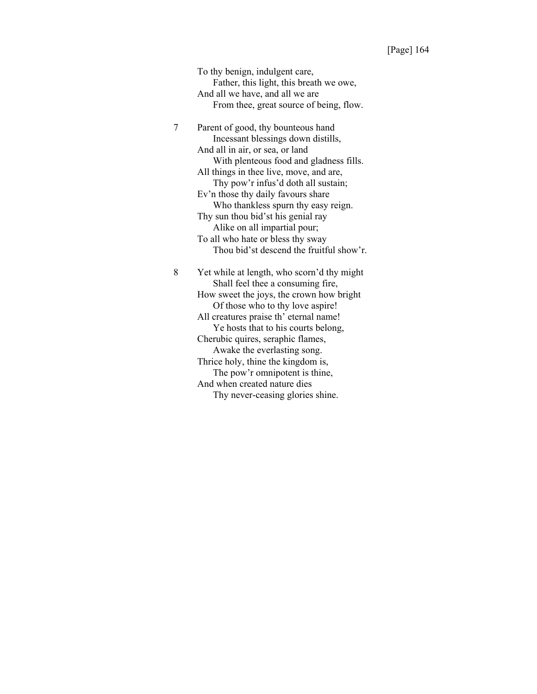To thy benign, indulgent care, Father, this light, this breath we owe, And all we have, and all we are From thee, great source of being, flow.

7 Parent of good, thy bounteous hand Incessant blessings down distills, And all in air, or sea, or land With plenteous food and gladness fills. All things in thee live, move, and are, Thy pow'r infus'd doth all sustain; Ev'n those thy daily favours share Who thankless spurn thy easy reign. Thy sun thou bid'st his genial ray Alike on all impartial pour; To all who hate or bless thy sway Thou bid'st descend the fruitful show'r. 8 Yet while at length, who scorn'd thy might Shall feel thee a consuming fire,

How sweet the joys, the crown how bright Of those who to thy love aspire! All creatures praise th' eternal name! Ye hosts that to his courts belong, Cherubic quires, seraphic flames, Awake the everlasting song. Thrice holy, thine the kingdom is, The pow'r omnipotent is thine, And when created nature dies Thy never-ceasing glories shine.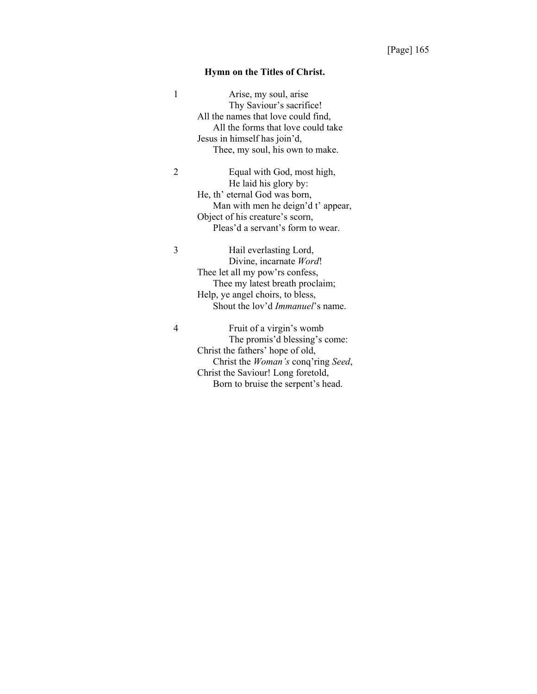## **Hymn on the Titles of Christ.**

| 1 | Arise, my soul, arise<br>Thy Saviour's sacrifice!<br>All the names that love could find,<br>All the forms that love could take<br>Jesus in himself has join'd,<br>Thee, my soul, his own to make.                      |
|---|------------------------------------------------------------------------------------------------------------------------------------------------------------------------------------------------------------------------|
| 2 | Equal with God, most high,<br>He laid his glory by:<br>He, th' eternal God was born,<br>Man with men he deign'd t' appear,<br>Object of his creature's scorn,<br>Pleas'd a servant's form to wear.                     |
| 3 | Hail everlasting Lord,<br>Divine, incarnate Word!<br>Thee let all my pow'rs confess,<br>Thee my latest breath proclaim;<br>Help, ye angel choirs, to bless,<br>Shout the lov'd <i>Immanuel</i> 's name.                |
| 4 | Fruit of a virgin's womb<br>The promis'd blessing's come:<br>Christ the fathers' hope of old,<br>Christ the <i>Woman's</i> conq'ring Seed,<br>Christ the Saviour! Long foretold,<br>Born to bruise the serpent's head. |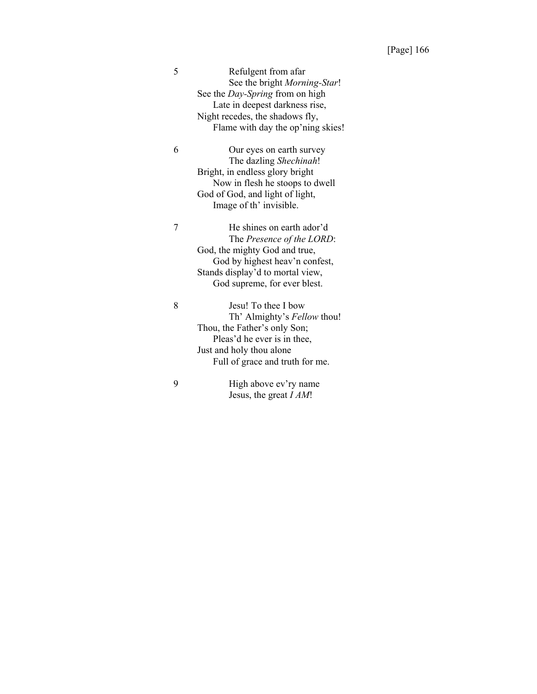| 5 | Refulgent from afar                    |
|---|----------------------------------------|
|   | See the bright <i>Morning-Star!</i>    |
|   | See the <i>Day-Spring</i> from on high |
|   | Late in deepest darkness rise,         |
|   | Night recedes, the shadows fly,        |
|   | Flame with day the op'ning skies!      |
|   |                                        |

6 Our eyes on earth survey The dazling *Shechinah*! Bright, in endless glory bright Now in flesh he stoops to dwell God of God, and light of light, Image of th' invisible.

7 He shines on earth ador'd The *Presence of the LORD*: God, the mighty God and true, God by highest heav'n confest, Stands display'd to mortal view, God supreme, for ever blest.

8 Jesu! To thee I bow Th' Almighty's *Fellow* thou! Thou, the Father's only Son; Pleas'd he ever is in thee, Just and holy thou alone Full of grace and truth for me.

9 High above ev'ry name Jesus, the great *I AM*!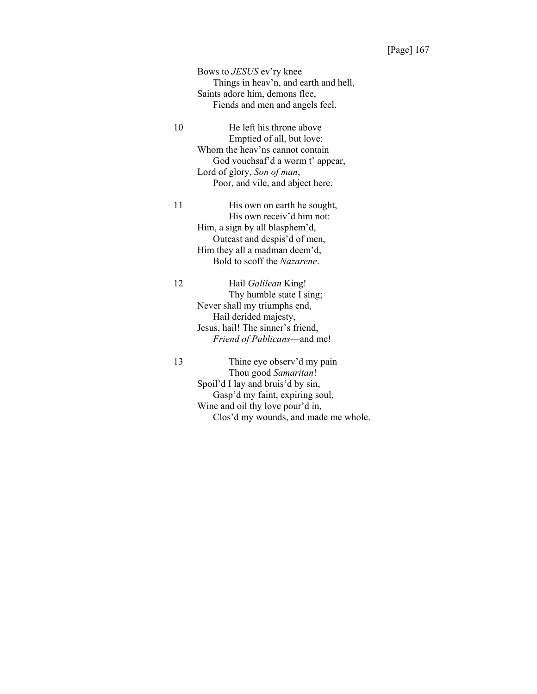Bows to *JESUS* ev'ry knee Things in heav'n, and earth and hell, Saints adore him, demons flee, Fiends and men and angels feel.

10 He left his throne above Emptied of all, but love: Whom the heav'ns cannot contain God vouchsaf'd a worm t' appear, Lord of glory, *Son of man*, Poor, and vile, and abject here.

11 His own on earth he sought, His own receiv'd him not: Him, a sign by all blasphem'd, Outcast and despis'd of men, Him they all a madman deem'd, Bold to scoff the *Nazarene*.

12 Hail *Galilean* King! Thy humble state I sing; Never shall my triumphs end, Hail derided majesty, Jesus, hail! The sinner's friend, *Friend of Publicans*—and me!

13 Thine eye observ'd my pain Thou good *Samaritan*! Spoil'd I lay and bruis'd by sin, Gasp'd my faint, expiring soul, Wine and oil thy love pour'd in, Clos'd my wounds, and made me whole.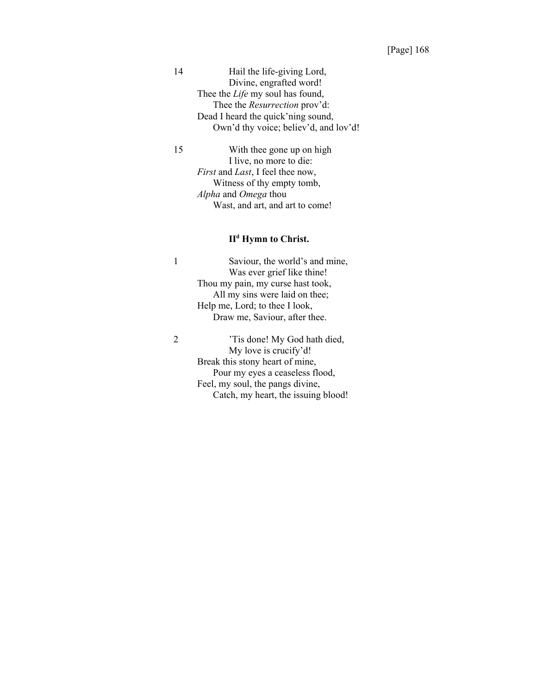14 Hail the life-giving Lord, Divine, engrafted word! Thee the *Life* my soul has found, Thee the *Resurrection* prov'd: Dead I heard the quick'ning sound, Own'd thy voice; believ'd, and lov'd!

15 With thee gone up on high I live, no more to die: *First* and *Last*, I feel thee now, Witness of thy empty tomb, *Alpha* and *Omega* thou Wast, and art, and art to come!

# **IId Hymn to Christ.**

1 Saviour, the world's and mine, Was ever grief like thine! Thou my pain, my curse hast took, All my sins were laid on thee; Help me, Lord; to thee I look, Draw me, Saviour, after thee.

2 'Tis done! My God hath died, My love is crucify'd! Break this stony heart of mine, Pour my eyes a ceaseless flood, Feel, my soul, the pangs divine, Catch, my heart, the issuing blood!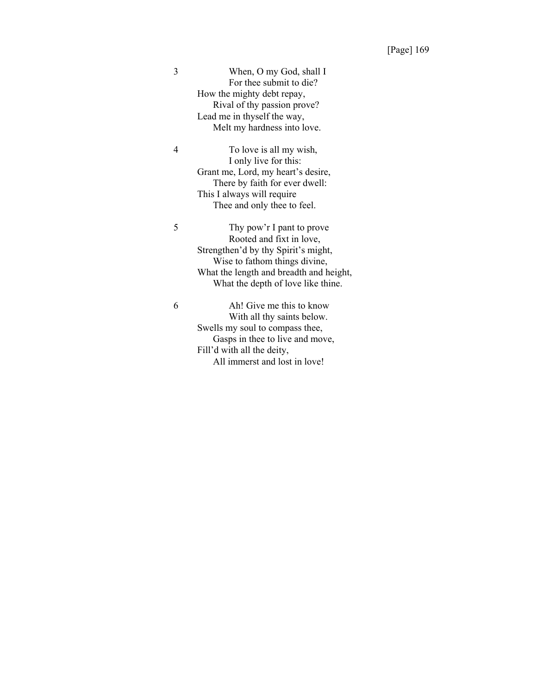3 When, O my God, shall I For thee submit to die? How the mighty debt repay, Rival of thy passion prove? Lead me in thyself the way, Melt my hardness into love.

4 To love is all my wish, I only live for this: Grant me, Lord, my heart's desire, There by faith for ever dwell: This I always will require Thee and only thee to feel.

5 Thy pow'r I pant to prove Rooted and fixt in love, Strengthen'd by thy Spirit's might, Wise to fathom things divine, What the length and breadth and height, What the depth of love like thine.

6 Ah! Give me this to know With all thy saints below. Swells my soul to compass thee, Gasps in thee to live and move, Fill'd with all the deity, All immerst and lost in love!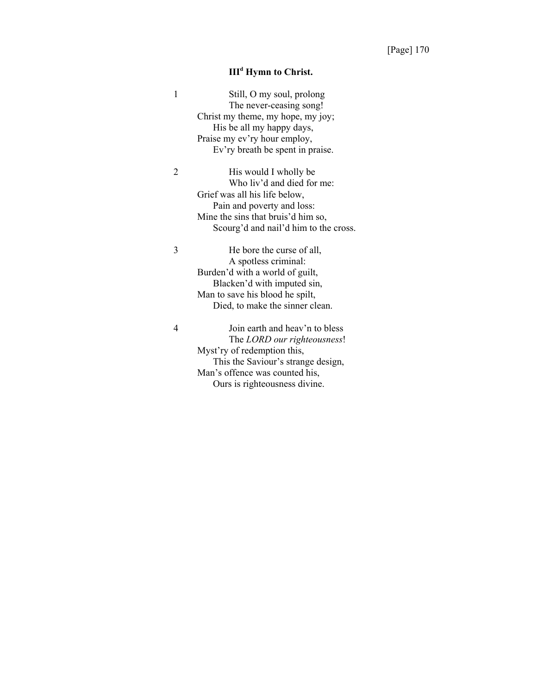#### III<sup>d</sup> Hymn to Christ.

| 1 | Still, O my soul, prolong             |
|---|---------------------------------------|
|   | The never-ceasing song!               |
|   | Christ my theme, my hope, my joy;     |
|   | His be all my happy days,             |
|   | Praise my ev'ry hour employ,          |
|   | Ev'ry breath be spent in praise.      |
| 2 | His would I wholly be                 |
|   | Who liv'd and died for me:            |
|   | Grief was all his life below,         |
|   | Pain and poverty and loss:            |
|   | Mine the sins that bruis'd him so,    |
|   | Scourg'd and nail'd him to the cross. |
| 3 | He bore the curse of all,             |
|   | A spotless criminal:                  |
|   | Burden'd with a world of guilt,       |
|   | Blacken'd with imputed sin,           |
|   | Man to save his blood he spilt,       |
|   | Died, to make the sinner clean.       |
| 4 | Join earth and heav'n to bless        |
|   | The LORD our righteousness!           |
|   | Myst'ry of redemption this,           |
|   | This the Saviour's strange design,    |
|   | Man's offence was counted his,        |
|   | Ours is righteousness divine.         |
|   |                                       |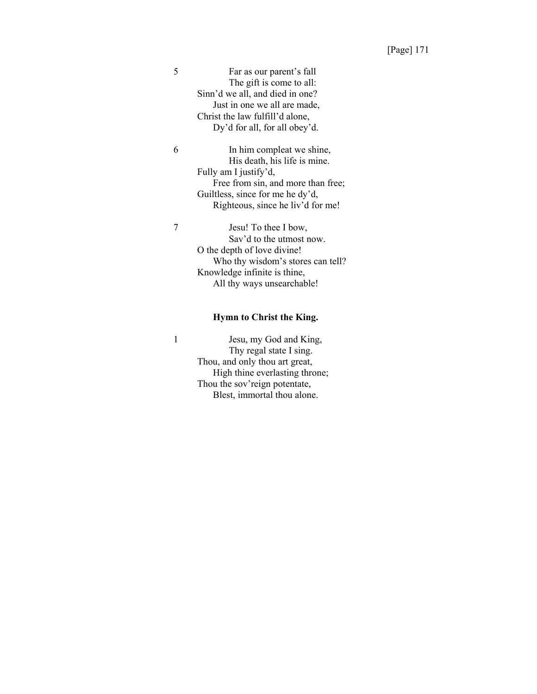5 Far as our parent's fall The gift is come to all: Sinn'd we all, and died in one? Just in one we all are made, Christ the law fulfill'd alone, Dy'd for all, for all obey'd.

6 In him compleat we shine, His death, his life is mine. Fully am I justify'd, Free from sin, and more than free; Guiltless, since for me he dy'd, Righteous, since he liv'd for me!

7 Jesu! To thee I bow, Sav'd to the utmost now. O the depth of love divine! Who thy wisdom's stores can tell? Knowledge infinite is thine, All thy ways unsearchable!

#### **Hymn to Christ the King.**

1 Jesu, my God and King, Thy regal state I sing. Thou, and only thou art great, High thine everlasting throne; Thou the sov'reign potentate, Blest, immortal thou alone.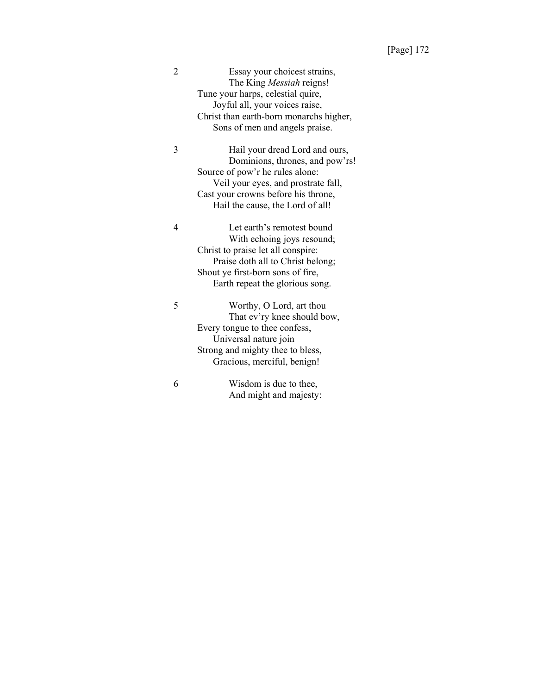| 2 | Essay your choicest strains,<br>The King <i>Messiah</i> reigns!<br>Tune your harps, celestial quire,<br>Joyful all, your voices raise,<br>Christ than earth-born monarchs higher,<br>Sons of men and angels praise.    |
|---|------------------------------------------------------------------------------------------------------------------------------------------------------------------------------------------------------------------------|
| 3 | Hail your dread Lord and ours,<br>Dominions, thrones, and pow'rs!<br>Source of pow'r he rules alone:<br>Veil your eyes, and prostrate fall,<br>Cast your crowns before his throne,<br>Hail the cause, the Lord of all! |
| 4 | Let earth's remotest bound<br>With echoing joys resound;<br>Christ to praise let all conspire:<br>Praise doth all to Christ belong;<br>Shout ye first-born sons of fire,<br>Earth repeat the glorious song.            |
| 5 | Worthy, O Lord, art thou<br>That ev'ry knee should bow,<br>Every tongue to thee confess,<br>Universal nature join<br>Strong and mighty thee to bless,<br>Gracious, merciful, benign!                                   |
| 6 | Wisdom is due to thee,<br>And might and majesty:                                                                                                                                                                       |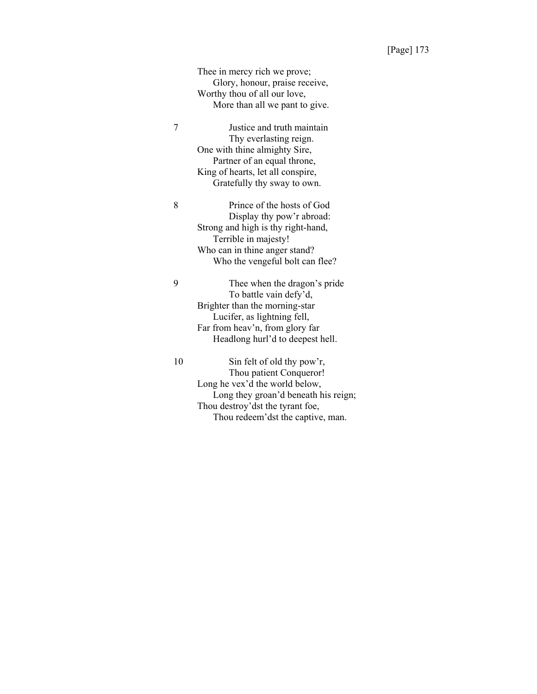Thee in mercy rich we prove; Glory, honour, praise receive, Worthy thou of all our love, More than all we pant to give.

7 Justice and truth maintain Thy everlasting reign. One with thine almighty Sire, Partner of an equal throne, King of hearts, let all conspire, Gratefully thy sway to own.

8 Prince of the hosts of God Display thy pow'r abroad: Strong and high is thy right-hand, Terrible in majesty! Who can in thine anger stand? Who the vengeful bolt can flee?

9 Thee when the dragon's pride To battle vain defy'd, Brighter than the morning-star Lucifer, as lightning fell, Far from heav'n, from glory far Headlong hurl'd to deepest hell.

10 Sin felt of old thy pow'r, Thou patient Conqueror! Long he vex'd the world below, Long they groan'd beneath his reign; Thou destroy'dst the tyrant foe, Thou redeem'dst the captive, man.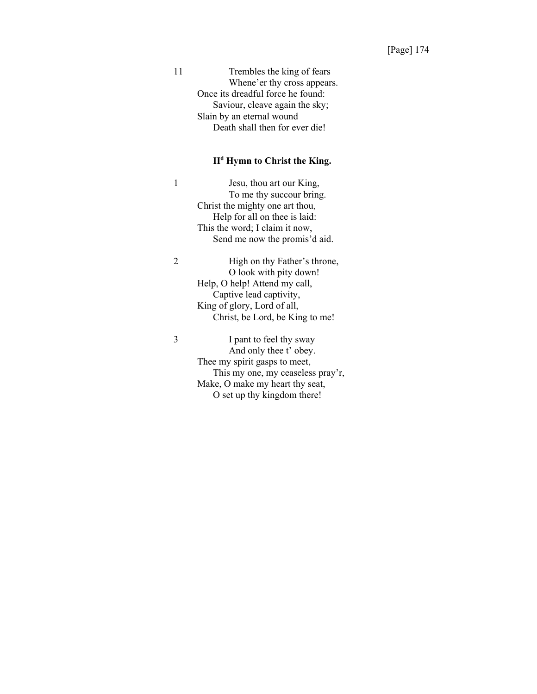| 11 | Trembles the king of fears        |
|----|-----------------------------------|
|    | Whene'er thy cross appears.       |
|    | Once its dreadful force he found: |
|    | Saviour, cleave again the sky;    |
|    | Slain by an eternal wound         |
|    | Death shall then for ever die!    |

# **IId Hymn to Christ the King.**

1 Jesu, thou art our King, To me thy succour bring. Christ the mighty one art thou, Help for all on thee is laid: This the word; I claim it now, Send me now the promis'd aid.

2 High on thy Father's throne, O look with pity down! Help, O help! Attend my call, Captive lead captivity, King of glory, Lord of all, Christ, be Lord, be King to me!

3 I pant to feel thy sway And only thee t' obey. Thee my spirit gasps to meet, This my one, my ceaseless pray'r, Make, O make my heart thy seat, O set up thy kingdom there!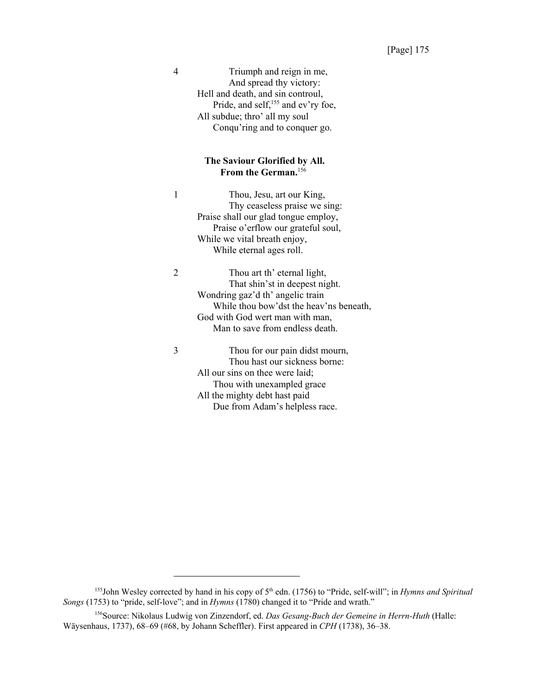4 Triumph and reign in me, And spread thy victory: Hell and death, and sin controul, Pride, and self,<sup>155</sup> and ev'ry foe, All subdue; thro' all my soul Conqu'ring and to conquer go.

## **The Saviour Glorified by All. From the German.**<sup>156</sup>

1 Thou, Jesu, art our King, Thy ceaseless praise we sing: Praise shall our glad tongue employ, Praise o'erflow our grateful soul, While we vital breath enjoy, While eternal ages roll.

2 Thou art th' eternal light, That shin'st in deepest night. Wondring gaz'd th' angelic train While thou bow'dst the heav'ns beneath, God with God wert man with man, Man to save from endless death.

3 Thou for our pain didst mourn, Thou hast our sickness borne: All our sins on thee were laid; Thou with unexampled grace All the mighty debt hast paid Due from Adam's helpless race.

<sup>&</sup>lt;sup>155</sup>John Wesley corrected by hand in his copy of  $5<sup>th</sup>$  edn. (1756) to "Pride, self-will"; in *Hymns and Spiritual Songs* (1753) to "pride, self-love"; and in *Hymns* (1780) changed it to "Pride and wrath."

<sup>156</sup>Source: Nikolaus Ludwig von Zinzendorf, ed. *Das Gesang-Buch der Gemeine in Herrn-Huth* (Halle: Wäysenhaus, 1737), 68–69 (#68, by Johann Scheffler). First appeared in *CPH* (1738), 36–38.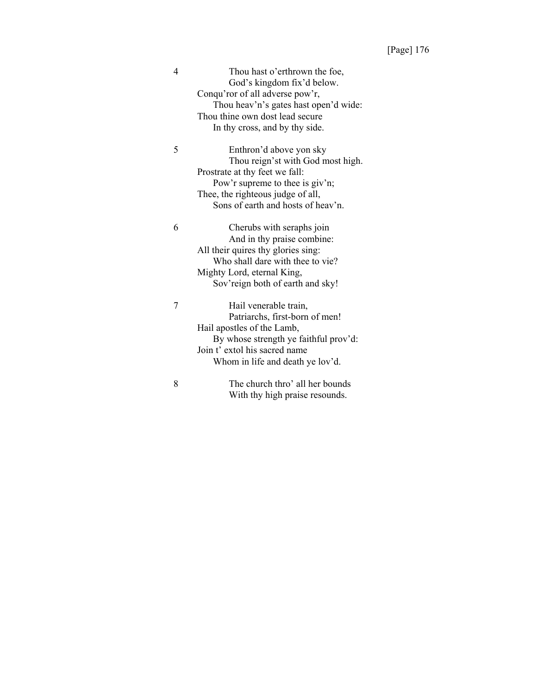| 4 | Thou hast o'erthrown the foe,<br>God's kingdom fix'd below.<br>Conqu'ror of all adverse pow'r,<br>Thou heav'n's gates hast open'd wide:<br>Thou thine own dost lead secure<br>In thy cross, and by thy side. |
|---|--------------------------------------------------------------------------------------------------------------------------------------------------------------------------------------------------------------|
| 5 | Enthron'd above yon sky<br>Thou reign'st with God most high.                                                                                                                                                 |
|   | Prostrate at thy feet we fall:                                                                                                                                                                               |
|   | Pow'r supreme to thee is giv'n;                                                                                                                                                                              |
|   | Thee, the righteous judge of all,                                                                                                                                                                            |
|   | Sons of earth and hosts of heav'n.                                                                                                                                                                           |
| 6 | Cherubs with seraphs join                                                                                                                                                                                    |
|   | And in thy praise combine:                                                                                                                                                                                   |
|   | All their quires thy glories sing:                                                                                                                                                                           |
|   | Who shall dare with thee to vie?                                                                                                                                                                             |
|   | Mighty Lord, eternal King,                                                                                                                                                                                   |
|   | Sov'reign both of earth and sky!                                                                                                                                                                             |
| 7 | Hail venerable train,                                                                                                                                                                                        |
|   | Patriarchs, first-born of men!                                                                                                                                                                               |
|   | Hail apostles of the Lamb,                                                                                                                                                                                   |
|   | By whose strength ye faithful prov'd:                                                                                                                                                                        |
|   | Join t' extol his sacred name                                                                                                                                                                                |
|   | Whom in life and death ye lov'd.                                                                                                                                                                             |
| 8 | The church thro' all her bounds                                                                                                                                                                              |
|   | With thy high praise resounds.                                                                                                                                                                               |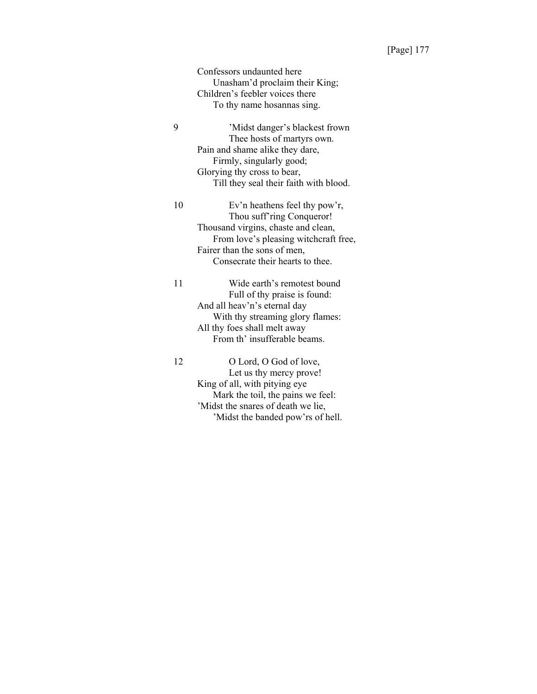Confessors undaunted here Unasham'd proclaim their King; Children's feebler voices there To thy name hosannas sing.

9 'Midst danger's blackest frown Thee hosts of martyrs own. Pain and shame alike they dare, Firmly, singularly good; Glorying thy cross to bear, Till they seal their faith with blood.

10 Ev'n heathens feel thy pow'r, Thou suff'ring Conqueror! Thousand virgins, chaste and clean, From love's pleasing witchcraft free, Fairer than the sons of men, Consecrate their hearts to thee.

11 Wide earth's remotest bound Full of thy praise is found: And all heav'n's eternal day With thy streaming glory flames: All thy foes shall melt away From th' insufferable beams.

12 O Lord, O God of love, Let us thy mercy prove! King of all, with pitying eye Mark the toil, the pains we feel: 'Midst the snares of death we lie, 'Midst the banded pow'rs of hell.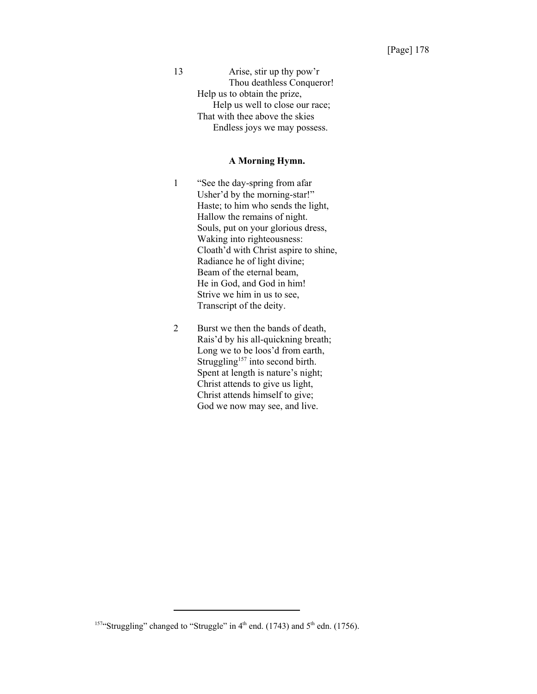13 Arise, stir up thy pow'r Thou deathless Conqueror! Help us to obtain the prize, Help us well to close our race; That with thee above the skies Endless joys we may possess.

#### **A Morning Hymn.**

- 1 "See the day-spring from afar Usher'd by the morning-star!" Haste; to him who sends the light, Hallow the remains of night. Souls, put on your glorious dress, Waking into righteousness: Cloath'd with Christ aspire to shine, Radiance he of light divine; Beam of the eternal beam, He in God, and God in him! Strive we him in us to see, Transcript of the deity.
- 2 Burst we then the bands of death, Rais'd by his all-quickning breath; Long we to be loos'd from earth, Struggling<sup>157</sup> into second birth. Spent at length is nature's night; Christ attends to give us light, Christ attends himself to give; God we now may see, and live.

<sup>&</sup>lt;sup>157</sup>"Struggling" changed to "Struggle" in  $4<sup>th</sup>$  end. (1743) and  $5<sup>th</sup>$  edn. (1756).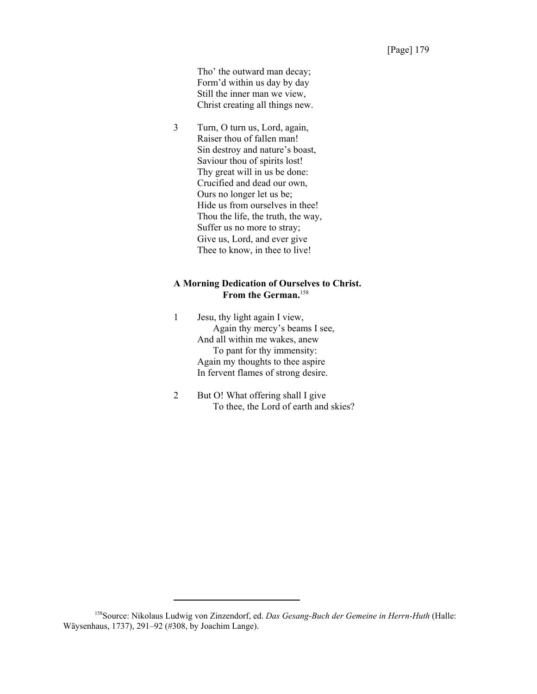Tho' the outward man decay; Form'd within us day by day Still the inner man we view, Christ creating all things new.

3 Turn, O turn us, Lord, again, Raiser thou of fallen man! Sin destroy and nature's boast, Saviour thou of spirits lost! Thy great will in us be done: Crucified and dead our own, Ours no longer let us be; Hide us from ourselves in thee! Thou the life, the truth, the way, Suffer us no more to stray; Give us, Lord, and ever give Thee to know, in thee to live!

# **A Morning Dedication of Ourselves to Christ. From the German.**<sup>158</sup>

- 1 Jesu, thy light again I view, Again thy mercy's beams I see, And all within me wakes, anew To pant for thy immensity: Again my thoughts to thee aspire In fervent flames of strong desire.
- 2 But O! What offering shall I give To thee, the Lord of earth and skies?

<sup>158</sup>Source: Nikolaus Ludwig von Zinzendorf, ed. *Das Gesang-Buch der Gemeine in Herrn-Huth* (Halle: Wäysenhaus, 1737), 291–92 (#308, by Joachim Lange).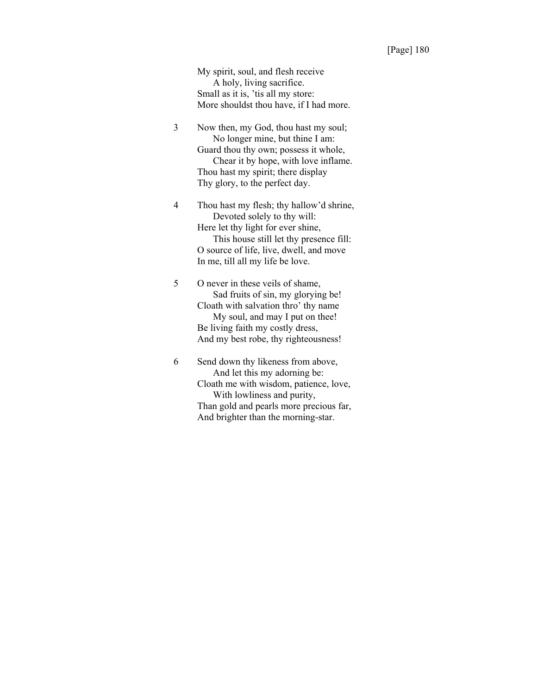My spirit, soul, and flesh receive A holy, living sacrifice. Small as it is, 'tis all my store: More shouldst thou have, if I had more.

3 Now then, my God, thou hast my soul; No longer mine, but thine I am: Guard thou thy own; possess it whole, Chear it by hope, with love inflame. Thou hast my spirit; there display Thy glory, to the perfect day.

4 Thou hast my flesh; thy hallow'd shrine, Devoted solely to thy will: Here let thy light for ever shine, This house still let thy presence fill: O source of life, live, dwell, and move In me, till all my life be love.

5 O never in these veils of shame, Sad fruits of sin, my glorying be! Cloath with salvation thro' thy name My soul, and may I put on thee! Be living faith my costly dress, And my best robe, thy righteousness!

6 Send down thy likeness from above, And let this my adorning be: Cloath me with wisdom, patience, love, With lowliness and purity, Than gold and pearls more precious far, And brighter than the morning-star.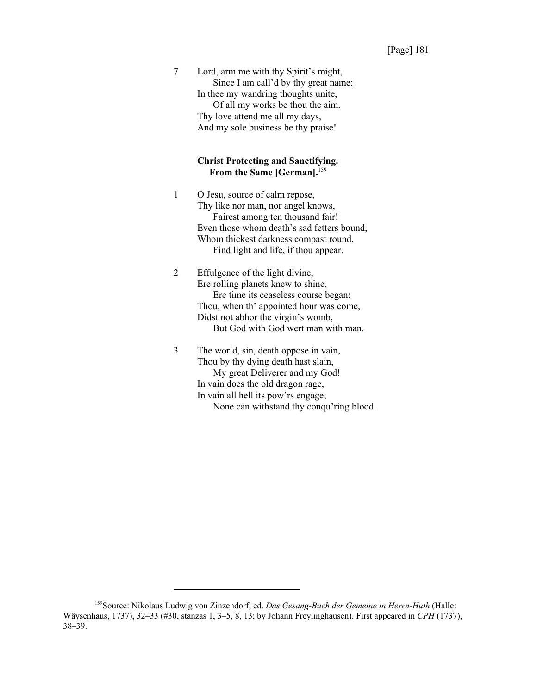7 Lord, arm me with thy Spirit's might, Since I am call'd by thy great name: In thee my wandring thoughts unite, Of all my works be thou the aim. Thy love attend me all my days, And my sole business be thy praise!

# **Christ Protecting and Sanctifying.** From the Same [German].<sup>159</sup>

- 1 O Jesu, source of calm repose, Thy like nor man, nor angel knows, Fairest among ten thousand fair! Even those whom death's sad fetters bound, Whom thickest darkness compast round, Find light and life, if thou appear.
- 2 Effulgence of the light divine, Ere rolling planets knew to shine, Ere time its ceaseless course began; Thou, when th' appointed hour was come, Didst not abhor the virgin's womb, But God with God wert man with man.
- 3 The world, sin, death oppose in vain, Thou by thy dying death hast slain, My great Deliverer and my God! In vain does the old dragon rage, In vain all hell its pow'rs engage; None can withstand thy conqu'ring blood.

<sup>159</sup>Source: Nikolaus Ludwig von Zinzendorf, ed. *Das Gesang-Buch der Gemeine in Herrn-Huth* (Halle: Wäysenhaus, 1737), 32–33 (#30, stanzas 1, 3–5, 8, 13; by Johann Freylinghausen). First appeared in *CPH* (1737), 38–39.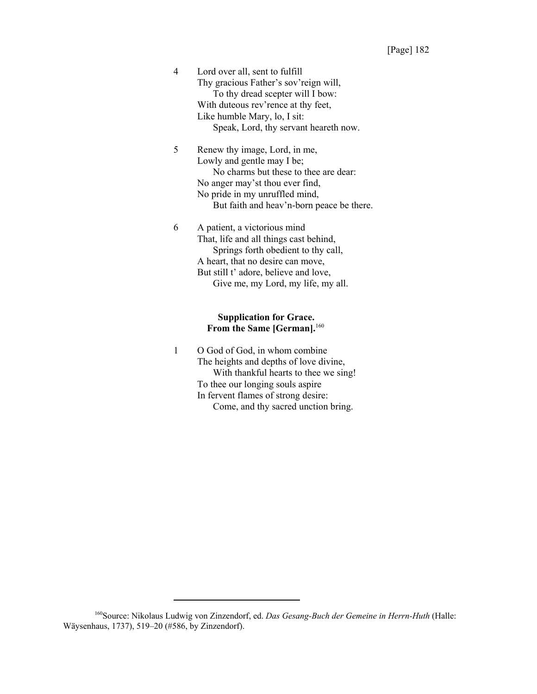4 Lord over all, sent to fulfill Thy gracious Father's sov'reign will, To thy dread scepter will I bow: With duteous rev'rence at thy feet, Like humble Mary, lo, I sit: Speak, Lord, thy servant heareth now.

5 Renew thy image, Lord, in me, Lowly and gentle may I be; No charms but these to thee are dear: No anger may'st thou ever find, No pride in my unruffled mind, But faith and heav'n-born peace be there.

6 A patient, a victorious mind That, life and all things cast behind, Springs forth obedient to thy call, A heart, that no desire can move, But still t' adore, believe and love, Give me, my Lord, my life, my all.

# **Supplication for Grace. From the Same [German].**<sup>160</sup>

1 O God of God, in whom combine The heights and depths of love divine, With thankful hearts to thee we sing! To thee our longing souls aspire In fervent flames of strong desire: Come, and thy sacred unction bring.

<sup>160</sup>Source: Nikolaus Ludwig von Zinzendorf, ed. *Das Gesang-Buch der Gemeine in Herrn-Huth* (Halle: Wäysenhaus, 1737), 519–20 (#586, by Zinzendorf).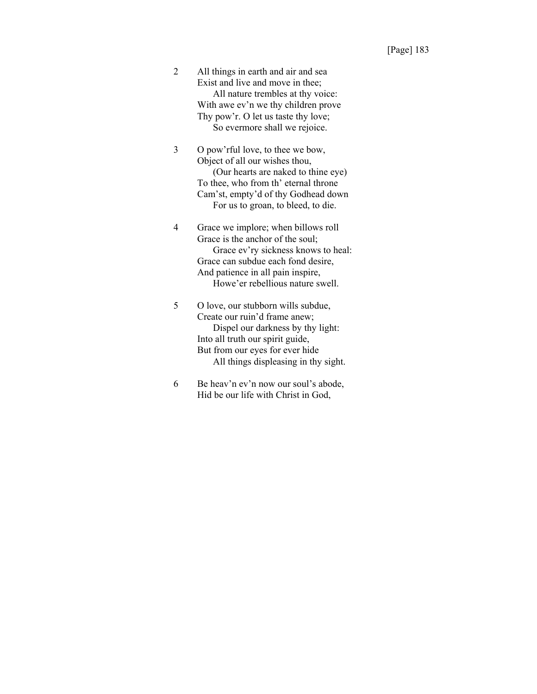2 All things in earth and air and sea Exist and live and move in thee; All nature trembles at thy voice: With awe ev'n we thy children prove Thy pow'r. O let us taste thy love; So evermore shall we rejoice.

- 3 O pow'rful love, to thee we bow, Object of all our wishes thou, (Our hearts are naked to thine eye) To thee, who from th' eternal throne Cam'st, empty'd of thy Godhead down For us to groan, to bleed, to die.
- 4 Grace we implore; when billows roll Grace is the anchor of the soul; Grace ev'ry sickness knows to heal: Grace can subdue each fond desire, And patience in all pain inspire, Howe'er rebellious nature swell.
- 5 O love, our stubborn wills subdue, Create our ruin'd frame anew; Dispel our darkness by thy light: Into all truth our spirit guide, But from our eyes for ever hide All things displeasing in thy sight.
- 6 Be heav'n ev'n now our soul's abode, Hid be our life with Christ in God,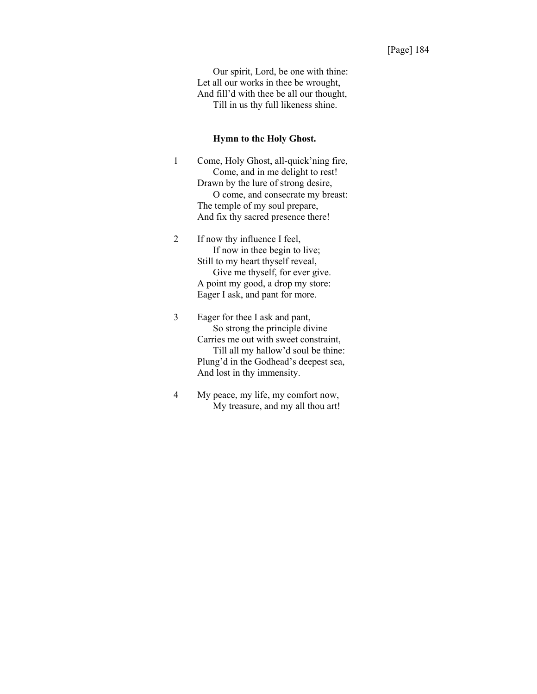Our spirit, Lord, be one with thine: Let all our works in thee be wrought, And fill'd with thee be all our thought, Till in us thy full likeness shine.

#### **Hymn to the Holy Ghost.**

- 1 Come, Holy Ghost, all-quick'ning fire, Come, and in me delight to rest! Drawn by the lure of strong desire, O come, and consecrate my breast: The temple of my soul prepare, And fix thy sacred presence there!
- 2 If now thy influence I feel, If now in thee begin to live; Still to my heart thyself reveal, Give me thyself, for ever give. A point my good, a drop my store: Eager I ask, and pant for more.
- 3 Eager for thee I ask and pant, So strong the principle divine Carries me out with sweet constraint, Till all my hallow'd soul be thine: Plung'd in the Godhead's deepest sea, And lost in thy immensity.
- 4 My peace, my life, my comfort now, My treasure, and my all thou art!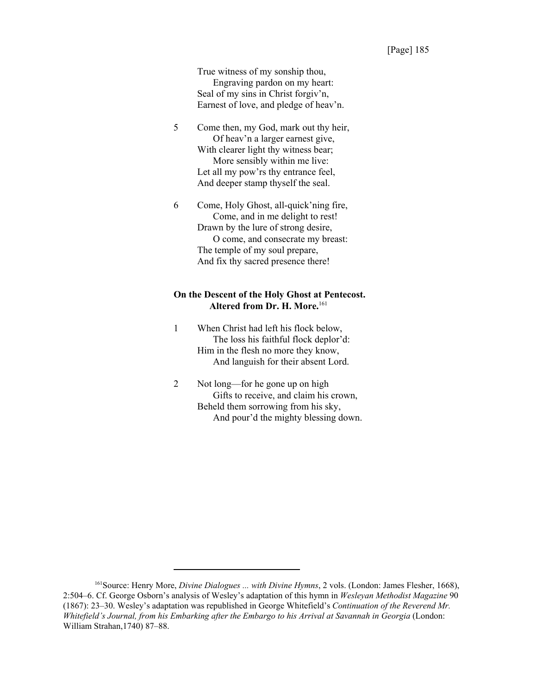True witness of my sonship thou, Engraving pardon on my heart: Seal of my sins in Christ forgiv'n, Earnest of love, and pledge of heav'n.

- 5 Come then, my God, mark out thy heir, Of heav'n a larger earnest give, With clearer light thy witness bear; More sensibly within me live: Let all my pow'rs thy entrance feel, And deeper stamp thyself the seal.
- 6 Come, Holy Ghost, all-quick'ning fire, Come, and in me delight to rest! Drawn by the lure of strong desire, O come, and consecrate my breast: The temple of my soul prepare, And fix thy sacred presence there!

# **On the Descent of the Holy Ghost at Pentecost. Altered from Dr. H. More.**<sup>161</sup>

- 1 When Christ had left his flock below, The loss his faithful flock deplor'd: Him in the flesh no more they know, And languish for their absent Lord.
- 2 Not long—for he gone up on high Gifts to receive, and claim his crown, Beheld them sorrowing from his sky, And pour'd the mighty blessing down.

<sup>161</sup>Source: Henry More, *Divine Dialogues ... with Divine Hymns*, 2 vols. (London: James Flesher, 1668), 2:504–6. Cf. George Osborn's analysis of Wesley's adaptation of this hymn in *Wesleyan Methodist Magazine* 90 (1867): 23–30. Wesley's adaptation was republished in George Whitefield's *Continuation of the Reverend Mr. Whitefield's Journal, from his Embarking after the Embargo to his Arrival at Savannah in Georgia* (London: William Strahan,1740) 87–88.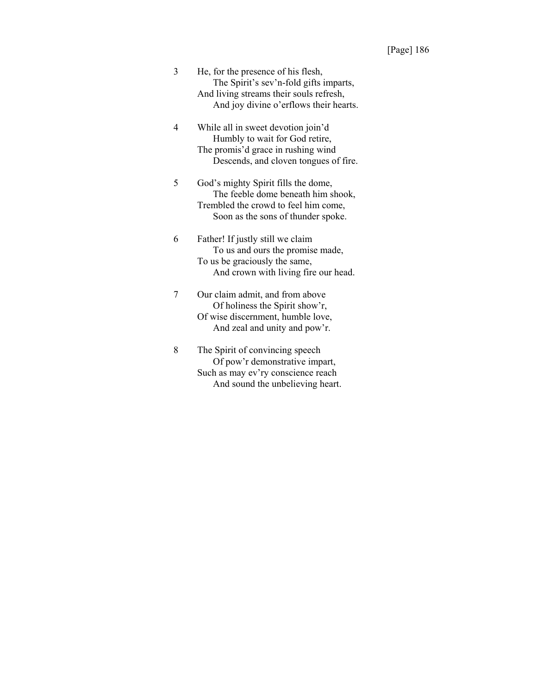| 3 | He, for the presence of his flesh,      |
|---|-----------------------------------------|
|   | The Spirit's sev'n-fold gifts imparts,  |
|   | And living streams their souls refresh, |
|   | And joy divine o'erflows their hearts.  |

4 While all in sweet devotion join'd Humbly to wait for God retire, The promis'd grace in rushing wind Descends, and cloven tongues of fire.

5 God's mighty Spirit fills the dome, The feeble dome beneath him shook, Trembled the crowd to feel him come, Soon as the sons of thunder spoke.

6 Father! If justly still we claim To us and ours the promise made, To us be graciously the same, And crown with living fire our head.

7 Our claim admit, and from above Of holiness the Spirit show'r, Of wise discernment, humble love, And zeal and unity and pow'r.

8 The Spirit of convincing speech Of pow'r demonstrative impart, Such as may ev'ry conscience reach And sound the unbelieving heart.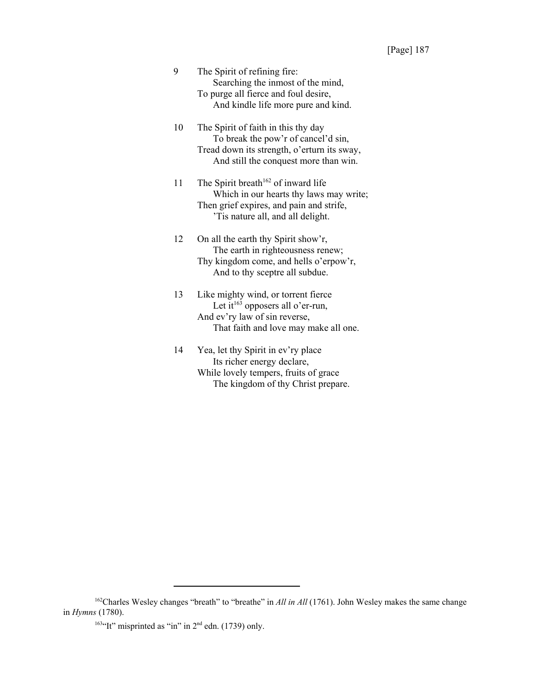| 9 | The Spirit of refining fire:         |
|---|--------------------------------------|
|   | Searching the inmost of the mind,    |
|   | To purge all fierce and foul desire, |
|   | And kindle life more pure and kind.  |
|   |                                      |

10 The Spirit of faith in this thy day To break the pow'r of cancel'd sin, Tread down its strength, o'erturn its sway, And still the conquest more than win.

11 The Spirit breath<sup>162</sup> of inward life Which in our hearts thy laws may write; Then grief expires, and pain and strife, 'Tis nature all, and all delight.

12 On all the earth thy Spirit show'r, The earth in righteousness renew; Thy kingdom come, and hells o'erpow'r, And to thy sceptre all subdue.

13 Like mighty wind, or torrent fierce Let  $\tilde{t}^{163}$  opposers all o'er-run, And ev'ry law of sin reverse, That faith and love may make all one.

14 Yea, let thy Spirit in ev'ry place Its richer energy declare, While lovely tempers, fruits of grace The kingdom of thy Christ prepare.

<sup>&</sup>lt;sup>162</sup>Charles Wesley changes "breath" to "breathe" in *All in All* (1761). John Wesley makes the same change in *Hymns* (1780).

<sup>&</sup>lt;sup>163 $\cdot$ </sup>It" misprinted as "in" in 2<sup>nd</sup> edn. (1739) only.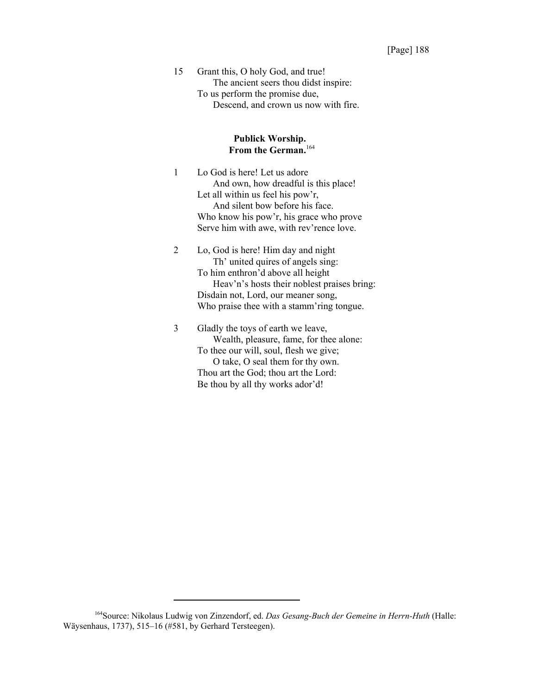15 Grant this, O holy God, and true! The ancient seers thou didst inspire: To us perform the promise due, Descend, and crown us now with fire.

# **Publick Worship. From the German.**<sup>164</sup>

1 Lo God is here! Let us adore And own, how dreadful is this place! Let all within us feel his pow'r, And silent bow before his face. Who know his pow'r, his grace who prove Serve him with awe, with rev'rence love.

2 Lo, God is here! Him day and night Th' united quires of angels sing: To him enthron'd above all height Heav'n's hosts their noblest praises bring: Disdain not, Lord, our meaner song, Who praise thee with a stamm'ring tongue.

3 Gladly the toys of earth we leave, Wealth, pleasure, fame, for thee alone: To thee our will, soul, flesh we give; O take, O seal them for thy own. Thou art the God; thou art the Lord: Be thou by all thy works ador'd!

<sup>164</sup>Source: Nikolaus Ludwig von Zinzendorf, ed. *Das Gesang-Buch der Gemeine in Herrn-Huth* (Halle: Wäysenhaus, 1737), 515–16 (#581, by Gerhard Tersteegen).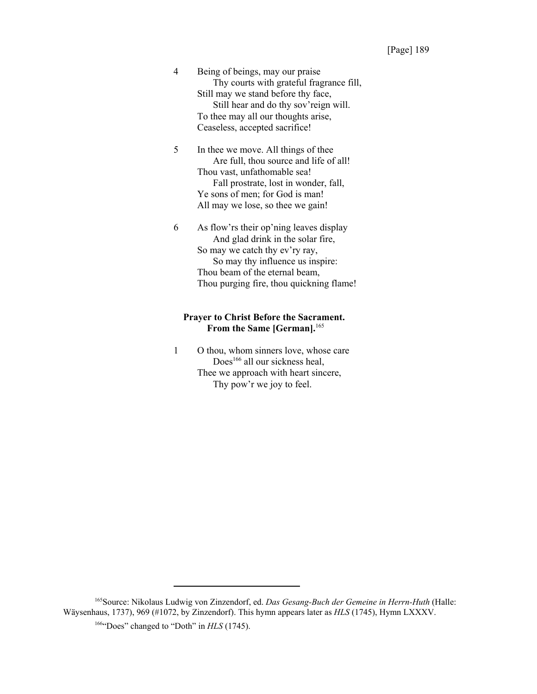4 Being of beings, may our praise Thy courts with grateful fragrance fill, Still may we stand before thy face, Still hear and do thy sov'reign will. To thee may all our thoughts arise, Ceaseless, accepted sacrifice!

5 In thee we move. All things of thee Are full, thou source and life of all! Thou vast, unfathomable sea! Fall prostrate, lost in wonder, fall, Ye sons of men; for God is man! All may we lose, so thee we gain!

6 As flow'rs their op'ning leaves display And glad drink in the solar fire, So may we catch thy ev'ry ray, So may thy influence us inspire: Thou beam of the eternal beam, Thou purging fire, thou quickning flame!

# **Prayer to Christ Before the Sacrament. From the Same [German].**<sup>165</sup>

1 O thou, whom sinners love, whose care Does<sup>166</sup> all our sickness heal, Thee we approach with heart sincere, Thy pow'r we joy to feel.

<sup>165</sup>Source: Nikolaus Ludwig von Zinzendorf, ed. *Das Gesang-Buch der Gemeine in Herrn-Huth* (Halle: Wäysenhaus, 1737), 969 (#1072, by Zinzendorf). This hymn appears later as *HLS* (1745), Hymn LXXXV.

<sup>&</sup>lt;sup>166</sup>"Does" changed to "Doth" in *HLS* (1745).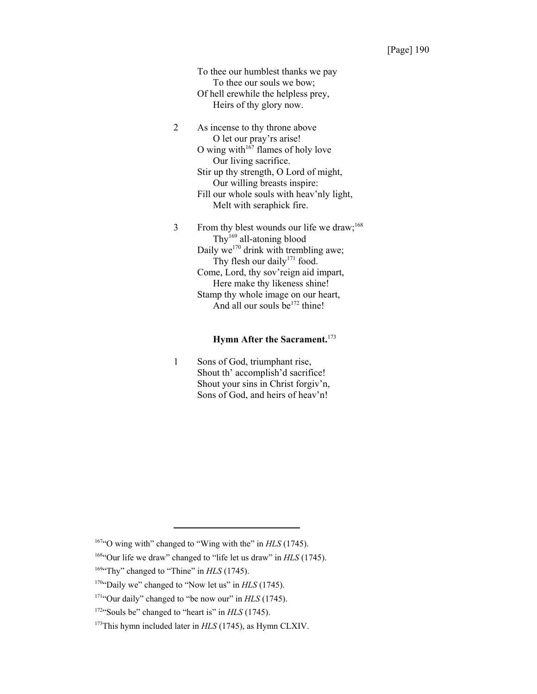To thee our humblest thanks we pay To thee our souls we bow; Of hell erewhile the helpless prey, Heirs of thy glory now.

2 As incense to thy throne above O let our pray'rs arise! O wing with $167$  flames of holy love Our living sacrifice. Stir up thy strength, O Lord of might, Our willing breasts inspire: Fill our whole souls with heav'nly light, Melt with seraphick fire.

 $3$  From thy blest wounds our life we draw;<sup>168</sup> Thy<sup>169</sup> all-atoning blood Daily we<sup>170</sup> drink with trembling awe; Thy flesh our daily<sup>171</sup> food. Come, Lord, thy sov'reign aid impart, Here make thy likeness shine! Stamp thy whole image on our heart, And all our souls  $be^{172}$  thine!

# **Hymn After the Sacrament.**<sup>173</sup>

1 Sons of God, triumphant rise, Shout th' accomplish'd sacrifice! Shout your sins in Christ forgiv'n, Sons of God, and heirs of heav'n!

<sup>&</sup>lt;sup>167</sup>"O wing with" changed to "Wing with the" in *HLS* (1745).

<sup>168&</sup>quot;Our life we draw" changed to "life let us draw" in *HLS* (1745).

<sup>&</sup>lt;sup>169</sup>"Thy" changed to "Thine" in *HLS* (1745).

<sup>&</sup>lt;sup>170</sup>"Daily we" changed to "Now let us" in *HLS* (1745).

<sup>&</sup>lt;sup>171</sup>"Our daily" changed to "be now our" in *HLS* (1745).

<sup>&</sup>lt;sup>172</sup>"Souls be" changed to "heart is" in *HLS* (1745).

<sup>&</sup>lt;sup>173</sup>This hymn included later in *HLS* (1745), as Hymn CLXIV.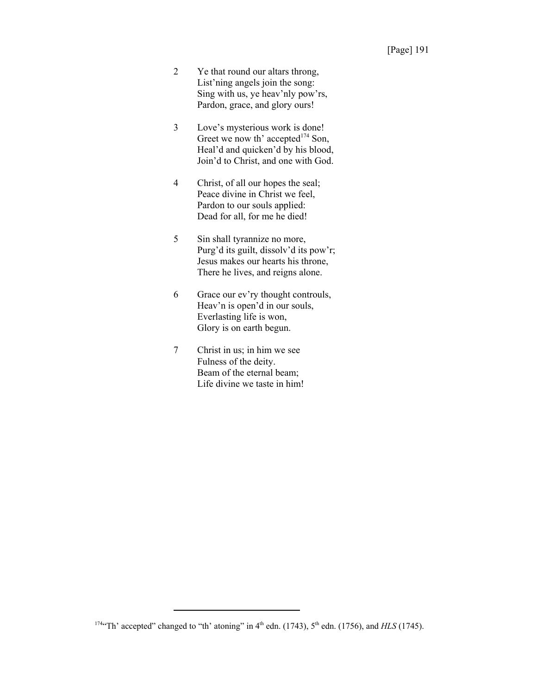- 2 Ye that round our altars throng, List'ning angels join the song: Sing with us, ye heav'nly pow'rs, Pardon, grace, and glory ours!
- 3 Love's mysterious work is done! Greet we now th' accepted<sup>174</sup> Son, Heal'd and quicken'd by his blood, Join'd to Christ, and one with God.
- 4 Christ, of all our hopes the seal; Peace divine in Christ we feel, Pardon to our souls applied: Dead for all, for me he died!
- 5 Sin shall tyrannize no more, Purg'd its guilt, dissolv'd its pow'r; Jesus makes our hearts his throne, There he lives, and reigns alone.
- 6 Grace our ev'ry thought controuls, Heav'n is open'd in our souls, Everlasting life is won, Glory is on earth begun.
- 7 Christ in us; in him we see Fulness of the deity. Beam of the eternal beam; Life divine we taste in him!

<sup>&</sup>lt;sup>174</sup>"Th' accepted" changed to "th' atoning" in 4<sup>th</sup> edn. (1743), 5<sup>th</sup> edn. (1756), and *HLS* (1745).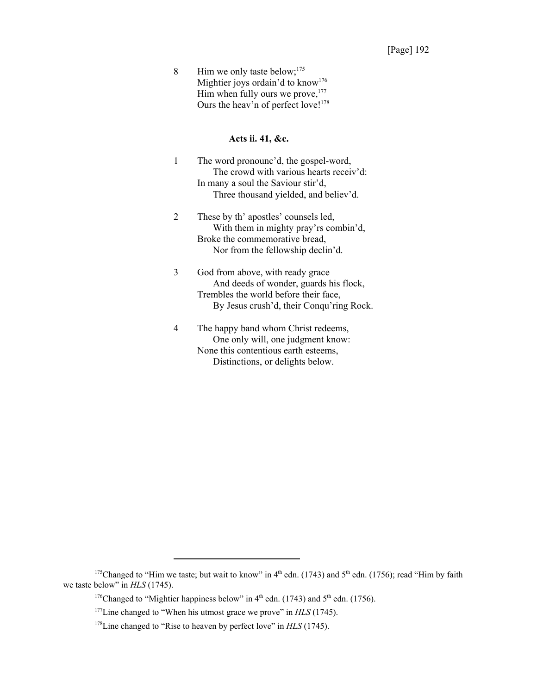8 Him we only taste below;<sup>175</sup> Mightier joys ordain'd to know<sup>176</sup> Him when fully ours we prove, $177$ Ours the heav'n of perfect love!<sup>178</sup>

#### **Acts ii. 41, &c.**

- 1 The word pronounc'd, the gospel-word, The crowd with various hearts receiv'd: In many a soul the Saviour stir'd, Three thousand yielded, and believ'd.
- 2 These by th' apostles' counsels led, With them in mighty pray'rs combin'd, Broke the commemorative bread, Nor from the fellowship declin'd.
- 3 God from above, with ready grace And deeds of wonder, guards his flock, Trembles the world before their face, By Jesus crush'd, their Conqu'ring Rock.
- 4 The happy band whom Christ redeems, One only will, one judgment know: None this contentious earth esteems, Distinctions, or delights below.

<sup>&</sup>lt;sup>175</sup>Changed to "Him we taste; but wait to know" in  $4<sup>th</sup>$  edn. (1743) and  $5<sup>th</sup>$  edn. (1756); read "Him by faith we taste below" in *HLS* (1745).

<sup>&</sup>lt;sup>176</sup>Changed to "Mightier happiness below" in  $4<sup>th</sup>$  edn. (1743) and  $5<sup>th</sup>$  edn. (1756).

<sup>&</sup>lt;sup>177</sup>Line changed to "When his utmost grace we prove" in *HLS* (1745).

<sup>&</sup>lt;sup>178</sup>Line changed to "Rise to heaven by perfect love" in *HLS* (1745).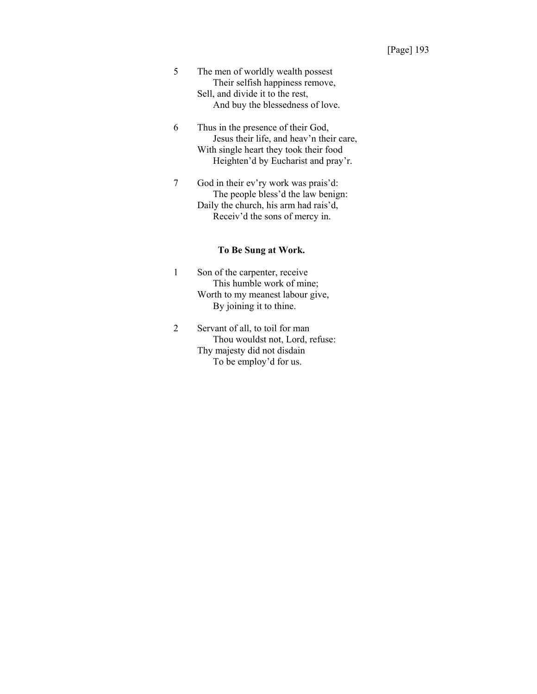- 5 The men of worldly wealth possest Their selfish happiness remove, Sell, and divide it to the rest, And buy the blessedness of love.
- 6 Thus in the presence of their God, Jesus their life, and heav'n their care, With single heart they took their food Heighten'd by Eucharist and pray'r.
- 7 God in their ev'ry work was prais'd: The people bless'd the law benign: Daily the church, his arm had rais'd, Receiv'd the sons of mercy in.

# **To Be Sung at Work.**

- 1 Son of the carpenter, receive This humble work of mine; Worth to my meanest labour give, By joining it to thine.
- 2 Servant of all, to toil for man Thou wouldst not, Lord, refuse: Thy majesty did not disdain To be employ'd for us.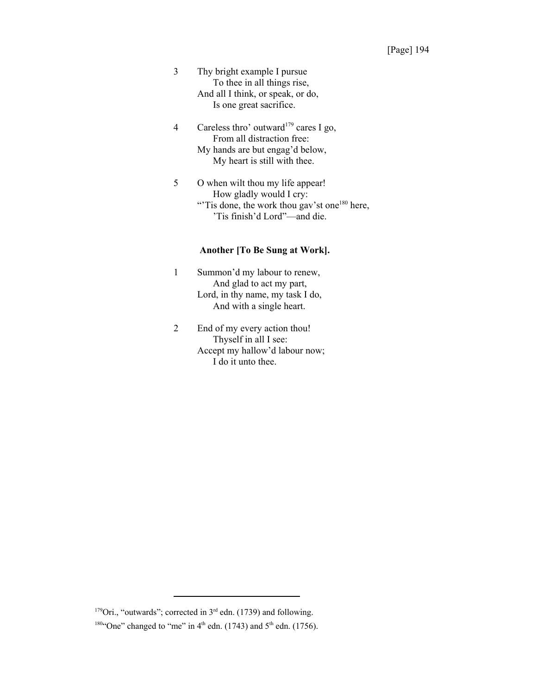- 3 Thy bright example I pursue To thee in all things rise, And all I think, or speak, or do, Is one great sacrifice.
- 4 Careless thro' outward<sup>179</sup> cares I go, From all distraction free: My hands are but engag'd below, My heart is still with thee.
- 5 O when wilt thou my life appear! How gladly would I cry: "Tis done, the work thou gav'st one<sup>180</sup> here, 'Tis finish'd Lord"—and die.

# **Another [To Be Sung at Work].**

- 1 Summon'd my labour to renew, And glad to act my part, Lord, in thy name, my task I do, And with a single heart.
- 2 End of my every action thou! Thyself in all I see: Accept my hallow'd labour now; I do it unto thee.

<sup>179</sup>Ori., "outwards"; corrected in  $3<sup>rd</sup>$  edn. (1739) and following.

<sup>&</sup>lt;sup>180"</sup>One" changed to "me" in  $4<sup>th</sup>$  edn. (1743) and  $5<sup>th</sup>$  edn. (1756).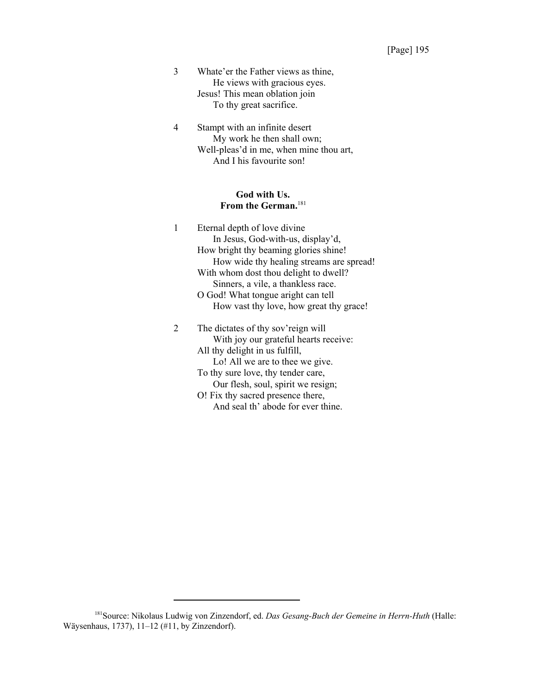- 3 Whate'er the Father views as thine, He views with gracious eyes. Jesus! This mean oblation join To thy great sacrifice.
- 4 Stampt with an infinite desert My work he then shall own; Well-pleas'd in me, when mine thou art, And I his favourite son!

### **God with Us. From the German.**<sup>181</sup>

- 1 Eternal depth of love divine In Jesus, God-with-us, display'd, How bright thy beaming glories shine! How wide thy healing streams are spread! With whom dost thou delight to dwell? Sinners, a vile, a thankless race. O God! What tongue aright can tell How vast thy love, how great thy grace! 2 The dictates of thy sov'reign will
	- With joy our grateful hearts receive: All thy delight in us fulfill, Lo! All we are to thee we give. To thy sure love, thy tender care, Our flesh, soul, spirit we resign; O! Fix thy sacred presence there, And seal th' abode for ever thine.

<sup>181</sup>Source: Nikolaus Ludwig von Zinzendorf, ed. *Das Gesang-Buch der Gemeine in Herrn-Huth* (Halle: Wäysenhaus, 1737), 11–12 (#11, by Zinzendorf).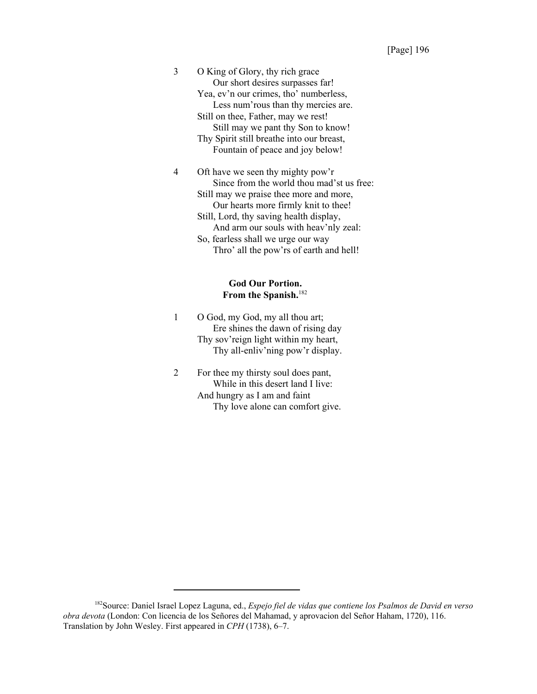3 O King of Glory, thy rich grace Our short desires surpasses far! Yea, ev'n our crimes, tho' numberless, Less num'rous than thy mercies are. Still on thee, Father, may we rest! Still may we pant thy Son to know! Thy Spirit still breathe into our breast, Fountain of peace and joy below!

4 Oft have we seen thy mighty pow'r Since from the world thou mad'st us free: Still may we praise thee more and more, Our hearts more firmly knit to thee! Still, Lord, thy saving health display, And arm our souls with heav'nly zeal: So, fearless shall we urge our way Thro' all the pow'rs of earth and hell!

# **God Our Portion. From the Spanish.**<sup>182</sup>

- 1 O God, my God, my all thou art; Ere shines the dawn of rising day Thy sov'reign light within my heart, Thy all-enliv'ning pow'r display.
- 2 For thee my thirsty soul does pant, While in this desert land I live: And hungry as I am and faint Thy love alone can comfort give.

<sup>182</sup>Source: Daniel Israel Lopez Laguna, ed., *Espejo fiel de vidas que contiene los Psalmos de David en verso obra devota* (London: Con licencia de los Señores del Mahamad, y aprovacion del Señor Haham, 1720), 116. Translation by John Wesley. First appeared in *CPH* (1738), 6–7.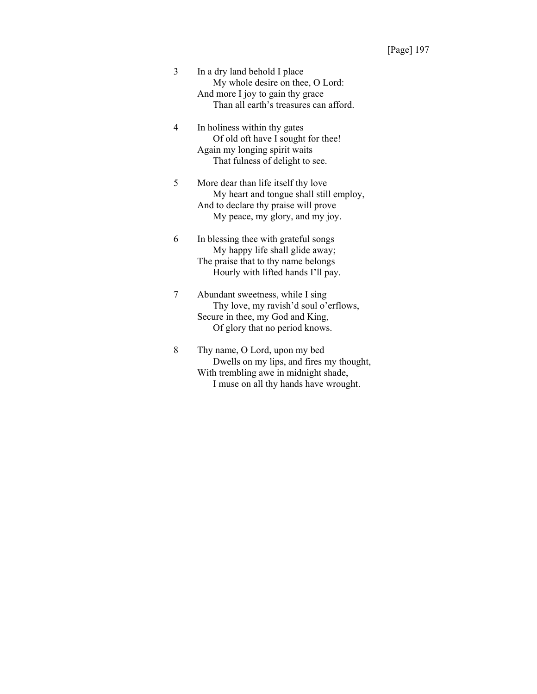- 3 In a dry land behold I place My whole desire on thee, O Lord: And more I joy to gain thy grace Than all earth's treasures can afford.
- 4 In holiness within thy gates Of old oft have I sought for thee! Again my longing spirit waits That fulness of delight to see.
- 5 More dear than life itself thy love My heart and tongue shall still employ, And to declare thy praise will prove My peace, my glory, and my joy.
- 6 In blessing thee with grateful songs My happy life shall glide away; The praise that to thy name belongs Hourly with lifted hands I'll pay.
- 7 Abundant sweetness, while I sing Thy love, my ravish'd soul o'erflows, Secure in thee, my God and King, Of glory that no period knows.
- 8 Thy name, O Lord, upon my bed Dwells on my lips, and fires my thought, With trembling awe in midnight shade, I muse on all thy hands have wrought.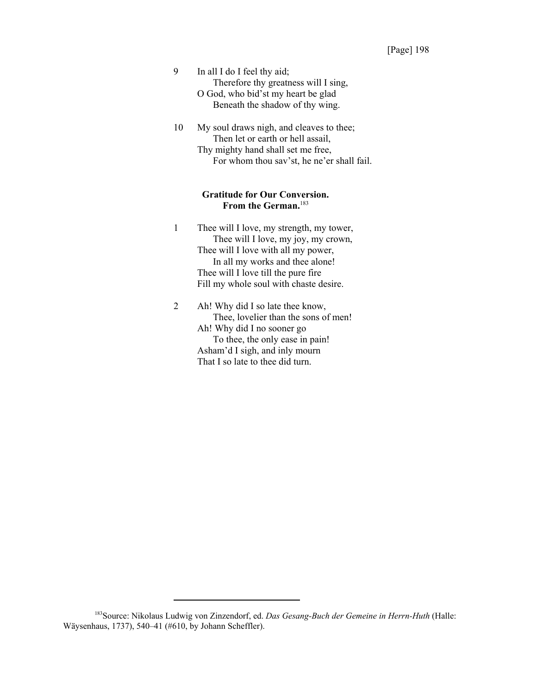- 9 In all I do I feel thy aid; Therefore thy greatness will I sing, O God, who bid'st my heart be glad Beneath the shadow of thy wing.
- 10 My soul draws nigh, and cleaves to thee; Then let or earth or hell assail, Thy mighty hand shall set me free, For whom thou sav'st, he ne'er shall fail.

# **Gratitude for Our Conversion. From the German.**<sup>183</sup>

- 1 Thee will I love, my strength, my tower, Thee will I love, my joy, my crown, Thee will I love with all my power, In all my works and thee alone! Thee will I love till the pure fire Fill my whole soul with chaste desire.
- 2 Ah! Why did I so late thee know, Thee, lovelier than the sons of men! Ah! Why did I no sooner go To thee, the only ease in pain! Asham'd I sigh, and inly mourn That I so late to thee did turn.

<sup>183</sup>Source: Nikolaus Ludwig von Zinzendorf, ed. *Das Gesang-Buch der Gemeine in Herrn-Huth* (Halle: Wäysenhaus, 1737), 540–41 (#610, by Johann Scheffler).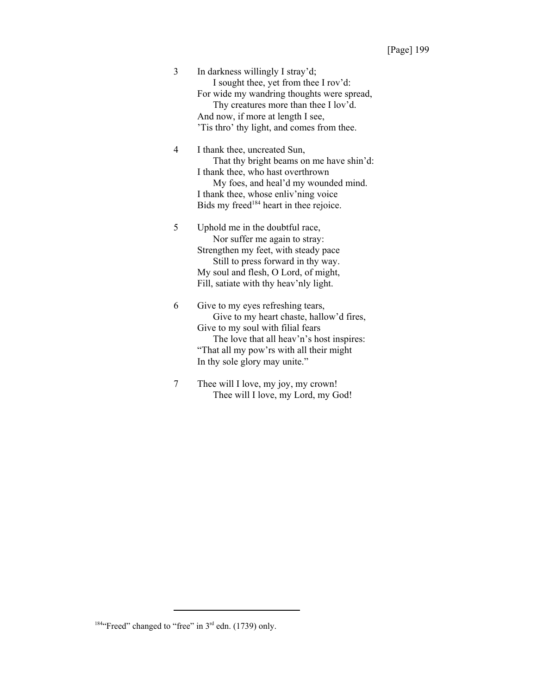3 In darkness willingly I stray'd; I sought thee, yet from thee I rov'd: For wide my wandring thoughts were spread, Thy creatures more than thee I lov'd. And now, if more at length I see, 'Tis thro' thy light, and comes from thee.

4 I thank thee, uncreated Sun, That thy bright beams on me have shin'd: I thank thee, who hast overthrown My foes, and heal'd my wounded mind. I thank thee, whose enliv'ning voice Bids my freed<sup>184</sup> heart in thee rejoice.

5 Uphold me in the doubtful race, Nor suffer me again to stray: Strengthen my feet, with steady pace Still to press forward in thy way. My soul and flesh, O Lord, of might, Fill, satiate with thy heav'nly light.

6 Give to my eyes refreshing tears, Give to my heart chaste, hallow'd fires, Give to my soul with filial fears The love that all heav'n's host inspires: "That all my pow'rs with all their might In thy sole glory may unite."

7 Thee will I love, my joy, my crown! Thee will I love, my Lord, my God!

 $184$ "Freed" changed to "free" in  $3<sup>rd</sup>$  edn. (1739) only.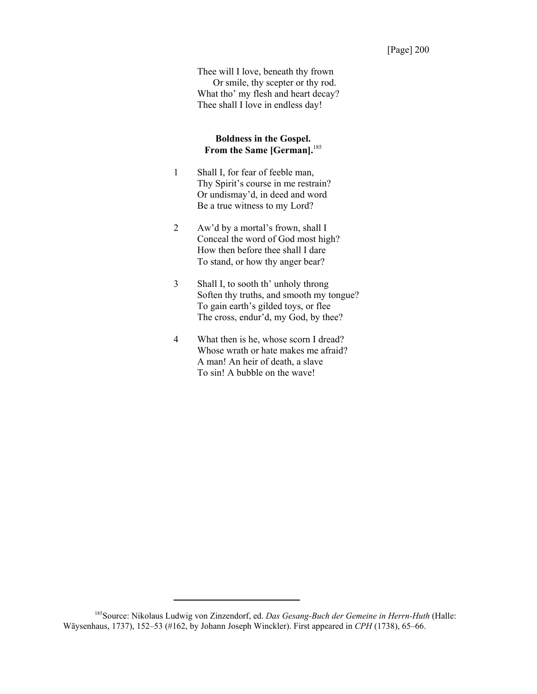Thee will I love, beneath thy frown Or smile, thy scepter or thy rod. What tho' my flesh and heart decay? Thee shall I love in endless day!

# **Boldness in the Gospel. From the Same [German].**<sup>185</sup>

- 1 Shall I, for fear of feeble man, Thy Spirit's course in me restrain? Or undismay'd, in deed and word Be a true witness to my Lord?
- 2 Aw'd by a mortal's frown, shall I Conceal the word of God most high? How then before thee shall I dare To stand, or how thy anger bear?
- 3 Shall I, to sooth th' unholy throng Soften thy truths, and smooth my tongue? To gain earth's gilded toys, or flee The cross, endur'd, my God, by thee?
- 4 What then is he, whose scorn I dread? Whose wrath or hate makes me afraid? A man! An heir of death, a slave To sin! A bubble on the wave!

<sup>185</sup>Source: Nikolaus Ludwig von Zinzendorf, ed. *Das Gesang-Buch der Gemeine in Herrn-Huth* (Halle: Wäysenhaus, 1737), 152–53 (#162, by Johann Joseph Winckler). First appeared in *CPH* (1738), 65–66.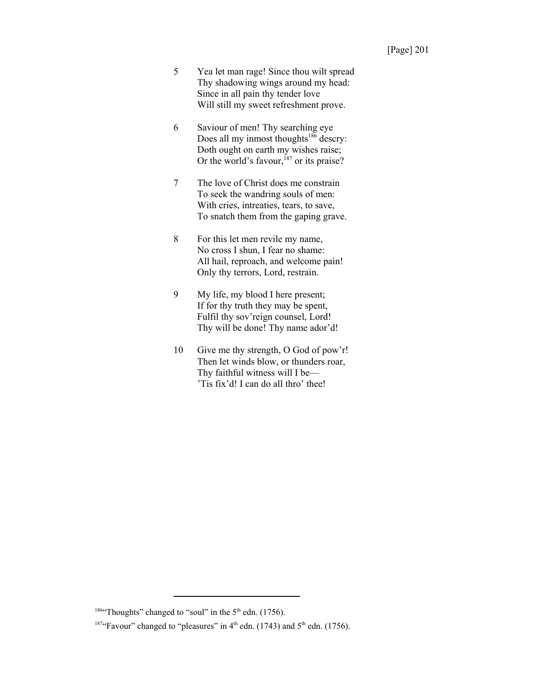- 5 Yea let man rage! Since thou wilt spread Thy shadowing wings around my head: Since in all pain thy tender love Will still my sweet refreshment prove.
- 6 Saviour of men! Thy searching eye Does all my inmost thoughts<sup>186</sup> descry: Doth ought on earth my wishes raise; Or the world's favour,  $187$  or its praise?
- 7 The love of Christ does me constrain To seek the wandring souls of men: With cries, intreaties, tears, to save, To snatch them from the gaping grave.
- 8 For this let men revile my name, No cross I shun, I fear no shame: All hail, reproach, and welcome pain! Only thy terrors, Lord, restrain.
- 9 My life, my blood I here present; If for thy truth they may be spent, Fulfil thy sov'reign counsel, Lord! Thy will be done! Thy name ador'd!
- 10 Give me thy strength, O God of pow'r! Then let winds blow, or thunders roar, Thy faithful witness will I be— 'Tis fix'd! I can do all thro' thee!

<sup>&</sup>lt;sup>186"</sup>Thoughts" changed to "soul" in the  $5<sup>th</sup>$  edn. (1756).

<sup>&</sup>lt;sup>187</sup>"Favour" changed to "pleasures" in  $4<sup>th</sup>$  edn. (1743) and  $5<sup>th</sup>$  edn. (1756).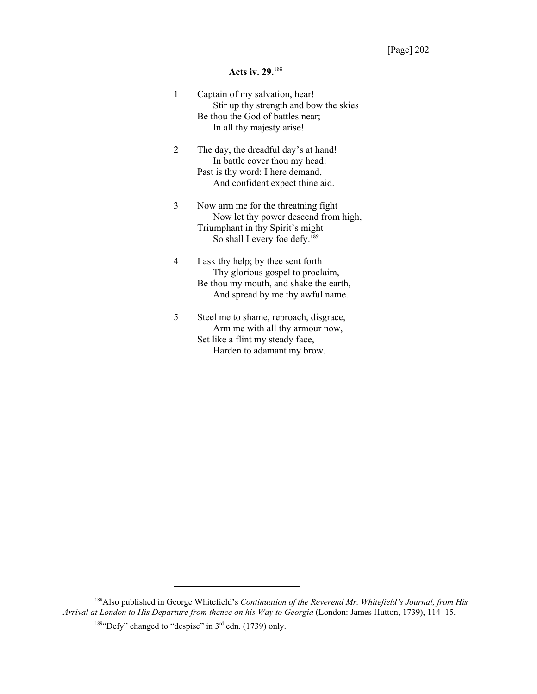# **Acts iv. 29.**<sup>188</sup>

| 1 | Captain of my salvation, hear!<br>Stir up thy strength and bow the skies<br>Be thou the God of battles near;<br>In all thy majesty arise!                    |
|---|--------------------------------------------------------------------------------------------------------------------------------------------------------------|
| 2 | The day, the dreadful day's at hand!<br>In battle cover thou my head:<br>Past is thy word: I here demand,<br>And confident expect thine aid.                 |
| 3 | Now arm me for the threatning fight<br>Now let thy power descend from high,<br>Triumphant in thy Spirit's might<br>So shall I every foe defy. <sup>189</sup> |
| 4 | I ask thy help; by thee sent forth<br>Thy glorious gospel to proclaim,<br>Be thou my mouth, and shake the earth,<br>And spread by me thy awful name.         |
| 5 | Steel me to shame, reproach, disgrace,<br>Arm me with all thy armour now,<br>Set like a flint my steady face,                                                |

Harden to adamant my brow.

188Also published in George Whitefield's *Continuation of the Reverend Mr. Whitefield's Journal, from His Arrival at London to His Departure from thence on his Way to Georgia* (London: James Hutton, 1739), 114–15.

<sup>189</sup>"Defy" changed to "despise" in  $3<sup>rd</sup>$  edn. (1739) only.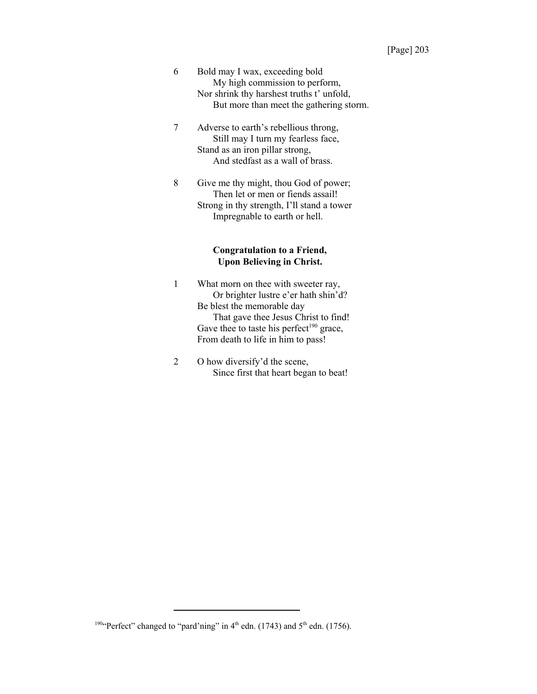- 6 Bold may I wax, exceeding bold My high commission to perform, Nor shrink thy harshest truths t' unfold, But more than meet the gathering storm.
- 7 Adverse to earth's rebellious throng, Still may I turn my fearless face, Stand as an iron pillar strong, And stedfast as a wall of brass.
- 8 Give me thy might, thou God of power; Then let or men or fiends assail! Strong in thy strength, I'll stand a tower Impregnable to earth or hell.

# **Congratulation to a Friend, Upon Believing in Christ.**

- 1 What morn on thee with sweeter ray, Or brighter lustre e'er hath shin'd? Be blest the memorable day That gave thee Jesus Christ to find! Gave thee to taste his perfect<sup>190</sup> grace, From death to life in him to pass!
- 2 O how diversify'd the scene, Since first that heart began to beat!

<sup>&</sup>lt;sup>190</sup>"Perfect" changed to "pard'ning" in  $4<sup>th</sup>$  edn. (1743) and  $5<sup>th</sup>$  edn. (1756).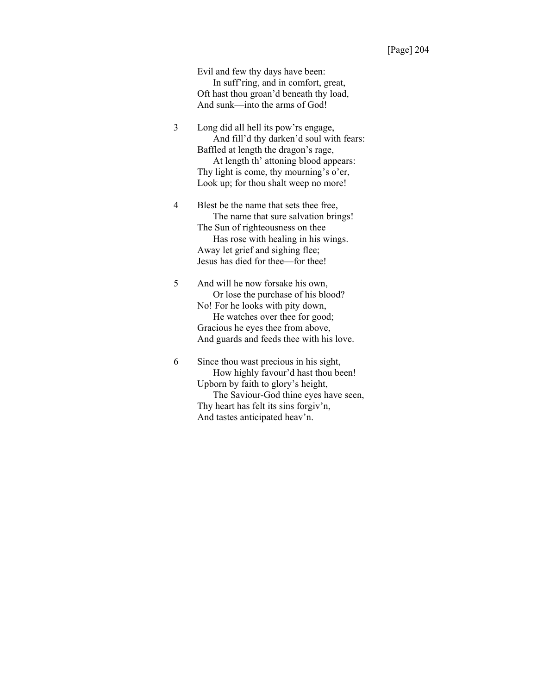Evil and few thy days have been: In suff'ring, and in comfort, great, Oft hast thou groan'd beneath thy load, And sunk—into the arms of God!

3 Long did all hell its pow'rs engage, And fill'd thy darken'd soul with fears: Baffled at length the dragon's rage, At length th' attoning blood appears: Thy light is come, thy mourning's o'er, Look up; for thou shalt weep no more!

4 Blest be the name that sets thee free, The name that sure salvation brings! The Sun of righteousness on thee Has rose with healing in his wings. Away let grief and sighing flee; Jesus has died for thee—for thee!

5 And will he now forsake his own, Or lose the purchase of his blood? No! For he looks with pity down, He watches over thee for good; Gracious he eyes thee from above, And guards and feeds thee with his love.

6 Since thou wast precious in his sight, How highly favour'd hast thou been! Upborn by faith to glory's height, The Saviour-God thine eyes have seen, Thy heart has felt its sins forgiv'n, And tastes anticipated heav'n.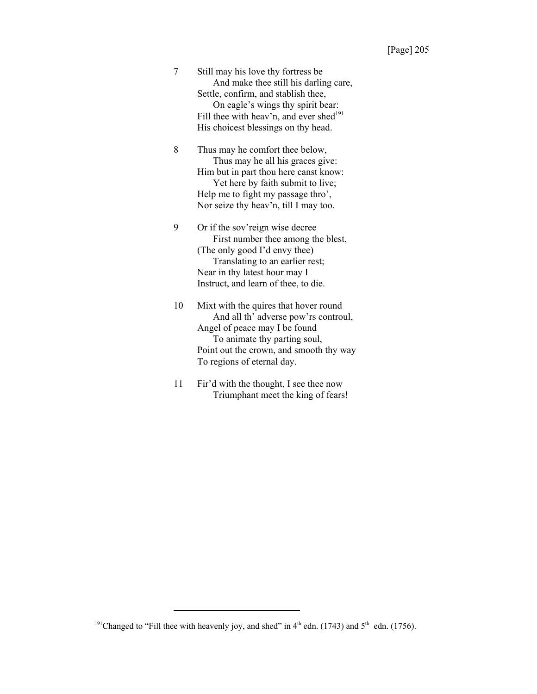7 Still may his love thy fortress be And make thee still his darling care, Settle, confirm, and stablish thee, On eagle's wings thy spirit bear: Fill thee with heav'n, and ever shed<sup>191</sup> His choicest blessings on thy head.

8 Thus may he comfort thee below, Thus may he all his graces give: Him but in part thou here canst know: Yet here by faith submit to live; Help me to fight my passage thro', Nor seize thy heav'n, till I may too.

9 Or if the sov'reign wise decree First number thee among the blest, (The only good I'd envy thee) Translating to an earlier rest; Near in thy latest hour may I Instruct, and learn of thee, to die.

10 Mixt with the quires that hover round And all th' adverse pow'rs controul, Angel of peace may I be found To animate thy parting soul, Point out the crown, and smooth thy way To regions of eternal day.

11 Fir'd with the thought, I see thee now Triumphant meet the king of fears!

<sup>&</sup>lt;sup>191</sup>Changed to "Fill thee with heavenly joy, and shed" in  $4<sup>th</sup>$  edn. (1743) and  $5<sup>th</sup>$  edn. (1756).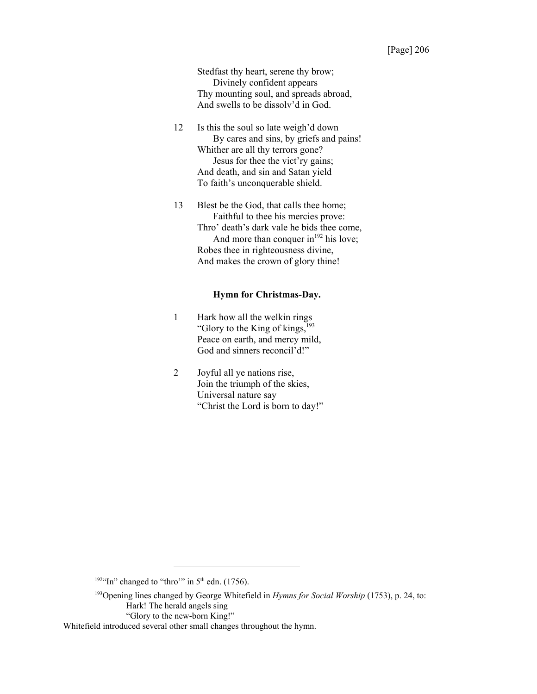Stedfast thy heart, serene thy brow; Divinely confident appears Thy mounting soul, and spreads abroad, And swells to be dissolv'd in God.

- 12 Is this the soul so late weigh'd down By cares and sins, by griefs and pains! Whither are all thy terrors gone? Jesus for thee the vict'ry gains; And death, and sin and Satan yield To faith's unconquerable shield.
- 13 Blest be the God, that calls thee home; Faithful to thee his mercies prove: Thro' death's dark vale he bids thee come, And more than conquer in $192$  his love; Robes thee in righteousness divine, And makes the crown of glory thine!

## **Hymn for Christmas-Day.**

- 1 Hark how all the welkin rings "Glory to the King of kings, $193$ Peace on earth, and mercy mild, God and sinners reconcil'd!"
- 2 Joyful all ye nations rise, Join the triumph of the skies, Universal nature say "Christ the Lord is born to day!"

<sup>&</sup>lt;sup>1924</sup>In" changed to "thro"" in  $5<sup>th</sup>$  edn. (1756).

<sup>193</sup>Opening lines changed by George Whitefield in *Hymns for Social Worship* (1753), p. 24, to: Hark! The herald angels sing

<sup>&</sup>quot;Glory to the new-born King!"

Whitefield introduced several other small changes throughout the hymn.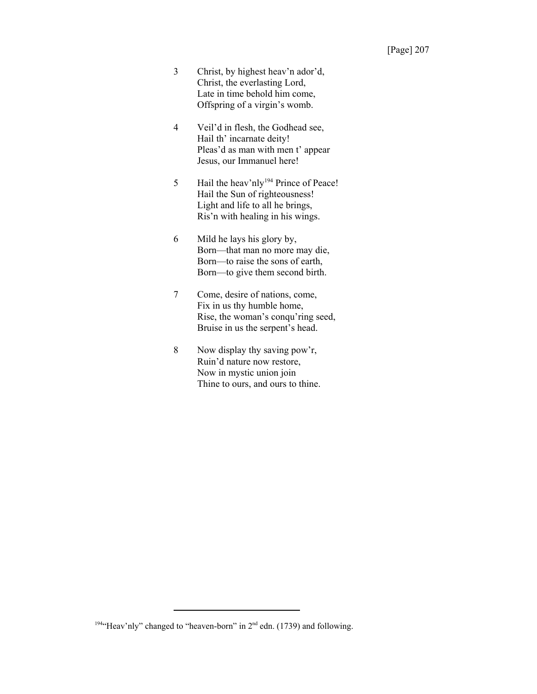- 3 Christ, by highest heav'n ador'd, Christ, the everlasting Lord, Late in time behold him come, Offspring of a virgin's womb.
- 4 Veil'd in flesh, the Godhead see, Hail th' incarnate deity! Pleas'd as man with men t' appear Jesus, our Immanuel here!
- 5 Hail the heav'nly<sup>194</sup> Prince of Peace! Hail the Sun of righteousness! Light and life to all he brings, Ris'n with healing in his wings.
- 6 Mild he lays his glory by, Born—that man no more may die, Born—to raise the sons of earth, Born—to give them second birth.
- 7 Come, desire of nations, come, Fix in us thy humble home, Rise, the woman's conqu'ring seed, Bruise in us the serpent's head.
- 8 Now display thy saving pow'r, Ruin'd nature now restore, Now in mystic union join Thine to ours, and ours to thine.

<sup>&</sup>lt;sup>194</sup>"Heav'nly" changed to "heaven-born" in  $2<sup>nd</sup>$  edn. (1739) and following.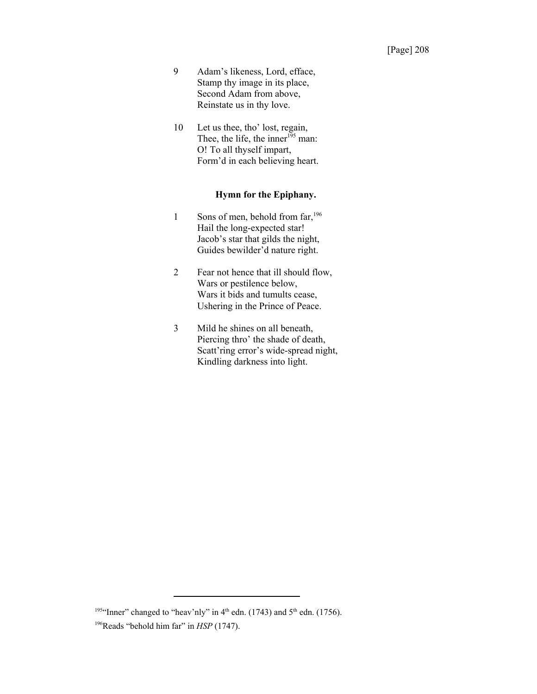- 9 Adam's likeness, Lord, efface, Stamp thy image in its place, Second Adam from above, Reinstate us in thy love.
- 10 Let us thee, tho' lost, regain, Thee, the life, the inner<sup>195</sup> man: O! To all thyself impart, Form'd in each believing heart.

# **Hymn for the Epiphany.**

- 1 Sons of men, behold from far, <sup>196</sup> Hail the long-expected star! Jacob's star that gilds the night, Guides bewilder'd nature right.
- 2 Fear not hence that ill should flow, Wars or pestilence below, Wars it bids and tumults cease, Ushering in the Prince of Peace.
- 3 Mild he shines on all beneath, Piercing thro' the shade of death, Scatt'ring error's wide-spread night, Kindling darkness into light.

<sup>&</sup>lt;sup>195</sup>"Inner" changed to "heav'nly" in  $4<sup>th</sup>$  edn. (1743) and  $5<sup>th</sup>$  edn. (1756).

<sup>&</sup>lt;sup>196</sup>Reads "behold him far" in *HSP* (1747).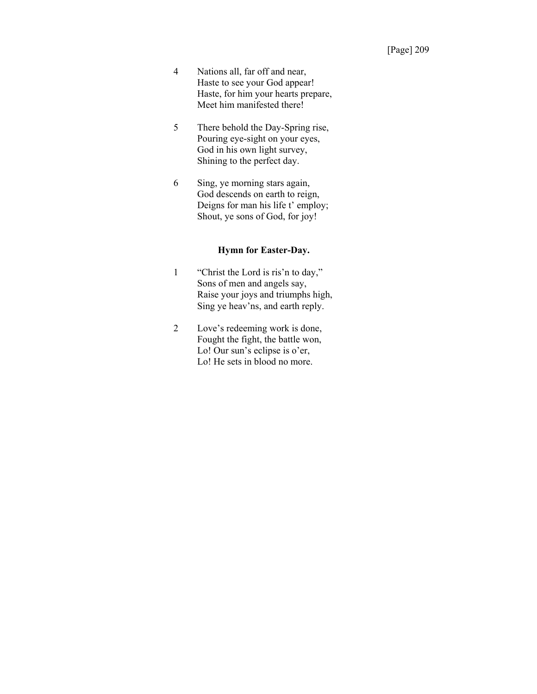- 4 Nations all, far off and near, Haste to see your God appear! Haste, for him your hearts prepare, Meet him manifested there!
- 5 There behold the Day-Spring rise, Pouring eye-sight on your eyes, God in his own light survey, Shining to the perfect day.
- 6 Sing, ye morning stars again, God descends on earth to reign, Deigns for man his life t' employ; Shout, ye sons of God, for joy!

# **Hymn for Easter-Day.**

- 1 "Christ the Lord is ris'n to day," Sons of men and angels say, Raise your joys and triumphs high, Sing ye heav'ns, and earth reply.
- 2 Love's redeeming work is done, Fought the fight, the battle won, Lo! Our sun's eclipse is o'er, Lo! He sets in blood no more.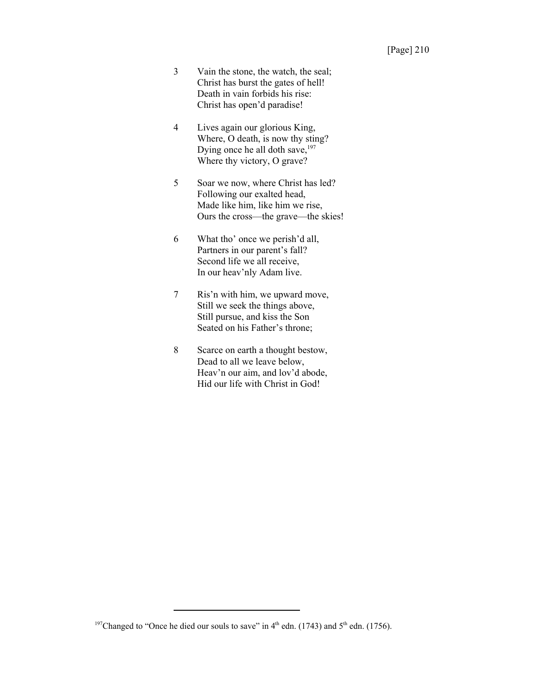- 3 Vain the stone, the watch, the seal; Christ has burst the gates of hell! Death in vain forbids his rise: Christ has open'd paradise!
- 4 Lives again our glorious King, Where, O death, is now thy sting? Dying once he all doth save,<sup>197</sup> Where thy victory, O grave?
- 5 Soar we now, where Christ has led? Following our exalted head, Made like him, like him we rise, Ours the cross—the grave—the skies!
- 6 What tho' once we perish'd all, Partners in our parent's fall? Second life we all receive, In our heav'nly Adam live.
- 7 Ris'n with him, we upward move, Still we seek the things above, Still pursue, and kiss the Son Seated on his Father's throne;
- 8 Scarce on earth a thought bestow, Dead to all we leave below, Heav'n our aim, and lov'd abode, Hid our life with Christ in God!

<sup>&</sup>lt;sup>197</sup>Changed to "Once he died our souls to save" in 4<sup>th</sup> edn. (1743) and 5<sup>th</sup> edn. (1756).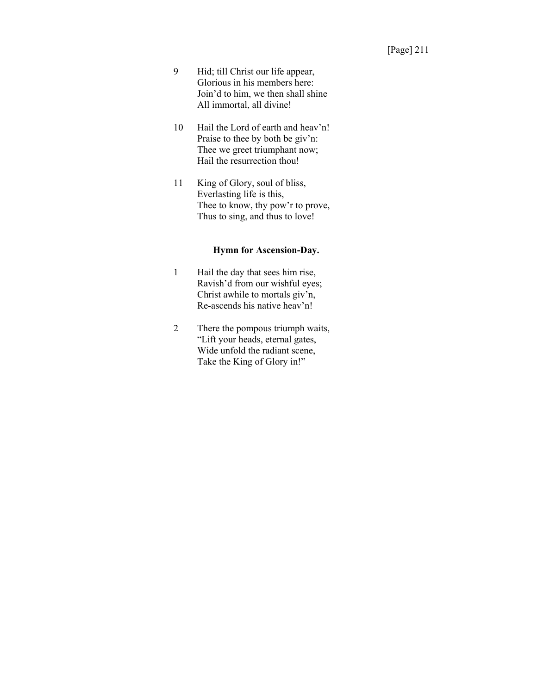- 9 Hid; till Christ our life appear, Glorious in his members here: Join'd to him, we then shall shine All immortal, all divine!
- 10 Hail the Lord of earth and heav'n! Praise to thee by both be giv'n: Thee we greet triumphant now; Hail the resurrection thou!
- 11 King of Glory, soul of bliss, Everlasting life is this, Thee to know, thy pow'r to prove, Thus to sing, and thus to love!

# **Hymn for Ascension-Day.**

- 1 Hail the day that sees him rise, Ravish'd from our wishful eyes; Christ awhile to mortals giv'n, Re-ascends his native heav'n!
- 2 There the pompous triumph waits, "Lift your heads, eternal gates, Wide unfold the radiant scene, Take the King of Glory in!"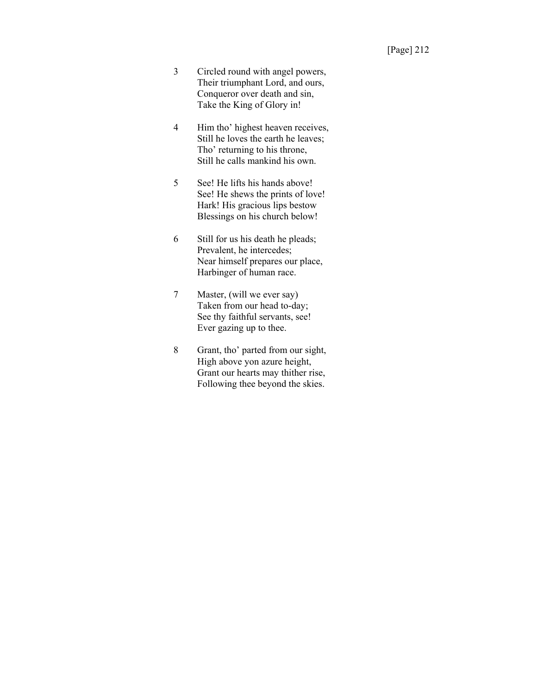- 3 Circled round with angel powers, Their triumphant Lord, and ours, Conqueror over death and sin, Take the King of Glory in!
- 4 Him tho' highest heaven receives, Still he loves the earth he leaves; Tho' returning to his throne, Still he calls mankind his own.
- 5 See! He lifts his hands above! See! He shews the prints of love! Hark! His gracious lips bestow Blessings on his church below!
- 6 Still for us his death he pleads; Prevalent, he intercedes; Near himself prepares our place, Harbinger of human race.
- 7 Master, (will we ever say) Taken from our head to-day; See thy faithful servants, see! Ever gazing up to thee.
- 8 Grant, tho' parted from our sight, High above yon azure height, Grant our hearts may thither rise, Following thee beyond the skies.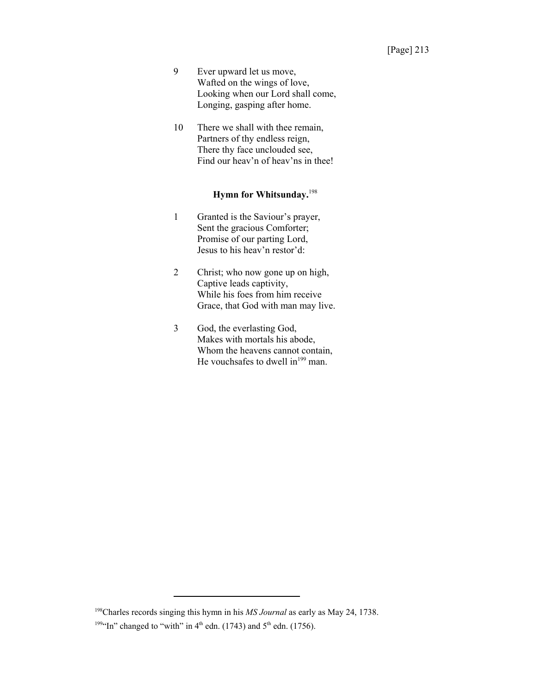- 9 Ever upward let us move, Wafted on the wings of love, Looking when our Lord shall come, Longing, gasping after home.
- 10 There we shall with thee remain, Partners of thy endless reign, There thy face unclouded see, Find our heav'n of heav'ns in thee!

# **Hymn for Whitsunday.**<sup>198</sup>

- 1 Granted is the Saviour's prayer, Sent the gracious Comforter; Promise of our parting Lord, Jesus to his heav'n restor'd:
- 2 Christ; who now gone up on high, Captive leads captivity, While his foes from him receive Grace, that God with man may live.
- 3 God, the everlasting God, Makes with mortals his abode, Whom the heavens cannot contain, He vouchsafes to dwell in $199}$  man.

<sup>198</sup>Charles records singing this hymn in his *MS Journal* as early as May 24, 1738. <sup>199</sup>"In" changed to "with" in  $4<sup>th</sup>$  edn. (1743) and  $5<sup>th</sup>$  edn. (1756).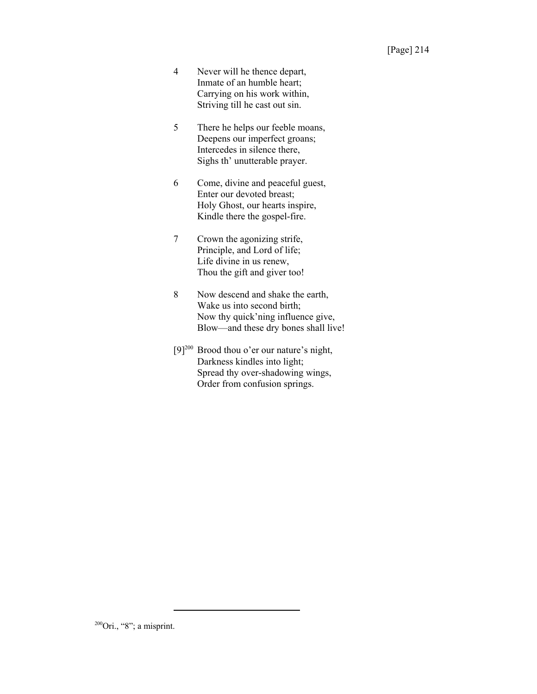- 4 Never will he thence depart, Inmate of an humble heart; Carrying on his work within, Striving till he cast out sin.
- 5 There he helps our feeble moans, Deepens our imperfect groans; Intercedes in silence there, Sighs th' unutterable prayer.
- 6 Come, divine and peaceful guest, Enter our devoted breast; Holy Ghost, our hearts inspire, Kindle there the gospel-fire.
- 7 Crown the agonizing strife, Principle, and Lord of life; Life divine in us renew, Thou the gift and giver too!
- 8 Now descend and shake the earth, Wake us into second birth; Now thy quick'ning influence give, Blow—and these dry bones shall live!
- [9]<sup>200</sup> Brood thou o'er our nature's night, Darkness kindles into light; Spread thy over-shadowing wings, Order from confusion springs.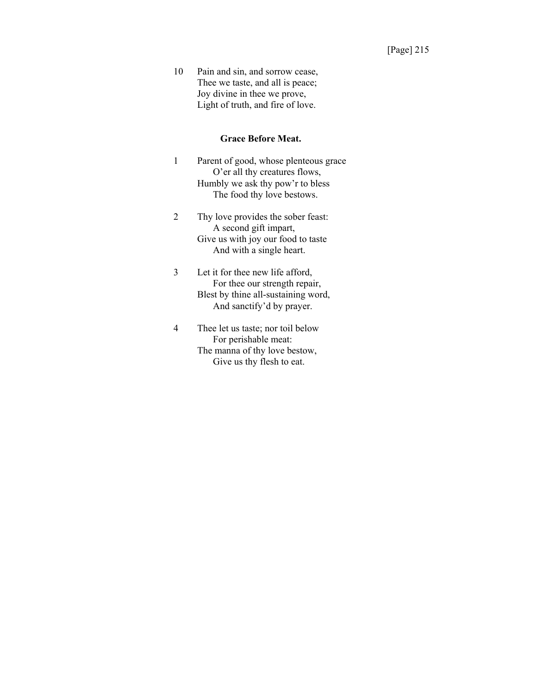10 Pain and sin, and sorrow cease, Thee we taste, and all is peace; Joy divine in thee we prove, Light of truth, and fire of love.

#### **Grace Before Meat.**

- 1 Parent of good, whose plenteous grace O'er all thy creatures flows, Humbly we ask thy pow'r to bless The food thy love bestows.
- 2 Thy love provides the sober feast: A second gift impart, Give us with joy our food to taste And with a single heart.
- 3 Let it for thee new life afford, For thee our strength repair, Blest by thine all-sustaining word, And sanctify'd by prayer.
- 4 Thee let us taste; nor toil below For perishable meat: The manna of thy love bestow, Give us thy flesh to eat.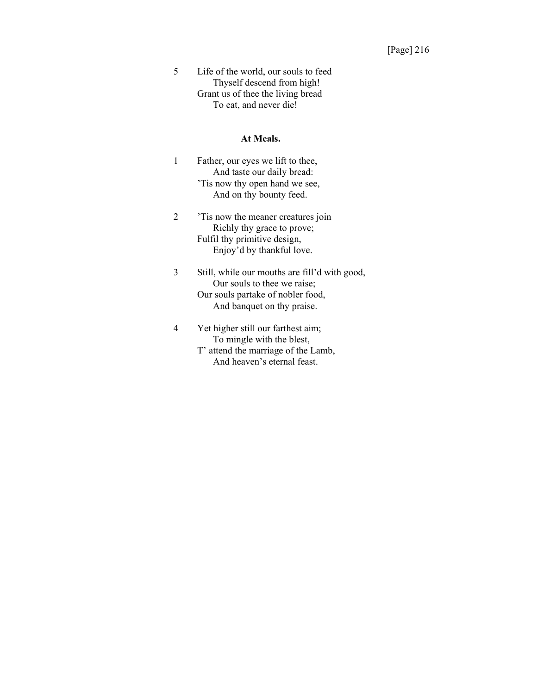5 Life of the world, our souls to feed Thyself descend from high! Grant us of thee the living bread To eat, and never die!

#### **At Meals.**

- 1 Father, our eyes we lift to thee, And taste our daily bread: 'Tis now thy open hand we see, And on thy bounty feed.
- 2 'Tis now the meaner creatures join Richly thy grace to prove; Fulfil thy primitive design, Enjoy'd by thankful love.
- 3 Still, while our mouths are fill'd with good, Our souls to thee we raise; Our souls partake of nobler food, And banquet on thy praise.
- 4 Yet higher still our farthest aim; To mingle with the blest, T' attend the marriage of the Lamb, And heaven's eternal feast.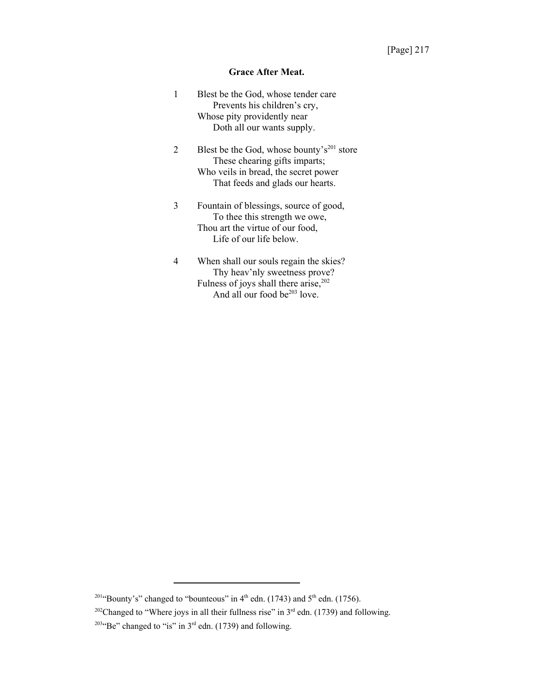## **Grace After Meat.**

| 1 | Blest be the God, whose tender care<br>Prevents his children's cry,<br>Whose pity providently near<br>Doth all our wants supply.                                         |
|---|--------------------------------------------------------------------------------------------------------------------------------------------------------------------------|
| 2 | Blest be the God, whose bounty's <sup>201</sup> store<br>These chearing gifts imparts;<br>Who veils in bread, the secret power<br>That feeds and glads our hearts.       |
| 3 | Fountain of blessings, source of good,<br>To thee this strength we owe,<br>Thou art the virtue of our food,<br>Life of our life below.                                   |
| 4 | When shall our souls regain the skies?<br>Thy heav'nly sweetness prove?<br>Fulness of joys shall there arise, <sup>202</sup><br>And all our food be <sup>203</sup> love. |

<sup>&</sup>lt;sup>201</sup>"Bounty's" changed to "bounteous" in 4<sup>th</sup> edn. (1743) and 5<sup>th</sup> edn. (1756).

<sup>&</sup>lt;sup>202</sup>Changed to "Where joys in all their fullness rise" in  $3<sup>rd</sup>$  edn. (1739) and following. <sup>2034</sup>Be" changed to "is" in  $3<sup>rd</sup>$  edn. (1739) and following.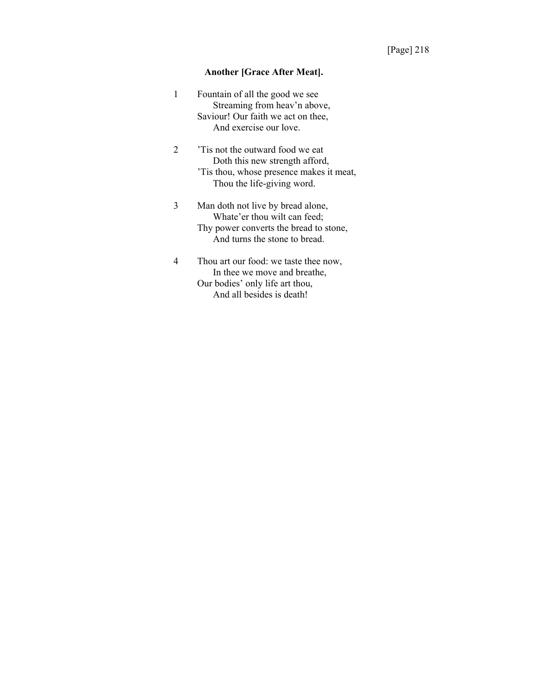# **Another [Grace After Meat].**

| 1              | Fountain of all the good we see<br>Streaming from heav'n above,                                                                              |
|----------------|----------------------------------------------------------------------------------------------------------------------------------------------|
|                | Saviour! Our faith we act on thee,<br>And exercise our love.                                                                                 |
| $\mathfrak{D}$ | Tis not the outward food we eat<br>Doth this new strength afford,<br>Tis thou, whose presence makes it meat,<br>Thou the life-giving word.   |
| 3              | Man doth not live by bread alone,<br>Whate'er thou wilt can feed;<br>Thy power converts the bread to stone,<br>And turns the stone to bread. |
|                | Thou art our food: we taste thee now,<br>In thee we move and breathe,                                                                        |

Our bodies' only life art thou, And all besides is death!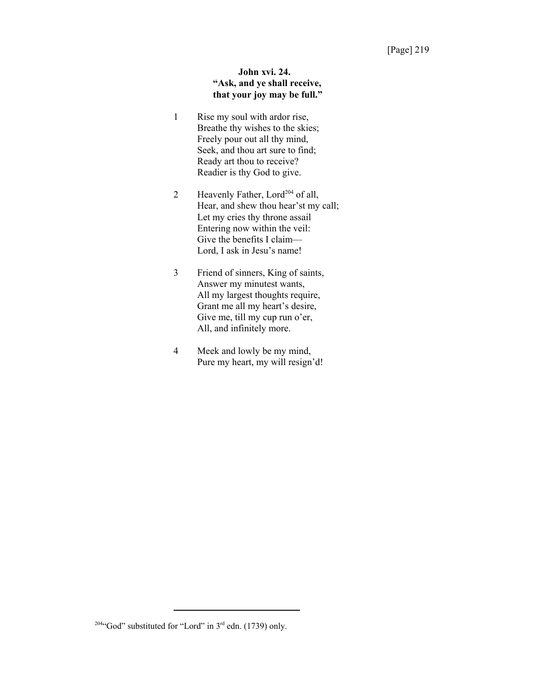# **John xvi. 24. "Ask, and ye shall receive, that your joy may be full."**

- 1 Rise my soul with ardor rise, Breathe thy wishes to the skies; Freely pour out all thy mind, Seek, and thou art sure to find; Ready art thou to receive? Readier is thy God to give.
- 2 Heavenly Father, Lord<sup>204</sup> of all, Hear, and shew thou hear'st my call; Let my cries thy throne assail Entering now within the veil: Give the benefits I claim— Lord, I ask in Jesu's name!
- 3 Friend of sinners, King of saints, Answer my minutest wants, All my largest thoughts require, Grant me all my heart's desire, Give me, till my cup run o'er, All, and infinitely more.
- 4 Meek and lowly be my mind, Pure my heart, my will resign'd!

<sup>&</sup>lt;sup>2044</sup>God" substituted for "Lord" in  $3<sup>rd</sup>$  edn. (1739) only.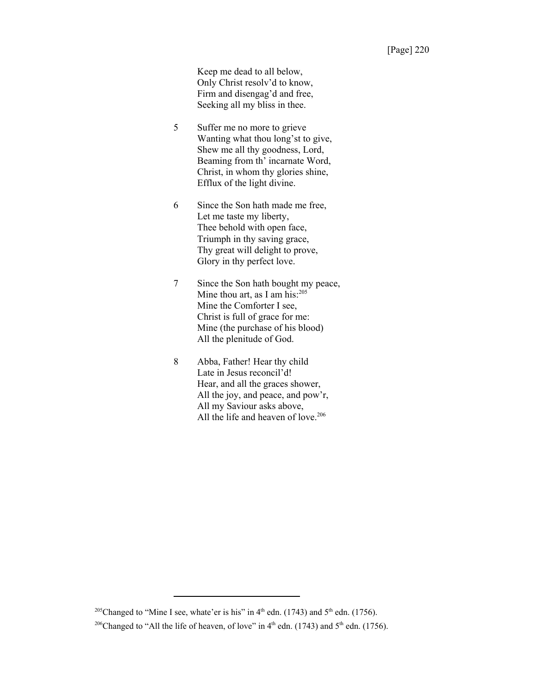Keep me dead to all below, Only Christ resolv'd to know, Firm and disengag'd and free, Seeking all my bliss in thee.

- 5 Suffer me no more to grieve Wanting what thou long'st to give, Shew me all thy goodness, Lord, Beaming from th' incarnate Word, Christ, in whom thy glories shine, Efflux of the light divine.
- 6 Since the Son hath made me free, Let me taste my liberty, Thee behold with open face, Triumph in thy saving grace, Thy great will delight to prove, Glory in thy perfect love.
- 7 Since the Son hath bought my peace, Mine thou art, as I am his: $^{205}$ Mine the Comforter I see, Christ is full of grace for me: Mine (the purchase of his blood) All the plenitude of God.
- 8 Abba, Father! Hear thy child Late in Jesus reconcil'd! Hear, and all the graces shower, All the joy, and peace, and pow'r, All my Saviour asks above, All the life and heaven of love.<sup>206</sup>

<sup>&</sup>lt;sup>205</sup>Changed to "Mine I see, whate'er is his" in  $4<sup>th</sup>$  edn. (1743) and  $5<sup>th</sup>$  edn. (1756).

<sup>&</sup>lt;sup>206</sup>Changed to "All the life of heaven, of love" in  $4<sup>th</sup>$  edn. (1743) and  $5<sup>th</sup>$  edn. (1756).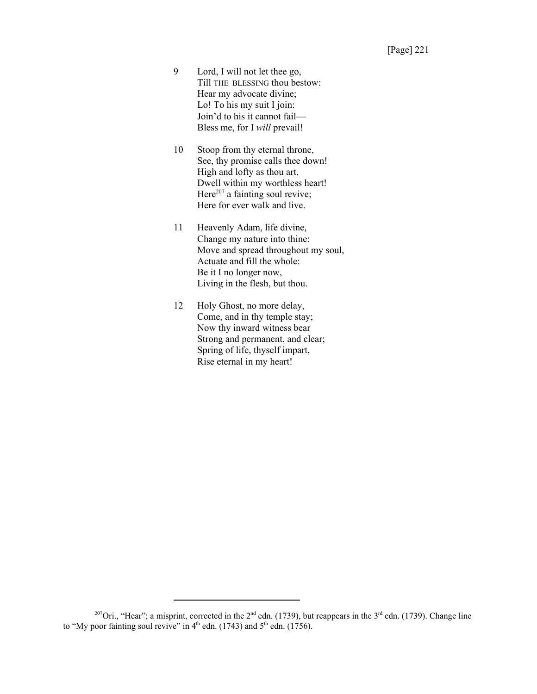- 9 Lord, I will not let thee go, Till THE BLESSING thou bestow: Hear my advocate divine; Lo! To his my suit I join: Join'd to his it cannot fail— Bless me, for I *will* prevail!
- 10 Stoop from thy eternal throne, See, thy promise calls thee down! High and lofty as thou art, Dwell within my worthless heart! Here $^{207}$  a fainting soul revive; Here for ever walk and live.
- 11 Heavenly Adam, life divine, Change my nature into thine: Move and spread throughout my soul, Actuate and fill the whole: Be it I no longer now, Living in the flesh, but thou.
- 12 Holy Ghost, no more delay, Come, and in thy temple stay; Now thy inward witness bear Strong and permanent, and clear; Spring of life, thyself impart, Rise eternal in my heart!

<sup>&</sup>lt;sup>207</sup>Ori., "Hear"; a misprint, corrected in the  $2^{nd}$  edn. (1739), but reappears in the  $3^{rd}$  edn. (1739). Change line to "My poor fainting soul revive" in  $4<sup>th</sup>$  edn. (1743) and  $5<sup>th</sup>$  edn. (1756).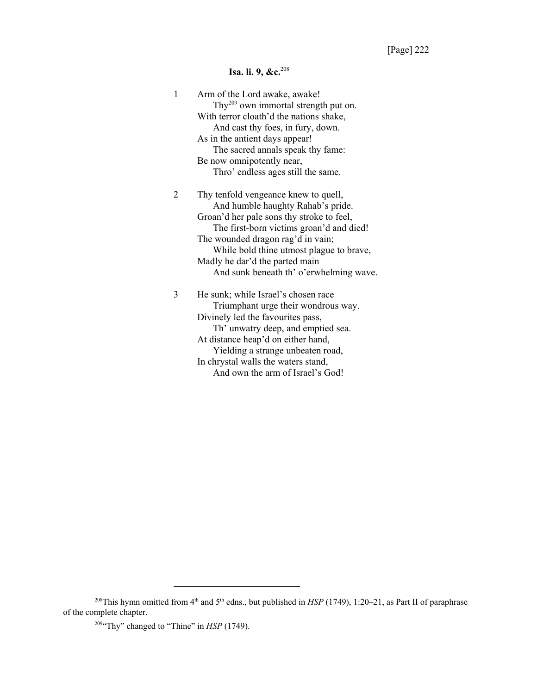# **Isa. li. 9, &c.**<sup>208</sup>

| 1 | Arm of the Lord awake, awake!<br>Thy <sup>209</sup> own immortal strength put on. |
|---|-----------------------------------------------------------------------------------|
|   | With terror cloath'd the nations shake,                                           |
|   | And cast thy foes, in fury, down.                                                 |
|   | As in the antient days appear!                                                    |
|   | The sacred annals speak thy fame:                                                 |
|   | Be now omnipotently near,                                                         |
|   | Thro' endless ages still the same.                                                |
| 2 | Thy tenfold vengeance knew to quell,                                              |
|   | And humble haughty Rahab's pride.                                                 |
|   | Groan'd her pale sons thy stroke to feel,                                         |
|   | The first-born victims groan'd and died!                                          |
|   | The wounded dragon rag'd in vain;                                                 |
|   | While bold thine utmost plague to brave,                                          |
|   | Madly he dar'd the parted main                                                    |
|   | And sunk beneath th' o'erwhelming wave.                                           |
| 3 | He sunk; while Israel's chosen race                                               |
|   | Triumphant urge their wondrous way.                                               |
|   | Divinely led the favourites pass,                                                 |
|   | Th' unwatry deep, and emptied sea.                                                |
|   | At distance heap'd on either hand,                                                |
|   | Yielding a strange unbeaten road,                                                 |
|   | In chrystal walls the waters stand,                                               |
|   | And own the arm of Israel's God!                                                  |

<sup>&</sup>lt;sup>208</sup>This hymn omitted from 4<sup>th</sup> and 5<sup>th</sup> edns., but published in *HSP* (1749), 1:20–21, as Part II of paraphrase of the complete chapter.

<sup>&</sup>lt;sup>209</sup> Thy" changed to "Thine" in *HSP* (1749).